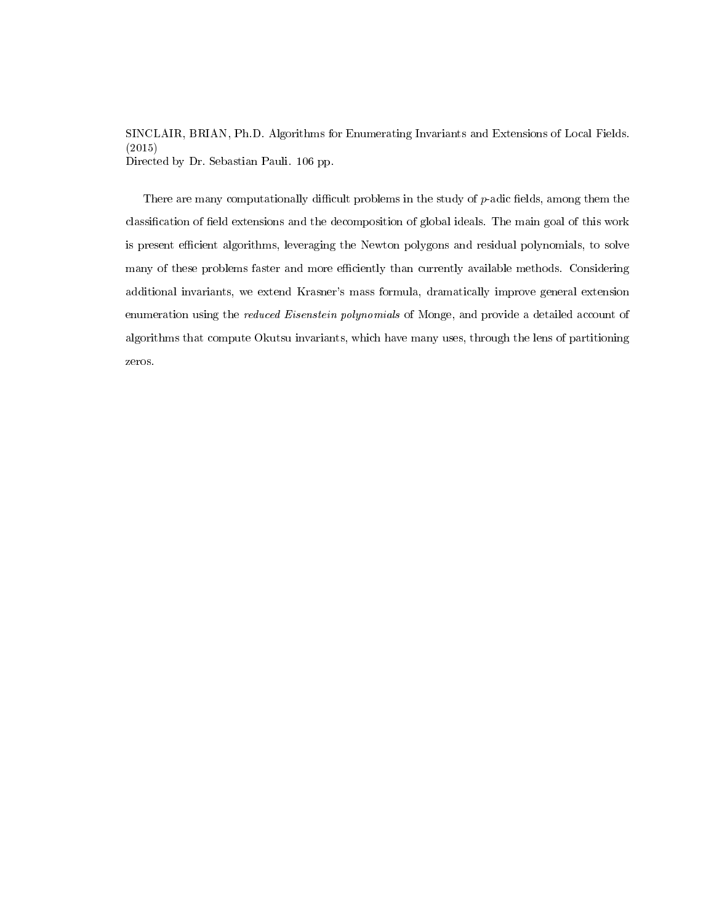SINCLAIR, BRIAN, Ph.D. Algorithms for Enumerating Invariants and Extensions of Local Fields. (2015) Directed by Dr. Sebastian Pauli. [106](#page-114-0) pp.

There are many computationally difficult problems in the study of  $p$ -adic fields, among them the classification of field extensions and the decomposition of global ideals. The main goal of this work is present efficient algorithms, leveraging the Newton polygons and residual polynomials, to solve many of these problems faster and more efficiently than currently available methods. Considering additional invariants, we extend Krasner's mass formula, dramatically improve general extension enumeration using the reduced Eisenstein polynomials of Monge, and provide a detailed account of algorithms that compute Okutsu invariants, which have many uses, through the lens of partitioning zeros.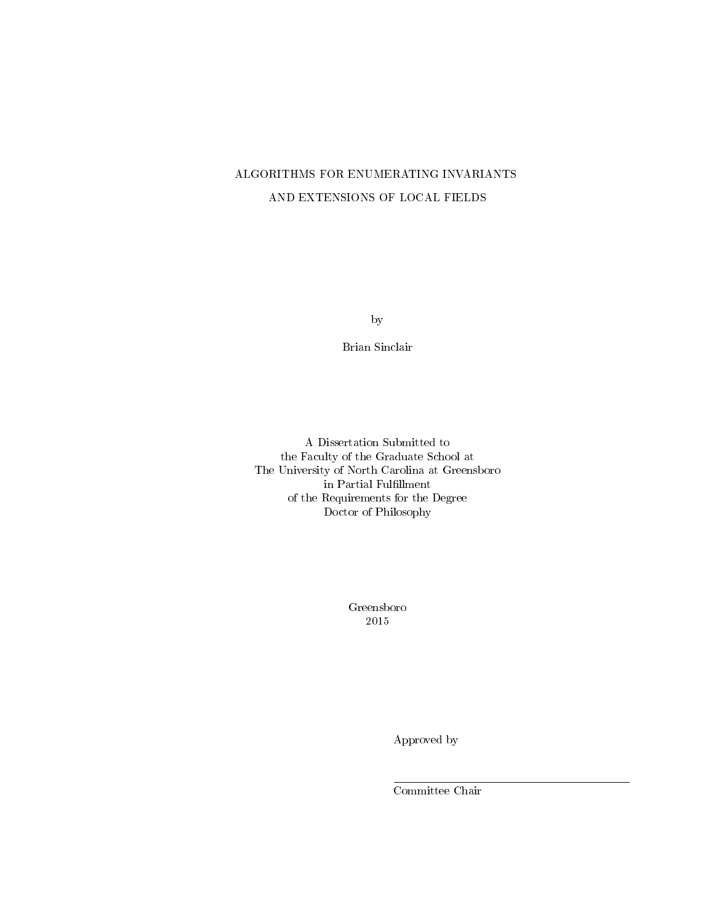# ALGORITHMS FOR ENUMERATING INVARIANTS AND EXTENSIONS OF LOCAL FIELDS

by

Brian Sinclair

A Dissertation Submitted to the Faculty of the Graduate School at The University of North Carolina at Greensboro in Partial Fulfillment  $\,$ of the Requirements for the Degree Doctor of Philosophy

> Greensboro 2015

> > Approved by

Committee Chair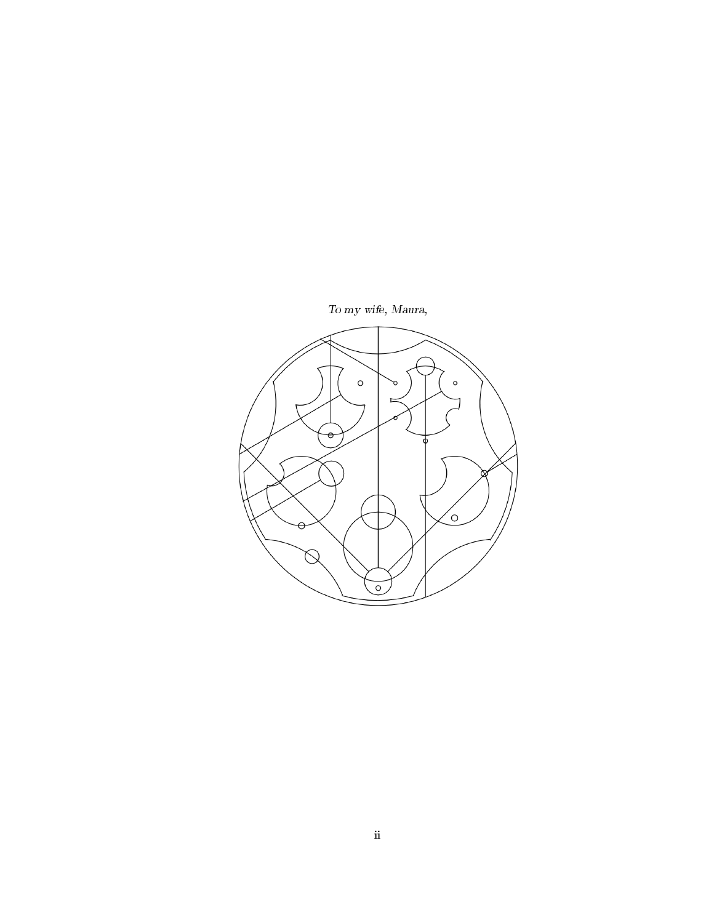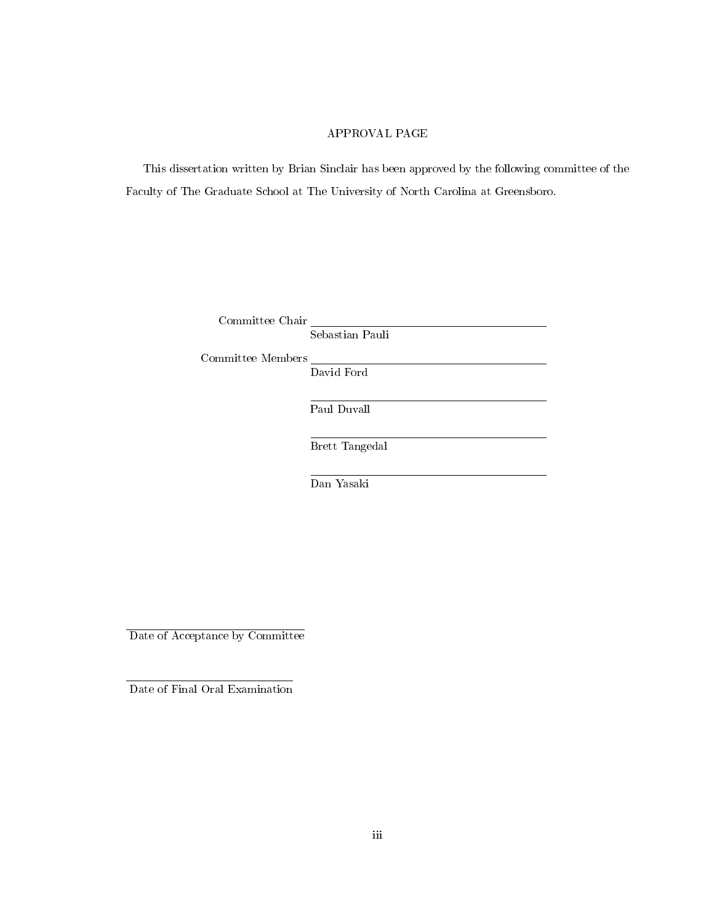### APPROVAL PAGE

This dissertation written by Brian Sinclair has been approved by the following committee of the Faculty of The Graduate School at The University of North Carolina at Greensboro.

| Committee Chair |  |
|-----------------|--|
|                 |  |

Sebastian Pauli

Committee Members

David Ford

Paul Duvall

Brett Tangedal

Dan Yasaki

Date of Acceptance by Committee

Date of Final Oral Examination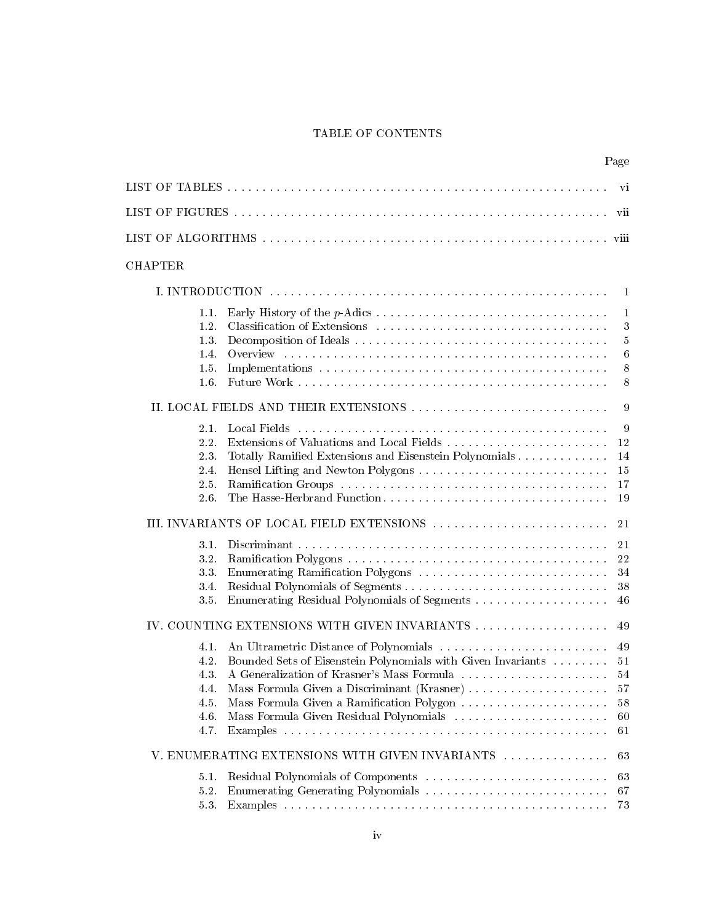## TABLE OF CONTENTS

<span id="page-4-0"></span>

|         |                                                                    | Page            |
|---------|--------------------------------------------------------------------|-----------------|
|         |                                                                    | vi              |
|         |                                                                    | vii             |
|         |                                                                    |                 |
| CHAPTER |                                                                    |                 |
|         |                                                                    | 1               |
| 1.1     |                                                                    | $\mathbf{1}$    |
| 1.2.    |                                                                    | 3               |
| 1.3.    |                                                                    | $\overline{5}$  |
| 1.4.    |                                                                    | $6\phantom{.}6$ |
| 1.5     |                                                                    | 8               |
| 1.6.    |                                                                    | 8               |
|         | II. LOCAL FIELDS AND THEIR EXTENSIONS                              | 9               |
| 2.1.    |                                                                    | 9               |
| 2.2.    |                                                                    | 12              |
| 2.3.    | Totally Ramified Extensions and Eisenstein Polynomials             | 14              |
| 2.4.    |                                                                    | 15              |
| 2.5.    |                                                                    | 17              |
| 2.6.    | The Hasse-Herbrand Function                                        | 19              |
|         |                                                                    | 21              |
| 3.1.    |                                                                    | 21              |
| 3.2.    |                                                                    | 22              |
| 3.3.    | Enumerating Ramification Polygons                                  | 34              |
| 3.4.    |                                                                    | 38              |
| 3.5.    |                                                                    | 46              |
|         |                                                                    | 49              |
| 4.1.    |                                                                    | 49              |
| 4.2.    | Bounded Sets of Eisenstein Polynomials with Given Invariants       | 51              |
| 43.     | A Generalization of Krasner's Mass Formula expressional experience | 54              |
| 4.4     | Mass Formula Given a Discriminant (Krasner)                        | 57              |
| 4.5     | Mass Formula Given a Ramification Polygon                          | 58              |
| 4.6.    |                                                                    | 60              |
| 4.7.    |                                                                    | 61              |
|         | V. ENUMERATING EXTENSIONS WITH GIVEN INVARIANTS                    | 63              |
| 5.1.    |                                                                    | 63              |
| 5.2.    |                                                                    | 67              |
| 5.3     |                                                                    | $73\,$          |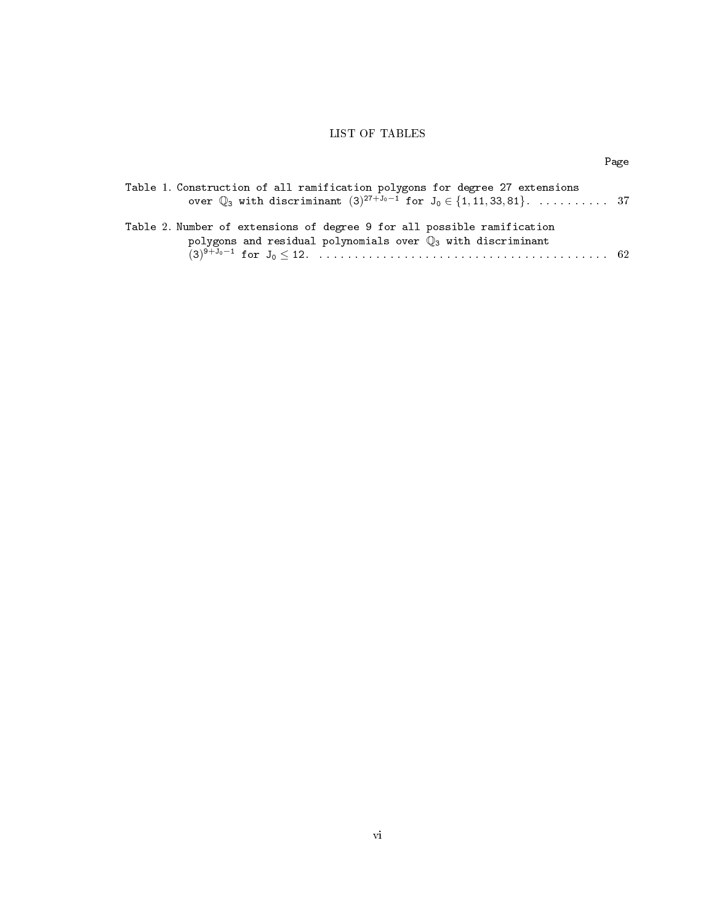# LIST OF TABLES

| I |
|---|
|---|

<span id="page-6-0"></span>

| Table 1. Construction of all ramification polygons for degree 27 extensions                  |  |
|----------------------------------------------------------------------------------------------|--|
| over $\mathbb{Q}_3$ with discriminant $(3)^{27+J_0-1}$ for $J_0 \in \{1, 11, 33, 81\}$ .  37 |  |
|                                                                                              |  |
| Table 2. Number of extensions of degree 9 for all possible ramification                      |  |
| polygons and residual polynomials over $\mathbb{Q}_3$ with discriminant                      |  |
|                                                                                              |  |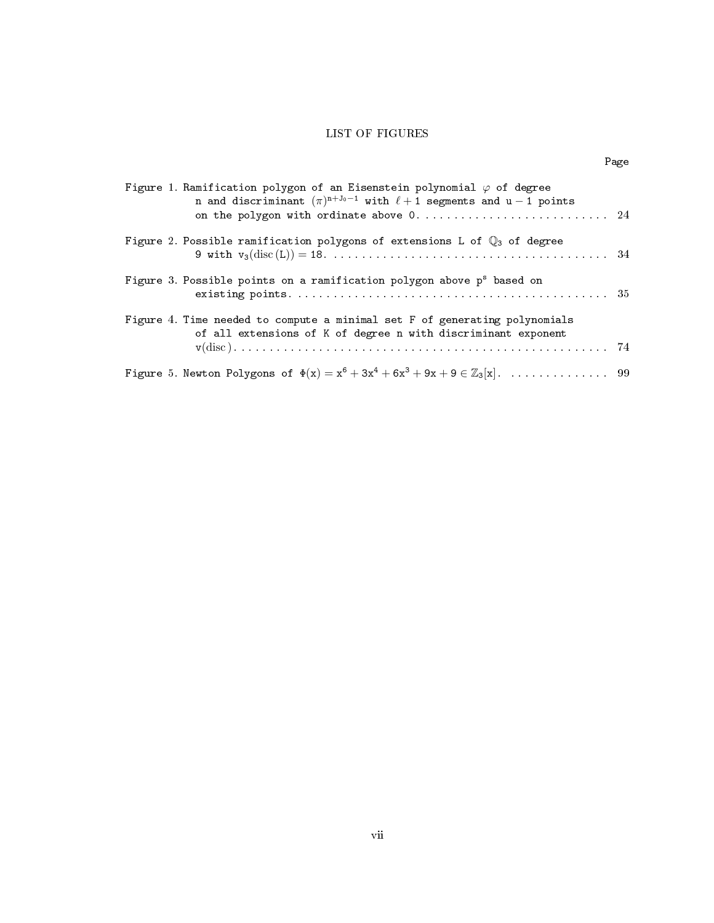### LIST OF FIGURES

|--|

<span id="page-7-0"></span>

| Figure 1. Ramification polygon of an Eisenstein polynomial $\varphi$ of degree<br>n and discriminant $(\pi)^{n+J_0-1}$ with $\ell+1$ segments and $u-1$ points<br>on the polygon with ordinate above 0 24 |  |
|-----------------------------------------------------------------------------------------------------------------------------------------------------------------------------------------------------------|--|
| Figure 2. Possible ramification polygons of extensions L of $\mathbb{Q}_3$ of degree                                                                                                                      |  |
| Figure 3. Possible points on a ramification polygon above p <sup>s</sup> based on                                                                                                                         |  |
| Figure 4. Time needed to compute a minimal set F of generating polynomials<br>of all extensions of K of degree n with discriminant exponent                                                               |  |
|                                                                                                                                                                                                           |  |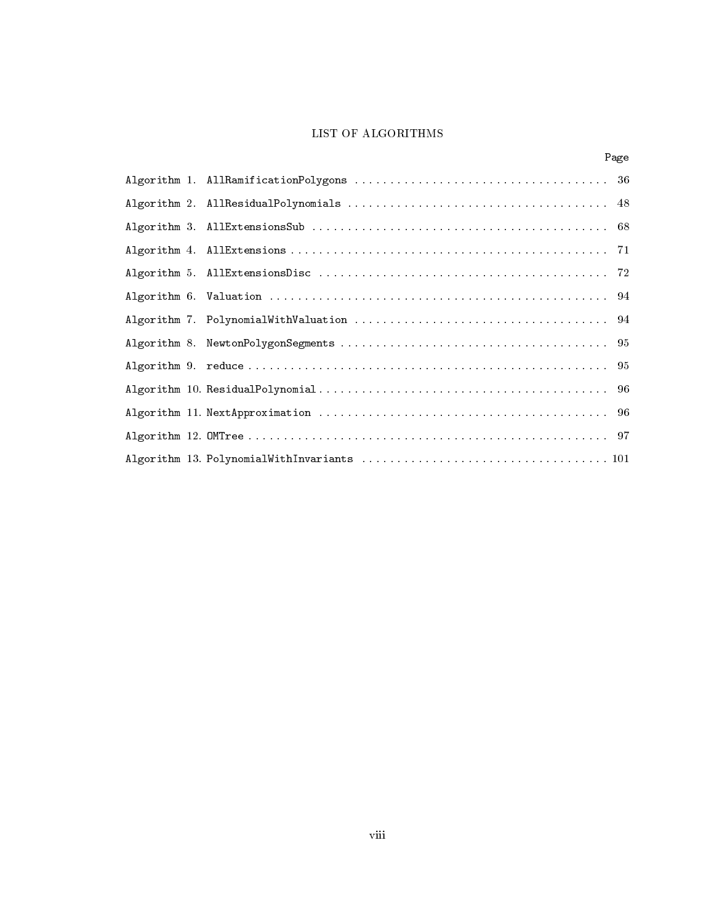# LIST OF ALGORITHMS

|  | Page |
|--|------|
|  |      |
|  |      |
|  |      |
|  |      |
|  |      |
|  |      |
|  |      |
|  |      |
|  |      |
|  |      |
|  |      |
|  |      |
|  |      |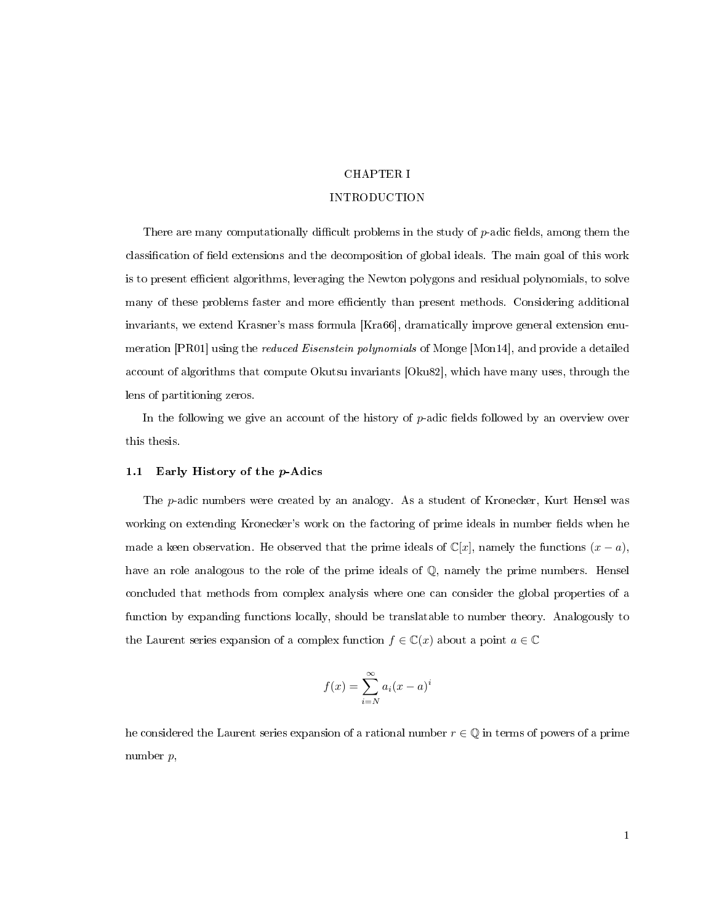### CHAPTER I

### INTRODUCTION

<span id="page-9-0"></span>There are many computationally difficult problems in the study of  $p$ -adic fields, among them the classification of field extensions and the decomposition of global ideals. The main goal of this work is to present efficient algorithms, leveraging the Newton polygons and residual polynomials, to solve many of these problems faster and more efficiently than present methods. Considering additional invariants, we extend Krasner's mass formula [\[Kra66\]](#page-113-0), dramatically improve general extension enu-meration [\[PR01\]](#page-114-1) using the *reduced Eisenstein polynomials* of Monge [\[Mon14\]](#page-113-1), and provide a detailed account of algorithms that compute Okutsu invariants [\[Oku82\]](#page-113-2), which have many uses, through the lens of partitioning zeros.

In the following we give an account of the history of  $p$ -adic fields followed by an overview over this thesis.

### <span id="page-9-1"></span>1.1 Early History of the p-Adics

The p-adic numbers were created by an analogy. As a student of Kronecker, Kurt Hensel was working on extending Kronecker's work on the factoring of prime ideals in number fields when he made a keen observation. He observed that the prime ideals of  $\mathbb{C}[x]$ , namely the functions  $(x - a)$ , have an role analogous to the role of the prime ideals of Q, namely the prime numbers. Hensel concluded that methods from complex analysis where one can consider the global properties of a function by expanding functions locally, should be translatable to number theory. Analogously to the Laurent series expansion of a complex function  $f \in \mathbb{C}(x)$  about a point  $a \in \mathbb{C}$ 

$$
f(x) = \sum_{i=N}^{\infty} a_i (x - a)^i
$$

he considered the Laurent series expansion of a rational number  $r \in \mathbb{Q}$  in terms of powers of a prime number p,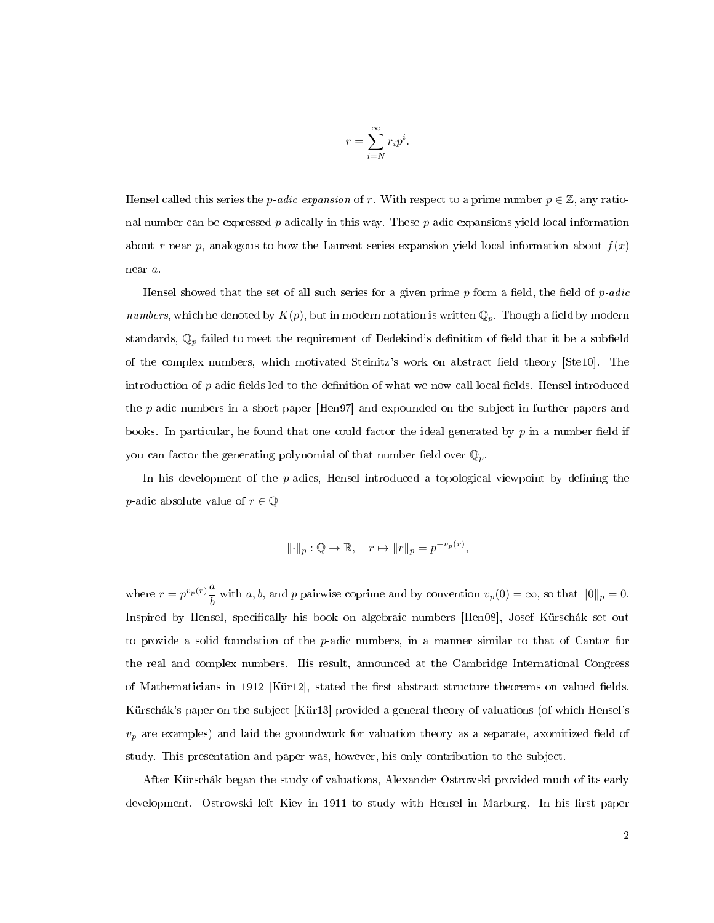$$
r = \sum_{i=N}^{\infty} r_i p^i.
$$

Hensel called this series the *p-adic expansion* of r. With respect to a prime number  $p \in \mathbb{Z}$ , any rational number can be expressed *p*-adically in this way. These *p*-adic expansions yield local information about r near p, analogous to how the Laurent series expansion yield local information about  $f(x)$ near a.

Hensel showed that the set of all such series for a given prime  $p$  form a field, the field of  $p\text{-}adic$ numbers, which he denoted by  $K(p)$ , but in modern notation is written  $\mathbb{Q}_p$ . Though a field by modern standards,  $\mathbb{Q}_p$  failed to meet the requirement of Dedekind's definition of field that it be a subfield of the complex numbers, which motivated Steinitz's work on abstract field theory [\[Ste10\]](#page-114-2). The introduction of  $p$ -adic fields led to the definition of what we now call local fields. Hensel introduced the p-adic numbers in a short paper [\[Hen97\]](#page-112-0) and expounded on the subject in further papers and books. In particular, he found that one could factor the ideal generated by  $p$  in a number field if you can factor the generating polynomial of that number field over  $\mathbb{Q}_p$ .

In his development of the  $p$ -adics, Hensel introduced a topological viewpoint by defining the *p*-adic absolute value of  $r \in \mathbb{Q}$ 

$$
\|\cdot\|_p: \mathbb{Q} \to \mathbb{R}, \quad r \mapsto \|r\|_p = p^{-v_p(r)},
$$

where  $r = p^{v_p(r)} \frac{a}{l}$ with a, b, and p pairwise coprime and by convention  $v_p(0) = \infty$ , so that  $||0||_p = 0$ . Inspired by Hensel, specifically his book on algebraic numbers [\[Hen08\]](#page-112-1), Josef Kürschák set out to provide a solid foundation of the  $p$ -adic numbers, in a manner similar to that of Cantor for the real and complex numbers. His result, announced at the Cambridge International Congress of Mathematicians in 1912 [\[Kür12\]](#page-113-3), stated the first abstract structure theorems on valued fields. Kürschák's paper on the subject [\[Kür13\]](#page-113-4) provided a general theory of valuations (of which Hensel's  $v_p$  are examples) and laid the groundwork for valuation theory as a separate, axomitized field of study. This presentation and paper was, however, his only contribution to the subject.

After Kürschák began the study of valuations, Alexander Ostrowski provided much of its early development. Ostrowski left Kiev in 1911 to study with Hensel in Marburg. In his first paper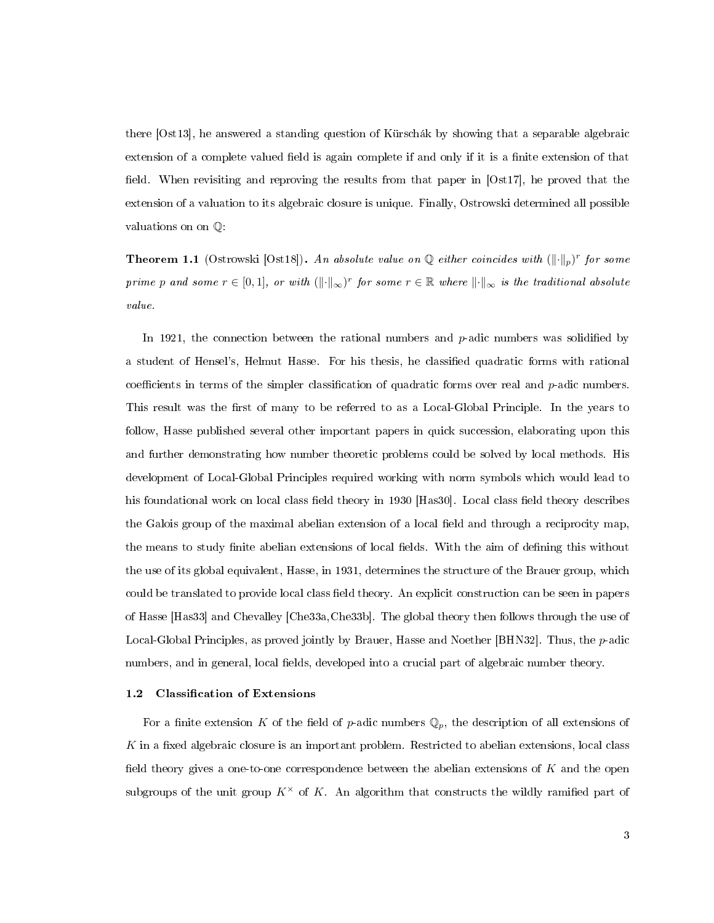there [\[Ost13\]](#page-114-3), he answered a standing question of Kürschák by showing that a separable algebraic extension of a complete valued field is again complete if and only if it is a finite extension of that field. When revisiting and reproving the results from that paper in  $[Ost17]$ , he proved that the extension of a valuation to its algebraic closure is unique. Finally, Ostrowski determined all possible valuations on on Q:

**Theorem 1.1** (Ostrowski [\[Ost18\]](#page-114-5)). An absolute value on Q either coincides with  $(\lVert \cdot \rVert_p)^r$  for some prime p and some  $r \in [0,1]$ , or with  $(\lVert \cdot \rVert_{\infty})^r$  for some  $r \in \mathbb{R}$  where  $\lVert \cdot \rVert_{\infty}$  is the traditional absolute value.

In 1921, the connection between the rational numbers and  $p$ -adic numbers was solidified by a student of Hensel's, Helmut Hasse. For his thesis, he classified quadratic forms with rational coefficients in terms of the simpler classification of quadratic forms over real and  $p$ -adic numbers. This result was the first of many to be referred to as a Local-Global Principle. In the years to follow, Hasse published several other important papers in quick succession, elaborating upon this and further demonstrating how number theoretic problems could be solved by local methods. His development of Local-Global Principles required working with norm symbols which would lead to his foundational work on local class field theory in 1930 [\[Has30\]](#page-112-2). Local class field theory describes the Galois group of the maximal abelian extension of a local field and through a reciprocity map, the means to study finite abelian extensions of local fields. With the aim of defining this without the use of its global equivalent, Hasse, in 1931, determines the structure of the Brauer group, which could be translated to provide local class field theory. An explicit construction can be seen in papers of Hasse [\[Has33\]](#page-112-3) and Chevalley [\[Che33a,](#page-111-1)[Che33b\]](#page-111-2). The global theory then follows through the use of Local-Global Principles, as proved jointly by Brauer, Hasse and Noether [\[BHN32\]](#page-111-3). Thus, the p-adic numbers, and in general, local fields, developed into a crucial part of algebraic number theory.

### <span id="page-11-0"></span>1.2 Classification of Extensions

For a finite extension K of the field of p-adic numbers  $\mathbb{Q}_p$ , the description of all extensions of  $K$  in a fixed algebraic closure is an important problem. Restricted to abelian extensions, local class field theory gives a one-to-one correspondence between the abelian extensions of  $K$  and the open subgroups of the unit group  $K^{\times}$  of K. An algorithm that constructs the wildly ramified part of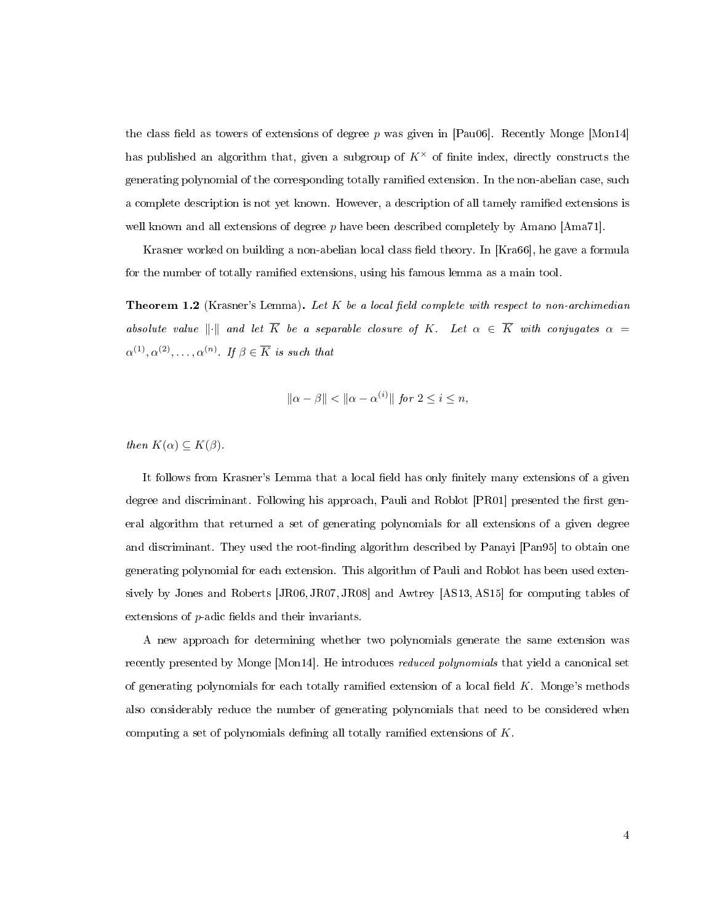the class field as towers of extensions of degree p was given in [\[Pau06\]](#page-114-6). Recently Monge [\[Mon14\]](#page-113-1) has published an algorithm that, given a subgroup of  $K^{\times}$  of finite index, directly constructs the generating polynomial of the corresponding totally ramified extension. In the non-abelian case, such a complete description is not yet known. However, a description of all tamely ramied extensions is well known and all extensions of degree p have been described completely by Amano [\[Ama71\]](#page-111-4).

Krasner worked on building a non-abelian local class field theory. In [\[Kra66\]](#page-113-0), he gave a formula for the number of totally ramified extensions, using his famous lemma as a main tool.

**Theorem 1.2** (Krasner's Lemma). Let K be a local field complete with respect to non-archimedian absolute value  $\|\cdot\|$  and let  $\overline{K}$  be a separable closure of K. Let  $\alpha \in \overline{K}$  with conjugates  $\alpha =$  $\alpha^{(1)}, \alpha^{(2)}, \ldots, \alpha^{(n)}$ . If  $\beta \in \overline{K}$  is such that

$$
\|\alpha - \beta\| < \|\alpha - \alpha^{(i)}\| \text{ for } 2 \le i \le n,
$$

then  $K(\alpha) \subseteq K(\beta)$ .

It follows from Krasner's Lemma that a local field has only finitely many extensions of a given degree and discriminant. Following his approach, Pauli and Roblot [\[PR01\]](#page-114-1) presented the first general algorithm that returned a set of generating polynomials for all extensions of a given degree and discriminant. They used the root-finding algorithm described by Panayi [\[Pan95\]](#page-114-7) to obtain one generating polynomial for each extension. This algorithm of Pauli and Roblot has been used extensively by Jones and Roberts [\[JR06,](#page-112-4) [JR07,](#page-112-5) [JR08\]](#page-113-5) and Awtrey [\[AS13,](#page-111-5) [AS15\]](#page-111-6) for computing tables of extensions of  $p$ -adic fields and their invariants.

A new approach for determining whether two polynomials generate the same extension was recently presented by Monge [\[Mon14\]](#page-113-1). He introduces reduced polynomials that yield a canonical set of generating polynomials for each totally ramified extension of a local field  $K$ . Monge's methods also considerably reduce the number of generating polynomials that need to be considered when computing a set of polynomials defining all totally ramified extensions of  $K$ .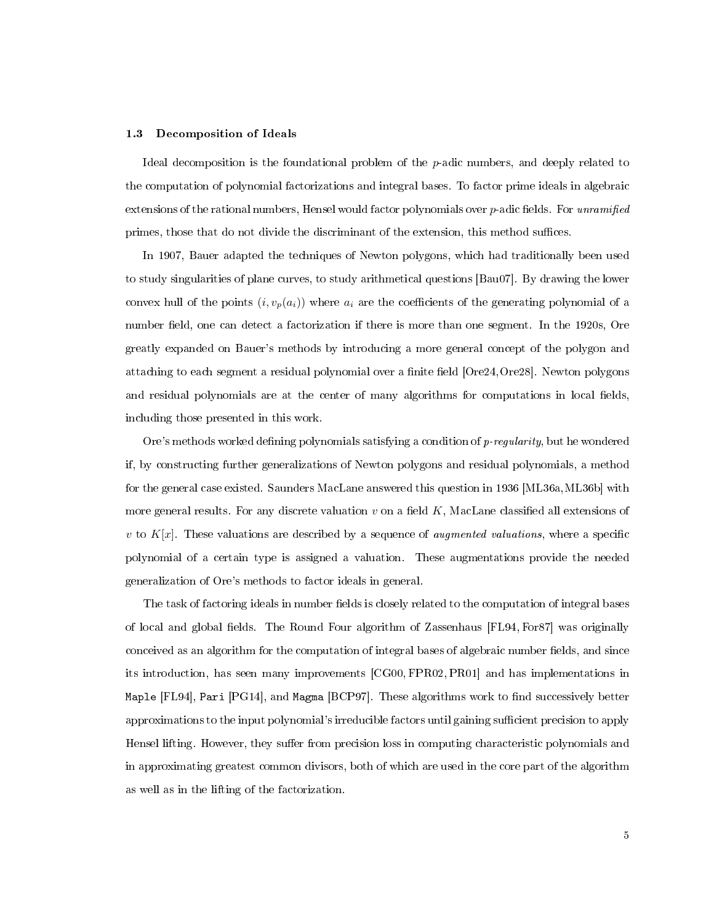### <span id="page-13-0"></span>1.3 Decomposition of Ideals

Ideal decomposition is the foundational problem of the p-adic numbers, and deeply related to the computation of polynomial factorizations and integral bases. To factor prime ideals in algebraic extensions of the rational numbers, Hensel would factor polynomials over  $p$ -adic fields. For unramified primes, those that do not divide the discriminant of the extension, this method suffices.

In 1907, Bauer adapted the techniques of Newton polygons, which had traditionally been used to study singularities of plane curves, to study arithmetical questions [\[Bau07\]](#page-111-7). By drawing the lower convex hull of the points  $(i, v_p(a_i))$  where  $a_i$  are the coefficients of the generating polynomial of a number field, one can detect a factorization if there is more than one segment. In the 1920s, Ore greatly expanded on Bauer's methods by introducing a more general concept of the polygon and attaching to each segment a residual polynomial over a finite field [\[Ore24,](#page-113-6) [Ore28\]](#page-113-7). Newton polygons and residual polynomials are at the center of many algorithms for computations in local fields, including those presented in this work.

Ore's methods worked defining polynomials satisfying a condition of  $p$ -regularity, but he wondered if, by constructing further generalizations of Newton polygons and residual polynomials, a method for the general case existed. Saunders MacLane answered this question in 1936 [\[ML36a,](#page-113-8)[ML36b\]](#page-113-9) with more general results. For any discrete valuation  $v$  on a field  $K$ , MacLane classified all extensions of v to  $K[x]$ . These valuations are described by a sequence of *augmented valuations*, where a specific polynomial of a certain type is assigned a valuation. These augmentations provide the needed generalization of Ore's methods to factor ideals in general.

The task of factoring ideals in number fields is closely related to the computation of integral bases of local and global fields. The Round Four algorithm of Zassenhaus [\[FL94,](#page-111-8) [For87\]](#page-111-9) was originally conceived as an algorithm for the computation of integral bases of algebraic number fields, and since its introduction, has seen many improvements [\[CG00,](#page-111-10) [FPR02,](#page-111-11) [PR01\]](#page-114-1) and has implementations in Maple  $[FL94]$ , Pari  $[PG14]$ , and Magma  $[BCP97]$ . These algorithms work to find successively better approximations to the input polynomial's irreducible factors until gaining sufficient precision to apply Hensel lifting. However, they suffer from precision loss in computing characteristic polynomials and in approximating greatest common divisors, both of which are used in the core part of the algorithm as well as in the lifting of the factorization.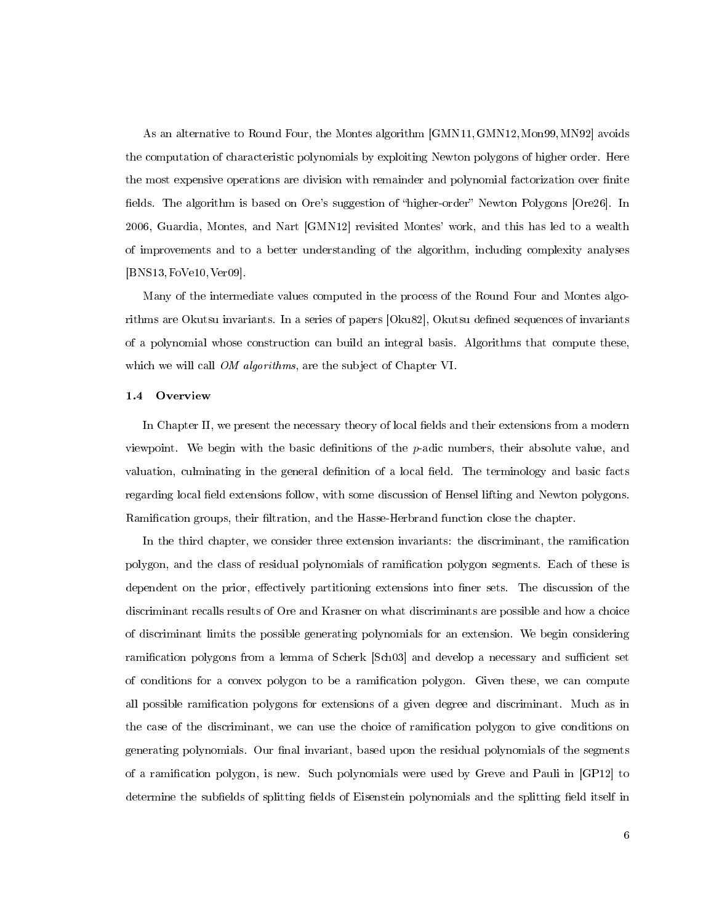As an alternative to Round Four, the Montes algorithm [\[GMN11,](#page-112-6)[GMN12,](#page-112-7)[Mon99,](#page-113-10)[MN92\]](#page-113-11) avoids the computation of characteristic polynomials by exploiting Newton polygons of higher order. Here the most expensive operations are division with remainder and polynomial factorization over finite fields. The algorithm is based on Ore's suggestion of "higher-order" Newton Polygons [\[Ore26\]](#page-113-12). In 2006, Guardia, Montes, and Nart [\[GMN12\]](#page-112-7) revisited Montes' work, and this has led to a wealth of improvements and to a better understanding of the algorithm, including complexity analyses [\[BNS13,](#page-111-13)[FoVe10,](#page-112-8)[Ver09\]](#page-114-9).

Many of the intermediate values computed in the process of the Round Four and Montes algo-rithms are Okutsu invariants. In a series of papers [\[Oku82\]](#page-113-2), Okutsu defined sequences of invariants of a polynomial whose construction can build an integral basis. Algorithms that compute these, which we will call *OM algorithms*, are the subject of Chapter [VI.](#page-86-0)

#### <span id="page-14-0"></span>1.4 Overview

In Chapter II, we present the necessary theory of local fields and their extensions from a modern viewpoint. We begin with the basic definitions of the  $p$ -adic numbers, their absolute value, and valuation, culminating in the general definition of a local field. The terminology and basic facts regarding local field extensions follow, with some discussion of Hensel lifting and Newton polygons. Ramification groups, their filtration, and the Hasse-Herbrand function close the chapter.

In the third chapter, we consider three extension invariants: the discriminant, the ramication polygon, and the class of residual polynomials of ramication polygon segments. Each of these is dependent on the prior, effectively partitioning extensions into finer sets. The discussion of the discriminant recalls results of Ore and Krasner on what discriminants are possible and how a choice of discriminant limits the possible generating polynomials for an extension. We begin considering ramification polygons from a lemma of Scherk [\[Sch03\]](#page-114-10) and develop a necessary and sufficient set of conditions for a convex polygon to be a ramication polygon. Given these, we can compute all possible ramification polygons for extensions of a given degree and discriminant. Much as in the case of the discriminant, we can use the choice of ramification polygon to give conditions on generating polynomials. Our final invariant, based upon the residual polynomials of the segments of a ramication polygon, is new. Such polynomials were used by Greve and Pauli in [\[GP12\]](#page-112-9) to determine the subfields of splitting fields of Eisenstein polynomials and the splitting field itself in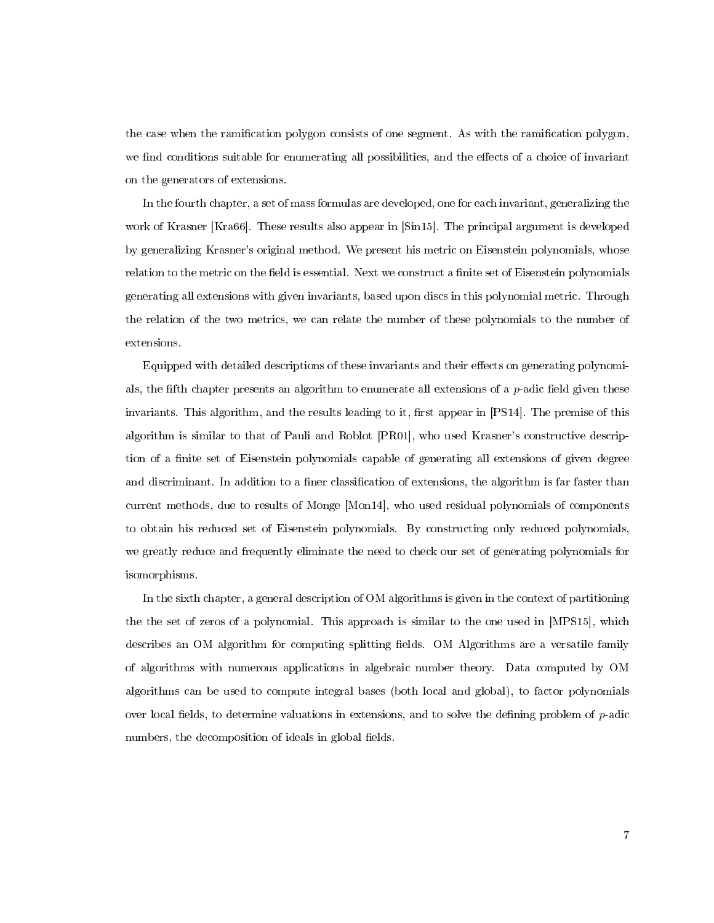the case when the ramication polygon consists of one segment. As with the ramication polygon, we find conditions suitable for enumerating all possibilities, and the effects of a choice of invariant on the generators of extensions.

In the fourth chapter, a set of mass formulas are developed, one for each invariant, generalizing the work of Krasner [\[Kra66\]](#page-113-0). These results also appear in [\[Sin15\]](#page-114-11). The principal argument is developed by generalizing Krasner's original method. We present his metric on Eisenstein polynomials, whose relation to the metric on the field is essential. Next we construct a finite set of Eisenstein polynomials generating all extensions with given invariants, based upon discs in this polynomial metric. Through the relation of the two metrics, we can relate the number of these polynomials to the number of extensions.

Equipped with detailed descriptions of these invariants and their effects on generating polynomials, the fifth chapter presents an algorithm to enumerate all extensions of a  $p$ -adic field given these invariants. This algorithm, and the results leading to it, first appear in  $[PS14]$ . The premise of this algorithm is similar to that of Pauli and Roblot [\[PR01\]](#page-114-1), who used Krasner's constructive description of a finite set of Eisenstein polynomials capable of generating all extensions of given degree and discriminant. In addition to a finer classification of extensions, the algorithm is far faster than current methods, due to results of Monge [\[Mon14\]](#page-113-1), who used residual polynomials of components to obtain his reduced set of Eisenstein polynomials. By constructing only reduced polynomials, we greatly reduce and frequently eliminate the need to check our set of generating polynomials for isomorphisms.

In the sixth chapter, a general description of OM algorithms is given in the context of partitioning the the set of zeros of a polynomial. This approach is similar to the one used in [\[MPS15\]](#page-113-13), which describes an OM algorithm for computing splitting fields. OM Algorithms are a versatile family of algorithms with numerous applications in algebraic number theory. Data computed by OM algorithms can be used to compute integral bases (both local and global), to factor polynomials over local fields, to determine valuations in extensions, and to solve the defining problem of  $p$ -adic numbers, the decomposition of ideals in global fields.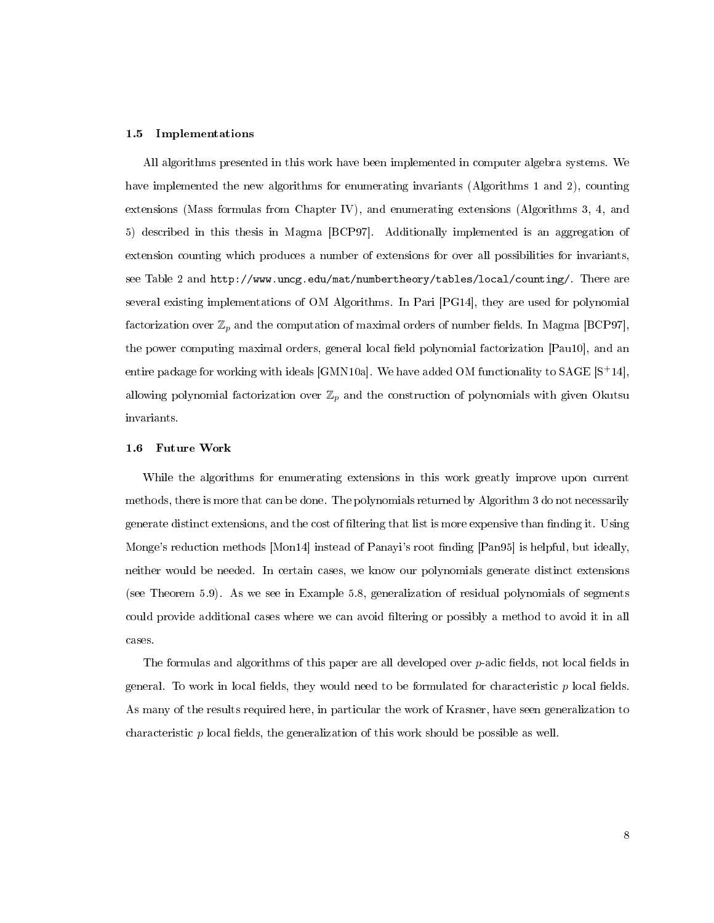### <span id="page-16-0"></span>1.5 Implementations

All algorithms presented in this work have been implemented in computer algebra systems. We have implemented the new algorithms for enumerating invariants (Algorithms [1](#page-44-0) and [2\)](#page-56-0), counting extensions (Mass formulas from Chapter IV), and enumerating extensions (Algorithms [3,](#page-76-0) [4,](#page-79-0) and [5\)](#page-80-0) described in this thesis in Magma [\[BCP97\]](#page-111-12). Additionally implemented is an aggregation of extension counting which produces a number of extensions for over all possibilities for invariants, see Table [2](#page-70-0) and [http://www.uncg.edu/mat/numbertheory/tables/local/counting/.](http://www.uncg.edu/mat/numbertheory/tables/local/counting/) There are several existing implementations of OM Algorithms. In Pari [\[PG14\]](#page-114-8), they are used for polynomial factorization over  $\mathbb{Z}_p$  and the computation of maximal orders of number fields. In Magma [\[BCP97\]](#page-111-12), the power computing maximal orders, general local field polynomial factorization [\[Pau10\]](#page-114-13), and an entire package for working with ideals [\[GMN10a\]](#page-112-10). We have added OM functionality to  $\text{SAGE} \left[ \text{S+14} \right],$ allowing polynomial factorization over  $\mathbb{Z}_p$  and the construction of polynomials with given Okutsu invariants.

### <span id="page-16-1"></span>1.6 Future Work

While the algorithms for enumerating extensions in this work greatly improve upon current methods, there is more that can be done. The polynomials returned by Algorithm [3](#page-76-0) do not necessarily generate distinct extensions, and the cost of filtering that list is more expensive than finding it. Using Monge's reduction methods [\[Mon14\]](#page-113-1) instead of Panayi's root finding [\[Pan95\]](#page-114-7) is helpful, but ideally, neither would be needed. In certain cases, we know our polynomials generate distinct extensions (see Theorem [5.9\)](#page-77-0). As we see in Example [5.8,](#page-76-1) generalization of residual polynomials of segments could provide additional cases where we can avoid filtering or possibly a method to avoid it in all cases.

The formulas and algorithms of this paper are all developed over  $p$ -adic fields, not local fields in general. To work in local fields, they would need to be formulated for characteristic  $p$  local fields. As many of the results required here, in particular the work of Krasner, have seen generalization to characteristic  $p$  local fields, the generalization of this work should be possible as well.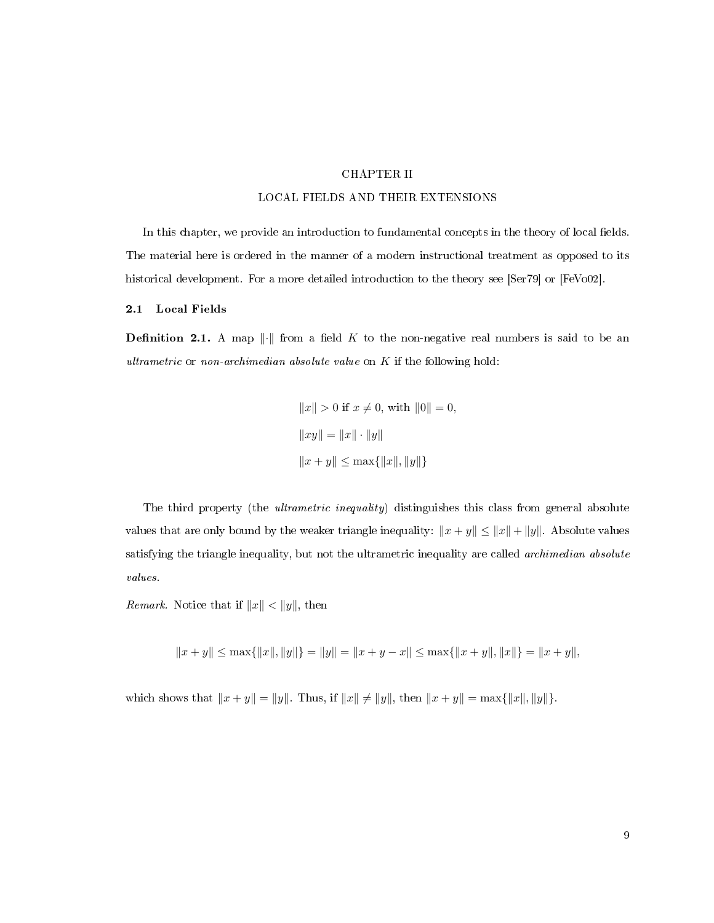### CHAPTER II

### LOCAL FIELDS AND THEIR EXTENSIONS

<span id="page-17-0"></span>In this chapter, we provide an introduction to fundamental concepts in the theory of local fields. The material here is ordered in the manner of a modern instructional treatment as opposed to its historical development. For a more detailed introduction to the theory see [\[Ser79\]](#page-114-15) or [\[FeVo02\]](#page-112-11).

### <span id="page-17-1"></span>2.1 Local Fields

**Definition 2.1.** A map  $\|\cdot\|$  from a field K to the non-negative real numbers is said to be an ultrametric or non-archimedian absolute value on  $K$  if the following hold:

$$
||x|| > 0 \text{ if } x \neq 0, \text{ with } ||0|| = 0,
$$
  

$$
||xy|| = ||x|| \cdot ||y||
$$
  

$$
||x + y|| \le \max{||x||, ||y||}
$$

The third property (the *ultrametric inequality*) distinguishes this class from general absolute values that are only bound by the weaker triangle inequality:  $||x + y|| \le ||x|| + ||y||$ . Absolute values satisfying the triangle inequality, but not the ultrametric inequality are called *archimedian absolute* values.

*Remark.* Notice that if  $||x|| < ||y||$ , then

$$
||x + y|| \le \max{||x||, ||y||} = ||y|| = ||x + y - x|| \le \max{||x + y||, ||x||} = ||x + y||,
$$

which shows that  $||x + y|| = ||y||$ . Thus, if  $||x|| \ne ||y||$ , then  $||x + y|| = \max{||x||, ||y||}$ .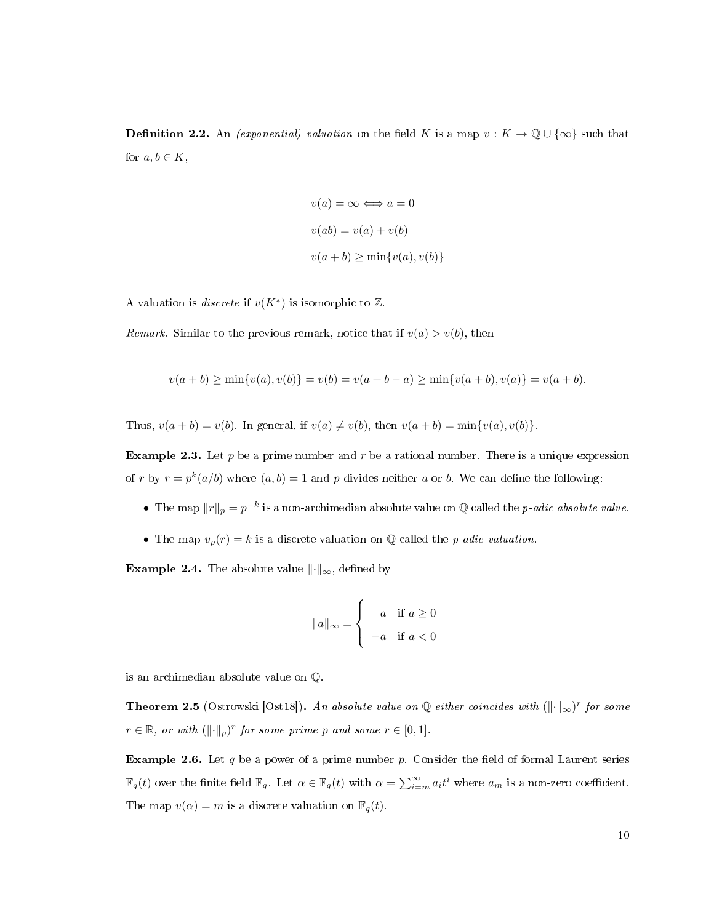**Definition 2.2.** An *(exponential) valuation* on the field K is a map  $v : K \to \mathbb{Q} \cup \{\infty\}$  such that for  $a, b \in K$ ,

$$
v(a) = \infty \Longleftrightarrow a = 0
$$
  

$$
v(ab) = v(a) + v(b)
$$
  

$$
v(a + b) \ge \min\{v(a), v(b)\}
$$

A valuation is *discrete* if  $v(K^*)$  is isomorphic to  $\mathbb{Z}$ .

Remark. Similar to the previous remark, notice that if  $v(a) > v(b)$ , then

$$
v(a+b) \ge \min\{v(a), v(b)\} = v(b) = v(a+b-a) \ge \min\{v(a+b), v(a)\} = v(a+b).
$$

Thus,  $v(a + b) = v(b)$ . In general, if  $v(a) \neq v(b)$ , then  $v(a + b) = \min\{v(a), v(b)\}.$ 

**Example 2.3.** Let p be a prime number and r be a rational number. There is a unique expression of r by  $r = p^k(a/b)$  where  $(a, b) = 1$  and p divides neither a or b. We can define the following:

- The map  $||r||_p = p^{-k}$  is a non-archimedian absolute value on Q called the *p-adic absolute value*.
- The map  $v_p(r) = k$  is a discrete valuation on Q called the *p*-adic valuation.

**Example 2.4.** The absolute value  $\|\cdot\|_{\infty}$ , defined by

$$
\|a\|_{\infty} = \begin{cases} a & \text{if } a \ge 0 \\ -a & \text{if } a < 0 \end{cases}
$$

is an archimedian absolute value on Q.

**Theorem 2.5** (Ostrowski [\[Ost18\]](#page-114-5)). An absolute value on Q either coincides with  $(\lVert \cdot \rVert_{\infty})^r$  for some  $r \in \mathbb{R}$ , or with  $(\lVert \cdot \rVert_p)^r$  for some prime p and some  $r \in [0, 1]$ .

**Example 2.6.** Let q be a power of a prime number p. Consider the field of formal Laurent series  $\mathbb{F}_q(t)$  over the finite field  $\mathbb{F}_q$ . Let  $\alpha \in \mathbb{F}_q(t)$  with  $\alpha = \sum_{i=m}^{\infty} a_i t^i$  where  $a_m$  is a non-zero coefficient. The map  $v(\alpha) = m$  is a discrete valuation on  $\mathbb{F}_q(t)$ .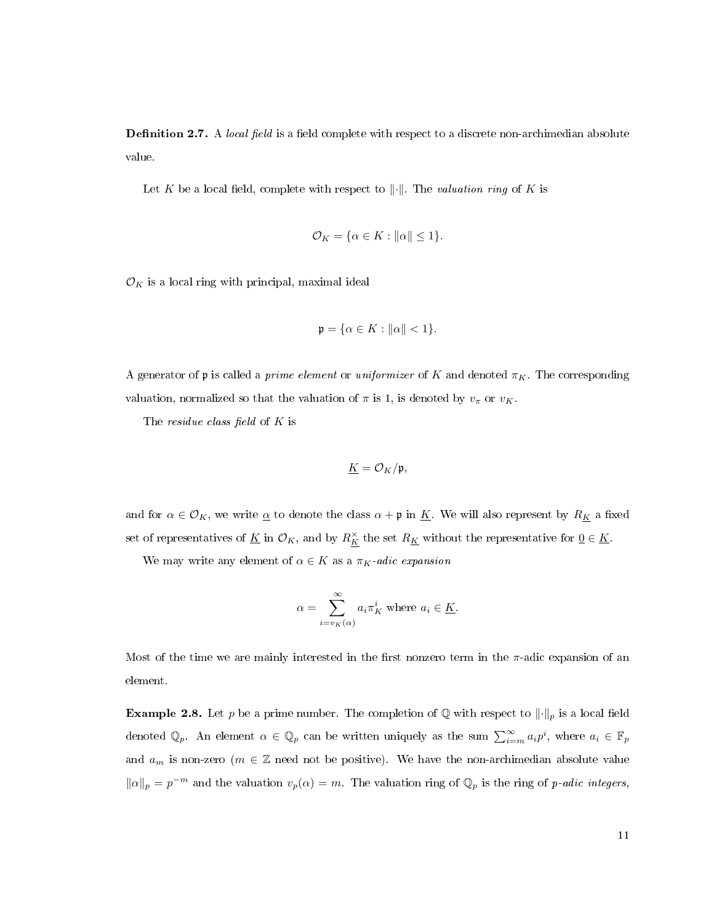**Definition 2.7.** A *local field* is a field complete with respect to a discrete non-archimedian absolute value.

Let K be a local field, complete with respect to  $\lVert \cdot \rVert$ . The valuation ring of K is

$$
\mathcal{O}_K = \{ \alpha \in K : ||\alpha|| \le 1 \}.
$$

 $\mathcal{O}_K$  is a local ring with principal, maximal ideal

$$
\mathfrak{p}=\{\alpha\in K:\|\alpha\|<1\}.
$$

A generator of p is called a *prime element* or *uniformizer* of K and denoted  $\pi_K$ . The corresponding valuation, normalized so that the valuation of  $\pi$  is 1, is denoted by  $v_{\pi}$  or  $v_K$ .

The *residue class field* of  $K$  is

$$
\underline{K} = \mathcal{O}_K/\mathfrak{p},
$$

and for  $\alpha \in \mathcal{O}_K$ , we write  $\underline{\alpha}$  to denote the class  $\alpha + \mathfrak{p}$  in  $\underline{K}$ . We will also represent by  $R_{\underline{K}}$  a fixed set of representatives of  $\underline{K}$  in  $\mathcal{O}_K$ , and by  $R_K^{\times}$  the set  $R_K$  without the representative for  $\underline{0} \in \underline{K}$ .

We may write any element of  $\alpha \in K$  as a  $\pi_K$ -adic expansion

$$
\alpha = \sum_{i=v_K(\alpha)}^{\infty} a_i \pi_K^i
$$
 where  $a_i \in \underline{K}$ .

Most of the time we are mainly interested in the first nonzero term in the  $\pi$ -adic expansion of an element.

**Example 2.8.** Let p be a prime number. The completion of Q with respect to  $\lVert \cdot \rVert_p$  is a local field denoted  $\mathbb{Q}_p$ . An element  $\alpha \in \mathbb{Q}_p$  can be written uniquely as the sum  $\sum_{i=m}^{\infty} a_i p^i$ , where  $a_i \in \mathbb{F}_p$ and  $a_m$  is non-zero ( $m \in \mathbb{Z}$  need not be positive). We have the non-archimedian absolute value  $\|\alpha\|_p = p^{-m}$  and the valuation  $v_p(\alpha) = m$ . The valuation ring of  $\mathbb{Q}_p$  is the ring of p-adic integers,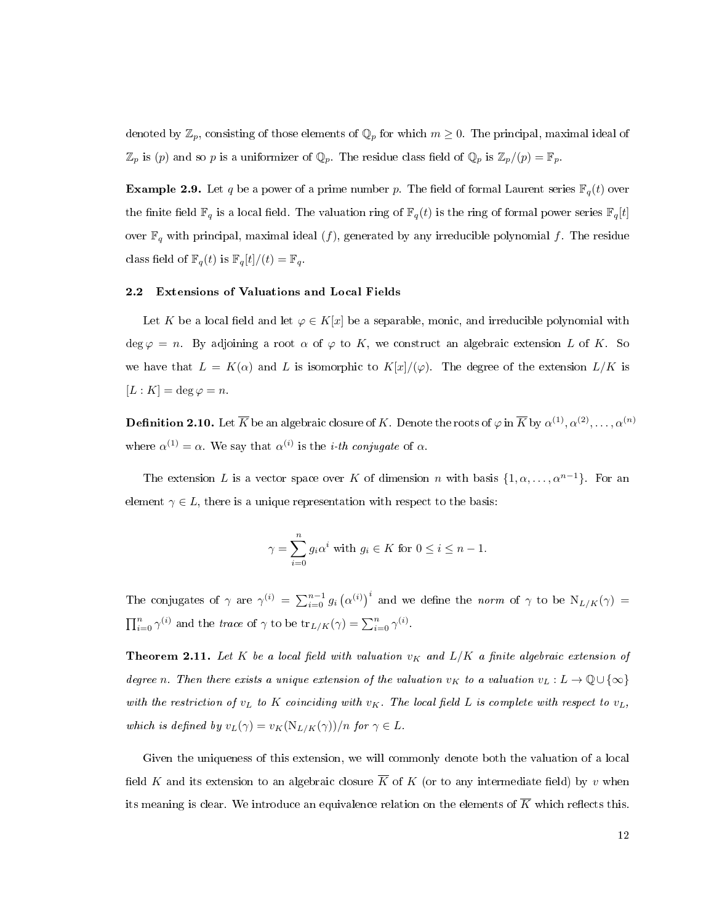denoted by  $\mathbb{Z}_p$ , consisting of those elements of  $\mathbb{Q}_p$  for which  $m \geq 0$ . The principal, maximal ideal of  $\mathbb{Z}_p$  is (p) and so p is a uniformizer of  $\mathbb{Q}_p$ . The residue class field of  $\mathbb{Q}_p$  is  $\mathbb{Z}_p/(p) = \mathbb{F}_p$ .

**Example 2.9.** Let q be a power of a prime number p. The field of formal Laurent series  $\mathbb{F}_q(t)$  over the finite field  $\mathbb{F}_q$  is a local field. The valuation ring of  $\mathbb{F}_q(t)$  is the ring of formal power series  $\mathbb{F}_q[t]$ over  $\mathbb{F}_q$  with principal, maximal ideal  $(f)$ , generated by any irreducible polynomial f. The residue class field of  $\mathbb{F}_q(t)$  is  $\mathbb{F}_q[t]/(t) = \mathbb{F}_q$ .

### <span id="page-20-0"></span>2.2 Extensions of Valuations and Local Fields

Let K be a local field and let  $\varphi \in K[x]$  be a separable, monic, and irreducible polynomial with deg  $\varphi = n$ . By adjoining a root  $\alpha$  of  $\varphi$  to K, we construct an algebraic extension L of K. So we have that  $L = K(\alpha)$  and L is isomorphic to  $K[x]/(\varphi)$ . The degree of the extension  $L/K$  is  $[L:K] = \deg \varphi = n.$ 

 $\bf{Definition~2.10.}$  Let  $\overline{K}$  be an algebraic closure of  $K.$  Denote the roots of  $\varphi$  in  $\overline{K}$  by  $\alpha^{(1)},\alpha^{(2)},\ldots,\alpha^{(n)}$ where  $\alpha^{(1)} = \alpha$ . We say that  $\alpha^{(i)}$  is the *i*-th conjugate of  $\alpha$ .

The extension L is a vector space over K of dimension n with basis  $\{1, \alpha, \ldots, \alpha^{n-1}\}\$ . For an element  $\gamma \in L$ , there is a unique representation with respect to the basis:

$$
\gamma = \sum_{i=0}^{n} g_i \alpha^i \text{ with } g_i \in K \text{ for } 0 \le i \le n-1.
$$

The conjugates of  $\gamma$  are  $\gamma^{(i)} = \sum_{i=0}^{n-1} g_i (\alpha^{(i)})^i$  and we define the norm of  $\gamma$  to be  $N_{L/K}(\gamma) =$  $\prod_{i=0}^{n} \gamma^{(i)}$  and the trace of  $\gamma$  to be  $\text{tr}_{L/K}(\gamma) = \sum_{i=0}^{n} \gamma^{(i)}$ .

**Theorem 2.11.** Let K be a local field with valuation  $v_K$  and  $L/K$  a finite algebraic extension of degree n. Then there exists a unique extension of the valuation  $v_K$  to a valuation  $v_L : L \to \mathbb{Q} \cup \{\infty\}$ with the restriction of  $v_L$  to K coinciding with  $v_K$ . The local field L is complete with respect to  $v_L$ , which is defined by  $v_L(\gamma) = v_K(N_{L/K}(\gamma))/n$  for  $\gamma \in L$ .

Given the uniqueness of this extension, we will commonly denote both the valuation of a local field K and its extension to an algebraic closure  $\overline{K}$  of K (or to any intermediate field) by v when its meaning is clear. We introduce an equivalence relation on the elements of  $\overline{K}$  which reflects this.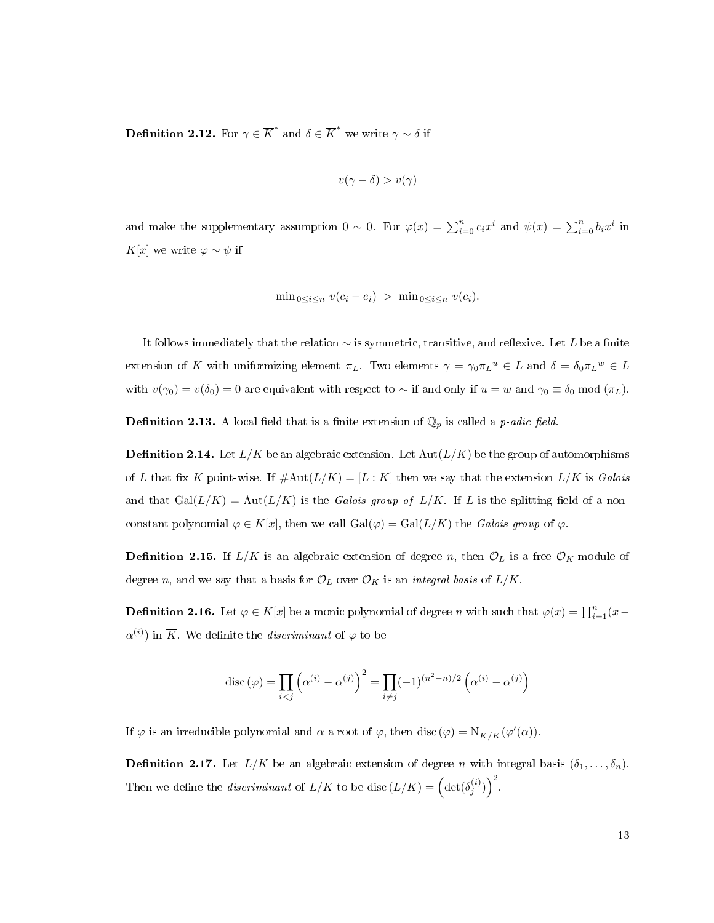**Definition 2.12.** For  $\gamma \in \overline{K}^*$  and  $\delta \in \overline{K}^*$  we write  $\gamma \sim \delta$  if

$$
v(\gamma - \delta) > v(\gamma)
$$

and make the supplementary assumption  $0 \sim 0$ . For  $\varphi(x) = \sum_{i=0}^{n} c_i x^i$  and  $\psi(x) = \sum_{i=0}^{n} b_i x^i$  in  $\overline{K}[x]$  we write  $\varphi \sim \psi$  if

$$
\min_{0 \le i \le n} v(c_i - e_i) > \min_{0 \le i \le n} v(c_i).
$$

It follows immediately that the relation  $\sim$  is symmetric, transitive, and reflexive. Let L be a finite extension of K with uniformizing element  $\pi_L$ . Two elements  $\gamma = \gamma_0 \pi_L^u \in L$  and  $\delta = \delta_0 \pi_L^w \in L$ with  $v(\gamma_0) = v(\delta_0) = 0$  are equivalent with respect to ~ if and only if  $u = w$  and  $\gamma_0 \equiv \delta_0 \mod (\pi_L)$ .

**Definition 2.13.** A local field that is a finite extension of  $\mathbb{Q}_p$  is called a *p-adic field*.

**Definition 2.14.** Let  $L/K$  be an algebraic extension. Let  $Aut(L/K)$  be the group of automorphisms of L that fix K point-wise. If  $\#\text{Aut}(L/K) = [L:K]$  then we say that the extension  $L/K$  is Galois and that  $Gal(L/K) = Aut(L/K)$  is the Galois group of  $L/K$ . If L is the splitting field of a nonconstant polynomial  $\varphi \in K[x]$ , then we call  $Gal(\varphi) = Gal(L/K)$  the Galois group of  $\varphi$ .

**Definition 2.15.** If  $L/K$  is an algebraic extension of degree n, then  $\mathcal{O}_L$  is a free  $\mathcal{O}_K$ -module of degree n, and we say that a basis for  $\mathcal{O}_L$  over  $\mathcal{O}_K$  is an *integral basis* of  $L/K$ .

**Definition 2.16.** Let  $\varphi \in K[x]$  be a monic polynomial of degree n with such that  $\varphi(x) = \prod_{i=1}^{n} (x \alpha^{(i)}$ ) in  $\overline{K}$ . We definite the *discriminant* of  $\varphi$  to be

$$
\operatorname{disc}(\varphi) = \prod_{i < j} \left( \alpha^{(i)} - \alpha^{(j)} \right)^2 = \prod_{i \neq j} (-1)^{(n^2 - n)/2} \left( \alpha^{(i)} - \alpha^{(j)} \right)
$$

If  $\varphi$  is an irreducible polynomial and  $\alpha$  a root of  $\varphi$ , then disc  $(\varphi) = N_{\overline{K}/K}(\varphi'(\alpha)).$ 

**Definition 2.17.** Let  $L/K$  be an algebraic extension of degree n with integral basis  $(\delta_1, \ldots, \delta_n)$ . Then we define the *discriminant* of  $L/K$  to be disc  $(L/K) = \left(\det(\delta_j^{(i)})\right)^2$ .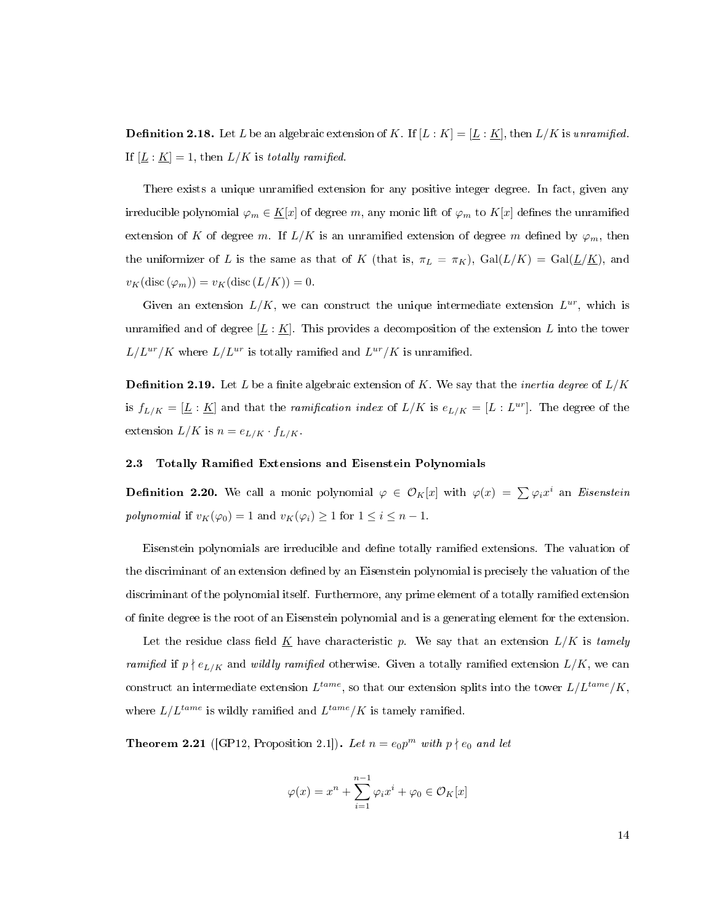**Definition 2.18.** Let L be an algebraic extension of K. If  $[L:K] = [\underline{L} : \underline{K}]$ , then  $L/K$  is unramified. If  $[\underline{L} : \underline{K}] = 1$ , then  $L/K$  is totally ramified.

There exists a unique unramified extension for any positive integer degree. In fact, given any irreducible polynomial  $\varphi_m \in \underline{K}[x]$  of degree m, any monic lift of  $\varphi_m$  to  $K[x]$  defines the unramified extension of K of degree m. If  $L/K$  is an unramified extension of degree m defined by  $\varphi_m$ , then the uniformizer of L is the same as that of K (that is,  $\pi_L = \pi_K$ ),  $Gal(L/K) = Gal(\underline{L}/\underline{K})$ , and  $v_K(\text{disc }(\varphi_m)) = v_K(\text{disc } (L/K)) = 0.$ 

Given an extension  $L/K$ , we can construct the unique intermediate extension  $L^{ur}$ , which is unramified and of degree  $[L: K]$ . This provides a decomposition of the extension L into the tower  $L/L^{ur}/K$  where  $L/L^{ur}$  is totally ramified and  $L^{ur}/K$  is unramified.

**Definition 2.19.** Let L be a finite algebraic extension of K. We say that the *inertia degree* of  $L/K$ is  $f_{L/K} = [\underline{L} : \underline{K}]$  and that the ramification index of  $L/K$  is  $e_{L/K} = [L : L^{ur}]$ . The degree of the extension  $L/K$  is  $n = e_{L/K} \cdot f_{L/K}$ .

### <span id="page-22-0"></span>2.3 Totally Ramified Extensions and Eisenstein Polynomials

**Definition 2.20.** We call a monic polynomial  $\varphi \in \mathcal{O}_K[x]$  with  $\varphi(x) = \sum \varphi_i x^i$  an *Eisenstein* polynomial if  $v_K(\varphi_0) = 1$  and  $v_K(\varphi_i) \geq 1$  for  $1 \leq i \leq n-1$ .

Eisenstein polynomials are irreducible and dene totally ramied extensions. The valuation of the discriminant of an extension defined by an Eisenstein polynomial is precisely the valuation of the discriminant of the polynomial itself. Furthermore, any prime element of a totally ramified extension of nite degree is the root of an Eisenstein polynomial and is a generating element for the extension.

Let the residue class field K have characteristic p. We say that an extension  $L/K$  is tamely ramified if  $p \nmid e_{L/K}$  and wildly ramified otherwise. Given a totally ramified extension  $L/K$ , we can construct an intermediate extension  $L^{tame}$ , so that our extension splits into the tower  $L/L^{tame}/K$ , where  $L/L^{tame}$  is wildly ramified and  $L^{tame}/K$  is tamely ramified.

**Theorem 2.21** ([\[GP12,](#page-112-9) Proposition 2.1]). Let  $n = e_0 p^m$  with  $p \nmid e_0$  and let

$$
\varphi(x) = x^n + \sum_{i=1}^{n-1} \varphi_i x^i + \varphi_0 \in \mathcal{O}_K[x]
$$

14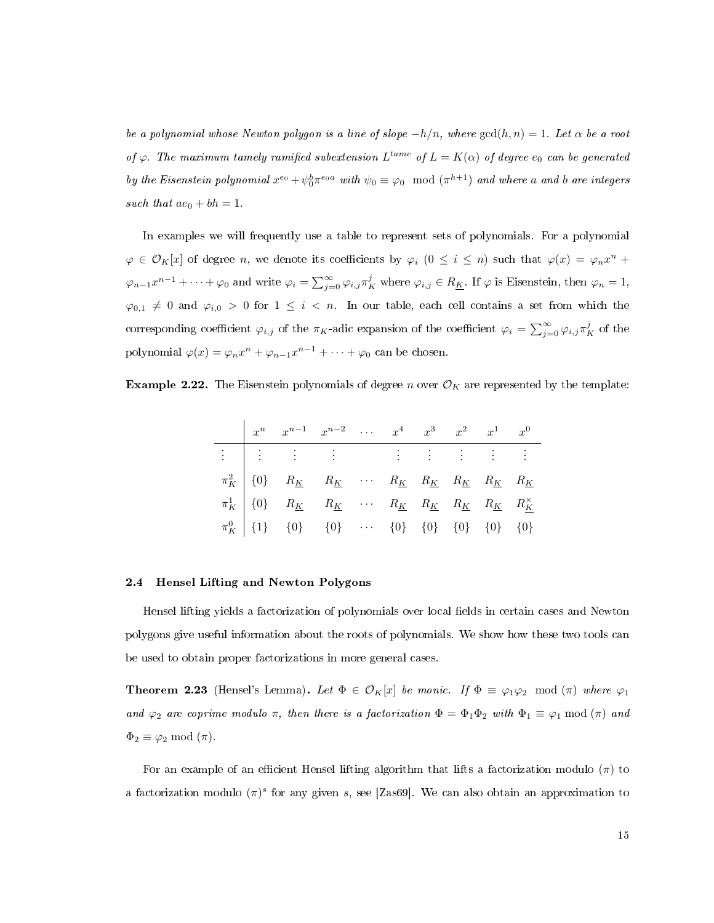be a polynomial whose Newton polygon is a line of slope  $-h/n$ , where  $gcd(h, n) = 1$ . Let  $\alpha$  be a root of  $\varphi$ . The maximum tamely ramified subextension  $L^{tame}$  of  $L = K(\alpha)$  of degree  $e_0$  can be generated by the Eisenstein polynomial  $x^{e_0} + \psi_0^b \pi^{e_0 a}$  with  $\psi_0 \equiv \varphi_0 \mod (\pi^{h+1})$  and where a and b are integers such that  $ae_0 + bh = 1$ .

In examples we will frequently use a table to represent sets of polynomials. For a polynomial  $\varphi \in \mathcal{O}_K[x]$  of degree n, we denote its coefficients by  $\varphi_i$   $(0 \leq i \leq n)$  such that  $\varphi(x) = \varphi_n x^n +$  $\varphi_{n-1}x^{n-1}+\cdots+\varphi_0$  and write  $\varphi_i=\sum_{j=0}^\infty\varphi_{i,j}\pi_K^j$  where  $\varphi_{i,j}\in R_{\underline{K}}$ . If  $\varphi$  is Eisenstein, then  $\varphi_n=1$ ,  $\varphi_{0,1} \neq 0$  and  $\varphi_{i,0} > 0$  for  $1 \leq i < n$ . In our table, each cell contains a set from which the corresponding coefficient  $\varphi_{i,j}$  of the  $\pi_K$ -adic expansion of the coefficient  $\varphi_i = \sum_{j=0}^{\infty} \varphi_{i,j} \pi_K^j$  of the polynomial  $\varphi(x) = \varphi_n x^n + \varphi_{n-1} x^{n-1} + \cdots + \varphi_0$  can be chosen.

**Example 2.22.** The Eisenstein polynomials of degree n over  $\mathcal{O}_K$  are represented by the template:

|  | $x^n$ $x^{n-1}$ $x^{n-2}$ $x^4$ $x^3$ $x^2$ $x^1$ $x^0$ |  |  |  |  |
|--|---------------------------------------------------------|--|--|--|--|
|  |                                                         |  |  |  |  |
|  |                                                         |  |  |  |  |
|  |                                                         |  |  |  |  |
|  |                                                         |  |  |  |  |

#### <span id="page-23-0"></span>2.4 Hensel Lifting and Newton Polygons

Hensel lifting yields a factorization of polynomials over local fields in certain cases and Newton polygons give useful information about the roots of polynomials. We show how these two tools can be used to obtain proper factorizations in more general cases.

**Theorem 2.23** (Hensel's Lemma). Let  $\Phi \in \mathcal{O}_K[x]$  be monic. If  $\Phi \equiv \varphi_1 \varphi_2 \mod (\pi)$  where  $\varphi_1$ and  $\varphi_2$  are coprime modulo  $\pi$ , then there is a factorization  $\Phi = \Phi_1 \Phi_2$  with  $\Phi_1 \equiv \varphi_1 \mod (\pi)$  and  $\Phi_2 \equiv \varphi_2 \mod (\pi).$ 

For an example of an efficient Hensel lifting algorithm that lifts a factorization modulo  $(\pi)$  to a factorization modulo  $(\pi)^s$  for any given s, see [\[Zas69\]](#page-114-16). We can also obtain an approximation to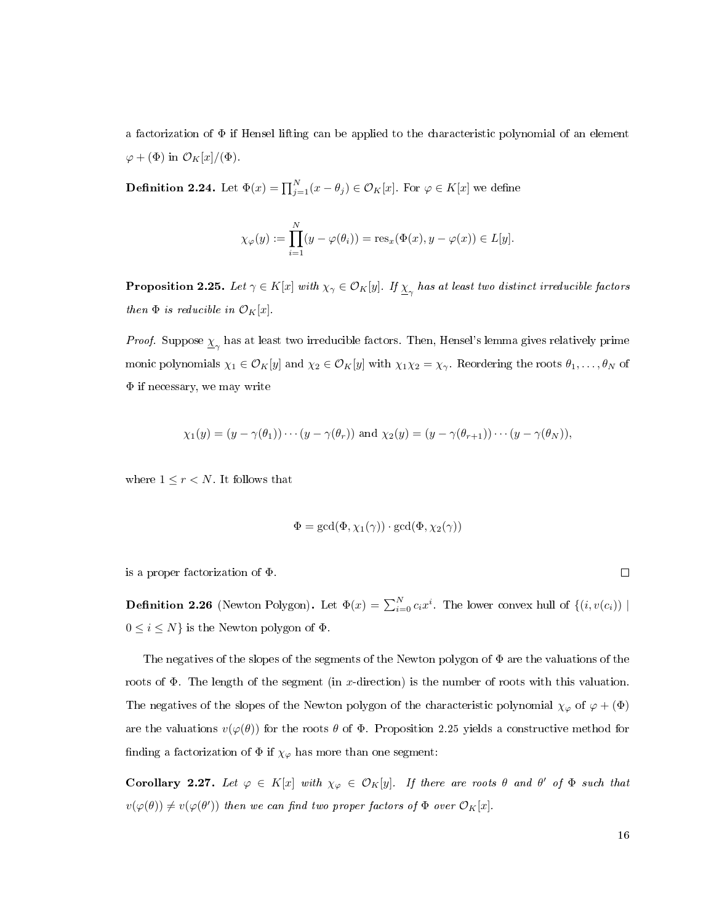a factorization of Φ if Hensel lifting can be applied to the characteristic polynomial of an element  $\varphi + (\Phi)$  in  $\mathcal{O}_K[x]/(\Phi)$ .

**Definition 2.24.** Let  $\Phi(x) = \prod_{j=1}^{N} (x - \theta_j) \in \mathcal{O}_K[x]$ . For  $\varphi \in K[x]$  we define

$$
\chi_{\varphi}(y) := \prod_{i=1}^{N} (y - \varphi(\theta_i)) = \operatorname{res}_{x}(\Phi(x), y - \varphi(x)) \in L[y].
$$

<span id="page-24-0"></span>**Proposition 2.25.** Let  $\gamma \in K[x]$  with  $\chi_{\gamma} \in \mathcal{O}_K[y]$ . If  $\underline{\chi}_{\gamma}$  has at least two distinct irreducible factors then  $\Phi$  is reducible in  $\mathcal{O}_K[x]$ .

*Proof.* Suppose  $\underline{\chi}_{\gamma}$  has at least two irreducible factors. Then, Hensel's lemma gives relatively prime monic polynomials  $\chi_1 \in \mathcal{O}_K[y]$  and  $\chi_2 \in \mathcal{O}_K[y]$  with  $\chi_1 \chi_2 = \chi_{\gamma}$ . Reordering the roots  $\theta_1, \ldots, \theta_N$  of Φ if necessary, we may write

$$
\chi_1(y)=(y-\gamma(\theta_1))\cdots(y-\gamma(\theta_r))\text{ and }\chi_2(y)=(y-\gamma(\theta_{r+1}))\cdots(y-\gamma(\theta_N)),
$$

where  $1 \leq r < N$ . It follows that

$$
\Phi=\gcd(\Phi,\chi_1(\gamma))\cdot \gcd(\Phi,\chi_2(\gamma))
$$

is a proper factorization of Φ.

**Definition 2.26** (Newton Polygon). Let  $\Phi(x) = \sum_{i=0}^{N} c_i x^i$ . The lower convex hull of  $\{(i, v(c_i)) \mid$  $0 \leq i \leq N$  is the Newton polygon of  $\Phi$ .

The negatives of the slopes of the segments of the Newton polygon of  $\Phi$  are the valuations of the roots of  $\Phi$ . The length of the segment (in x-direction) is the number of roots with this valuation. The negatives of the slopes of the Newton polygon of the characteristic polynomial  $\chi_{\varphi}$  of  $\varphi + (\Phi)$ are the valuations  $v(\varphi(\theta))$  for the roots  $\theta$  of  $\Phi$ . Proposition [2.25](#page-24-0) yields a constructive method for finding a factorization of  $\Phi$  if  $\chi_{\varphi}$  has more than one segment:

<span id="page-24-1"></span>Corollary 2.27. Let  $\varphi \in K[x]$  with  $\chi_{\varphi} \in \mathcal{O}_K[y]$ . If there are roots  $\theta$  and  $\theta'$  of  $\Phi$  such that  $v(\varphi(\theta)) \neq v(\varphi(\theta'))$  then we can find two proper factors of  $\Phi$  over  $\mathcal{O}_K[x]$ .

16

 $\Box$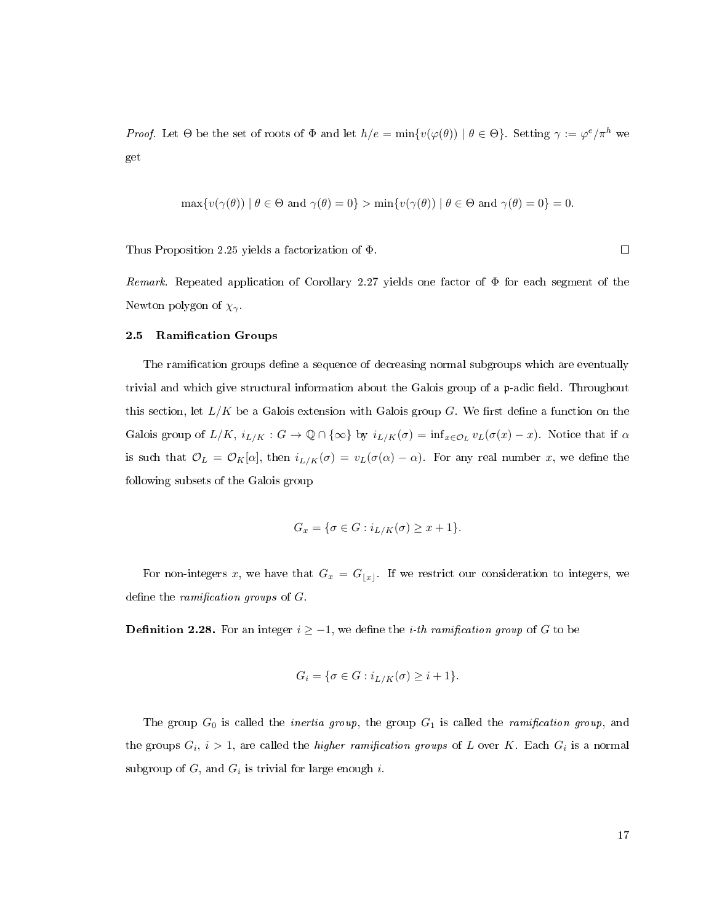Proof. Let  $\Theta$  be the set of roots of  $\Phi$  and let  $h/e = \min\{v(\varphi(\theta)) \mid \theta \in \Theta\}$ . Setting  $\gamma := \varphi^e / \pi^h$  we get

$$
\max \{ v(\gamma(\theta)) \mid \theta \in \Theta \text{ and } \gamma(\theta) = 0 \} > \min \{ v(\gamma(\theta)) \mid \theta \in \Theta \text{ and } \gamma(\theta) = 0 \} = 0.
$$

Thus Proposition [2.25](#page-24-0) yields a factorization of Φ.

Remark. Repeated application of Corollary [2.27](#page-24-1) yields one factor of  $\Phi$  for each segment of the Newton polygon of  $\chi_{\gamma}$ .

### <span id="page-25-0"></span>2.5 Ramification Groups

The ramification groups define a sequence of decreasing normal subgroups which are eventually trivial and which give structural information about the Galois group of a p-adic field. Throughout this section, let  $L/K$  be a Galois extension with Galois group G. We first define a function on the Galois group of  $L/K$ ,  $i_{L/K}: G \to \mathbb{Q} \cap {\infty}$  by  $i_{L/K}(\sigma) = \inf_{x \in \mathcal{O}_L} v_L(\sigma(x) - x)$ . Notice that if  $\alpha$ is such that  $\mathcal{O}_L = \mathcal{O}_K[\alpha]$ , then  $i_{L/K}(\sigma) = v_L(\sigma(\alpha) - \alpha)$ . For any real number x, we define the following subsets of the Galois group

$$
G_x = \{ \sigma \in G : i_{L/K}(\sigma) \ge x + 1 \}.
$$

For non-integers x, we have that  $G_x = G_{\lfloor x \rfloor}$ . If we restrict our consideration to integers, we define the *ramification groups* of  $G$ .

**Definition 2.28.** For an integer  $i \geq -1$ , we define the *i*-th ramification group of G to be

$$
G_i = \{ \sigma \in G : i_{L/K}(\sigma) \ge i+1 \}.
$$

The group  $G_0$  is called the *inertia group*, the group  $G_1$  is called the *ramification group*, and the groups  $G_i$ ,  $i > 1$ , are called the *higher ramification groups* of L over K. Each  $G_i$  is a normal subgroup of  $G$ , and  $G_i$  is trivial for large enough i.

 $\Box$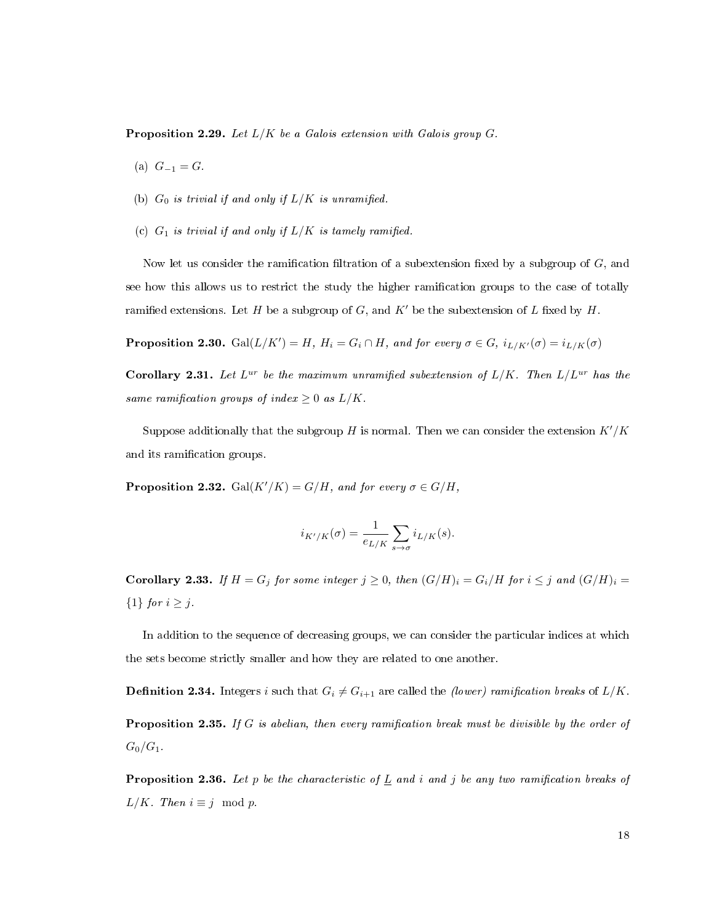**Proposition 2.29.** Let  $L/K$  be a Galois extension with Galois group G.

- (a)  $G_{-1} = G$ .
- (b)  $G_0$  is trivial if and only if  $L/K$  is unramified.
- (c)  $G_1$  is trivial if and only if  $L/K$  is tamely ramified.

Now let us consider the ramification filtration of a subextension fixed by a subgroup of  $G$ , and see how this allows us to restrict the study the higher ramication groups to the case of totally ramified extensions. Let H be a subgroup of G, and  $K'$  be the subextension of L fixed by H.

**Proposition 2.30.** Gal $(L/K') = H$ ,  $H_i = G_i \cap H$ , and for every  $\sigma \in G$ ,  $i_{L/K'}(\sigma) = i_{L/K}(\sigma)$ 

Corollary 2.31. Let  $L^{ur}$  be the maximum unramified subextension of  $L/K$ . Then  $L/L^{ur}$  has the same ramification groups of index  $\geq 0$  as  $L/K$ .

Suppose additionally that the subgroup H is normal. Then we can consider the extension  $K'/K$ and its ramification groups.

**Proposition 2.32.** Gal $(K'/K) = G/H$ , and for every  $\sigma \in G/H$ ,

$$
i_{K'/K}(\sigma) = \frac{1}{e_{L/K}} \sum_{s \to \sigma} i_{L/K}(s).
$$

**Corollary 2.33.** If  $H = G_j$  for some integer  $j \ge 0$ , then  $(G/H)_i = G_i/H$  for  $i \le j$  and  $(G/H)_i = G_i/H$  ${1}$  for  $i \geq j$ .

In addition to the sequence of decreasing groups, we can consider the particular indices at which the sets become strictly smaller and how they are related to one another.

**Definition 2.34.** Integers i such that  $G_i \neq G_{i+1}$  are called the *(lower) ramification breaks* of  $L/K$ . **Proposition 2.35.** If G is abelian, then every ramification break must be divisible by the order of  $G_0/G_1$ .

**Proposition 2.36.** Let p be the characteristic of  $\underline{L}$  and i and j be any two ramification breaks of  $L/K$ . Then  $i \equiv j \mod p$ .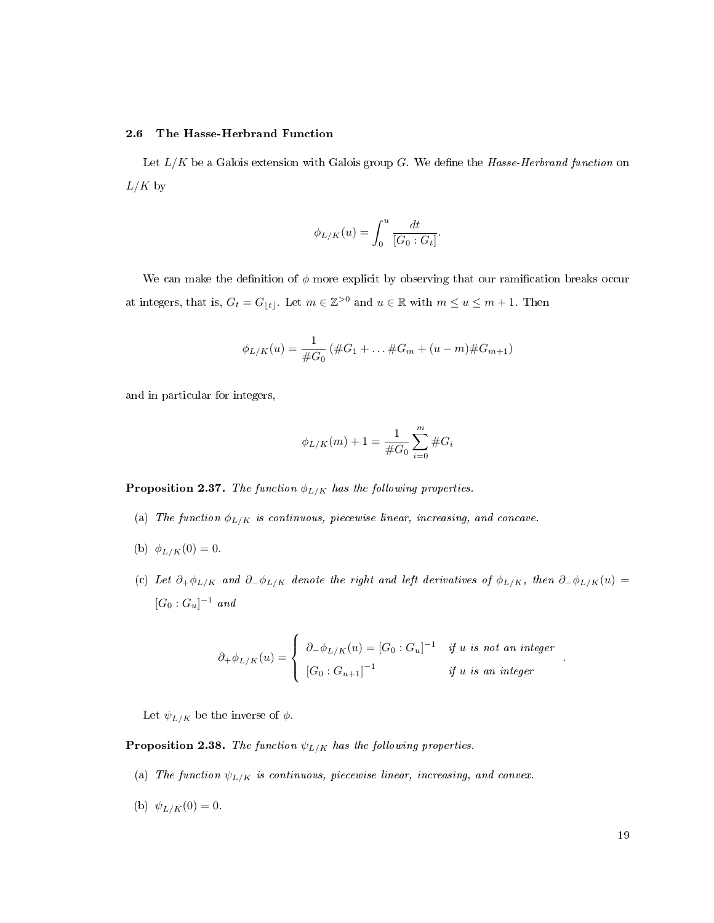### <span id="page-27-0"></span>2.6 The Hasse-Herbrand Function

Let  $L/K$  be a Galois extension with Galois group G. We define the Hasse-Herbrand function on  $L/K$  by

$$
\phi_{L/K}(u) = \int_0^u \frac{dt}{[G_0:G_t]}.
$$

We can make the definition of  $\phi$  more explicit by observing that our ramification breaks occur at integers, that is,  $G_t = G_{|t|}$ . Let  $m \in \mathbb{Z}^{>0}$  and  $u \in \mathbb{R}$  with  $m \le u \le m+1$ . Then

$$
\phi_{L/K}(u) = \frac{1}{\#G_0} \left( \#G_1 + \ldots \#G_m + (u - m) \#G_{m+1} \right)
$$

and in particular for integers,

$$
\phi_{L/K}(m) + 1 = \frac{1}{\#G_0} \sum_{i=0}^{m} \#G_i
$$

**Proposition 2.37.** The function  $\phi_{L/K}$  has the following properties.

- (a) The function  $\phi_{L/K}$  is continuous, piecewise linear, increasing, and concave.
- (b)  $\phi_{L/K}(0) = 0$ .
- (c) Let  $\partial_+\phi_{L/K}$  and  $\partial_-\phi_{L/K}$  denote the right and left derivatives of  $\phi_{L/K}$ , then  $\partial_-\phi_{L/K}(u)$  =  $[G_0:G_u]^{-1}$  and

$$
\partial_+\phi_{L/K}(u) = \begin{cases} \partial_-\phi_{L/K}(u) = [G_0:G_u]^{-1} & \text{if } u \text{ is not an integer} \\ [G_0:G_{u+1}]^{-1} & \text{if } u \text{ is an integer} \end{cases}
$$

Let  $\psi_{L/K}$  be the inverse of  $\phi$ .

**Proposition 2.38.** The function  $\psi_{L/K}$  has the following properties.

- (a) The function  $\psi_{L/K}$  is continuous, piecewise linear, increasing, and convex.
- (b)  $\psi_{L/K}(0) = 0.$

.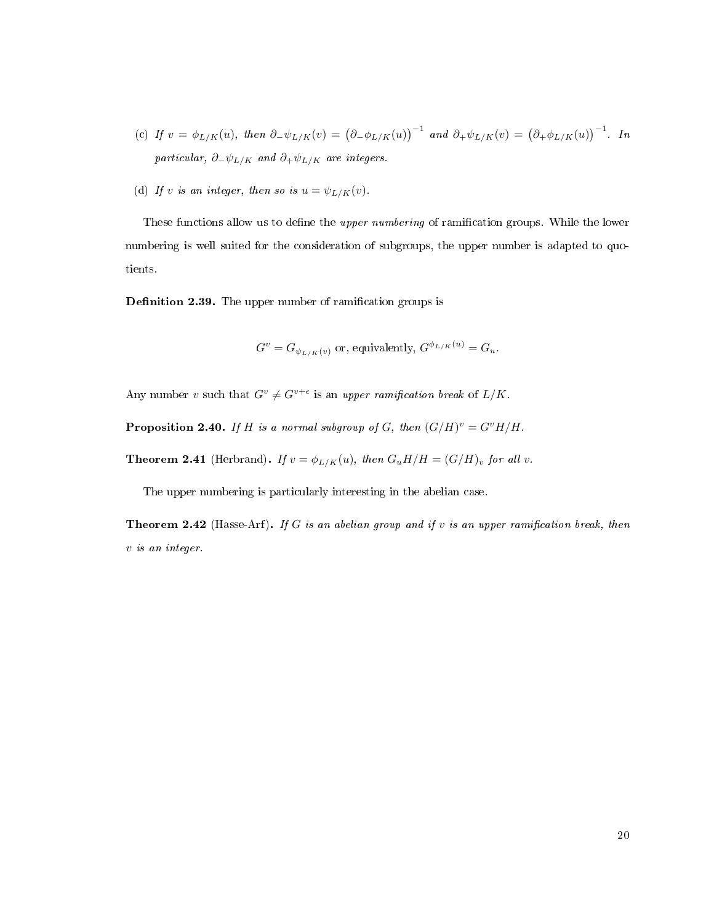- (c) If  $v = \phi_{L/K}(u)$ , then  $\partial_{-\psi_{L/K}}(v) = (\partial_{-\phi_{L/K}}(u))^{-1}$  and  $\partial_{+\psi_{L/K}}(v) = (\partial_{+\phi_{L/K}}(u))^{-1}$ . In particular,  $\partial_-\psi_{L/K}$  and  $\partial_+\psi_{L/K}$  are integers.
- (d) If v is an integer, then so is  $u = \psi_{L/K}(v)$ .

These functions allow us to define the *upper numbering* of ramification groups. While the lower numbering is well suited for the consideration of subgroups, the upper number is adapted to quotients.

Definition 2.39. The upper number of ramification groups is

$$
G^{v} = G_{\psi_{L/K}(v)}
$$
 or, equivalently,  $G^{\phi_{L/K}(u)} = G_u$ .

Any number v such that  $G^v \neq G^{v+\epsilon}$  is an upper ramification break of  $L/K$ .

**Proposition 2.40.** If H is a normal subgroup of G, then  $(G/H)^v = G^vH/H$ .

**Theorem 2.41** (Herbrand). If  $v = \phi_{L/K}(u)$ , then  $G_u H/H = (G/H)_v$  for all v.

The upper numbering is particularly interesting in the abelian case.

Theorem 2.42 (Hasse-Arf). If G is an abelian group and if  $v$  is an upper ramification break, then v is an integer.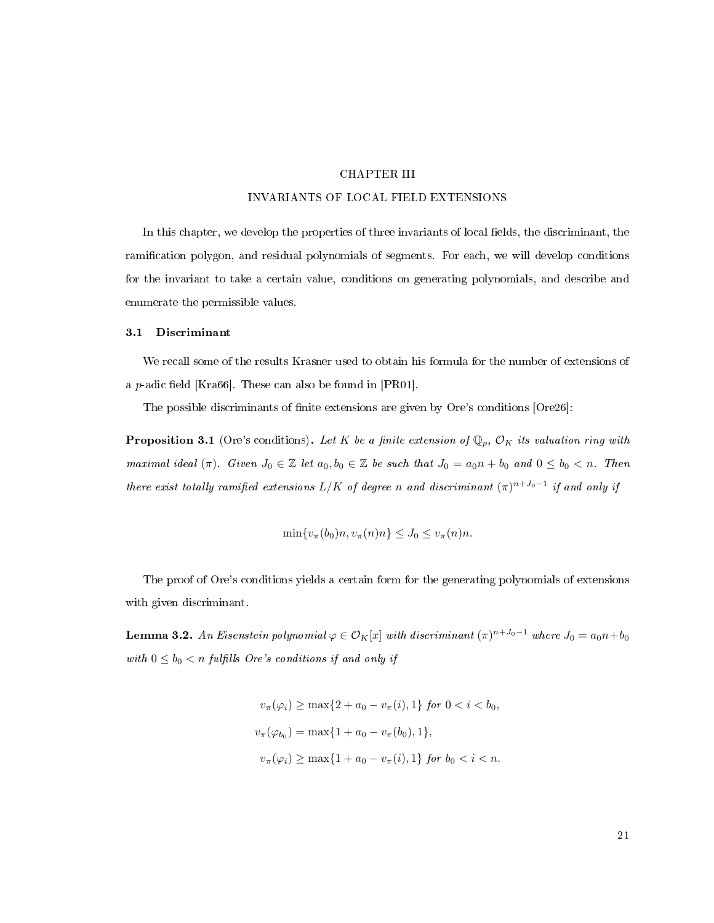### CHAPTER III

### INVARIANTS OF LOCAL FIELD EXTENSIONS

<span id="page-29-0"></span>In this chapter, we develop the properties of three invariants of local fields, the discriminant, the ramication polygon, and residual polynomials of segments. For each, we will develop conditions for the invariant to take a certain value, conditions on generating polynomials, and describe and enumerate the permissible values.

### <span id="page-29-1"></span>3.1 Discriminant

We recall some of the results Krasner used to obtain his formula for the number of extensions of a p-adic field [\[Kra66\]](#page-113-0). These can also be found in  $[PR01]$ .

The possible discriminants of finite extensions are given by Ore's conditions [\[Ore26\]](#page-113-12):

<span id="page-29-3"></span>**Proposition 3.1** (Ore's conditions). Let K be a finite extension of  $\mathbb{Q}_p$ ,  $\mathcal{O}_K$  its valuation ring with maximal ideal  $(\pi)$ . Given  $J_0 \in \mathbb{Z}$  let  $a_0, b_0 \in \mathbb{Z}$  be such that  $J_0 = a_0 n + b_0$  and  $0 \leq b_0 < n$ . Then there exist totally ramified extensions L/K of degree n and discriminant  $(\pi)^{n+J_0-1}$  if and only if

$$
\min\{v_{\pi}(b_0)n, v_{\pi}(n)n\} \leq J_0 \leq v_{\pi}(n)n.
$$

The proof of Ore's conditions yields a certain form for the generating polynomials of extensions with given discriminant.

<span id="page-29-2"></span>**Lemma 3.2.** An Eisenstein polynomial  $\varphi \in \mathcal{O}_K[x]$  with discriminant  $(\pi)^{n+J_0-1}$  where  $J_0=a_0n+b_0$ with  $0 \leq b_0 < n$  fulfills Ore's conditions if and only if

$$
v_{\pi}(\varphi_i) \ge \max\{2 + a_0 - v_{\pi}(i), 1\} \text{ for } 0 < i < b_0,
$$
  

$$
v_{\pi}(\varphi_{b_0}) = \max\{1 + a_0 - v_{\pi}(b_0), 1\},
$$
  

$$
v_{\pi}(\varphi_i) \ge \max\{1 + a_0 - v_{\pi}(i), 1\} \text{ for } b_0 < i < n.
$$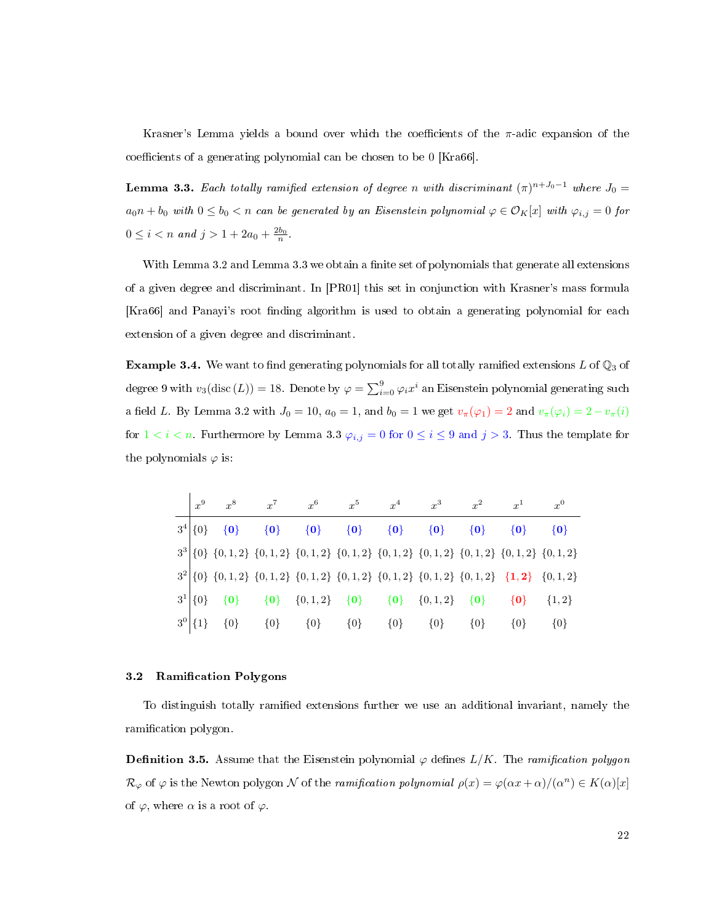Krasner's Lemma yields a bound over which the coefficients of the  $\pi$ -adic expansion of the coefficients of a generating polynomial can be chosen to be  $0$  [\[Kra66\]](#page-113-0).

<span id="page-30-1"></span>**Lemma 3.3.** Each totally ramified extension of degree n with discriminant  $(\pi)^{n+J_0-1}$  where  $J_0 =$  $a_0n + b_0$  with  $0 \le b_0 < n$  can be generated by an Eisenstein polynomial  $\varphi \in \mathcal{O}_K[x]$  with  $\varphi_{i,j} = 0$  for  $0 \leq i < n$  and  $j > 1 + 2a_0 + \frac{2b_0}{n}$ .

With Lemma [3.2](#page-29-2) and Lemma [3.3](#page-30-1) we obtain a finite set of polynomials that generate all extensions of a given degree and discriminant. In [\[PR01\]](#page-114-1) this set in conjunction with Krasner's mass formula [\[Kra66\]](#page-113-0) and Panayi's root finding algorithm is used to obtain a generating polynomial for each extension of a given degree and discriminant.

**Example 3.4.** We want to find generating polynomials for all totally ramified extensions L of  $\mathbb{Q}_3$  of degree 9 with  $v_3(\mathrm{disc\,}(L))=18.$  Denote by  $\varphi=\sum_{i=0}^9\varphi_ix^i$  an Eisenstein polynomial generating such a field L. By Lemma [3.2](#page-29-2) with  $J_0 = 10$ ,  $a_0 = 1$ , and  $b_0 = 1$  we get  $v_\pi(\varphi_1) = 2$  and  $v_\pi(\varphi_i) = 2 - v_\pi(i)$ for  $1 < i < n$ . Furthermore by Lemma [3.3](#page-30-1)  $\varphi_{i,j} = 0$  for  $0 \le i \le 9$  and  $j > 3$ . Thus the template for the polynomials  $\varphi$  is:

|              | $x^8$                                                                                               | $x^7$   | $x^6$     | $x^5$                   | $x^4$                                       | $x^3$   | $x^2$   | $x^1$             |         |
|--------------|-----------------------------------------------------------------------------------------------------|---------|-----------|-------------------------|---------------------------------------------|---------|---------|-------------------|---------|
| $3^4  \{0\}$ | $\{0\}$                                                                                             | $\{0\}$ |           | $\{0\}$ $\{0\}$ $\{0\}$ |                                             | $\{0\}$ | $\{0\}$ | $\{0\}$           | $\{0\}$ |
|              | $3^3$ {0} {0, 1, 2} {0, 1, 2} {0, 1, 2} {0, 1, 2} {0, 1, 2} {0, 1, 2} {0, 1, 2} {0, 1, 2} {0, 1, 2} |         |           |                         |                                             |         |         |                   |         |
|              | $3^{2}[0]$ {0, 1, 2} {0, 1, 2} {0, 1, 2} {0, 1, 2} {0, 1, 2} {0, 1, 2} {0, 1, 2} {1, 2} {0, 1, 2}   |         |           |                         |                                             |         |         |                   |         |
| $3^1  \{0\}$ | $\{0\}$                                                                                             |         |           |                         | ${0}$ ${0,1,2}$ ${0}$ ${0}$ ${0,1,2}$ ${0}$ |         |         | $\{0\}$ $\{1,2\}$ |         |
| $3^0$ {1}    | $\{0\}$                                                                                             | $\{0\}$ | ${0}$ {0} |                         | ${0}$                                       | ${0}$   | $\{0\}$ | $\{0\}$           | $\{0\}$ |

#### <span id="page-30-0"></span>3.2 Ramification Polygons

To distinguish totally ramified extensions further we use an additional invariant, namely the ramification polygon.

**Definition 3.5.** Assume that the Eisenstein polynomial  $\varphi$  defines  $L/K$ . The *ramification polygon*  $\mathcal{R}_{\varphi}$  of  $\varphi$  is the Newton polygon  $\mathcal N$  of the ramification polynomial  $\rho(x) = \varphi(\alpha x + \alpha)/(\alpha^n) \in K(\alpha)[x]$ of  $\varphi$ , where  $\alpha$  is a root of  $\varphi$ .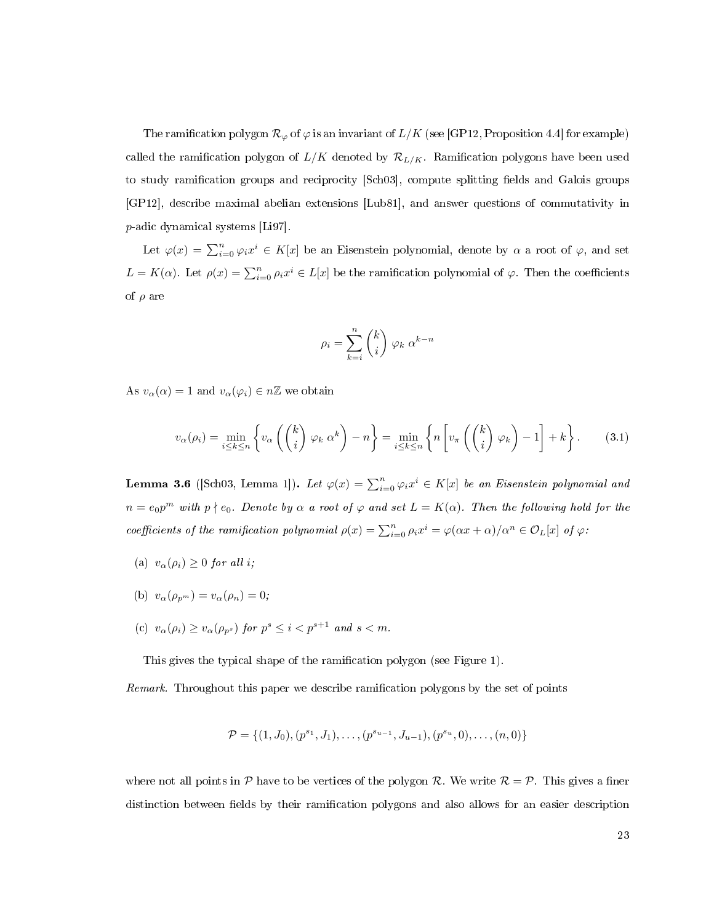The ramification polygon  $\mathcal{R}_{\varphi}$  of  $\varphi$  is an invariant of  $L/K$  (see [\[GP12,](#page-112-9) Proposition 4.4] for example) called the ramification polygon of  $L/K$  denoted by  $\mathcal{R}_{L/K}$ . Ramification polygons have been used to study ramification groups and reciprocity [\[Sch03\]](#page-114-10), compute splitting fields and Galois groups [\[GP12\]](#page-112-9), describe maximal abelian extensions [\[Lub81\]](#page-113-14), and answer questions of commutativity in p-adic dynamical systems [\[Li97\]](#page-113-15).

Let  $\varphi(x) = \sum_{i=0}^{n} \varphi_i x^i \in K[x]$  be an Eisenstein polynomial, denote by  $\alpha$  a root of  $\varphi$ , and set  $L = K(\alpha)$ . Let  $\rho(x) = \sum_{i=0}^{n} \rho_i x^i \in L[x]$  be the ramification polynomial of  $\varphi$ . Then the coefficients of  $\rho$  are

$$
\rho_i = \sum_{k=i}^n \binom{k}{i} \; \varphi_k \; \alpha^{k-n}
$$

As  $v_{\alpha}(\alpha) = 1$  and  $v_{\alpha}(\varphi_i) \in n\mathbb{Z}$  we obtain

<span id="page-31-0"></span>
$$
v_{\alpha}(\rho_i) = \min_{i \le k \le n} \left\{ v_{\alpha} \left( \binom{k}{i} \varphi_k \alpha^k \right) - n \right\} = \min_{i \le k \le n} \left\{ n \left[ v_{\pi} \left( \binom{k}{i} \varphi_k \right) - 1 \right] + k \right\}.
$$
 (3.1)

**Lemma 3.6** ([\[Sch03,](#page-114-10) Lemma 1]). Let  $\varphi(x) = \sum_{i=0}^{n} \varphi_i x^i \in K[x]$  be an Eisenstein polynomial and  $n = e_0 p^m$  with  $p \nmid e_0$ . Denote by  $\alpha$  a root of  $\varphi$  and set  $L = K(\alpha)$ . Then the following hold for the coefficients of the ramification polynomial  $\rho(x) = \sum_{i=0}^{n} \rho_i x^i = \varphi(\alpha x + \alpha)/\alpha^n \in \mathcal{O}_L[x]$  of  $\varphi$ :

- (a)  $v_{\alpha}(\rho_i) \geq 0$  for all i;
- (b)  $v_{\alpha}(\rho_{p^m}) = v_{\alpha}(\rho_n) = 0;$
- (c)  $v_{\alpha}(\rho_i) \ge v_{\alpha}(\rho_{p^s})$  for  $p^s \le i < p^{s+1}$  and  $s < m$ .

This gives the typical shape of the ramification polygon (see Figure [1\)](#page-32-0).

Remark. Throughout this paper we describe ramification polygons by the set of points

$$
\mathcal{P} = \{ (1, J_0), (p^{s_1}, J_1), \dots, (p^{s_{u-1}}, J_{u-1}), (p^{s_u}, 0), \dots, (n, 0) \}
$$

where not all points in P have to be vertices of the polygon R. We write  $\mathcal{R} = \mathcal{P}$ . This gives a finer distinction between fields by their ramification polygons and also allows for an easier description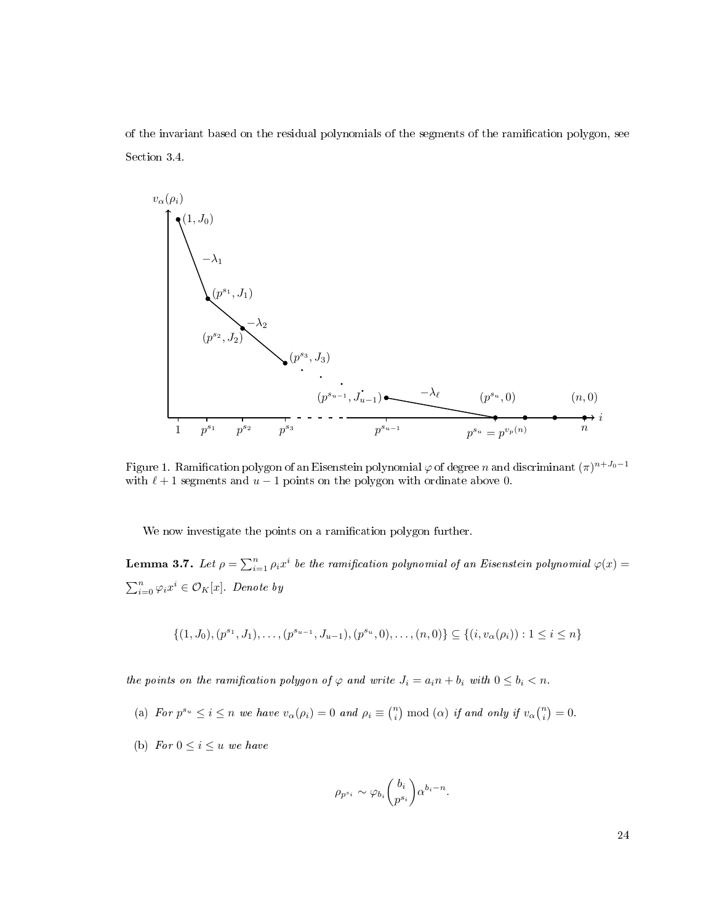of the invariant based on the residual polynomials of the segments of the ramication polygon, see Section [3.4.](#page-46-0)

<span id="page-32-0"></span>

Figure 1. Ramification polygon of an Eisenstein polynomial  $\varphi$  of degree  $n$  and discriminant  $(\pi)^{n+J_0-1}$ with  $\ell + 1$  segments and  $u - 1$  points on the polygon with ordinate above 0.

We now investigate the points on a ramification polygon further.

**Lemma 3.7.** Let  $\rho = \sum_{i=1}^n \rho_i x^i$  be the ramification polynomial of an Eisenstein polynomial  $\varphi(x)$  $\sum_{i=0}^{n} \varphi_i x^i \in \mathcal{O}_K[x]$ . Denote by

$$
\{(1, J_0), (p^{s_1}, J_1), \dots, (p^{s_{u-1}}, J_{u-1}), (p^{s_u}, 0), \dots, (n, 0)\} \subseteq \{(i, v_{\alpha}(\rho_i)) : 1 \le i \le n\}
$$

the points on the ramification polygon of  $\varphi$  and write  $J_i = a_i n + b_i$  with  $0 \leq b_i < n$ .

- (a) For  $p^{s_u} \leq i \leq n$  we have  $v_\alpha(\rho_i) = 0$  and  $\rho_i \equiv \binom{n}{i} \bmod(\alpha)$  if and only if  $v_\alpha \binom{n}{i} = 0$ .
- (b) For  $0 \leq i \leq u$  we have

$$
\rho_{p^{s_i}} \sim \varphi_{b_i} {b_i \choose p^{s_i}} \alpha^{b_i - n}.
$$

24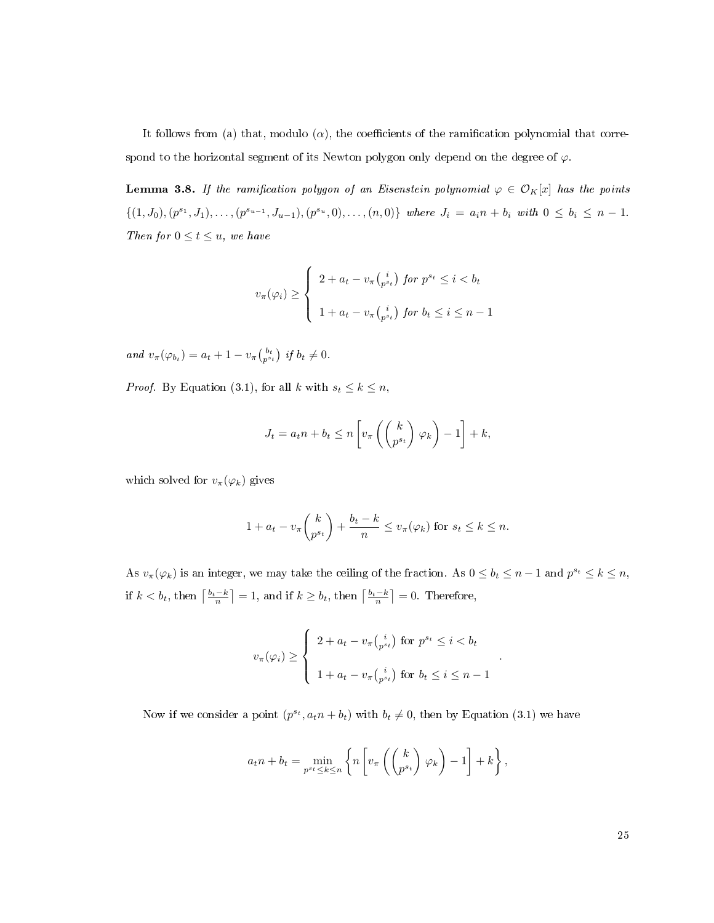It follows from (a) that, modulo ( $\alpha$ ), the coefficients of the ramification polynomial that correspond to the horizontal segment of its Newton polygon only depend on the degree of  $\varphi$ .

<span id="page-33-0"></span>**Lemma 3.8.** If the ramification polygon of an Eisenstein polynomial  $\varphi \in \mathcal{O}_K[x]$  has the points  $\{(1, J_0), (p^{s_1}, J_1), \ldots, (p^{s_{u-1}}, J_{u-1}), (p^{s_u}, 0), \ldots, (n, 0)\}\$  where  $J_i = a_i n + b_i$  with  $0 \leq b_i \leq n - 1$ . Then for  $0 \le t \le u$ , we have

$$
v_{\pi}(\varphi_i) \ge \begin{cases} 2 + a_t - v_{\pi} {i \choose p^{s_t}} \text{ for } p^{s_t} \le i < b_t \\ 1 + a_t - v_{\pi} {i \choose p^{s_t}} \text{ for } b_t \le i \le n - 1 \end{cases}
$$

and  $v_{\pi}(\varphi_{b_t}) = a_t + 1 - v_{\pi} \begin{pmatrix} b_t \\ p^{s_t} \end{pmatrix}$  if  $b_t \neq 0$ .

*Proof.* By Equation [\(3.1\)](#page-31-0), for all k with  $s_t \leq k \leq n$ ,

$$
J_t = a_t n + b_t \le n \left[ v_\pi \left( \binom{k}{p^{s_t}} \varphi_k \right) - 1 \right] + k,
$$

which solved for  $v_{\pi}(\varphi_k)$  gives

$$
1 + a_t - v_\pi \binom{k}{p^{s_t}} + \frac{b_t - k}{n} \le v_\pi(\varphi_k) \text{ for } s_t \le k \le n.
$$

As  $v_\pi(\varphi_k)$  is an integer, we may take the ceiling of the fraction. As  $0 \le b_t \le n-1$  and  $p^{s_t} \le k \le n$ , if  $k < b_t$ , then  $\left\lceil \frac{b_t - k}{n} \right\rceil = 1$ , and if  $k \ge b_t$ , then  $\left\lceil \frac{b_t - k}{n} \right\rceil = 0$ . Therefore,

$$
v_{\pi}(\varphi_i) \ge \begin{cases} 2 + a_t - v_{\pi} {i \choose p^{s_t}} \text{ for } p^{s_t} \le i < b_t \\ 1 + a_t - v_{\pi} {i \choose p^{s_t}} \text{ for } b_t \le i \le n - 1 \end{cases}
$$

.

Now if we consider a point  $(p^{s_t}, a_t n + b_t)$  with  $b_t \neq 0$ , then by Equation [\(3.1\)](#page-31-0) we have

$$
a_t n + b_t = \min_{p^{st} \le k \le n} \left\{ n \left[ v_\pi \left( \begin{pmatrix} k \\ p^{st} \end{pmatrix} \varphi_k \right) - 1 \right] + k \right\},\,
$$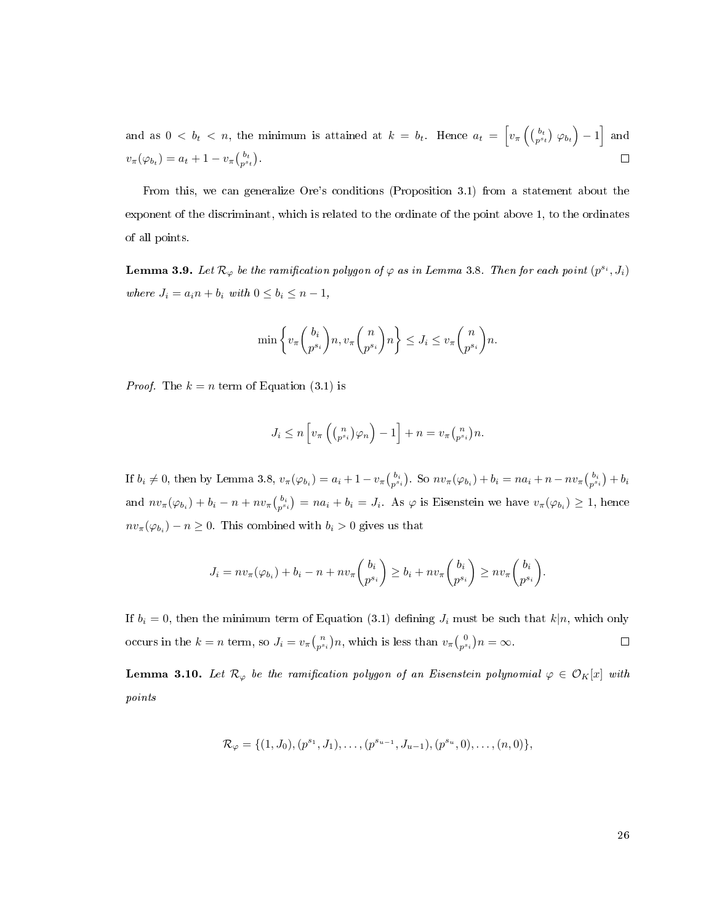and as  $0 < b_t < n$ , the minimum is attained at  $k = b_t$ . Hence  $a_t = \left[ v_\pi \left( \begin{pmatrix} b_t \\ p^{s_t} \end{pmatrix} \varphi_{b_t} \right) - 1 \right]$  and  $v_{\pi}(\varphi_{b_t}) = a_t + 1 - v_{\pi} \binom{b_t}{p^{s_t}}.$  $\Box$ 

From this, we can generalize Ore's conditions (Proposition [3.1\)](#page-29-3) from a statement about the exponent of the discriminant, which is related to the ordinate of the point above 1, to the ordinates of all points.

**Lemma 3.9.** Let  $\mathcal{R}_{\varphi}$  be the ramification polygon of  $\varphi$  as in Lemma [3.8.](#page-33-0) Then for each point  $(p^{s_i}, J_i)$ where  $J_i = a_i n + b_i$  with  $0 \leq b_i \leq n - 1$ ,

$$
\min \left\{ v_{\pi}\binom{b_i}{p^{s_i}} n, v_{\pi}\binom{n}{p^{s_i}} n \right\} \leq J_i \leq v_{\pi}\binom{n}{p^{s_i}} n.
$$

*Proof.* The  $k = n$  term of Equation [\(3.1\)](#page-31-0) is

$$
J_i \leq n \left[ v_\pi \left( \binom{n}{p^{s_i}} \varphi_n \right) - 1 \right] + n = v_\pi \binom{n}{p^{s_i}} n.
$$

If  $b_i \neq 0$ , then by Lemma [3.8,](#page-33-0)  $v_\pi(\varphi_{b_i}) = a_i + 1 - v_\pi\binom{b_i}{p^{s_i}}$ . So  $nv_\pi(\varphi_{b_i}) + b_i = na_i + n - nv_\pi\binom{b_i}{p^{s_i}} + b_i$ and  $nv_{\pi}(\varphi_{b_i}) + b_i - n + nv_{\pi} {b_i \choose p^{s_i}} = na_i + b_i = J_i$ . As  $\varphi$  is Eisenstein we have  $v_{\pi}(\varphi_{b_i}) \geq 1$ , hence  $nv_{\pi}(\varphi_{b_i}) - n \ge 0$ . This combined with  $b_i > 0$  gives us that

$$
J_i = nv_{\pi}(\varphi_{b_i}) + b_i - n + nv_{\pi}\binom{b_i}{p^{s_i}} \ge b_i + nv_{\pi}\binom{b_i}{p^{s_i}} \ge nv_{\pi}\binom{b_i}{p^{s_i}}.
$$

If  $b_i = 0$ , then the minimum term of Equation [\(3.1\)](#page-31-0) defining  $J_i$  must be such that  $k|n$ , which only occurs in the  $k = n$  term, so  $J_i = v_{\pi}\binom{n}{p^{s_i}}n$ , which is less than  $v_{\pi}\binom{0}{p^{s_i}}n = \infty$ .  $\Box$ 

<span id="page-34-0"></span>**Lemma 3.10.** Let  $\mathcal{R}_{\varphi}$  be the ramification polygon of an Eisenstein polynomial  $\varphi \in \mathcal{O}_K[x]$  with points

$$
\mathcal{R}_{\varphi} = \{ (1, J_0), (p^{s_1}, J_1), \dots, (p^{s_{u-1}}, J_{u-1}), (p^{s_u}, 0), \dots, (n, 0) \},
$$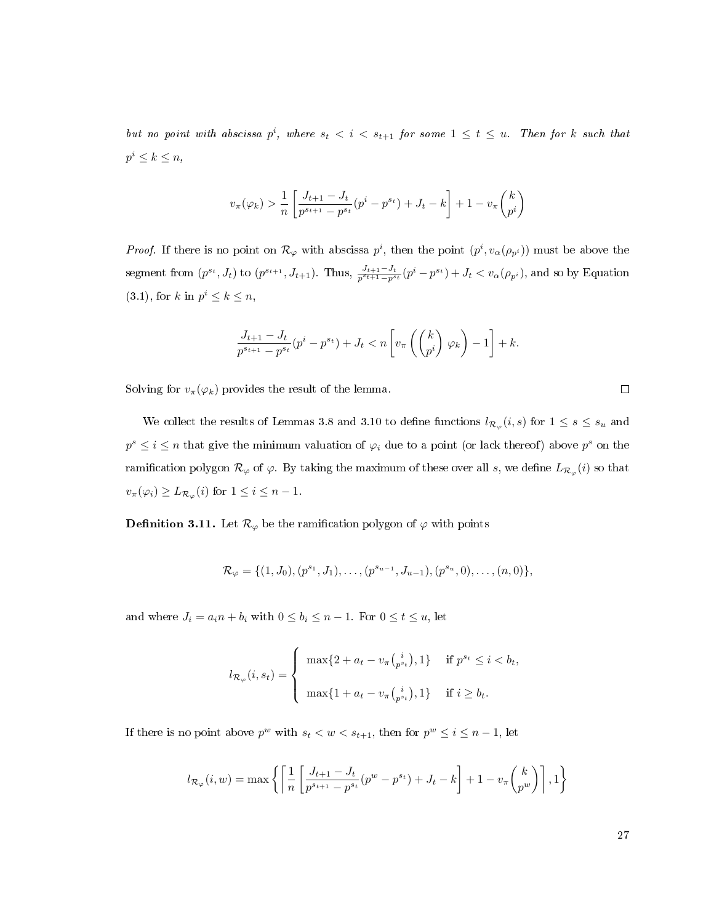but no point with abscissa  $p^i$ , where  $s_t < i < s_{t+1}$  for some  $1 \leq t \leq u$ . Then for k such that  $p^i \leq k \leq n$ ,

$$
v_\pi(\varphi_k) > \frac{1}{n} \left[ \frac{J_{t+1}-J_t}{p^{s_{t+1}}-p^{s_t}}(p^i-p^{s_t})+J_t-k \right] + 1 - v_\pi\binom{k}{p^i}
$$

*Proof.* If there is no point on  $\mathcal{R}_{\varphi}$  with abscissa  $p^i$ , then the point  $(p^i, v_\alpha(\rho_{p^i}))$  must be above the segment from  $(p^{s_t}, J_t)$  to  $(p^{s_{t+1}}, J_{t+1})$ . Thus,  $\frac{J_{t+1}-J_t}{p^{s_t+1}-p^{s_t}}(p^i-p^{s_t})+J_t < v_\alpha(\rho_{p^i})$ , and so by Equation  $(3.1)$ , for k in  $p^i \leq k \leq n$ ,

$$
\frac{J_{t+1}-J_t}{p^{s_{t+1}}-p^{s_t}}(p^i-p^{s_t})+J_t < n\left[v_{\pi}\left(\begin{pmatrix}k\\p^i\end{pmatrix}\varphi_k\right)-1\right]+k.
$$

Solving for  $v_{\pi}(\varphi_k)$  provides the result of the lemma.

We collect the results of Lemmas [3.8](#page-33-0) and [3.10](#page-34-0) to define functions  $l_{\mathcal{R}_{\varphi}}(i, s)$  for  $1 \leq s \leq s_u$  and  $p^s \leq i \leq n$  that give the minimum valuation of  $\varphi_i$  due to a point (or lack thereof) above  $p^s$  on the ramification polygon  $\mathcal{R}_\varphi$  of  $\varphi$ . By taking the maximum of these over all  $s,$  we define  $L_{\mathcal{R}_\varphi}(i)$  so that  $v_{\pi}(\varphi_i) \geq L_{\mathcal{R}_{\varphi}}(i)$  for  $1 \leq i \leq n-1$ .

**Definition 3.11.** Let  $\mathcal{R}_{\varphi}$  be the ramification polygon of  $\varphi$  with points

$$
\mathcal{R}_{\varphi} = \{ (1, J_0), (p^{s_1}, J_1), \dots, (p^{s_{u-1}}, J_{u-1}), (p^{s_u}, 0), \dots, (n, 0) \},\
$$

and where  $J_i = a_i n + b_i$  with  $0 \leq b_i \leq n - 1$ . For  $0 \leq t \leq u$ , let

$$
l_{\mathcal{R}_{\varphi}}(i, s_{t}) = \begin{cases} \max\{2 + a_{t} - v_{\pi} {i \choose p^{s_{t}}}, 1\} & \text{if } p^{s_{t}} \leq i < b_{t}, \\ \max\{1 + a_{t} - v_{\pi} {i \choose p^{s_{t}}}, 1\} & \text{if } i \geq b_{t}. \end{cases}
$$

If there is no point above  $p^w$  with  $s_t < w < s_{t+1}$ , then for  $p^w \le i \le n-1$ , let

$$
l_{\mathcal{R}_{\varphi}}(i,w) = \max \left\{ \left[ \frac{1}{n} \left[ \frac{J_{t+1} - J_t}{p^{s_{t+1}} - p^{s_t}} (p^w - p^{s_t}) + J_t - k \right] + 1 - v_{\pi} \binom{k}{p^w} \right], 1 \right\}
$$

 $\Box$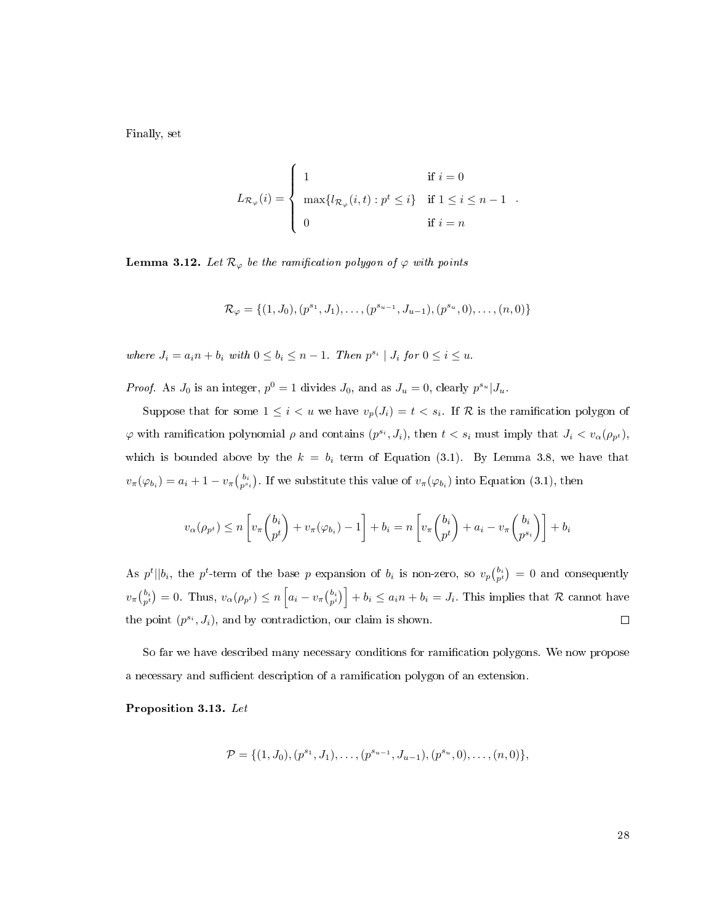Finally, set

$$
L_{\mathcal{R}_{\varphi}}(i) = \begin{cases} 1 & \text{if } i = 0 \\ \max\{l_{\mathcal{R}_{\varphi}}(i,t) : p^t \leq i\} & \text{if } 1 \leq i \leq n-1 \\ 0 & \text{if } i = n \end{cases}
$$

<span id="page-36-1"></span>**Lemma 3.12.** Let  $\mathcal{R}_{\varphi}$  be the ramification polygon of  $\varphi$  with points

$$
\mathcal{R}_{\varphi} = \{ (1, J_0), (p^{s_1}, J_1), \dots, (p^{s_{u-1}}, J_{u-1}), (p^{s_u}, 0), \dots, (n, 0) \}
$$

where  $J_i = a_i n + b_i$  with  $0 \leq b_i \leq n-1$ . Then  $p^{s_i} \mid J_i$  for  $0 \leq i \leq u$ .

*Proof.* As  $J_0$  is an integer,  $p^0 = 1$  divides  $J_0$ , and as  $J_u = 0$ , clearly  $p^{s_u} | J_u$ .

Suppose that for some  $1 \leq i < u$  we have  $v_p(J_i) = t < s_i$ . If R is the ramification polygon of  $\varphi$  with ramification polynomial  $\rho$  and contains  $(p^{s_i}, J_i)$ , then  $t < s_i$  must imply that  $J_i < v_\alpha(\rho_{p^t})$ , which is bounded above by the  $k = b_i$  term of Equation [\(3.1\)](#page-31-0). By Lemma [3.8,](#page-33-0) we have that  $v_{\pi}(\varphi_{b_i}) = a_i + 1 - v_{\pi} \binom{b_i}{p^{s_i}}$ . If we substitute this value of  $v_{\pi}(\varphi_{b_i})$  into Equation [\(3.1\)](#page-31-0), then

$$
v_{\alpha}(\rho_{p^t}) \le n \left[ v_{\pi}\binom{b_i}{p^t} + v_{\pi}(\varphi_{b_i}) - 1 \right] + b_i = n \left[ v_{\pi}\binom{b_i}{p^t} + a_i - v_{\pi}\binom{b_i}{p^{s_i}} \right] + b_i
$$

As  $p^t \mid b_i$ , the  $p^t$ -term of the base p expansion of  $b_i$  is non-zero, so  $v_p {b_i \choose p^t} = 0$  and consequently  $v_{\pi}\binom{b_i}{p} = 0$ . Thus,  $v_{\alpha}(\rho_{p^t}) \le n \left[a_i - v_{\pi}\binom{b_i}{p^i}\right] + b_i \le a_i n + b_i = J_i$ . This implies that R cannot have the point  $(p^{s_i}, J_i)$ , and by contradiction, our claim is shown.  $\Box$ 

So far we have described many necessary conditions for ramication polygons. We now propose a necessary and sufficient description of a ramification polygon of an extension.

<span id="page-36-0"></span>Proposition 3.13. Let

$$
\mathcal{P} = \{ (1, J_0), (p^{s_1}, J_1), \ldots, (p^{s_{u-1}}, J_{u-1}), (p^{s_u}, 0), \ldots, (n, 0) \},
$$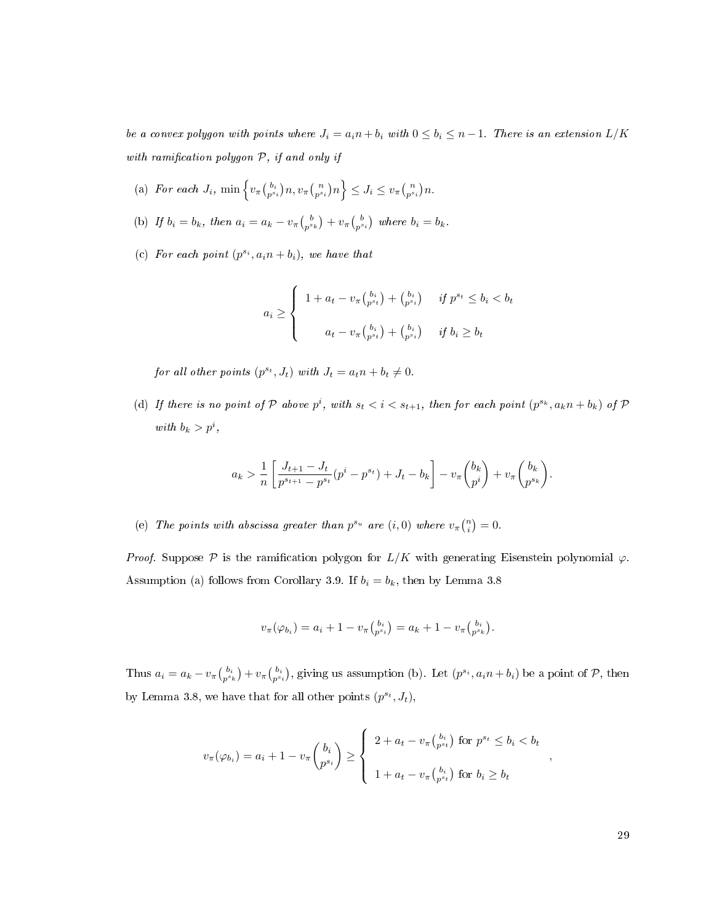be a convex polygon with points where  $J_i = a_i n + b_i$  with  $0 \leq b_i \leq n-1$ . There is an extension  $L/K$ with ramification polygon  $P$ , if and only if

- <span id="page-37-0"></span>(a) For each  $J_i$ ,  $\min \left\{ v_\pi\left(\begin{matrix} b_i \\ p^{s_i} \end{matrix}\right) n, v_\pi\left(\begin{matrix} n \\ p^{s_i} \end{matrix}\right) n \right\} \leq J_i \leq v_\pi\left(\begin{matrix} n \\ p^{s_i} \end{matrix}\right) n$ .
- <span id="page-37-1"></span>(b) If  $b_i = b_k$ , then  $a_i = a_k - v_\pi \binom{b}{p^{s_k}} + v_\pi \binom{b}{p^{s_i}}$  where  $b_i = b_k$ .
- <span id="page-37-2"></span>(c) For each point  $(p^{s_i}, a_i n + b_i)$ , we have that

$$
a_i \ge \begin{cases} 1 + a_t - v_\pi \binom{b_i}{p^{s_t}} + \binom{b_i}{p^{s_i}} & \text{if } p^{s_t} \le b_i < b_t \\ a_t - v_\pi \binom{b_i}{p^{s_t}} + \binom{b_i}{p^{s_i}} & \text{if } b_i \ge b_t \end{cases}
$$

for all other points  $(p^{s_t}, J_t)$  with  $J_t = a_t n + b_t \neq 0$ .

<span id="page-37-3"></span>(d) If there is no point of P above  $p^i$ , with  $s_t < i < s_{t+1}$ , then for each point  $(p^{s_k}, a_k n + b_k)$  of P with  $b_k > p^i$ ,

$$
a_k > \frac{1}{n} \left[ \frac{J_{t+1} - J_t}{p^{s_{t+1}} - p^{s_t}} (p^i - p^{s_t}) + J_t - b_k \right] - v_\pi \binom{b_k}{p^i} + v_\pi \binom{b_k}{p^{s_k}}.
$$

<span id="page-37-4"></span>(e) The points with abscissa greater than  $p^{s_u}$  are  $(i,0)$  where  $v_{\pi} {n \choose i} = 0$ .

Proof. Suppose P is the ramification polygon for  $L/K$  with generating Eisenstein polynomial  $\varphi$ . Assumption [\(a\)](#page-37-0) follows from Corollary [3.9.](#page-34-0) If  $b_i = b_k$ , then by Lemma [3.8](#page-33-0)

$$
v_{\pi}(\varphi_{b_i}) = a_i + 1 - v_{\pi} {b_i \choose p^{s_i}} = a_k + 1 - v_{\pi} {b_i \choose p^{s_k}}.
$$

Thus  $a_i = a_k - v_\pi\binom{b_i}{p^{s_i}} + v_\pi\binom{b_i}{p^{s_i}}$ , giving us assumption [\(b\).](#page-37-1) Let  $(p^{s_i}, a_i n + b_i)$  be a point of  $P$ , then by Lemma [3.8,](#page-33-0) we have that for all other points  $(p^{s_t}, J_t)$ ,

$$
v_{\pi}(\varphi_{b_i}) = a_i + 1 - v_{\pi} \binom{b_i}{p^{s_i}} \ge \begin{cases} 2 + a_t - v_{\pi} \binom{b_i}{p^{s_t}} \text{ for } p^{s_t} \le b_i < b_t \\ 1 + a_t - v_{\pi} \binom{b_i}{p^{s_t}} \text{ for } b_i \ge b_t \end{cases}
$$

,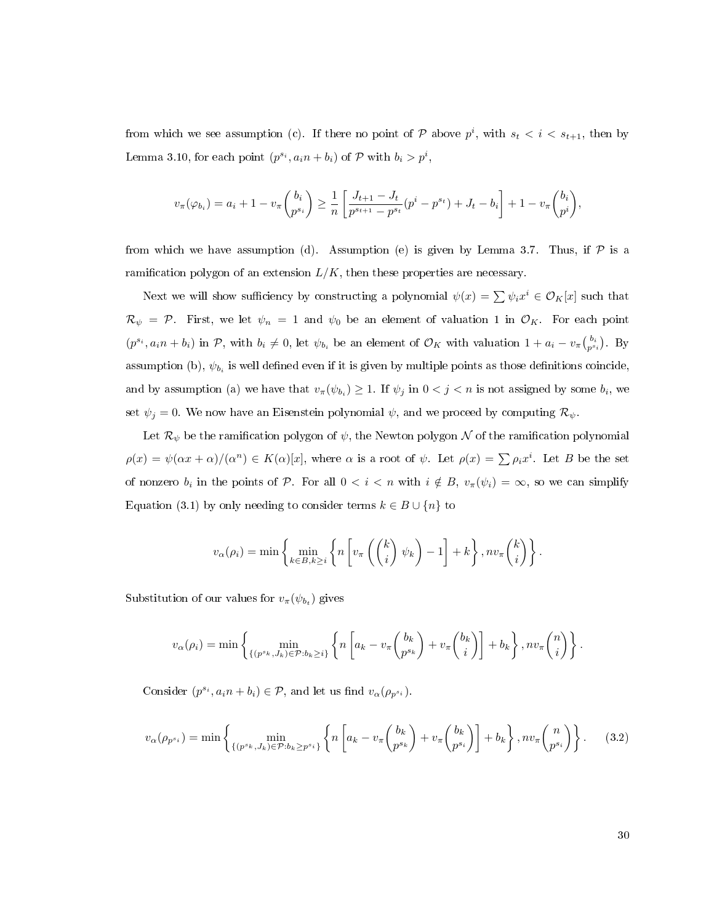from which we see assumption [\(c\).](#page-37-2) If there no point of  $P$  above  $p^i$ , with  $s_t < i < s_{t+1}$ , then by Lemma [3.10,](#page-34-1) for each point  $(p^{s_i}, a_i n + b_i)$  of  $P$  with  $b_i > p^i$ ,

$$
v_{\pi}(\varphi_{b_i}) = a_i + 1 - v_{\pi} \binom{b_i}{p^{s_i}} \ge \frac{1}{n} \left[ \frac{J_{t+1} - J_t}{p^{s_{t+1}} - p^{s_t}} (p^i - p^{s_t}) + J_t - b_i \right] + 1 - v_{\pi} \binom{b_i}{p^i},
$$

from which we have assumption [\(d\).](#page-37-3) Assumption [\(e\)](#page-37-4) is given by Lemma [3.7.](#page-32-0) Thus, if  $P$  is a ramification polygon of an extension  $L/K$ , then these properties are necessary.

Next we will show sufficiency by constructing a polynomial  $\psi(x) = \sum \psi_i x^i \in \mathcal{O}_K[x]$  such that  $\mathcal{R}_{\psi} = \mathcal{P}$ . First, we let  $\psi_n = 1$  and  $\psi_0$  be an element of valuation 1 in  $\mathcal{O}_K$ . For each point  $(p^{s_i}, a_i n + b_i)$  in P, with  $b_i \neq 0$ , let  $\psi_{b_i}$  be an element of  $\mathcal{O}_K$  with valuation  $1 + a_i - v_\pi \binom{b_i}{p^{s_i}}$ . By assumption [\(b\),](#page-37-1)  $\psi_{b_i}$  is well defined even if it is given by multiple points as those definitions coincide, and by assumption [\(a\)](#page-37-0) we have that  $v_{\pi}(\psi_{b_i}) \geq 1$ . If  $\psi_j$  in  $0 < j < n$  is not assigned by some  $b_i$ , we set  $\psi_j = 0$ . We now have an Eisenstein polynomial  $\psi$ , and we proceed by computing  $\mathcal{R}_{\psi}$ .

Let  $\mathcal{R}_{\psi}$  be the ramification polygon of  $\psi$ , the Newton polygon  $\mathcal N$  of the ramification polynomial  $\rho(x) = \psi(\alpha x + \alpha) / (\alpha^n) \in K(\alpha)[x]$ , where  $\alpha$  is a root of  $\psi$ . Let  $\rho(x) = \sum \rho_i x^i$ . Let B be the set of nonzero  $b_i$  in the points of P. For all  $0 < i < n$  with  $i \notin B$ ,  $v_\pi(\psi_i) = \infty$ , so we can simplify Equation [\(3.1\)](#page-31-0) by only needing to consider terms  $k \in B \cup \{n\}$  to

$$
v_{\alpha}(\rho_i) = \min \left\{ \min_{k \in B, k \geq i} \left\{ n \left[ v_{\pi} \left( \binom{k}{i} \psi_k \right) - 1 \right] + k \right\}, n v_{\pi} \binom{k}{i} \right\}.
$$

Substitution of our values for  $v_{\pi}(\psi_{b_t})$  gives

$$
v_{\alpha}(\rho_i) = \min \left\{ \min_{\{(p^{s_k}, J_k) \in \mathcal{P}: b_k \geq i\}} \left\{ n \left[ a_k - v_{\pi} \binom{b_k}{p^{s_k}} + v_{\pi} \binom{b_k}{i} \right] + b_k \right\}, n v_{\pi} \binom{n}{i} \right\}.
$$

Consider  $(p^{s_i}, a_i n + b_i) \in \mathcal{P}$ , and let us find  $v_\alpha(\rho_{p^{s_i}})$ .

<span id="page-38-0"></span>
$$
v_{\alpha}(\rho_{p^{s_i}}) = \min\left\{\min_{\{(p^{s_k}, J_k)\in\mathcal{P}: b_k\geq p^{s_i}\}}\left\{n\left[a_k - v_{\pi}\binom{b_k}{p^{s_k}} + v_{\pi}\binom{b_k}{p^{s_i}}\right] + b_k\right\}, nv_{\pi}\binom{n}{p^{s_i}}\right\}.
$$
 (3.2)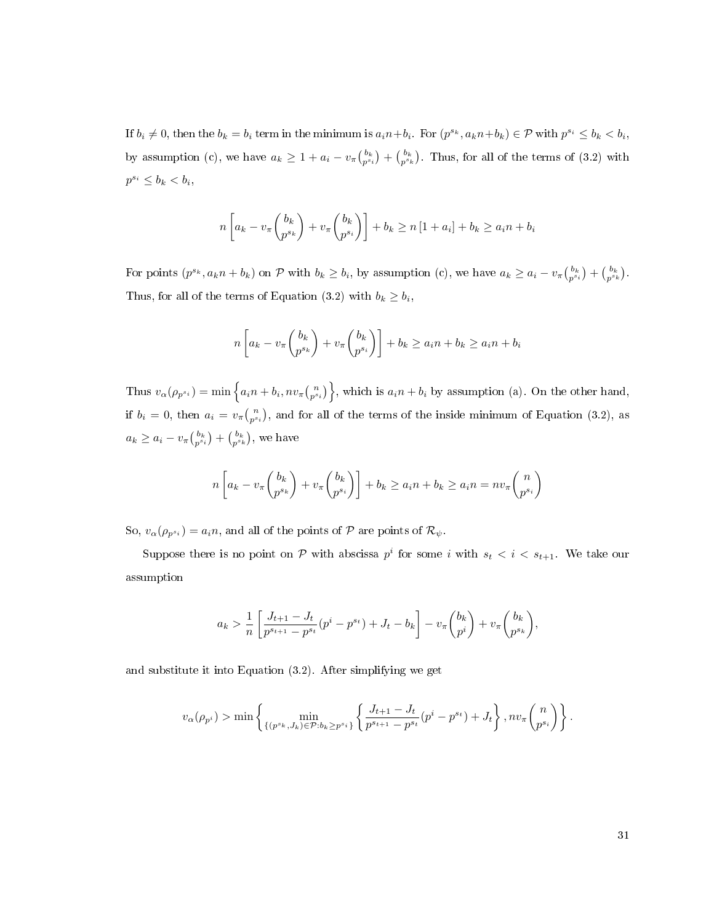If  $b_i \neq 0$ , then the  $b_k = b_i$  term in the minimum is  $a_i n + b_i$ . For  $(p^{s_k}, a_k n + b_k) \in \mathcal{P}$  with  $p^{s_i} \leq b_k < b_i$ , by assumption [\(c\),](#page-37-2) we have  $a_k \geq 1 + a_i - v_\pi \binom{b_k}{p^{s_k}} + \binom{b_k}{p^{s_k}}$ . Thus, for all of the terms of [\(3.2\)](#page-38-0) with  $p^{s_i} \leq b_k < b_i,$ 

$$
n\left[a_k - v_\pi \binom{b_k}{p^{s_k}} + v_\pi \binom{b_k}{p^{s_i}}\right] + b_k \ge n\left[1 + a_i\right] + b_k \ge a_i n + b_i
$$

For points  $(p^{s_k}, a_k n + b_k)$  on P with  $b_k \ge b_i$ , by assumption [\(c\),](#page-37-2) we have  $a_k \ge a_i - v_\pi \binom{b_k}{p^{s_i}} + \binom{b_k}{p^{s_k}}$ . Thus, for all of the terms of Equation [\(3.2\)](#page-38-0) with  $b_k \geq b_i$ ,

$$
n\left[a_k - v_\pi \binom{b_k}{p^{s_k}} + v_\pi \binom{b_k}{p^{s_i}}\right] + b_k \ge a_i n + b_k \ge a_i n + b_i
$$

Thus  $v_{\alpha}(\rho_{p^{s_i}}) = \min \left\{ a_i n + b_i, n v_{\pi} {n \choose p^{s_i}} \right\}$ , which is  $a_i n + b_i$  by assumption [\(a\).](#page-37-0) On the other hand, if  $b_i = 0$ , then  $a_i = v_{\pi}\binom{n}{p^{s_i}}$ , and for all of the terms of the inside minimum of Equation [\(3.2\)](#page-38-0), as  $a_k \ge a_i - v_{\pi} \binom{b_k}{p^{s_i}} + \binom{b_k}{p^{s_k}}$ , we have

$$
n\left[a_k - v_\pi \binom{b_k}{p^{s_k}} + v_\pi \binom{b_k}{p^{s_i}}\right] + b_k \ge a_i n + b_k \ge a_i n = n v_\pi \binom{n}{p^{s_i}}
$$

So,  $v_{\alpha}(\rho_{p^{s_i}}) = a_i n$ , and all of the points of  $P$  are points of  $\mathcal{R}_{\psi}$ .

Suppose there is no point on  $P$  with abscissa  $p^i$  for some i with  $s_t < i < s_{t+1}$ . We take our assumption

$$
a_k > \frac{1}{n} \left[ \frac{J_{t+1} - J_t}{p^{s_{t+1}} - p^{s_t}} (p^i - p^{s_t}) + J_t - b_k \right] - v_\pi \binom{b_k}{p^i} + v_\pi \binom{b_k}{p^{s_k}},
$$

and substitute it into Equation [\(3.2\)](#page-38-0). After simplifying we get

$$
v_{\alpha}(\rho_{p^i}) > \min\left\{\min_{\{(p^{s_k}, J_k) \in \mathcal{P}: b_k \ge p^{s_i}\}} \left\{\frac{J_{t+1} - J_t}{p^{s_{t+1}} - p^{s_t}}(p^i - p^{s_t}) + J_t\right\}, nv_{\pi}\binom{n}{p^{s_i}}\right\}.
$$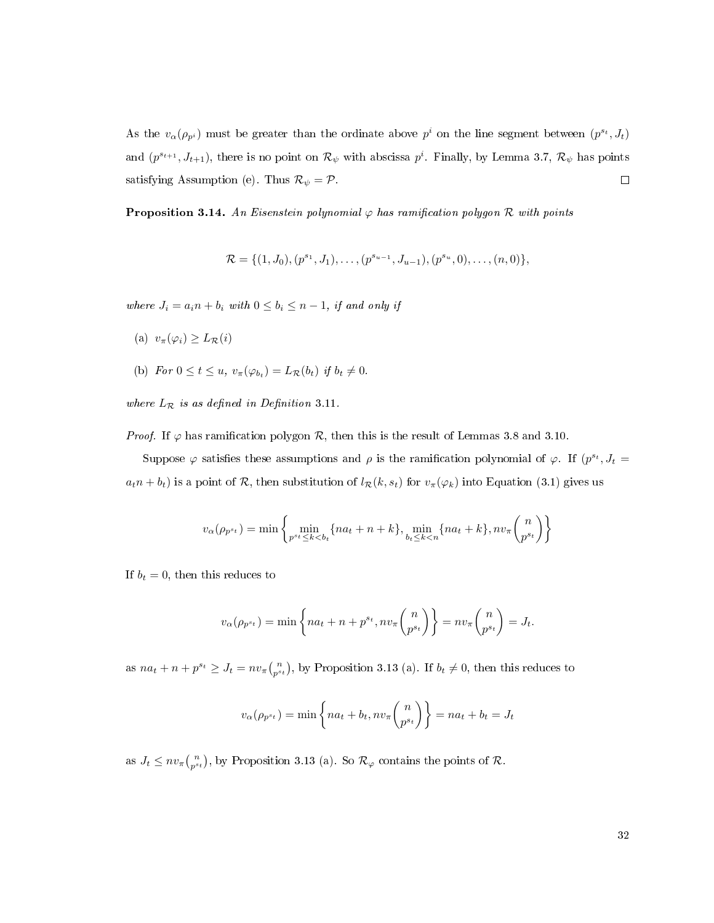As the  $v_{\alpha}(\rho_{p^i})$  must be greater than the ordinate above  $p^i$  on the line segment between  $(p^{s_t}, J_t)$ and  $(p^{s_{t+1}}, J_{t+1})$ , there is no point on  $\mathcal{R}_{\psi}$  with abscissa  $p^i$ . Finally, by Lemma [3.7,](#page-32-0)  $\mathcal{R}_{\psi}$  has points satisfying Assumption [\(e\).](#page-37-4) Thus  $\mathcal{R}_{\psi} = \mathcal{P}$ .  $\hfill \square$ 

<span id="page-40-0"></span>**Proposition 3.14.** An Eisenstein polynomial  $\varphi$  has ramification polygon R with points

$$
\mathcal{R} = \{ (1, J_0), (p^{s_1}, J_1), \ldots, (p^{s_{u-1}}, J_{u-1}), (p^{s_u}, 0), \ldots, (n, 0) \},
$$

where  $J_i = a_i n + b_i$  with  $0 \leq b_i \leq n-1$ , if and only if

- (a)  $v_{\pi}(\varphi_i) \geq L_{\mathcal{R}}(i)$
- (b) For  $0 \le t \le u$ ,  $v_{\pi}(\varphi_{b_t}) = L_{\mathcal{R}}(b_t)$  if  $b_t \ne 0$ .

where  $L_{\mathcal{R}}$  is as defined in Definition [3.11.](#page-35-0)

*Proof.* If  $\varphi$  has ramification polygon  $\mathcal{R}$ , then this is the result of Lemmas [3.8](#page-33-0) and [3.10.](#page-34-1)

Suppose  $\varphi$  satisfies these assumptions and  $\rho$  is the ramification polynomial of  $\varphi$ . If  $(p^{s_t}, J_t =$  $a_t n + b_t$ ) is a point of R, then substitution of  $l_{\mathcal{R}}(k, s_t)$  for  $v_{\pi}(\varphi_k)$  into Equation [\(3.1\)](#page-31-0) gives us

$$
v_{\alpha}(\rho_{p^{s_t}}) = \min \left\{ \min_{p^{s_t} \le k < b_t} \{ na_t + n + k \}, \min_{b_t \le k < n} \{ na_t + k \}, nv_{\pi} \binom{n}{p^{s_t}} \right\}
$$

If  $b_t = 0$ , then this reduces to

$$
v_{\alpha}(\rho_{p^{s_t}}) = \min\left\{na_t + n + p^{s_t}, nv_{\pi}\binom{n}{p^{s_t}}\right\} = nv_{\pi}\binom{n}{p^{s_t}} = J_t.
$$

as  $na_t + n + p^{s_t} \ge J_t = nv_{\pi}\binom{n}{p^{s_t}}$ , by Proposition [3.13](#page-36-0) (a). If  $b_t \ne 0$ , then this reduces to

$$
v_{\alpha}(\rho_{p^{s_t}}) = \min\left\{na_t + b_t, nv_{\pi}\binom{n}{p^{s_t}}\right\} = na_t + b_t = J_t
$$

as  $J_t \leq nv_{\pi}\binom{n}{p^{s_t}}$ , by Proposition [3.13](#page-36-0) (a). So  $\mathcal{R}_{\varphi}$  contains the points of  $\mathcal{R}$ .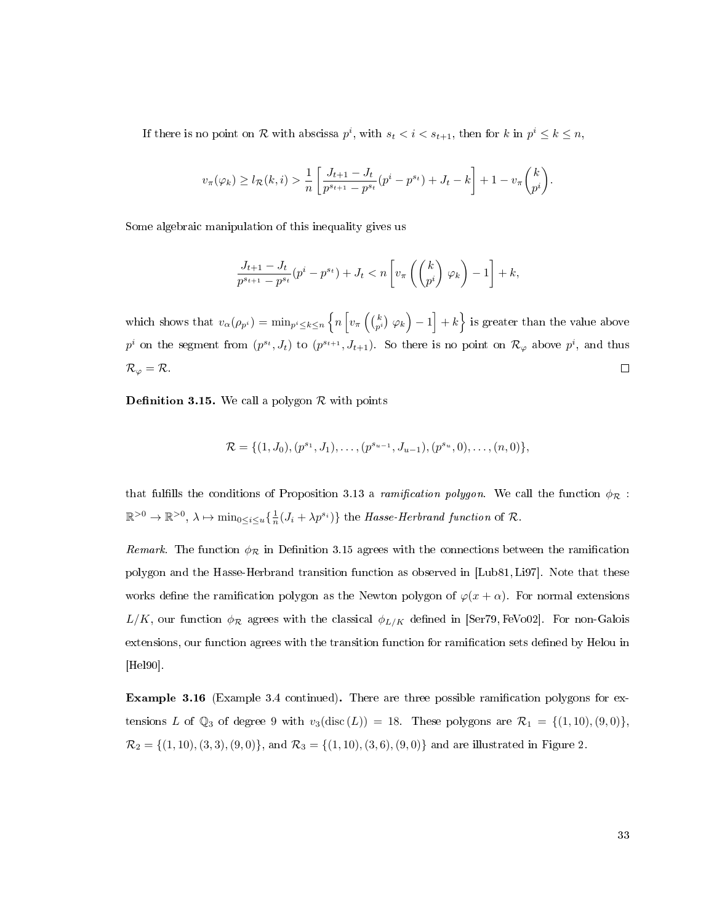If there is no point on R with abscissa  $p^i$ , with  $s_t < i < s_{t+1}$ , then for k in  $p^i \leq k \leq n$ ,

$$
v_{\pi}(\varphi_k) \ge l_{\mathcal{R}}(k,i) > \frac{1}{n} \left[ \frac{J_{t+1} - J_t}{p^{s_{t+1}} - p^{s_t}} (p^i - p^{s_t}) + J_t - k \right] + 1 - v_{\pi} \binom{k}{p^i}.
$$

Some algebraic manipulation of this inequality gives us

$$
\frac{J_{t+1}-J_t}{p^{s_{t+1}}-p^{s_t}}(p^i-p^{s_t})+J_t < n\left[v_{\pi}\left(\begin{pmatrix}k\\p^i\end{pmatrix}\varphi_k\right)-1\right]+k,
$$

which shows that  $v_{\alpha}(\rho_{p^i}) = \min_{p^i \leq k \leq n} \left\{ n \left[ v_{\pi}\left(\binom{k}{p^i} \varphi_k\right) - 1 \right] + k \right\}$  is greater than the value above  $p^i$  on the segment from  $(p^{s_t}, J_t)$  to  $(p^{s_{t+1}}, J_{t+1})$ . So there is no point on  $\mathcal{R}_{\varphi}$  above  $p^i$ , and thus  $\Box$  $\mathcal{R}_{\varphi}=\mathcal{R}.$ 

<span id="page-41-0"></span>**Definition 3.15.** We call a polygon  $\mathcal{R}$  with points

$$
\mathcal{R} = \{ (1, J_0), (p^{s_1}, J_1), \ldots, (p^{s_{u-1}}, J_{u-1}), (p^{s_u}, 0), \ldots, (n, 0) \},\
$$

that fulfills the conditions of Proposition [3.13](#page-36-0) a ramification polygon. We call the function  $\phi_{\mathcal{R}}$ :  $\mathbb{R}^{>0} \to \mathbb{R}^{>0}, \lambda \mapsto \min_{0 \leq i \leq u} \left\{ \frac{1}{n} (J_i + \lambda p^{s_i}) \right\}$  the *Hasse-Herbrand function* of R.

Remark. The function  $\phi_{\mathcal{R}}$  in Definition [3.15](#page-41-0) agrees with the connections between the ramification polygon and the Hasse-Herbrand transition function as observed in [\[Lub81,](#page-113-0)[Li97\]](#page-113-1). Note that these works define the ramification polygon as the Newton polygon of  $\varphi(x+\alpha)$ . For normal extensions  $L/K$ , our function  $\phi_{\mathcal{R}}$  agrees with the classical  $\phi_{L/K}$  defined in [\[Ser79,](#page-114-0) [FeVo02\]](#page-112-0). For non-Galois extensions, our function agrees with the transition function for ramification sets defined by Helou in [\[Hel90\]](#page-112-1).

<span id="page-41-1"></span>Example 3.16 (Example [3.4](#page-30-0) continued). There are three possible ramication polygons for extensions L of  $\mathbb{Q}_3$  of degree 9 with  $v_3(\text{disc } (L)) = 18$ . These polygons are  $\mathcal{R}_1 = \{(1, 10), (9, 0)\},\$  $\mathcal{R}_2 = \{(1, 10), (3, 3), (9, 0)\}, \text{ and } \mathcal{R}_3 = \{(1, 10), (3, 6), (9, 0)\}\$ and are illustrated in Figure [2.](#page-42-0)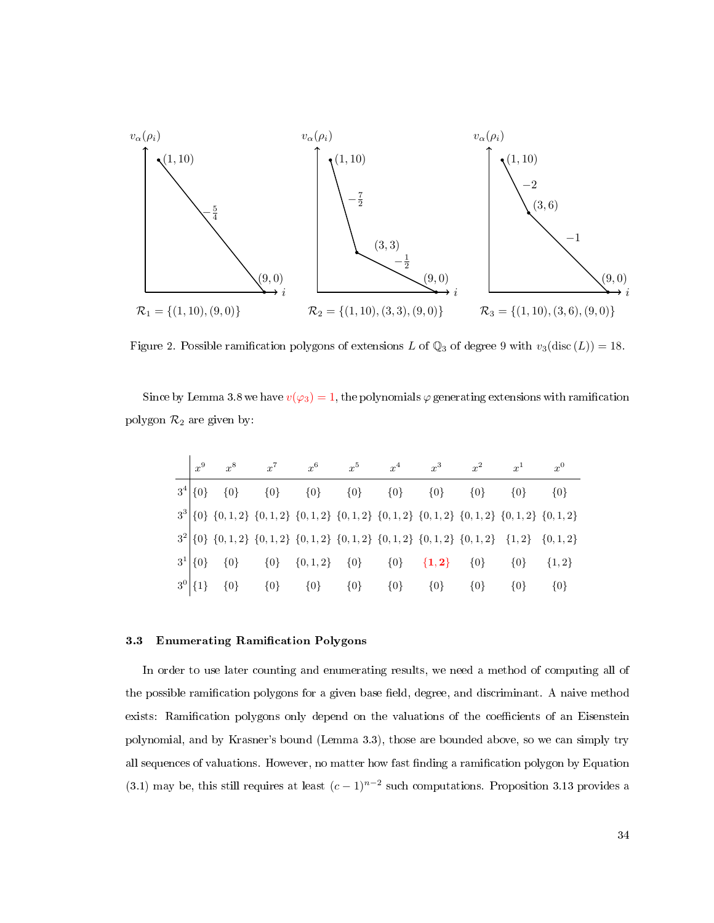<span id="page-42-0"></span>

Figure 2. Possible ramification polygons of extensions L of  $\mathbb{Q}_3$  of degree 9 with  $v_3(\text{disc } (L)) = 18$ .

Since by Lemma [3.8](#page-33-0) we have  $v(\varphi_3) = 1$ , the polynomials  $\varphi$  generating extensions with ramification polygon  $\mathcal{R}_2$  are given by:

| $x^9$        | $x^8$   | $x^7$   | $x^6$                                                                                               | $r^5$   | $x^4$   | $r^3$                     | $r^2$   | $x^1$   | $x^0$     |
|--------------|---------|---------|-----------------------------------------------------------------------------------------------------|---------|---------|---------------------------|---------|---------|-----------|
| $3^4  \{0\}$ | $\{0\}$ | $\{0\}$ | ${0}$                                                                                               | $\{0\}$ | $\{0\}$ | $\{0\}$                   | $\{0\}$ | $\{0\}$ | $\{0\}$   |
|              |         |         | $3^3$ {0} {0, 1, 2} {0, 1, 2} {0, 1, 2} {0, 1, 2} {0, 1, 2} {0, 1, 2} {0, 1, 2} {0, 1, 2} {0, 1, 2} |         |         |                           |         |         |           |
|              |         |         | $3^{2}$ {0} {0, 1, 2} {0, 1, 2} {0, 1, 2} {0, 1, 2} {0, 1, 2} {0, 1, 2} {0, 1, 2} {1, 2} {0, 1, 2}  |         |         |                           |         |         |           |
| $3^1 \{0\}$  | $\{0\}$ |         | $\{0\}$ $\{0,1,2\}$ $\{0\}$                                                                         |         |         | $\{0\}$ $\{1,2\}$ $\{0\}$ |         | $\{0\}$ | $\{1,2\}$ |
| $3^0$ {1}    | $\{0\}$ | ${0}$   | $\{0\}$                                                                                             | $\{0\}$ | $\{0\}$ | $\{0\}$                   | $\{0\}$ | $\{0\}$ | $\{0\}$   |

# 3.3 Enumerating Ramification Polygons

In order to use later counting and enumerating results, we need a method of computing all of the possible ramification polygons for a given base field, degree, and discriminant. A naive method exists: Ramification polygons only depend on the valuations of the coefficients of an Eisenstein polynomial, and by Krasner's bound (Lemma [3.3\)](#page-30-1), those are bounded above, so we can simply try all sequences of valuations. However, no matter how fast finding a ramification polygon by Equation [\(3.1\)](#page-31-0) may be, this still requires at least  $(c-1)^{n-2}$  such computations. Proposition [3.13](#page-36-0) provides a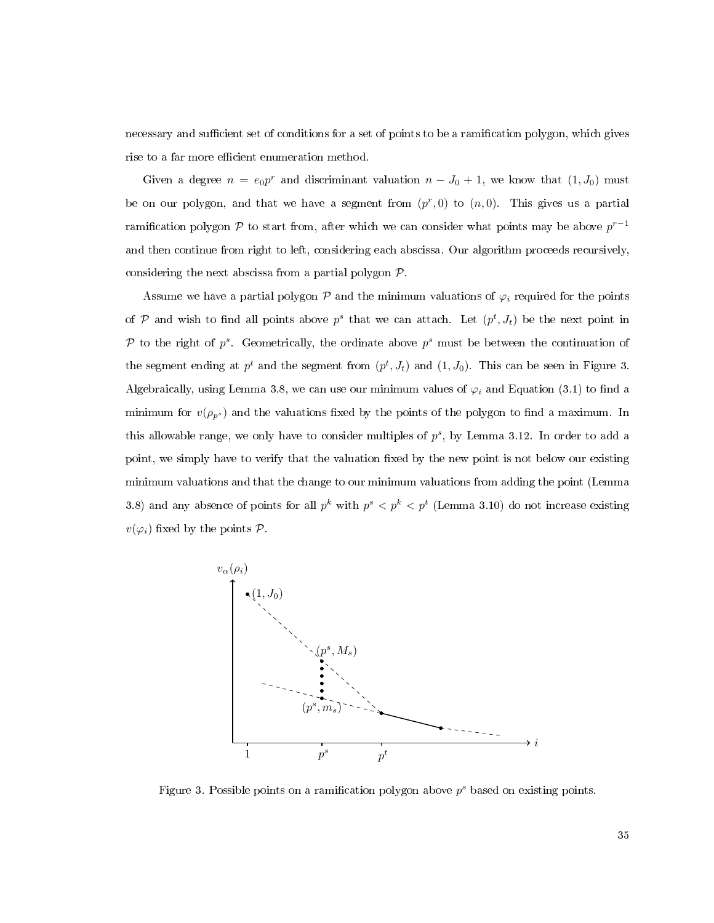necessary and sufficient set of conditions for a set of points to be a ramification polygon, which gives rise to a far more efficient enumeration method.

Given a degree  $n = e_0 p^r$  and discriminant valuation  $n - J_0 + 1$ , we know that  $(1, J_0)$  must be on our polygon, and that we have a segment from  $(p^r, 0)$  to  $(n, 0)$ . This gives us a partial ramification polygon P to start from, after which we can consider what points may be above  $p^{r-1}$ and then continue from right to left, considering each abscissa. Our algorithm proceeds recursively, considering the next abscissa from a partial polygon P.

Assume we have a partial polygon  $\mathcal P$  and the minimum valuations of  $\varphi_i$  required for the points of P and wish to find all points above  $p^s$  that we can attach. Let  $(p^t, J_t)$  be the next point in P to the right of  $p^s$ . Geometrically, the ordinate above  $p^s$  must be between the continuation of the segment ending at  $p^t$  and the segment from  $(p^t, J_t)$  and  $(1, J_0)$ . This can be seen in Figure [3.](#page-43-0) Algebraically, using Lemma [3.8,](#page-33-0) we can use our minimum values of  $\varphi_i$  and Equation [\(3.1\)](#page-31-0) to find a minimum for  $v(\rho_{p^s})$  and the valuations fixed by the points of the polygon to find a maximum. In this allowable range, we only have to consider multiples of  $p^s$ , by Lemma [3.12.](#page-36-1) In order to add a point, we simply have to verify that the valuation fixed by the new point is not below our existing minimum valuations and that the change to our minimum valuations from adding the point (Lemma [3.8\)](#page-33-0) and any absence of points for all  $p^k$  with  $p^s < p^k < p^t$  (Lemma [3.10\)](#page-34-1) do not increase existing  $v(\varphi_i)$  fixed by the points  $\mathcal P$ .

<span id="page-43-0"></span>

Figure 3. Possible points on a ramification polygon above  $p^s$  based on existing points.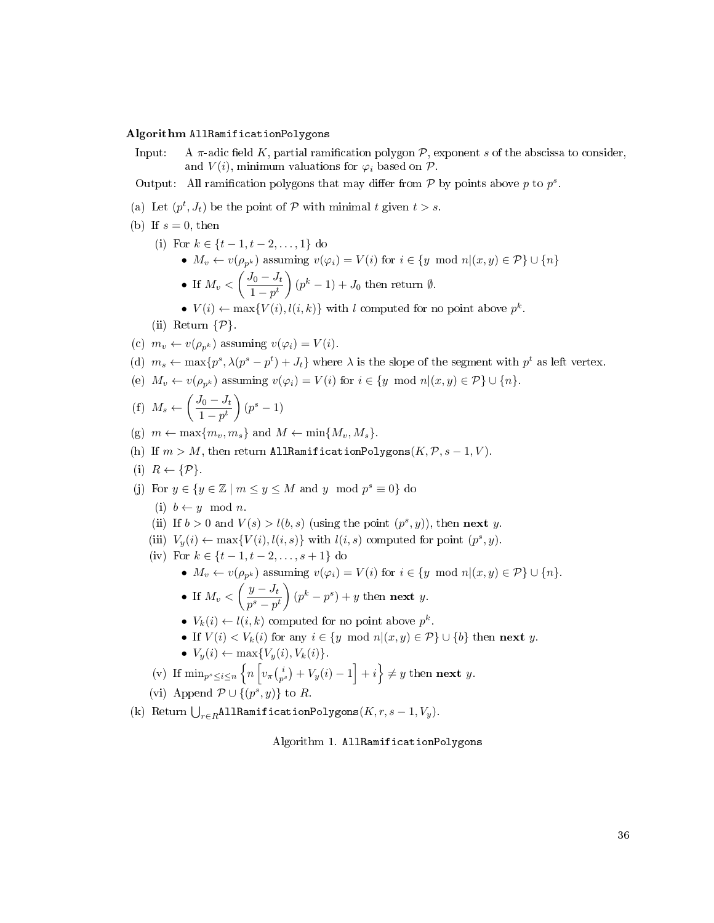## <span id="page-44-0"></span>Algorithm AllRamificationPolygons

- Input: A  $\pi$ -adic field K, partial ramification polygon P, exponent s of the abscissa to consider, and  $V(i)$ , minimum valuations for  $\varphi_i$  based on  $\mathcal{P}$ .
- Output: All ramification polygons that may differ from  $P$  by points above p to  $p^s$ .
- (a) Let  $(p^t, J_t)$  be the point of  $P$  with minimal t given  $t > s$ .
- (b) If  $s = 0$ , then
	- (i) For  $k \in \{t-1, t-2, \ldots, 1\}$  do
		- $M_v \leftarrow v(\rho_{p^k})$  assuming  $v(\varphi_i) = V(i)$  for  $i \in \{y \mod n | (x, y) \in \mathcal{P}\} \cup \{n\}$

• If 
$$
M_v < \left(\frac{J_0 - J_t}{1 - pt}\right)(p^k - 1) + J_0
$$
 then return  $\emptyset$ .

•  $V(i) \leftarrow \max\{V(i), l(i,k)\}\$  with l computed for no point above  $p^k$ .

(ii) Return  $\{\mathcal{P}\}.$ 

- (c)  $m_v \leftarrow v(\rho_{n^k})$  assuming  $v(\varphi_i) = V(i)$ .
- (d)  $m_s \leftarrow \max\{p^s, \lambda(p^s p^t) + J_t\}$  where  $\lambda$  is the slope of the segment with  $p^t$  as left vertex.
- (e)  $M_v \leftarrow v(\rho_{n^k})$  assuming  $v(\varphi_i) = V(i)$  for  $i \in \{y \mod n | (x, y) \in \mathcal{P}\} \cup \{n\}.$

(f) 
$$
M_s \leftarrow \left(\frac{J_0 - J_t}{1 - p^t}\right) (p^s - 1)
$$

(g)  $m \leftarrow \max\{m_v, m_s\}$  and  $M \leftarrow \min\{M_v, M_s\}.$ 

- (h) If  $m > M$ , then return AllRamificationPolygons( $K, \mathcal{P}, s 1, V$ ).
- (i)  $R \leftarrow \{P\}$ .
- (j) For  $y \in \{y \in \mathbb{Z} \mid m \leq y \leq M \text{ and } y \mod p^s \equiv 0\}$  do
	- (i)  $b \leftarrow y \mod n$ .
	- (ii) If  $b > 0$  and  $V(s) > l(b, s)$  (using the point  $(p^s, y)$ ), then **next** y.
	- (iii)  $V_y(i) \leftarrow \max\{V(i), l(i, s)\}$  with  $l(i, s)$  computed for point  $(p^s, y)$ .
	- (iv) For  $k \in \{t-1, t-2, \ldots, s+1\}$  do

• 
$$
M_v \leftarrow v(\rho_{p^k})
$$
 assuming  $v(\varphi_i) = V(i)$  for  $i \in \{y \mod n | (x, y) \in \mathcal{P}\} \cup \{n\}.$ 

- If  $M_v < \left(\frac{y-J_t}{s} \right)$  $p^s-p^t$  $\Bigg((p^k-p^s)+y\hbox{ then }$ **next** y.
- $V_k(i) \leftarrow l(i,k)$  computed for no point above  $p^k$ .
- If  $V(i) < V_k(i)$  for any  $i \in \{y \mod n | (x, y) \in \mathcal{P}\} \cup \{b\}$  then next y.
- $V_y(i) \leftarrow \max\{V_y(i), V_k(i)\}.$
- (v) If  $\min_{p^s \leq i \leq n} \left\{ n \left[ v_\pi \binom{i}{p^s} + V_y(i) 1 \right] + i \right\} \neq y$  then next y.

(vi) Append  $\mathcal{P} \cup \{(p^s, y)\}\$ to R.

(k) Return  $\bigcup_{r\in R}$ AllRamificationPolygons $(K, r, s - 1, V_y)$ .

Algorithm 1. AllRamificationPolygons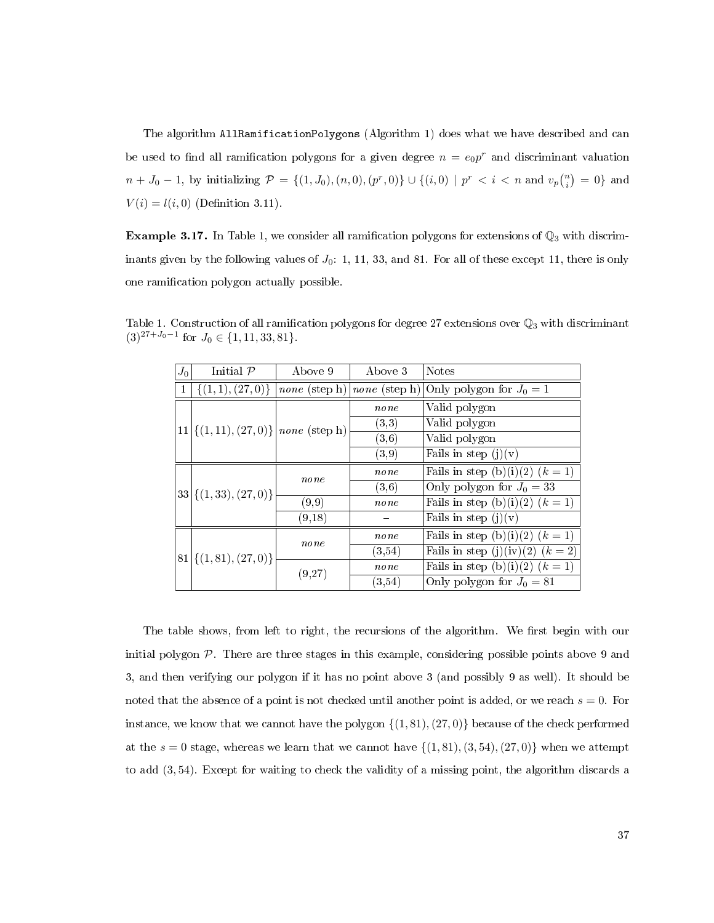The algorithm AllRamificationPolygons (Algorithm [1\)](#page-44-0) does what we have described and can be used to find all ramification polygons for a given degree  $n = e_0 p^r$  and discriminant valuation  $n + J_0 - 1$ , by initializing  $\mathcal{P} = \{(1, J_0), (n, 0), (p^r, 0)\} \cup \{(i, 0) \mid p^r < i \le n \text{ and } v_p{n \choose i} = 0\}$  and  $V(i) = l(i, 0)$  (Definition [3.11\)](#page-35-0).

**Example 3.17.** In Table [1,](#page-45-0) we consider all ramification polygons for extensions of  $\mathbb{Q}_3$  with discriminants given by the following values of  $J_0$ : 1, 11, 33, and 81. For all of these except 11, there is only one ramication polygon actually possible.

|  | $J_0$ | Initial $\mathcal P$        | Above 9                                 | Above 3                                     | <b>Notes</b>                      |
|--|-------|-----------------------------|-----------------------------------------|---------------------------------------------|-----------------------------------|
|  | 1     | $\{(1,1),(27,0)\}\$         |                                         | <i>none</i> (step h)   <i>none</i> (step h) | Only polygon for $J_0 = 1$        |
|  |       |                             |                                         | $_{none}$                                   | Valid polygon                     |
|  |       |                             | $11  \{(1,11), (27,0)\} $ none (step h) | (3,3)                                       | Valid polygon                     |
|  |       |                             |                                         | (3, 6)                                      | Valid polygon                     |
|  |       |                             |                                         | (3,9)                                       | Fails in step $(j)(v)$            |
|  |       |                             | none                                    | none                                        | Fails in step (b)(i)(2) $(k = 1)$ |
|  |       | $33  \{(1,33), (27,0)\}\$   |                                         | (3,6)                                       | Only polygon for $J_0 = 33$       |
|  |       |                             | (9,9)                                   | none                                        | Fails in step (b)(i)(2) $(k = 1)$ |
|  |       |                             | (9,18)                                  |                                             | Fails in step $(j)(v)$            |
|  |       |                             | none                                    | $_{none}$                                   | Fails in step (b)(i)(2) $(k = 1)$ |
|  |       | $81  \{(1, 81), (27, 0)\}\$ |                                         | (3,54)                                      | Fails in step (j)(iv)(2) $(k=2)$  |
|  |       |                             | (9,27)                                  | none                                        | Fails in step (b)(i)(2) $(k = 1)$ |
|  |       |                             |                                         | $\left( 3.54\right)$                        | Only polygon for $J_0 = 81$       |

<span id="page-45-0"></span>Table 1. Construction of all ramification polygons for degree 27 extensions over  $\mathbb{Q}_3$  with discriminant  $(3)^{27+J_0-1}$  for  $J_0 \in \{1, 11, 33, 81\}.$ 

The table shows, from left to right, the recursions of the algorithm. We first begin with our initial polygon  $P$ . There are three stages in this example, considering possible points above 9 and 3, and then verifying our polygon if it has no point above 3 (and possibly 9 as well). It should be noted that the absence of a point is not checked until another point is added, or we reach  $s = 0$ . For instance, we know that we cannot have the polygon  $\{(1, 81), (27, 0)\}$  because of the check performed at the  $s = 0$  stage, whereas we learn that we cannot have  $\{(1, 81), (3, 54), (27, 0)\}$  when we attempt to add (3, 54). Except for waiting to check the validity of a missing point, the algorithm discards a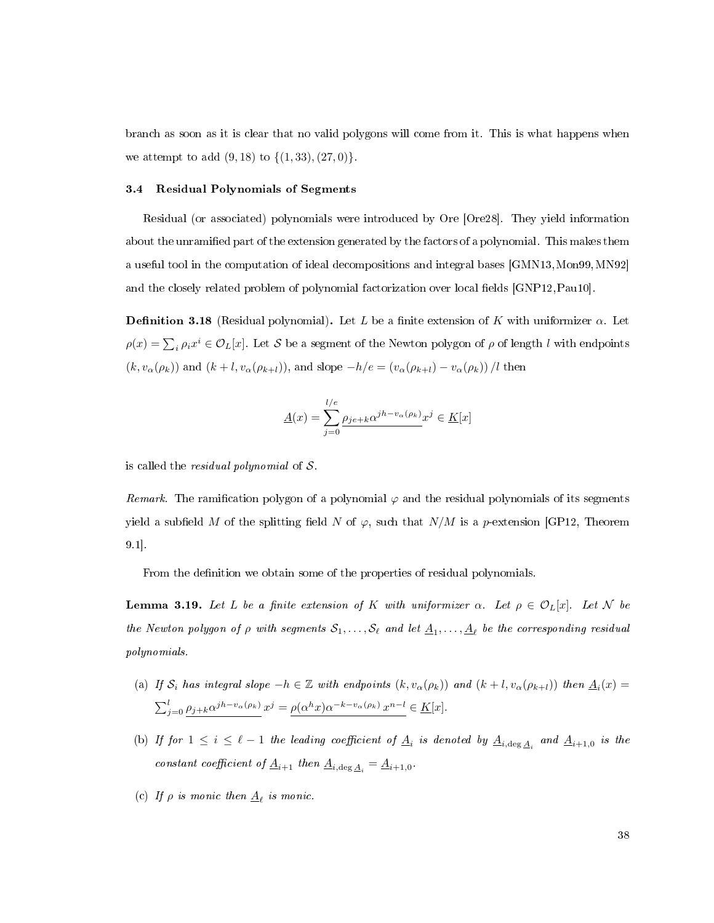branch as soon as it is clear that no valid polygons will come from it. This is what happens when we attempt to add  $(9, 18)$  to  $\{(1, 33), (27, 0)\}.$ 

## 3.4 Residual Polynomials of Segments

Residual (or associated) polynomials were introduced by Ore [\[Ore28\]](#page-113-2). They yield information about the unramified part of the extension generated by the factors of a polynomial. This makes them a useful tool in the computation of ideal decompositions and integral bases [\[GMN13,](#page-112-2)[Mon99,](#page-113-3)[MN92\]](#page-113-4) and the closely related problem of polynomial factorization over local fields [\[GNP12,](#page-112-3) [Pau10\]](#page-114-1).

**Definition 3.18** (Residual polynomial). Let L be a finite extension of K with uniformizer  $\alpha$ . Let  $\rho(x) = \sum_i \rho_i x^i \in \mathcal{O}_L[x]$ . Let  $\mathcal S$  be a segment of the Newton polygon of  $\rho$  of length l with endpoints  $(k, v_{\alpha}(\rho_k))$  and  $(k+l, v_{\alpha}(\rho_{k+l}))$ , and slope  $-h/e = (v_{\alpha}(\rho_{k+l}) - v_{\alpha}(\rho_k)) / l$  then

$$
\underline{A}(x)=\sum_{j=0}^{l/e}\underline{\rho_{je+k}\alpha^{jh-v_{\alpha}(\rho_{k})}}x^{j}\in\underline{K}[x]
$$

is called the *residual polynomial* of  $S$ .

Remark. The ramification polygon of a polynomial  $\varphi$  and the residual polynomials of its segments yield a subfield M of the splitting field N of  $\varphi$ , such that N/M is a p-extension [\[GP12,](#page-112-4) Theorem 9.1].

From the definition we obtain some of the properties of residual polynomials.

<span id="page-46-0"></span>**Lemma 3.19.** Let L be a finite extension of K with uniformizer  $\alpha$ . Let  $\rho \in \mathcal{O}_L[x]$ . Let N be the Newton polygon of  $\rho$  with segments  $\mathcal{S}_1, \ldots, \mathcal{S}_\ell$  and let  $\underline{A}_1, \ldots, \underline{A}_\ell$  be the corresponding residual polynomials.

- (a) If  $S_i$  has integral slope  $-h \in \mathbb{Z}$  with endpoints  $(k, v_\alpha(\rho_k))$  and  $(k+l, v_\alpha(\rho_{k+l}))$  then  $\underline{A}_i(x) =$  $\sum_{j=0}^{l} \rho_{j+k} \alpha^{j h - v_{\alpha}(\rho_k)} x^j = \rho(\alpha^h x) \alpha^{-k - v_{\alpha}(\rho_k)} x^{n-l} \in \underline{K}[x].$
- <span id="page-46-1"></span>(b) If for  $1 \leq i \leq \ell - 1$  the leading coefficient of  $\underline{A}_i$  is denoted by  $\underline{A}_{i,\deg \underline{A}_i}$  and  $\underline{A}_{i+1,0}$  is the constant coefficient of  $\underline{A}_{i+1}$  then  $\underline{A}_{i,\text{deg}\,\underline{A}_i} = \underline{A}_{i+1,0}$ .
- (c) If  $\rho$  is monic then  $\underline{A}_{\ell}$  is monic.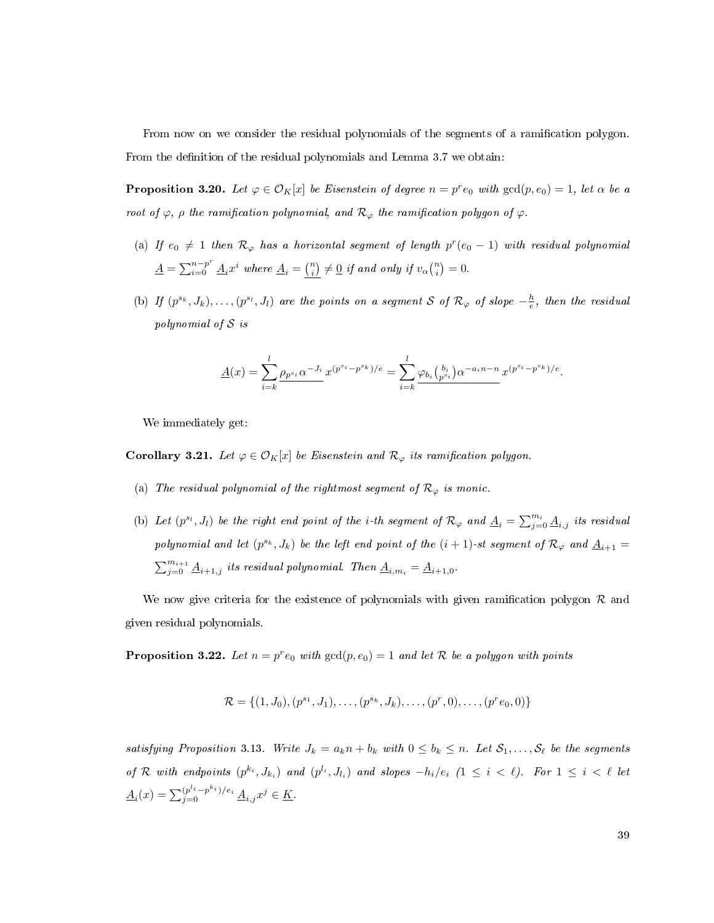From now on we consider the residual polynomials of the segments of a ramication polygon. From the definition of the residual polynomials and Lemma [3.7](#page-32-0) we obtain:

<span id="page-47-0"></span>**Proposition 3.20.** Let  $\varphi \in \mathcal{O}_K[x]$  be Eisenstein of degree  $n = p^r e_0$  with  $gcd(p, e_0) = 1$ , let  $\alpha$  be a root of  $\varphi$ ,  $\rho$  the ramification polynomial, and  $\mathcal{R}_{\varphi}$  the ramification polygon of  $\varphi$ .

- (a) If  $e_0 \neq 1$  then  $\mathcal{R}_{\varphi}$  has a horizontal segment of length  $p^r(e_0 1)$  with residual polynomial  $\underline{A} = \sum_{i=0}^{n-p^r} \underline{A}_i x^i$  where  $\underline{A}_i = \binom{n}{i} \neq \underline{0}$  if and only if  $v_\alpha \binom{n}{i} = 0$ .
- (b) If  $(p^{s_k}, J_k), \ldots, (p^{s_l}, J_l)$  are the points on a segment S of  $\mathcal{R}_{\varphi}$  of slope  $-\frac{h}{e}$ , then the residual polynomial of S is

$$
\underline{A}(x) = \sum_{i=k}^{l} \underline{\rho_{p^{s_i}} \alpha^{-J_i}} x^{(p^{s_i} - p^{s_k})/e} = \sum_{i=k}^{l} \underline{\varphi_{b_i} {b_i \choose p^{s_i}} \alpha^{-a_i n - n} x^{(p^{s_i} - p^{s_k})/e}}.
$$

We immediately get:

**Corollary 3.21.** Let  $\varphi \in \mathcal{O}_K[x]$  be Eisenstein and  $\mathcal{R}_{\varphi}$  its ramification polygon.

- (a) The residual polynomial of the rightmost segment of  $\mathcal{R}_{\varphi}$  is monic.
- (b) Let  $(p^{s_l}, J_l)$  be the right end point of the *i*-th segment of  $\mathcal{R}_{\varphi}$  and  $\underline{A}_i = \sum_{j=0}^{m_i} \underline{A}_{i,j}$  its residual polynomial and let  $(p^{s_k}, J_k)$  be the left end point of the  $(i + 1)$ -st segment of  $\mathcal{R}_{\varphi}$  and  $\underline{A}_{i+1} =$  $\sum_{j=0}^{m_{i+1}} \underline{A}_{i+1,j}$  its residual polynomial. Then  $\underline{A}_{i,m_i} = \underline{A}_{i+1,0}$ .

We now give criteria for the existence of polynomials with given ramification polygon  $\mathcal R$  and given residual polynomials.

<span id="page-47-1"></span>**Proposition 3.22.** Let  $n = p^r e_0$  with  $gcd(p, e_0) = 1$  and let R be a polygon with points

$$
\mathcal{R} = \{ (1, J_0), (p^{s_1}, J_1), \dots, (p^{s_k}, J_k), \dots, (p^r, 0), \dots, (p^r e_0, 0) \}
$$

satisfying Proposition [3.13.](#page-36-0) Write  $J_k = a_k n + b_k$  with  $0 \leq b_k \leq n$ . Let  $S_1, \ldots, S_\ell$  be the segments of R with endpoints  $(p^{k_i}, J_{k_i})$  and  $(p^{l_i}, J_{l_i})$  and slopes  $-h_i/e_i$   $(1 \leq i \leq \ell)$ . For  $1 \leq i \leq \ell$  let  $\underline{A}_i(x) = \sum_{j=0}^{(p^{l_i}-p^{k_i})/e_i} \underline{A}_{i,j}x^j \in \underline{K}.$ 

39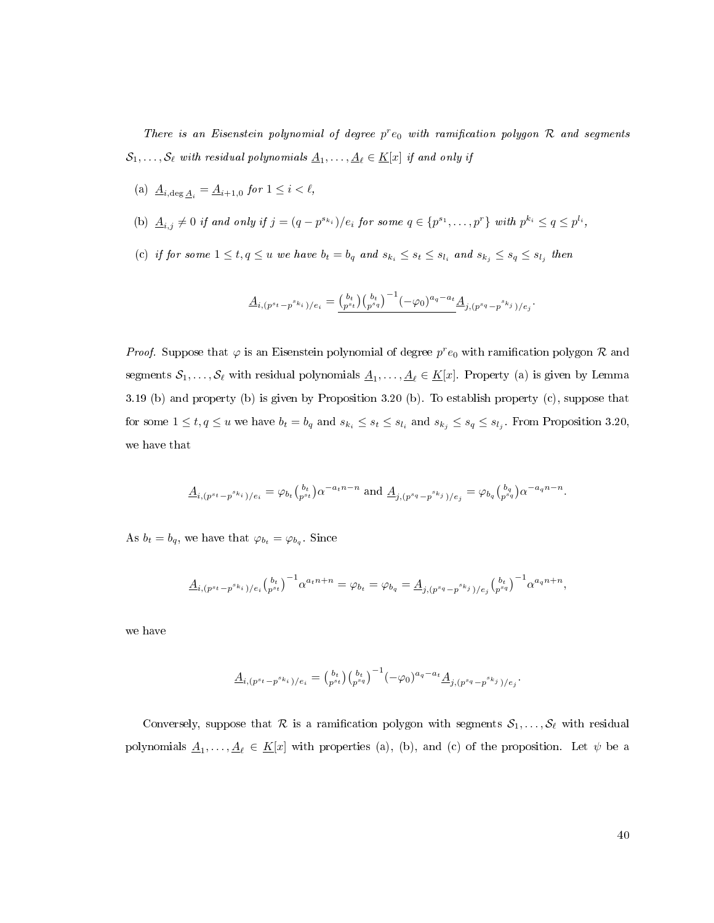There is an Eisenstein polynomial of degree  $p^r e_0$  with ramification polygon  $R$  and segments  $\mathcal{S}_1, \ldots, \mathcal{S}_\ell$  with residual polynomials  $\underline{A}_1, \ldots, \underline{A}_\ell \in \underline{K}[x]$  if and only if

- (a)  $\underline{A}_{i,\deg \underline{A}_i} = \underline{A}_{i+1,0}$  for  $1 \leq i \leq \ell$ ,
- (b)  $\underline{A}_{i,j} \neq 0$  if and only if  $j = (q p^{s_{k_i}})/e_i$  for some  $q \in \{p^{s_1}, \ldots, p^r\}$  with  $p^{k_i} \leq q \leq p^{l_i}$ ,
- (c) if for some  $1 \leq t, q \leq u$  we have  $b_t = b_q$  and  $s_{k_i} \leq s_t \leq s_{l_i}$  and  $s_{k_j} \leq s_q \leq s_{l_j}$  then

$$
\underline{A}_{i,(p^{s_t}-p^{s_k}i)/e_i} = \underline{\binom{b_t}{p^{s_t}} \binom{b_t}{p^{s_q}}^{-1} (-\varphi_0)^{a_q-a_t} \underline{A}_{j,(p^{s_q}-p^{s_k}i)/e_j}.
$$

*Proof.* Suppose that  $\varphi$  is an Eisenstein polynomial of degree  $p^r e_0$  with ramification polygon  $\mathcal R$  and segments  $\mathcal{S}_1,\ldots,\mathcal{S}_\ell$  with residual polynomials  $\underline{A}_1,\ldots,\underline{A}_\ell\in\underline{K}[x]$ . Property (a) is given by Lemma [3.19](#page-46-0) [\(b\)](#page-46-1) and property (b) is given by Proposition [3.20](#page-47-0) (b). To establish property (c), suppose that for some  $1 \le t, q \le u$  we have  $b_t = b_q$  and  $s_{k_i} \le s_t \le s_{l_i}$  and  $s_{k_j} \le s_q \le s_{l_j}$ . From Proposition [3.20,](#page-47-0) we have that

$$
\underline{A}_{i,(p^{s_t}-p^{s_{k_i}})/e_i} = \varphi_{b_t} {b_t \choose p^{s_t}} \alpha^{-a_t n - n} \text{ and } \underline{A}_{j,(p^{s_q}-p^{s_{k_j}})/e_j} = \varphi_{b_q} {b_q \choose p^{s_q}} \alpha^{-a_q n - n}.
$$

As  $b_t = b_q$ , we have that  $\varphi_{b_t} = \varphi_{b_q}$ . Since

$$
\underline{A}_{i,(p^{s_t}-p^{s_{k_i}})/e_i} {b_t \choose p^{s_t}}^{-1} \alpha^{a_t n+n} = \varphi_{b_t} = \varphi_{b_q} = \underline{A}_{j,(p^{s_q}-p^{s_{k_j}})/e_j} {b_t \choose p^{s_q}}^{-1} \alpha^{a_q n+n},
$$

we have

$$
\underline{A}_{i,(p^{s_t}-p^{s_{k_i}})/e_i} = \binom{b_t}{p^{s_t}} \binom{b_t}{p^{s_q}}^{-1} (-\varphi_0)^{a_q - a_t} \underline{A}_{j,(p^{s_q}-p^{s_{k_j}})/e_j}
$$

Conversely, suppose that R is a ramification polygon with segments  $S_1, \ldots, S_\ell$  with residual polynomials  $\underline{A}_1,\ldots,\underline{A}_\ell\in \underline{K}[x]$  with properties (a), (b), and (c) of the proposition. Let  $\psi$  be a

.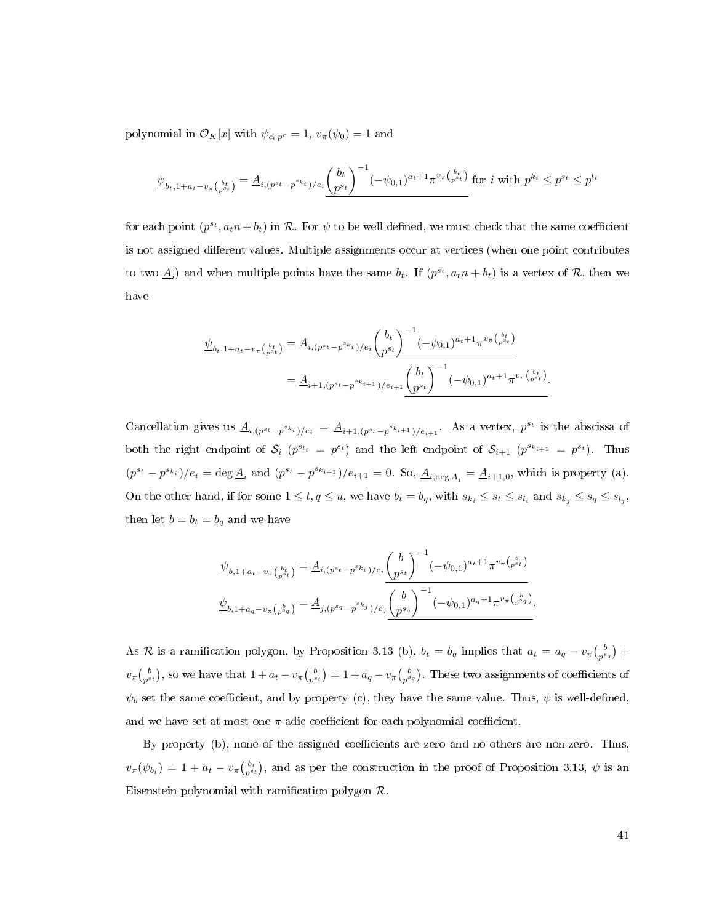polynomial in  $\mathcal{O}_K[x]$  with  $\psi_{e_0p^r} = 1$ ,  $v_\pi(\psi_0) = 1$  and

$$
\underline{\psi}_{b_t, 1 + a_t - v_\pi\binom{b_t}{p^{s_t}}} = \underline{A}_{i, (p^{s_t} - p^{s_{k_i}})/e_i} \underline{\binom{b_t}{p^{s_t}}}^{-1} (-\psi_{0,1})^{a_t + 1} \pi^{v_\pi\binom{b_t}{p^{s_t}}} \text{ for } i \text{ with } p^{k_i} \leq p^{s_t} \leq p^{l_i}
$$

for each point  $(p^{s_t}, a_t n + b_t)$  in  $\mathcal R$ . For  $\psi$  to be well defined, we must check that the same coefficient is not assigned different values. Multiple assignments occur at vertices (when one point contributes to two  $\underline{A}_i$  and when multiple points have the same  $b_t$ . If  $(p^{s_t}, a_t n + b_t)$  is a vertex of  $\mathcal{R}$ , then we have

$$
\underline{\psi}_{b_t, 1 + a_t - v_\pi\binom{b_t}{p^{st}}} = \underline{A}_{i, (p^{st} - p^{sk_i})/e_i} \left(\frac{b_t}{p^{st}}\right)^{-1} (-\psi_{0,1})^{a_t + 1} \pi^{v_\pi\binom{b_t}{p^{st}}} \\
= \underline{A}_{i+1, (p^{st} - p^{sk_{i+1}})/e_{i+1}} \left(\frac{b_t}{p^{st}}\right)^{-1} (-\psi_{0,1})^{a_t + 1} \pi^{v_\pi\binom{b_t}{p^{st}}}.
$$

Cancellation gives us  $\underline{A}_{i,(p^{s_t}-p^{s_{k_i}})/e_i} = \underline{A}_{i+1,(p^{s_t}-p^{s_{k_{i+1}}})/e_{i+1}}$ . As a vertex,  $p^{s_t}$  is the abscissa of both the right endpoint of  $S_i$   $(p^{s_{l_i}} = p^{s_t})$  and the left endpoint of  $S_{i+1}$   $(p^{s_{k_{i+1}}} = p^{s_t})$ . Thus  $(p^{s_t} - p^{s_{k_i}})/e_i = \deg \underline{A}_i$  and  $(p^{s_t} - p^{s_{k_{i+1}}})/e_{i+1} = 0$ . So,  $\underline{A}_{i,\deg \underline{A}_i} = \underline{A}_{i+1,0}$ , which is property (a). On the other hand, if for some  $1 \le t, q \le u$ , we have  $b_t = b_q$ , with  $s_{k_i} \le s_t \le s_{l_i}$  and  $s_{k_j} \le s_q \le s_{l_j}$ , then let  $b = b_t = b_q$  and we have

$$
\underline{\psi}_{b,1+a_t-v_{\pi}({b_t \atop p^{s_t}})} = \underline{A}_{i,(p^{s_t}-p^{s_k}i)/e_i} \underline{\binom{b}{p^{s_t}}}^{-1} (-\psi_{0,1})^{a_t+1} \pi^{v_{\pi}({b \atop p^{s_t}})}
$$

$$
\underline{\psi}_{b,1+a_q-v_{\pi}({p \atop p^{s_q}})} = \underline{A}_{j,(p^{s_q}-p^{s_k}i)/e_j} \underline{\binom{b}{p^{s_q}}}^{-1} (-\psi_{0,1})^{a_q+1} \pi^{v_{\pi}({p \atop p^{s_q}})}.
$$

As R is a ramification polygon, by Proposition [3.13](#page-36-0) (b),  $b_t = b_q$  implies that  $a_t = a_q - v_\pi \binom{b}{p^{s_q}} +$  $v_\pi\binom{b}{p^{s_t}}$ , so we have that  $1+a_t-v_\pi\binom{b}{p^{s_t}}=1+a_q-v_\pi\binom{b}{p^{s_q}}$ . These two assignments of coefficients of  $\psi_b$  set the same coefficient, and by property (c), they have the same value. Thus,  $\psi$  is well-defined, and we have set at most one  $\pi$ -adic coefficient for each polynomial coefficient.

By property (b), none of the assigned coefficients are zero and no others are non-zero. Thus,  $v_{\pi}(\psi_{b_t}) = 1 + a_t - v_{\pi} {b_t \choose p^{s_t}}$ , and as per the construction in the proof of Proposition [3.13,](#page-36-0)  $\psi$  is an Eisenstein polynomial with ramification polygon  $\mathcal R$ .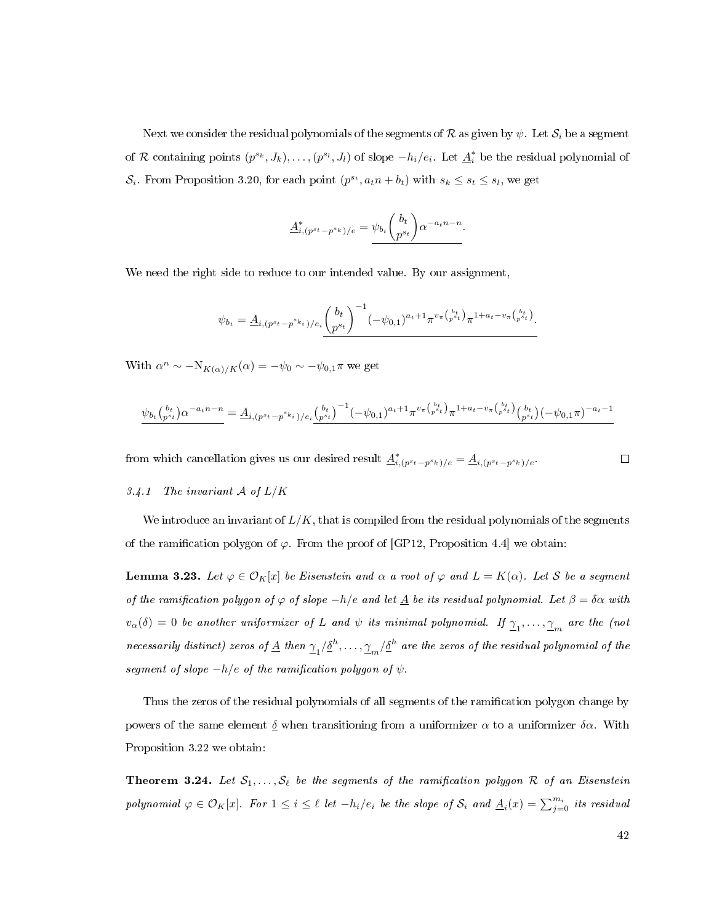Next we consider the residual polynomials of the segments of R as given by  $\psi$ . Let  $S_i$  be a segment of R containing points  $(p^{s_k}, J_k), \ldots, (p^{s_l}, J_l)$  of slope  $-h_i/e_i$ . Let  $\underline{A}_i^*$  be the residual polynomial of  $S_i$ . From Proposition [3.20,](#page-47-0) for each point  $(p^{s_t}, a_t n + b_t)$  with  $s_k \leq s_t \leq s_l$ , we get

$$
\underline{A}_{i,(p^{s_t}-p^{s_k})/e}^* = \underline{\psi_{b_t} \binom{b_t}{p^{s_t}} \alpha^{-a_t n - n}}.
$$

We need the right side to reduce to our intended value. By our assignment,

$$
\psi_{b_t} = \underline{A}_{i,(p^{st}-p^{s_{k_i}})/e_i} \binom{b_t}{p^{s_t}}^{-1} (-\psi_{0,1})^{a_t+1} \pi^{v_{\pi} \binom{b_t}{p^{s_t}} } \pi^{1+a_t-v_{\pi} \binom{b_t}{p^{s_t}}}.
$$

With  $\alpha^n \sim -N_{K(\alpha)/K}(\alpha) = -\psi_0 \sim -\psi_{0,1}\pi$  we get

$$
\psi_{b_t} \left( \begin{matrix} b_t \\ p^{st} \end{matrix} \right) \alpha^{-a_t n - n} = \underline{A}_{i, (p^{st} - p^{st} i) / e_i} \underline{\left( \begin{matrix} b_t \\ p^{st} \end{matrix} \right)^{-1} (-\psi_{0,1})^{a_t + 1} \pi^{v_\pi \left( \begin{matrix} b_t \\ p^{st} \end{matrix} \right)} \pi^{1 + a_t - v_\pi \left( \begin{matrix} b_t \\ p^{st} \end{matrix} \right)} \underline{\left( \begin{matrix} b_t \\ p^{st} \end{matrix} \right)} (-\psi_{0,1} \pi)^{-a_t - 1}
$$

from which cancellation gives us our desired result  $\underline{A}^*_{i,(p^{st}-p^{sk})/e} = \underline{A}_{i,(p^{st}-p^{sk})/e}$ .

#### 3.4.1 The invariant  $A$  of  $L/K$

We introduce an invariant of  $L/K$ , that is compiled from the residual polynomials of the segments of the ramification polygon of  $\varphi$ . From the proof of [\[GP12,](#page-112-4) Proposition 4.4] we obtain:

**Lemma 3.23.** Let  $\varphi \in \mathcal{O}_K[x]$  be Eisenstein and  $\alpha$  a root of  $\varphi$  and  $L = K(\alpha)$ . Let S be a segment of the ramification polygon of  $\varphi$  of slope  $-h/e$  and let  $\underline{A}$  be its residual polynomial. Let  $\beta = \delta \alpha$  with  $v_\alpha(\delta)=0$  be another uniformizer of  $L$  and  $\psi$  its minimal polynomial. If  $\underline{\gamma}_1,\ldots,\underline{\gamma}_m$  are the (not necessarily distinct) zeros of  $\underline{A}$  then  $\gamma_1/\underline{\delta}^h,\ldots,\gamma_m/\underline{\delta}^h$  are the zeros of the residual polynomial of the segment of slope  $-h/e$  of the ramification polygon of  $\psi$ .

Thus the zeros of the residual polynomials of all segments of the ramication polygon change by powers of the same element  $\delta$  when transitioning from a uniformizer  $\alpha$  to a uniformizer  $\delta \alpha$ . With Proposition [3.22](#page-47-1) we obtain:

<span id="page-50-0"></span>**Theorem 3.24.** Let  $S_1, \ldots, S_\ell$  be the segments of the ramification polygon R of an Eisenstein polynomial  $\varphi \in \mathcal{O}_K[x]$ . For  $1 \leq i \leq \ell$  let  $-h_i/e_i$  be the slope of  $\mathcal{S}_i$  and  $\underline{A}_i(x) = \sum_{j=0}^{m_i}$  its residual

 $\Box$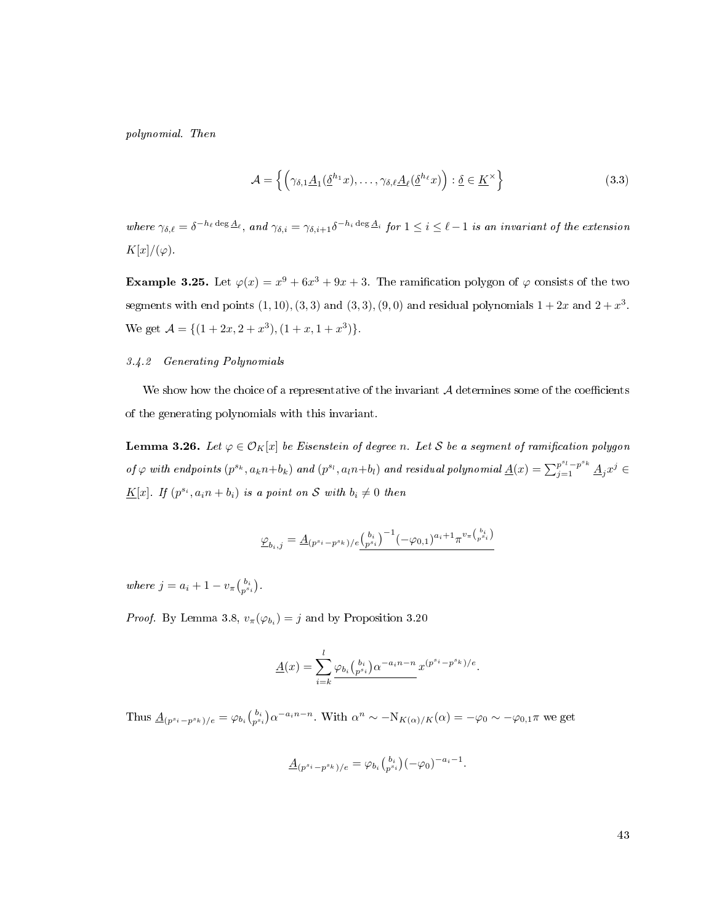polynomial. Then

<span id="page-51-2"></span>
$$
\mathcal{A} = \left\{ \left( \gamma_{\delta,1} \underline{A}_1(\underline{\delta}^{h_1} x), \dots, \gamma_{\delta,\ell} \underline{A}_\ell(\underline{\delta}^{h_\ell} x) \right) : \underline{\delta} \in \underline{K}^\times \right\} \tag{3.3}
$$

where  $\gamma_{\delta,\ell} = \delta^{-h_\ell \deg \Delta_\ell}, \text{ and } \gamma_{\delta,i} = \gamma_{\delta,i+1} \delta^{-h_i \deg \Delta_i} \text{ for } 1 \leq i \leq \ell-1 \text{ is an invariant of the extension } \delta$  $K[x]/(\varphi)$ .

<span id="page-51-0"></span>**Example 3.25.** Let  $\varphi(x) = x^9 + 6x^3 + 9x + 3$ . The ramification polygon of  $\varphi$  consists of the two segments with end points  $(1, 10), (3, 3)$  and  $(3, 3), (9, 0)$  and residual polynomials  $1 + 2x$  and  $2 + x<sup>3</sup>$ . We get  $\mathcal{A} = \{ (1 + 2x, 2 + x^3), (1 + x, 1 + x^3) \}.$ 

## 3.4.2 Generating Polynomials

We show how the choice of a representative of the invariant  $A$  determines some of the coefficients of the generating polynomials with this invariant.

<span id="page-51-1"></span>**Lemma 3.26.** Let  $\varphi \in \mathcal{O}_K[x]$  be Eisenstein of degree n. Let S be a segment of ramification polygon of  $\varphi$  with endpoints  $(p^{s_k}, a_k n+b_k)$  and  $(p^{s_l}, a_l n+b_l)$  and residual polynomial  $\underline{A}(x) = \sum_{j=1}^{p^{s_l}-p^{s_k}} \underline{A}_j x^j \in$  $\underline{K}[x]$ . If  $(p^{s_i}, a_i n + b_i)$  is a point on S with  $b_i \neq 0$  then

$$
\underline{\varphi}_{b_i,j} = \underline{A}_{(p^{s_i}-p^{s_k})/e} \underline{\binom{b_i}{p^{s_i}}}^{-1} (-\varphi_{0,1})^{a_i+1} \pi^{v_{\pi}\binom{b_i}{p^{s_i}}}
$$

where  $j = a_i + 1 - v_{\pi} {b_i \choose p^{s_i}}$ .

*Proof.* By Lemma [3.8,](#page-33-0)  $v_{\pi}(\varphi_{b_i}) = j$  and by Proposition [3.20](#page-47-0)

$$
\underline{A}(x) = \sum_{i=k}^{l} \frac{\varphi_{b_i} {b_i \choose p^{s_i}} \alpha^{-a_i n - n}}{x^{(p^{s_i} - p^{s_k})/e}}.
$$

Thus  $\underline{A}_{(p^{s_i}-p^{s_k})/e} = \varphi_{b_i} {b_i \choose p^{s_i}} \alpha^{-a_i n - n}$ . With  $\alpha^n \sim -N_{K(\alpha)/K}(\alpha) = -\varphi_0 \sim -\varphi_{0,1} \pi$  we get

$$
\underline{A}_{(p^{s_i}-p^{s_k})/e} = \varphi_{b_i} {b_i \choose p^{s_i}} (-\varphi_0)^{-a_i-1}.
$$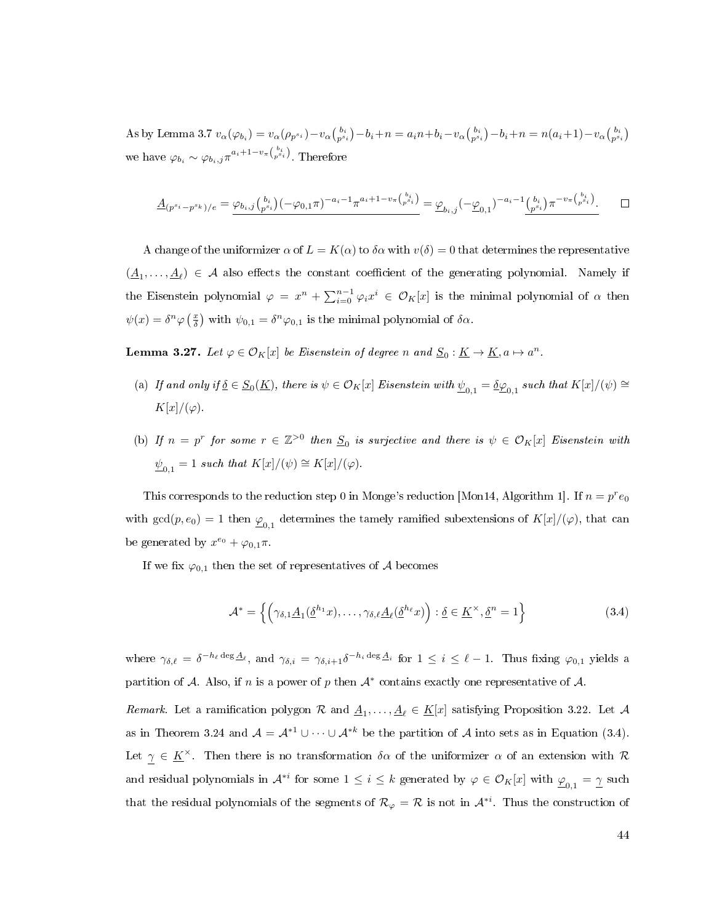As by Lemma [3.7](#page-32-0)  $v_{\alpha}(\varphi_{b_i}) = v_{\alpha}(\rho_{p^{s_i}}) - v_{\alpha}(\frac{b_i}{p^{s_i}}) - b_i + n = a_i n + b_i - v_{\alpha}(\frac{b_i}{p^{s_i}}) - b_i + n = n(a_i + 1) - v_{\alpha}(\frac{b_i}{p^{s_i}})$ we have  $\varphi_{b_i} \sim \varphi_{b_i,j} \pi^{a_i+1-v_\pi\binom{b_i}{p^{s_i}}}$ . Therefore

$$
\underline{A}_{(p^{s_i}-p^{s_k})/e} = \underline{\varphi_{b_i,j} \binom{b_i}{p^{s_i}}} (-\varphi_{0,1} \pi)^{-a_i-1} \pi^{a_i+1-v_{\pi} \binom{b_i}{p^{s_i}}} = \underline{\varphi}_{b_i,j} (-\underline{\varphi}_{0,1})^{-a_i-1} \underline{\binom{b_i}{p^{s_i}}} \pi^{-v_{\pi} \binom{b_i}{p^{s_i}}}.
$$

A change of the uniformizer  $\alpha$  of  $L = K(\alpha)$  to  $\delta \alpha$  with  $v(\delta) = 0$  that determines the representative  $(\underline{A}_1,\ldots,\underline{A}_\ell) \in \mathcal{A}$  also effects the constant coefficient of the generating polynomial. Namely if the Eisenstein polynomial  $\varphi = x^n + \sum_{i=0}^{n-1} \varphi_i x^i \in \mathcal{O}_K[x]$  is the minimal polynomial of  $\alpha$  then  $\psi(x) = \delta^n \varphi(\frac{x}{\delta})$  with  $\psi_{0,1} = \delta^n \varphi_{0,1}$  is the minimal polynomial of  $\delta \alpha$ .

<span id="page-52-1"></span>**Lemma 3.27.** Let  $\varphi \in \mathcal{O}_K[x]$  be Eisenstein of degree n and  $\underline{S}_0 : \underline{K} \to \underline{K}$ ,  $a \mapsto a^n$ .

- (a) If and only if  $\underline{\delta} \in \underline{S}_0(\underline{K})$ , there is  $\psi \in \mathcal{O}_K[x]$  Eisenstein with  $\underline{\psi}_{0,1} = \underline{\delta} \underline{\varphi}_{0,1}$  such that  $K[x]/(\psi) \cong$  $K[x]/(\varphi)$ .
- (b) If  $n = p^r$  for some  $r \in \mathbb{Z}^{>0}$  then  $S_0$  is surjective and there is  $\psi \in \mathcal{O}_K[x]$  Eisenstein with  $\underline{\psi}_{0,1} = 1$  such that  $K[x]/(\psi) \cong K[x]/(\varphi)$ .

This corresponds to the reduction step 0 in Monge's reduction [\[Mon14,](#page-113-5) Algorithm 1]. If  $n = p^r e_0$ with  $gcd(p, e_0) = 1$  then  $\underline{\varphi}_{0,1}$  determines the tamely ramified subextensions of  $K[x]/(\varphi)$ , that can be generated by  $x^{e_0} + \varphi_{0,1}\pi$ .

If we fix  $\varphi_{0,1}$  then the set of representatives of A becomes

<span id="page-52-0"></span>
$$
\mathcal{A}^* = \left\{ \left( \gamma_{\delta,1} \underline{A}_1(\underline{\delta}^{h_1} x), \dots, \gamma_{\delta,\ell} \underline{A}_\ell(\underline{\delta}^{h_\ell} x) \right) : \underline{\delta} \in \underline{K}^\times, \underline{\delta}^n = 1 \right\}
$$
 (3.4)

where  $\gamma_{\delta,\ell} = \delta^{-h_\ell \deg \underline{A}_\ell}$ , and  $\gamma_{\delta,i} = \gamma_{\delta,i+1} \delta^{-h_i \deg \underline{A}_i}$  for  $1 \leq i \leq \ell - 1$ . Thus fixing  $\varphi_{0,1}$  yields a partition of A. Also, if n is a power of p then  $A^*$  contains exactly one representative of A.

Remark. Let a ramification polygon R and  $\underline{A}_1, \ldots, \underline{A}_\ell \in \underline{K}[x]$  satisfying Proposition [3.22.](#page-47-1) Let A as in Theorem [3.24](#page-50-0) and  $\mathcal{A} = \mathcal{A}^{*1} \cup \cdots \cup \mathcal{A}^{*k}$  be the partition of  $\mathcal{A}$  into sets as in Equation [\(3.4\)](#page-52-0). Let  $\gamma \in \underline{K}^{\times}$ . Then there is no transformation  $\delta \alpha$  of the uniformizer  $\alpha$  of an extension with  $\mathcal R$ and residual polynomials in  $\mathcal{A}^{*i}$  for some  $1\leq i\leq k$  generated by  $\varphi\in\mathcal{O}_K[x]$  with  $\underline{\varphi}_{0,1}=\underline{\gamma}$  such that the residual polynomials of the segments of  $\mathcal{R}_{\varphi} = \mathcal{R}$  is not in  $\mathcal{A}^{*i}$ . Thus the construction of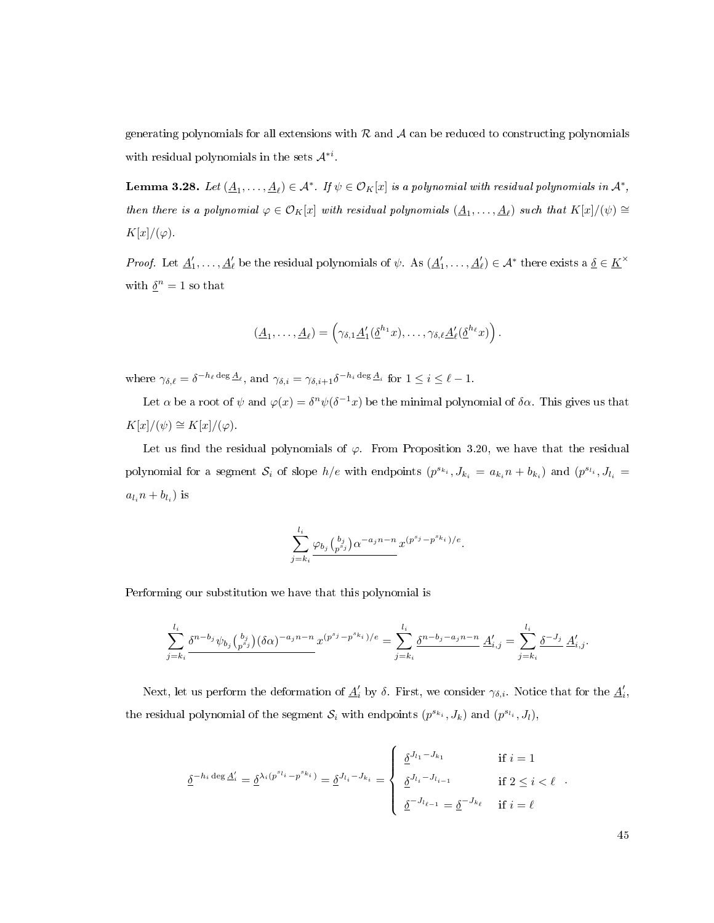generating polynomials for all extensions with  $R$  and  $A$  can be reduced to constructing polynomials with residual polynomials in the sets  $\mathcal{A}^{*i}$ .

**Lemma 3.28.** Let  $(\underline{A}_1,\ldots,\underline{A}_\ell) \in \mathcal{A}^*$ . If  $\psi \in \mathcal{O}_K[x]$  is a polynomial with residual polynomials in  $\mathcal{A}^*$ , then there is a polynomial  $\varphi \in \mathcal{O}_K[x]$  with residual polynomials  $(\underline{A}_1,\ldots,\underline{A}_\ell)$  such that  $K[x]/(\psi) \cong \mathcal{O}_K[x]$  $K[x]/(\varphi)$ .

*Proof.* Let  $\underline{A}'_1,\ldots,\underline{A}'_\ell$  be the residual polynomials of  $\psi$ . As  $(\underline{A}'_1,\ldots,\underline{A}'_\ell)\in \mathcal{A}^*$  there exists a  $\underline{\delta}\in \underline{K}^\times$ with  $\underline{\delta}^n = 1$  so that

$$
(\underline{A}_1,\ldots,\underline{A}_\ell)=\left(\gamma_{\delta,1}\underline{A}_1'(\underline{\delta}^{h_1}x),\ldots,\gamma_{\delta,\ell}\underline{A}_\ell'(\underline{\delta}^{h_\ell}x)\right).
$$

where  $\gamma_{\delta,\ell} = \delta^{-h_{\ell} \deg \underline{A}_{\ell}}$ , and  $\gamma_{\delta,i} = \gamma_{\delta,i+1} \delta^{-h_i \deg \underline{A}_i}$  for  $1 \leq i \leq \ell - 1$ .

Let  $\alpha$  be a root of  $\psi$  and  $\varphi(x) = \delta^n \psi(\delta^{-1} x)$  be the minimal polynomial of  $\delta \alpha$ . This gives us that  $K[x]/(\psi) \cong K[x]/(\varphi).$ 

Let us find the residual polynomials of  $\varphi$ . From Proposition [3.20,](#page-47-0) we have that the residual polynomial for a segment  $S_i$  of slope  $h/e$  with endpoints  $(p^{s_{k_i}}, J_{k_i} = a_{k_i}n + b_{k_i})$  and  $(p^{s_{l_i}}, J_{l_i} = a_{k_i}n + b_{k_i})$  $a_{l_i}n + b_{l_i}$ ) is

$$
\sum_{j=k_i}^{l_i} \frac{\varphi_{b_j} {b_j \choose p^{s_j}} \alpha^{-a_j n - n}}{x^{p^{s_j} - p^{s_{k_i}})/e}}.
$$

Performing our substitution we have that this polynomial is

$$
\sum_{j=k_i}^{l_i} \frac{\delta^{n-b_j} \psi_{b_j} {b_j \choose p^{s_j}} (\delta \alpha)^{-a_j n-n}}{x^{(p^{s_j}-p^{s_{k_i}})/e}} = \sum_{j=k_i}^{l_i} \frac{\delta^{n-b_j - a_j n-n}}{\delta!} \underline{A}'_{i,j} = \sum_{j=k_i}^{l_i} \frac{\delta^{-J_j} A'_{i,j}}{\delta!}.
$$

Next, let us perform the deformation of  $\underline{A}'_i$  by  $\delta$ . First, we consider  $\gamma_{\delta,i}$ . Notice that for the  $\underline{A}'_i$ , the residual polynomial of the segment  $\mathcal{S}_i$  with endpoints  $(p^{s_{k_i}}, J_k)$  and  $(p^{s_{l_i}}, J_l)$ ,

$$
\underline{\delta}^{-h_i \deg \underline{A}'_i} = \underline{\delta}^{\lambda_i (p^{s_{l_i}} - p^{s_{k_i}})} = \underline{\delta}^{J_{l_i} - J_{k_i}} = \begin{cases} \underline{\delta}^{J_{l_1} - J_{k_1}} & \text{if } i = 1\\ \underline{\delta}^{J_{l_i} - J_{l_{i-1}}} & \text{if } 2 \le i < \ell\\ \underline{\delta}^{-J_{l_{\ell-1}}} = \underline{\delta}^{-J_{k_{\ell}}} & \text{if } i = \ell \end{cases}
$$

45

.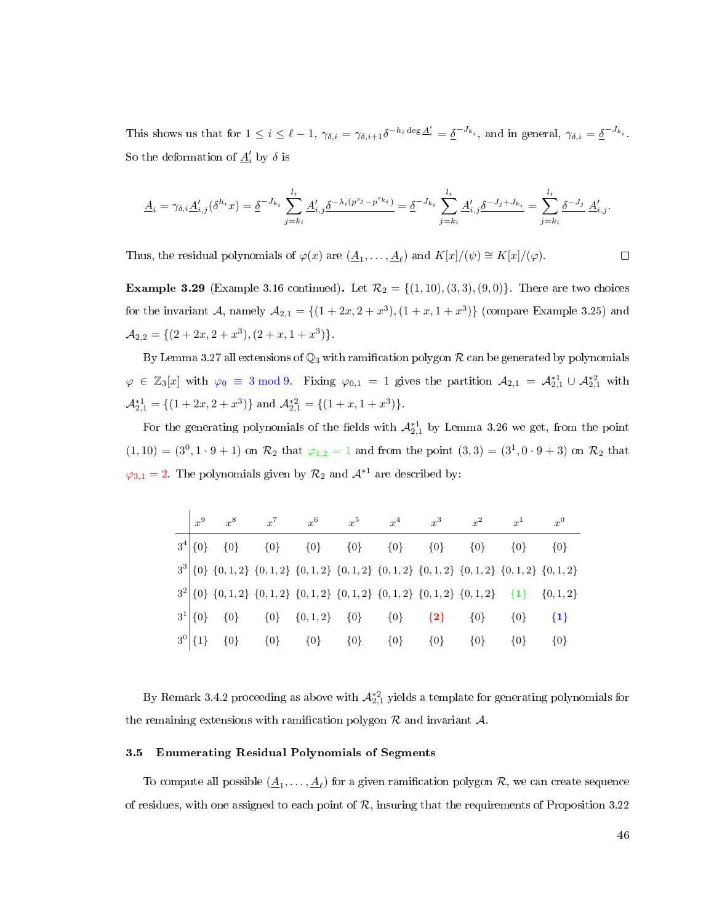This shows us that for  $1 \leq i \leq \ell - 1$ ,  $\gamma_{\delta,i} = \gamma_{\delta,i+1} \delta^{-h_i \deg \Delta'_i} = \underline{\delta}^{-J_{k_i}}$ , and in general,  $\gamma_{\delta,i} = \underline{\delta}^{-J_{k_i}}$ . So the deformation of  $\underline{A}'_i$  by  $\delta$  is

$$
\underline{A}_{i} = \gamma_{\delta,i} \underline{A}'_{i,j}(\delta^{h_i} x) = \underline{\delta}^{-J_{k_i}} \sum_{j=k_i}^{l_i} \underline{A}'_{i,j} \underline{\delta}^{-\lambda_i (p^{s_j} - p^{s_{k_i}})} = \underline{\delta}^{-J_{k_i}} \sum_{j=k_i}^{l_i} \underline{A}'_{i,j} \underline{\delta}^{-J_j + J_{k_i}} = \sum_{j=k_i}^{l_i} \underline{\delta}^{-J_j} \underline{A}'_{i,j}.
$$

Thus, the residual polynomials of  $\varphi(x)$  are  $(\underline{A}_1, \ldots, \underline{A}_\ell)$  and  $K[x]/(\psi) \cong K[x]/(\varphi)$ .

**Example 3.29** (Example [3.16](#page-41-1) continued). Let  $\mathcal{R}_2 = \{(1, 10), (3, 3), (9, 0)\}$ . There are two choices for the invariant A, namely  $A_{2,1} = \{(1 + 2x, 2 + x^3), (1 + x, 1 + x^3)\}$  (compare Example [3.25\)](#page-51-0) and  $\mathcal{A}_{2,2} = \{ (2+2x, 2+x^3), (2+x, 1+x^3) \}.$ 

By Lemma [3.27](#page-52-1) all extensions of  $\mathbb{Q}_3$  with ramification polygon  $\mathcal R$  can be generated by polynomials  $\varphi \in \mathbb{Z}_3[x]$  with  $\varphi_0 \equiv 3 \mod 9$ . Fixing  $\varphi_{0,1} = 1$  gives the partition  $\mathcal{A}_{2,1} = \mathcal{A}_{2,1}^{*1} \cup \mathcal{A}_{2,1}^{*2}$  with  $\mathcal{A}_{2,1}^{*1} = \{ (1+2x, 2+x^3) \}$  and  $\mathcal{A}_{2,1}^{*2} = \{ (1+x, 1+x^3) \}$ .

For the generating polynomials of the fields with  $\mathcal{A}_{2,1}^{*1}$  by Lemma [3.26](#page-51-1) we get, from the point  $(1,10) = (3^0, 1 \cdot 9 + 1)$  on  $\mathcal{R}_2$  that  $\varphi_{1,2} = 1$  and from the point  $(3,3) = (3^1, 0 \cdot 9 + 3)$  on  $\mathcal{R}_2$  that  $\varphi_{3,1} = 2$ . The polynomials given by  $\mathcal{R}_2$  and  $\mathcal{A}^{*1}$  are described by:

|                | $x^9$        | $x^8$   | $x^7$   | $x^6$               | $x^5$                                                                                               | $x^4$   | $r^3$   | $x^2$   | $x^1$   | $x^0$   |
|----------------|--------------|---------|---------|---------------------|-----------------------------------------------------------------------------------------------------|---------|---------|---------|---------|---------|
| 3 <sup>4</sup> | $\{0\}$      | $\{0\}$ | $\{0\}$ | ${0}$               | $\{0\}$                                                                                             | $\{0\}$ | $\{0\}$ | $\{0\}$ | $\{0\}$ | $\{0\}$ |
|                |              |         |         |                     | $3^3$ {0} {0, 1, 2} {0, 1, 2} {0, 1, 2} {0, 1, 2} {0, 1, 2} {0, 1, 2} {0, 1, 2} {0, 1, 2} {0, 1, 2} |         |         |         |         |         |
|                |              |         |         |                     | $3^{2}[0] \{0,1,2\} \{0,1,2\} \{0,1,2\} \{0,1,2\} \{0,1,2\} \{0,1,2\} \{0,1,2\} \{1\} \{0,1,2\}$    |         |         |         |         |         |
|                | $3^1  \{0\}$ | $\{0\}$ | ${0}$   | $\{0,1,2\}$ $\{0\}$ |                                                                                                     | $\{0\}$ | $\{2\}$ | $\{0\}$ | $\{0\}$ | $\{1\}$ |
|                | $3^0$ {1}    | $\{0\}$ | $\{0\}$ | $\{0\}$             | $\{0\}$                                                                                             | $\{0\}$ | $\{0\}$ | $\{0\}$ | $\{0\}$ | $\{0\}$ |

By Remark [3.4.2](#page-52-0) proceeding as above with  $\mathcal{A}_{2,1}^{*2}$  yields a template for generating polynomials for the remaining extensions with ramification polygon  $R$  and invariant  $A$ .

### 3.5 Enumerating Residual Polynomials of Segments

To compute all possible  $(\underline{A}_1,\ldots,\underline{A}_\ell)$  for a given ramification polygon  $\mathcal R,$  we can create sequence of residues, with one assigned to each point of  $R$ , insuring that the requirements of Proposition [3.22](#page-47-1)

 $\Box$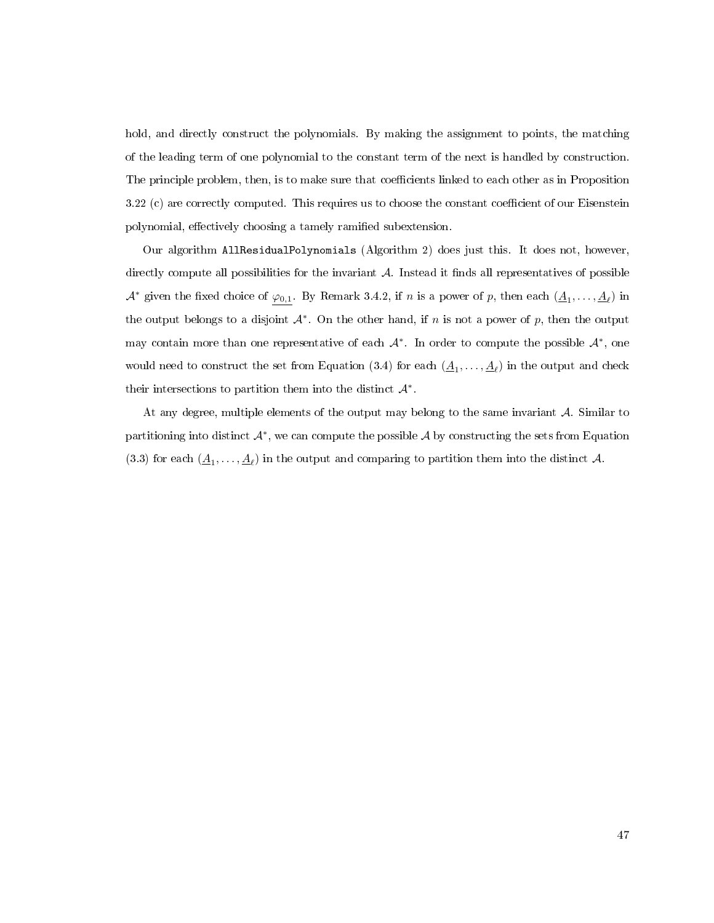hold, and directly construct the polynomials. By making the assignment to points, the matching of the leading term of one polynomial to the constant term of the next is handled by construction. The principle problem, then, is to make sure that coefficients linked to each other as in Proposition [3.22](#page-47-1) (c) are correctly computed. This requires us to choose the constant coefficient of our Eisenstein polynomial, effectively choosing a tamely ramified subextension.

Our algorithm AllResidualPolynomials (Algorithm [2\)](#page-56-0) does just this. It does not, however, directly compute all possibilities for the invariant  $\mathcal A$ . Instead it finds all representatives of possible  $\mathcal{A}^*$  given the fixed choice of  $\varphi_{0,1}$ . By Remark [3.4.2,](#page-52-0) if n is a power of p, then each  $(\underline{A}_1,\ldots,\underline{A}_\ell)$  in the output belongs to a disjoint  $\mathcal{A}^*$ . On the other hand, if n is not a power of p, then the output may contain more than one representative of each  $\mathcal{A}^*$ . In order to compute the possible  $\mathcal{A}^*$ , one would need to construct the set from Equation [\(3.4\)](#page-52-0) for each  $(\underline{A}_1, \ldots, \underline{A}_\ell)$  in the output and check their intersections to partition them into the distinct  $\mathcal{A}^*$ .

At any degree, multiple elements of the output may belong to the same invariant  $\mathcal{A}$ . Similar to partitioning into distinct  $\mathcal{A}^*$ , we can compute the possible  $\mathcal{A}$  by constructing the sets from Equation [\(3.3\)](#page-51-2) for each  $(\underline{A}_1,\ldots,\underline{A}_\ell)$  in the output and comparing to partition them into the distinct A.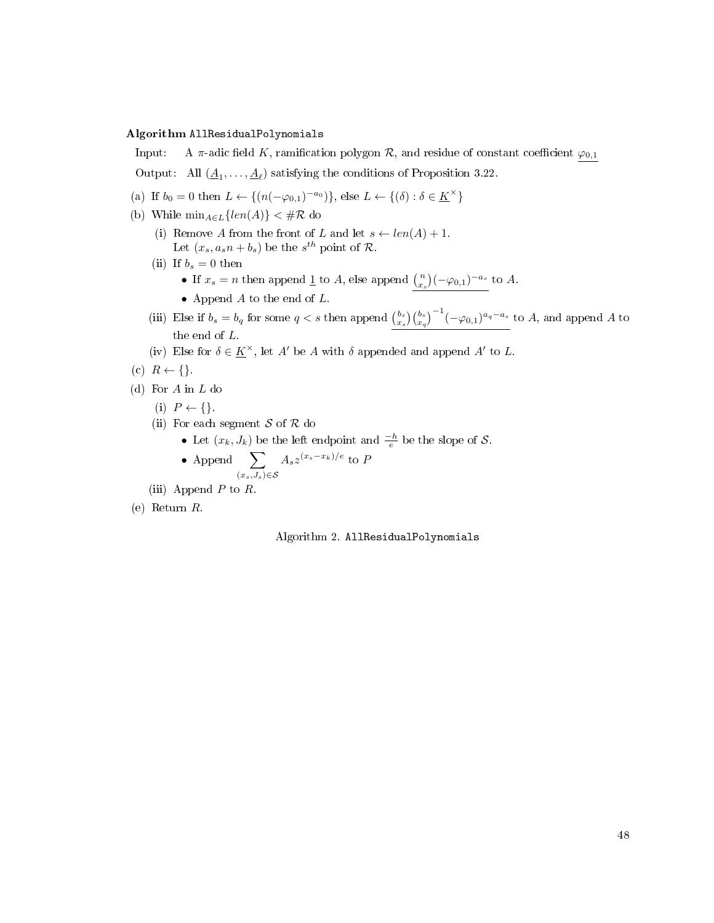## <span id="page-56-0"></span>Algorithm AllResidualPolynomials

Input: A  $\pi$ -adic field K, ramification polygon R, and residue of constant coefficient  $\varphi_{0,1}$ Output: All  $(\underline{A}_1, \ldots, \underline{A}_\ell)$  satisfying the conditions of Proposition [3.22.](#page-47-1)

- (a) If  $b_0 = 0$  then  $L \leftarrow \{(n(-\varphi_{0,1})^{-a_0})\}$ , else  $L \leftarrow \{(\delta) : \delta \in \underline{K}^{\times}\}$
- (b) While  $\min_{A \in L} \{ len(A) \} < \#R$  do
	- (i) Remove A from the front of L and let  $s \leftarrow len(A) + 1$ . Let  $(x_s, a_s n + b_s)$  be the  $s^{th}$  point of  $\mathcal{R}$ .
	- (ii) If  $b_s = 0$  then
		- If  $x_s = n$  then append  $\underline{1}$  to A, else append  $\binom{n}{x_s}(-\varphi_{0,1})^{-a_s}$  to A.
		- Append  $A$  to the end of  $L$ .
	- (iii) Else if  $b_s = b_q$  for some  $q < s$  then append  ${b_s \choose x_s}{b_s \choose x_q}^{-1}(-\varphi_{0,1})^{a_q-a_s}$  to A, and append A to the end of L.
	- (iv) Else for  $\delta \in \underline{K}^{\times}$ , let A' be A with  $\delta$  appended and append A' to L.
- (c)  $R \leftarrow \{\}.$
- (d) For A in L do
	- (i)  $P \leftarrow \{\}.$
	- (ii) For each segment  $S$  of  $R$  do
		- Let  $(x_k, J_k)$  be the left endpoint and  $\frac{-h}{e}$  be the slope of  $\mathcal{S}$ .
		- Append  $\sum$  $(x_s,J_s) \in \mathcal{S}$  $A_s z^{(x_s-x_k)/e}$  to P
	- (iii) Append  $P$  to  $R$ .
- (e) Return R.

Algorithm 2. AllResidualPolynomials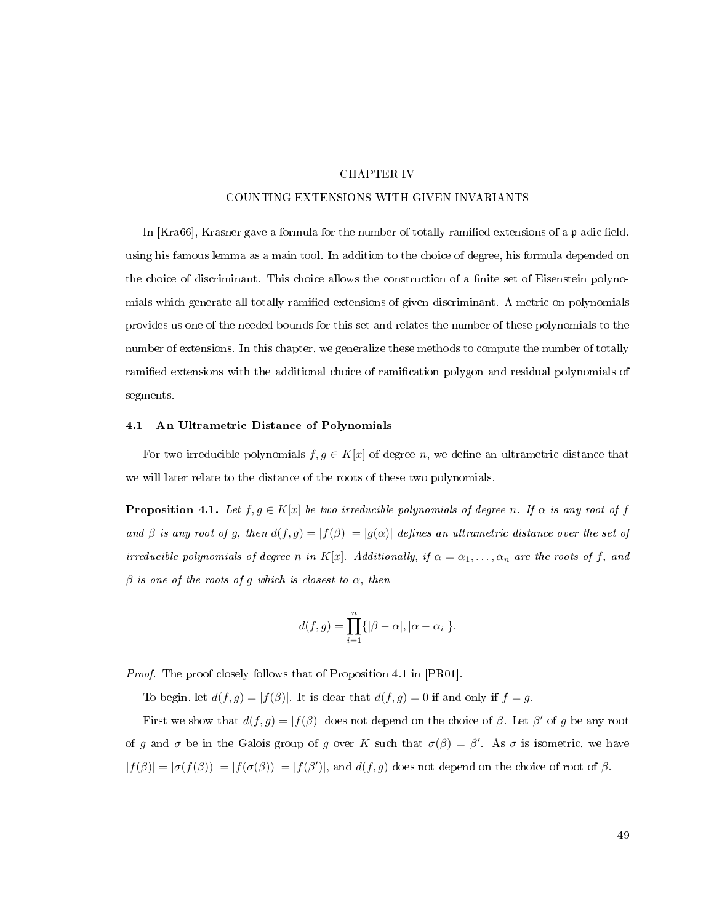### CHAPTER IV

### COUNTING EXTENSIONS WITH GIVEN INVARIANTS

<span id="page-57-1"></span>In  $[Kra66]$ , Krasner gave a formula for the number of totally ramified extensions of a  $p$ -adic field, using his famous lemma as a main tool. In addition to the choice of degree, his formula depended on the choice of discriminant. This choice allows the construction of a finite set of Eisenstein polynomials which generate all totally ramified extensions of given discriminant. A metric on polynomials provides us one of the needed bounds for this set and relates the number of these polynomials to the number of extensions. In this chapter, we generalize these methods to compute the number of totally ramied extensions with the additional choice of ramication polygon and residual polynomials of segments.

## 4.1 An Ultrametric Distance of Polynomials

For two irreducible polynomials  $f, g \in K[x]$  of degree n, we define an ultrametric distance that we will later relate to the distance of the roots of these two polynomials.

<span id="page-57-0"></span>**Proposition 4.1.** Let  $f, g \in K[x]$  be two irreducible polynomials of degree n. If  $\alpha$  is any root of f and  $\beta$  is any root of g, then  $d(f, g) = |f(\beta)| = |g(\alpha)|$  defines an ultrametric distance over the set of irreducible polynomials of degree n in K[x]. Additionally, if  $\alpha = \alpha_1, \ldots, \alpha_n$  are the roots of f, and  $\beta$  is one of the roots of g which is closest to  $\alpha$ , then

$$
d(f,g) = \prod_{i=1}^{n} \{ |\beta - \alpha|, |\alpha - \alpha_i| \}.
$$

Proof. The proof closely follows that of Proposition 4.1 in [\[PR01\]](#page-114-2).

To begin, let  $d(f, g) = |f(\beta)|$ . It is clear that  $d(f, g) = 0$  if and only if  $f = g$ .

First we show that  $d(f,g) = |f(\beta)|$  does not depend on the choice of  $\beta$ . Let  $\beta'$  of g be any root of g and  $\sigma$  be in the Galois group of g over K such that  $\sigma(\beta) = \beta'$ . As  $\sigma$  is isometric, we have  $|f(\beta)| = |\sigma(f(\beta))| = |f(\sigma(\beta))| = |f(\beta')|$ , and  $d(f,g)$  does not depend on the choice of root of  $\beta$ .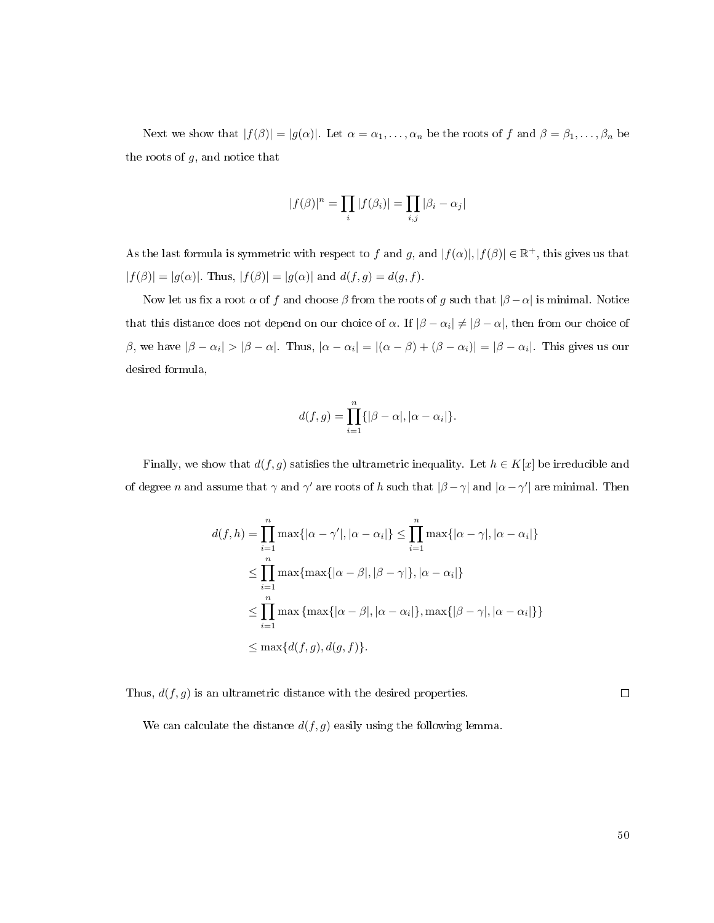Next we show that  $|f(\beta)| = |g(\alpha)|$ . Let  $\alpha = \alpha_1, \ldots, \alpha_n$  be the roots of f and  $\beta = \beta_1, \ldots, \beta_n$  be the roots of  $g$ , and notice that

$$
|f(\beta)|^n = \prod_i |f(\beta_i)| = \prod_{i,j} |\beta_i - \alpha_j|
$$

As the last formula is symmetric with respect to f and g, and  $|f(\alpha)|, |f(\beta)| \in \mathbb{R}^+$ , this gives us that  $|f(\beta)| = |g(\alpha)|$ . Thus,  $|f(\beta)| = |g(\alpha)|$  and  $d(f, g) = d(g, f)$ .

Now let us fix a root  $\alpha$  of f and choose  $\beta$  from the roots of g such that  $|\beta - \alpha|$  is minimal. Notice that this distance does not depend on our choice of  $\alpha$ . If  $|\beta-\alpha_i|\neq |\beta-\alpha|,$  then from our choice of β, we have  $|\beta - \alpha_i| > |\beta - \alpha|$ . Thus,  $|\alpha - \alpha_i| = |(\alpha - \beta) + (\beta - \alpha_i)| = |\beta - \alpha_i|$ . This gives us our desired formula,

$$
d(f,g) = \prod_{i=1}^{n} \{ |\beta - \alpha|, |\alpha - \alpha_i| \}.
$$

Finally, we show that  $d(f, g)$  satisfies the ultrametric inequality. Let  $h \in K[x]$  be irreducible and of degree n and assume that  $\gamma$  and  $\gamma'$  are roots of h such that  $|\beta-\gamma|$  and  $|\alpha-\gamma'|$  are minimal. Then

$$
d(f, h) = \prod_{i=1}^{n} \max\{|\alpha - \gamma'|, |\alpha - \alpha_i|\} \le \prod_{i=1}^{n} \max\{|\alpha - \gamma|, |\alpha - \alpha_i|\}
$$
  
\n
$$
\le \prod_{i=1}^{n} \max\{\max\{|\alpha - \beta|, |\beta - \gamma|\}, |\alpha - \alpha_i|\}
$$
  
\n
$$
\le \prod_{i=1}^{n} \max\{\max\{|\alpha - \beta|, |\alpha - \alpha_i|\}, \max\{|\beta - \gamma|, |\alpha - \alpha_i|\}\}
$$
  
\n
$$
\le \max\{d(f, g), d(g, f)\}.
$$

Thus,  $d(f, g)$  is an ultrametric distance with the desired properties.

 $\Box$ 

We can calculate the distance  $d(f, g)$  easily using the following lemma.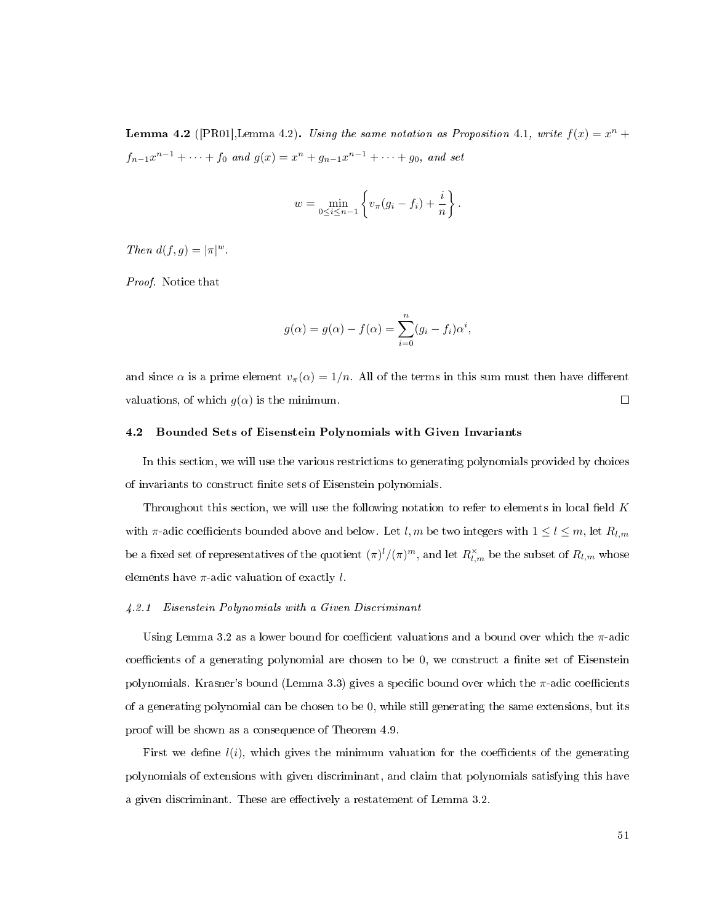<span id="page-59-0"></span>**Lemma 4.2** ([\[PR01\]](#page-114-2), Lemma 4.2). Using the same notation as Proposition [4.1,](#page-57-0) write  $f(x) = x^n +$  $f_{n-1}x^{n-1} + \cdots + f_0$  and  $g(x) = x^n + g_{n-1}x^{n-1} + \cdots + g_0$ , and set

$$
w = \min_{0 \le i \le n-1} \left\{ v_{\pi}(g_i - f_i) + \frac{i}{n} \right\}.
$$

Then  $d(f,g) = |\pi|^w$ .

Proof. Notice that

$$
g(\alpha) = g(\alpha) - f(\alpha) = \sum_{i=0}^{n} (g_i - f_i)\alpha^i,
$$

and since  $\alpha$  is a prime element  $v_{\pi}(\alpha) = 1/n$ . All of the terms in this sum must then have different valuations, of which  $q(\alpha)$  is the minimum.  $\Box$ 

## 4.2 Bounded Sets of Eisenstein Polynomials with Given Invariants

In this section, we will use the various restrictions to generating polynomials provided by choices of invariants to construct finite sets of Eisenstein polynomials.

Throughout this section, we will use the following notation to refer to elements in local field  $K$ with  $\pi$ -adic coefficients bounded above and below. Let l, m be two integers with  $1 \leq l \leq m$ , let  $R_{l,m}$ be a fixed set of representatives of the quotient  $(\pi)^l/(\pi)^m$ , and let  $R^{\times}_{l,m}$  be the subset of  $R_{l,m}$  whose elements have  $\pi$ -adic valuation of exactly l.

#### 4.2.1 Eisenstein Polynomials with a Given Discriminant

Using Lemma [3.2](#page-29-0) as a lower bound for coefficient valuations and a bound over which the  $\pi$ -adic coefficients of a generating polynomial are chosen to be  $0$ , we construct a finite set of Eisenstein polynomials. Krasner's bound (Lemma [3.3\)](#page-30-1) gives a specific bound over which the  $\pi$ -adic coefficients of a generating polynomial can be chosen to be 0, while still generating the same extensions, but its proof will be shown as a consequence of Theorem [4.9.](#page-62-0)

First we define  $l(i)$ , which gives the minimum valuation for the coefficients of the generating polynomials of extensions with given discriminant, and claim that polynomials satisfying this have a given discriminant. These are effectively a restatement of Lemma [3.2.](#page-29-0)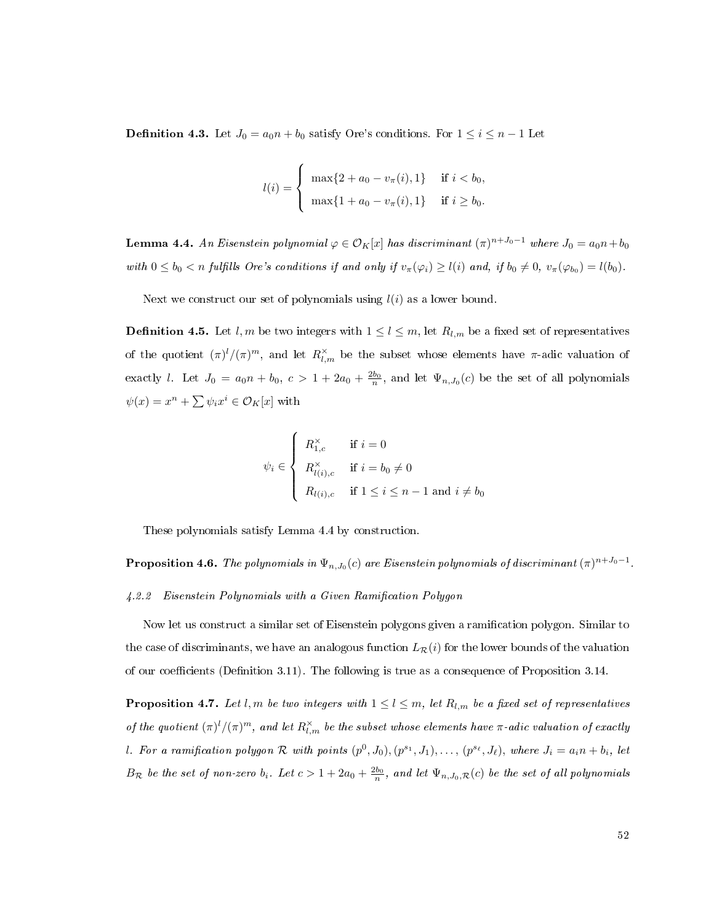**Definition 4.3.** Let  $J_0 = a_0 n + b_0$  satisfy Ore's conditions. For  $1 \le i \le n - 1$  Let

$$
l(i) = \begin{cases} \max\{2 + a_0 - v_{\pi}(i), 1\} & \text{if } i < b_0, \\ \max\{1 + a_0 - v_{\pi}(i), 1\} & \text{if } i \ge b_0. \end{cases}
$$

<span id="page-60-0"></span>**Lemma 4.4.** An Eisenstein polynomial  $\varphi \in \mathcal{O}_K[x]$  has discriminant  $(\pi)^{n+J_0-1}$  where  $J_0 = a_0 n + b_0$ with  $0 \le b_0 < n$  fulfills Ore's conditions if and only if  $v_\pi(\varphi_i) \ge l(i)$  and, if  $b_0 \ne 0$ ,  $v_\pi(\varphi_{b_0}) = l(b_0)$ .

Next we construct our set of polynomials using  $l(i)$  as a lower bound.

**Definition 4.5.** Let l, m be two integers with  $1 \leq l \leq m$ , let  $R_{l,m}$  be a fixed set of representatives of the quotient  $(\pi)^l/(\pi)^m$ , and let  $R^{\times}_{l,m}$  be the subset whose elements have  $\pi$ -adic valuation of exactly l. Let  $J_0 = a_0 n + b_0$ ,  $c > 1 + 2a_0 + \frac{2b_0}{n}$ , and let  $\Psi_{n,J_0}(c)$  be the set of all polynomials  $\psi(x) = x^n + \sum \psi_i x^i \in \mathcal{O}_K[x]$  with

$$
\psi_i \in \left\{ \begin{array}{ll} R_{1,c}^{\times} & \text{if } i = 0\\ R_{l(i),c}^{\times} & \text{if } i = b_0 \neq 0\\ R_{l(i),c} & \text{if } 1 \leq i \leq n-1 \text{ and } i \neq b_0 \end{array} \right.
$$

These polynomials satisfy Lemma [4.4](#page-60-0) by construction.

<span id="page-60-1"></span>**Proposition 4.6.** The polynomials in  $\Psi_{n,J_0}(c)$  are Eisenstein polynomials of discriminant  $(\pi)^{n+J_0-1}$ .

#### 4.2.2 Eisenstein Polynomials with a Given Ramification Polygon

Now let us construct a similar set of Eisenstein polygons given a ramication polygon. Similar to the case of discriminants, we have an analogous function  $L_{\mathcal{R}}(i)$  for the lower bounds of the valuation of our coefficients (Definition [3.11\)](#page-35-0). The following is true as a consequence of Proposition [3.14.](#page-40-0)

**Proposition 4.7.** Let l, m be two integers with  $1 \leq l \leq m$ , let  $R_{l,m}$  be a fixed set of representatives of the quotient  $(\pi)^l/(\pi)^m$ , and let  $R^{\times}_{l,m}$  be the subset whose elements have  $\pi$ -adic valuation of exactly l. For a ramification polygon R with points  $(p^0, J_0), (p^{s_1}, J_1), \ldots, (p^{s_\ell}, J_\ell)$ , where  $J_i = a_i n + b_i$ , let  $B_{\cal R}$  be the set of non-zero  $b_i$ . Let  $c>1+2a_0+\frac{2b_0}{n}$ , and let  $\Psi_{n,J_0,\cal R}(c)$  be the set of all polynomials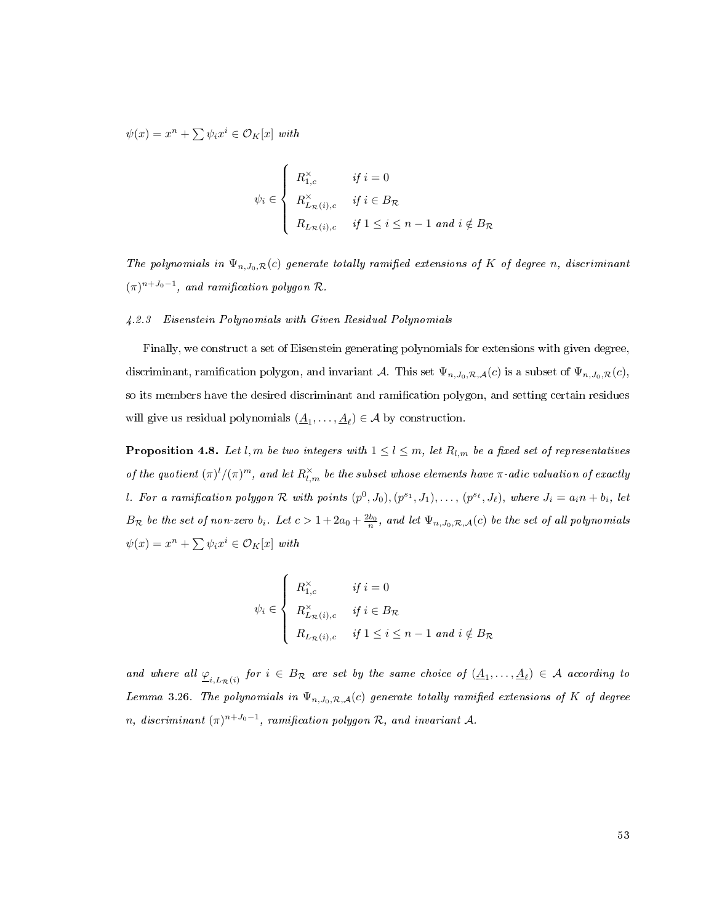$\psi(x) = x^n + \sum \psi_i x^i \in \mathcal{O}_K[x]$  with

$$
\psi_i \in \begin{cases} R_{1,c}^{\times} & \text{if } i = 0 \\ R_{L_R(i),c}^{\times} & \text{if } i \in B_{\mathcal{R}} \\ R_{L_R(i),c} & \text{if } 1 \leq i \leq n-1 \text{ and } i \notin B_{\mathcal{R}} \end{cases}
$$

The polynomials in  $\Psi_{n,J_0,\mathcal{R}}(c)$  generate totally ramified extensions of K of degree n, discriminant  $(\pi)^{n+J_0-1}$ , and ramification polygon R.

## 4.2.3 Eisenstein Polynomials with Given Residual Polynomials

Finally, we construct a set of Eisenstein generating polynomials for extensions with given degree, discriminant, ramification polygon, and invariant A. This set  $\Psi_{n,J_0,\mathcal{R},\mathcal{A}}(c)$  is a subset of  $\Psi_{n,J_0,\mathcal{R}}(c)$ , so its members have the desired discriminant and ramication polygon, and setting certain residues will give us residual polynomials  $(\underline{A}_1, \ldots, \underline{A}_\ell) \in \mathcal{A}$  by construction.

**Proposition 4.8.** Let l, m be two integers with  $1 \leq l \leq m$ , let  $R_{l,m}$  be a fixed set of representatives of the quotient  $(\pi)^l/(\pi)^m$ , and let  $R^{\times}_{l,m}$  be the subset whose elements have  $\pi$ -adic valuation of exactly l. For a ramification polygon R with points  $(p^0, J_0), (p^{s_1}, J_1), \ldots, (p^{s_\ell}, J_\ell)$ , where  $J_i = a_i n + b_i$ , let  $B_{\cal R}$  be the set of non-zero  $b_i$ . Let  $c > 1+2a_0+\frac{2b_0}{n}$ , and let  $\Psi_{n,J_0,\mathcal{R},\mathcal{A}}(c)$  be the set of all polynomials  $\psi(x) = x^n + \sum \psi_i x^i \in \mathcal{O}_K[x]$  with

$$
\psi_i \in \left\{ \begin{array}{ll} R_{1,c}^{\times} & \text{if } i = 0\\ R_{L_{\mathcal{R}}(i),c}^{\times} & \text{if } i \in B_{\mathcal{R}}\\ R_{L_{\mathcal{R}}(i),c} & \text{if } 1 \leq i \leq n-1 \text{ and } i \notin B_{\mathcal{R}} \end{array} \right.
$$

and where all  $\underline{\varphi}_{i,L_{\mathcal{R}}(i)}$  for  $i\in B_{\mathcal{R}}$  are set by the same choice of  $(\underline{A}_1,\ldots,\underline{A}_\ell)\in \mathcal{A}$  according to Lemma [3.26.](#page-51-1) The polynomials in  $\Psi_{n,J_0,\mathcal{R},\mathcal{A}}(c)$  generate totally ramified extensions of K of degree n, discriminant  $(\pi)^{n+J_0-1}$ , ramification polygon R, and invariant A.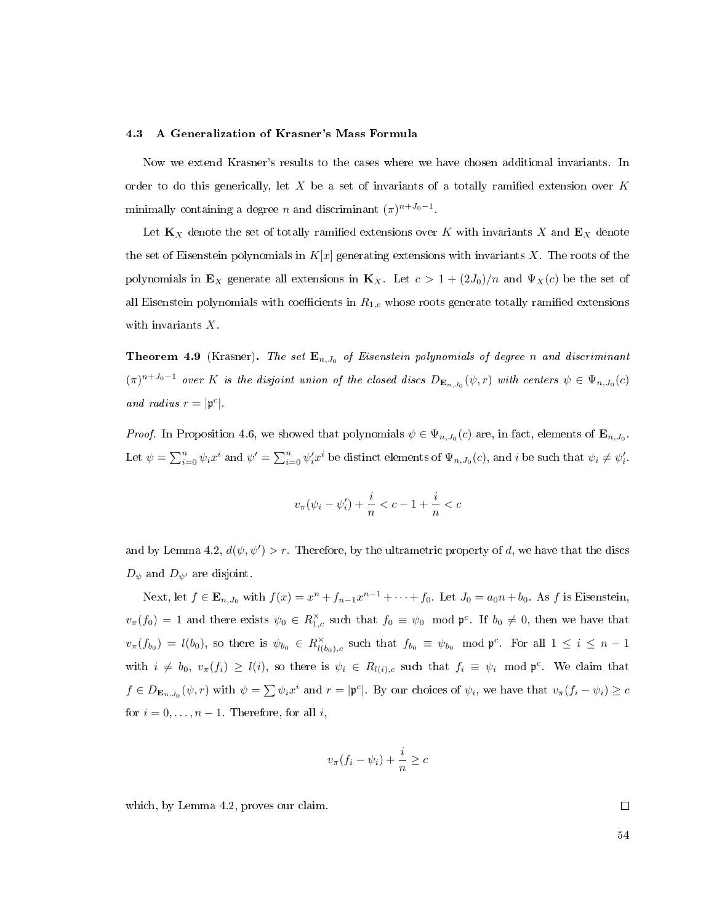#### 4.3 A Generalization of Krasner's Mass Formula

Now we extend Krasner's results to the cases where we have chosen additional invariants. In order to do this generically, let  $X$  be a set of invariants of a totally ramified extension over  $K$ minimally containing a degree *n* and discriminant  $(\pi)^{n+J_0-1}$ .

Let  $\mathbf{K}_X$  denote the set of totally ramified extensions over K with invariants X and  $\mathbf{E}_X$  denote the set of Eisenstein polynomials in  $K[x]$  generating extensions with invariants X. The roots of the polynomials in  $\mathbf{E}_X$  generate all extensions in  $\mathbf{K}_X$ . Let  $c > 1 + (2J_0)/n$  and  $\Psi_X(c)$  be the set of all Eisenstein polynomials with coefficients in  $R_{1,c}$  whose roots generate totally ramified extensions with invariants X.

<span id="page-62-0"></span>**Theorem 4.9** (Krasner). The set  $\mathbf{E}_{n,J_0}$  of Eisenstein polynomials of degree n and discriminant  $(\pi)^{n+J_0-1}$  over K is the disjoint union of the closed discs  $D_{\mathbf{E}_{n,J_0}}(\psi,r)$  with centers  $\psi \in \Psi_{n,J_0}(c)$ and radius  $r = |\mathfrak{p}^c|$ .

*Proof.* In Proposition [4.6,](#page-60-1) we showed that polynomials  $\psi \in \Psi_{n,J_0}(c)$  are, in fact, elements of  $\mathbf{E}_{n,J_0}$ . Let  $\psi = \sum_{i=0}^{n} \psi_i x^i$  and  $\psi' = \sum_{i=0}^{n} \psi_i' x^i$  be distinct elements of  $\Psi_{n,J_0}(c)$ , and i be such that  $\psi_i \neq \psi_i'$ .

$$
v_{\pi}(\psi_i - \psi'_i) + \frac{i}{n} < c - 1 + \frac{i}{n} < c
$$

and by Lemma [4.2,](#page-59-0)  $d(\psi, \psi') > r$ . Therefore, by the ultrametric property of d, we have that the discs  $D_{\psi}$  and  $D_{\psi'}$  are disjoint.

Next, let  $f \in \mathbf{E}_{n,J_0}$  with  $f(x) = x^n + f_{n-1}x^{n-1} + \cdots + f_0$ . Let  $J_0 = a_0n + b_0$ . As f is Eisenstein,  $v_{\pi}(f_0) = 1$  and there exists  $\psi_0 \in R^{\times}_{1,c}$  such that  $f_0 \equiv \psi_0 \mod \mathfrak{p}^c$ . If  $b_0 \neq 0$ , then we have that  $v_{\pi}(f_{b_0}) = l(b_0)$ , so there is  $\psi_{b_0} \in R^{\times}_{l(b_0),c}$  such that  $f_{b_0} \equiv \psi_{b_0} \mod \mathfrak{p}^c$ . For all  $1 \leq i \leq n-1$ with  $i \neq b_0$ ,  $v_\pi(f_i) \geq l(i)$ , so there is  $\psi_i \in R_{l(i),c}$  such that  $f_i \equiv \psi_i \mod \mathfrak{p}^c$ . We claim that  $f \in D_{\mathbf{E}_{n,J_0}}(\psi, r)$  with  $\psi = \sum \psi_i x^i$  and  $r = |\mathfrak{p}^c|$ . By our choices of  $\psi_i$ , we have that  $v_{\pi}(f_i - \psi_i) \ge c$ for  $i = 0, \ldots, n - 1$ . Therefore, for all i,

$$
v_{\pi}(f_i - \psi_i) + \frac{i}{n} \geq c
$$

which, by Lemma [4.2,](#page-59-0) proves our claim.

 $\Box$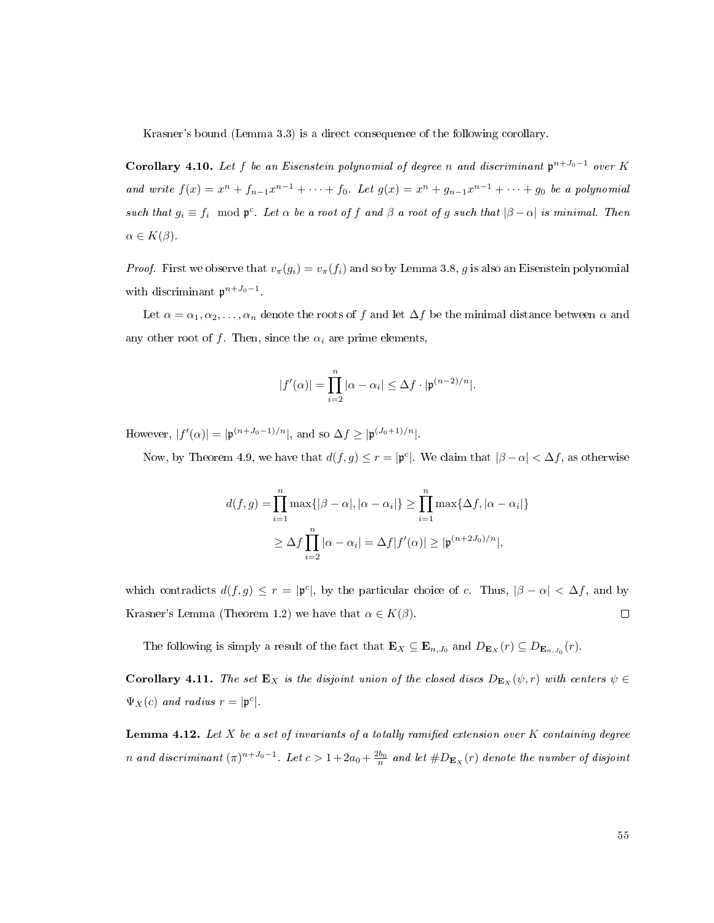Krasner's bound (Lemma [3.3\)](#page-30-1) is a direct consequence of the following corollary.

Corollary 4.10. Let f be an Eisenstein polynomial of degree n and discriminant  $\mathfrak{p}^{n+J_0-1}$  over K and write  $f(x) = x^n + f_{n-1}x^{n-1} + \cdots + f_0$ . Let  $g(x) = x^n + g_{n-1}x^{n-1} + \cdots + g_0$  be a polynomial such that  $g_i \equiv f_i \mod \mathfrak{p}^c$ . Let  $\alpha$  be a root of f and  $\beta$  a root of g such that  $|\beta - \alpha|$  is minimal. Then  $\alpha \in K(\beta)$ .

*Proof.* First we observe that  $v_{\pi}(g_i) = v_{\pi}(f_i)$  and so by Lemma [3.8,](#page-33-0) g is also an Eisenstein polynomial with discriminant  $p^{n+J_0-1}$ .

Let  $\alpha = \alpha_1, \alpha_2, \ldots, \alpha_n$  denote the roots of f and let  $\Delta f$  be the minimal distance between  $\alpha$  and any other root of f. Then, since the  $\alpha_i$  are prime elements,

$$
|f'(\alpha)| = \prod_{i=2}^n |\alpha - \alpha_i| \leq \Delta f \cdot |\mathfrak{p}^{(n-2)/n}|.
$$

However,  $|f'(\alpha)| = |\mathfrak{p}^{(n+J_0-1)/n}|$ , and so  $\Delta f \geq |\mathfrak{p}^{(J_0+1)/n}|$ .

Now, by Theorem [4.9,](#page-62-0) we have that  $d(f,g) \leq r = |\mathfrak{p}^c|$ . We claim that  $|\beta - \alpha| < \Delta f$ , as otherwise

$$
d(f,g) = \prod_{i=1}^{n} \max\{|\beta - \alpha|, |\alpha - \alpha_i|\} \ge \prod_{i=1}^{n} \max\{\Delta f, |\alpha - \alpha_i|\}
$$

$$
\ge \Delta f \prod_{i=2}^{n} |\alpha - \alpha_i| = \Delta f |f'(\alpha)| \ge |\mathfrak{p}^{(n+2J_0)/n}|,
$$

which contradicts  $d(f,g) \leq r = |\mathfrak{p}^c|$ , by the particular choice of c. Thus,  $|\beta - \alpha| < \Delta f$ , and by Krasner's Lemma (Theorem [1.2\)](#page-12-0) we have that  $\alpha \in K(\beta)$ .  $\Box$ 

The following is simply a result of the fact that  $\mathbf{E}_X \subseteq \mathbf{E}_{n,J_0}$  and  $D_{\mathbf{E}_X}(r) \subseteq D_{\mathbf{E}_{n,J_0}}(r)$ .

**Corollary 4.11.** The set  $\mathbf{E}_X$  is the disjoint union of the closed discs  $D_{\mathbf{E}_X}(\psi,r)$  with centers  $\psi \in$  $\Psi_X(c)$  and radius  $r = |\mathfrak{p}^c|.$ 

**Lemma 4.12.** Let X be a set of invariants of a totally ramified extension over K containing degree n and discriminant  $(\pi)^{n+J_0-1}$ . Let  $c>1+2a_0+\frac{2b_0}{n}$  and let  $\#D_{\mathbf{E}_X}(r)$  denote the number of disjoint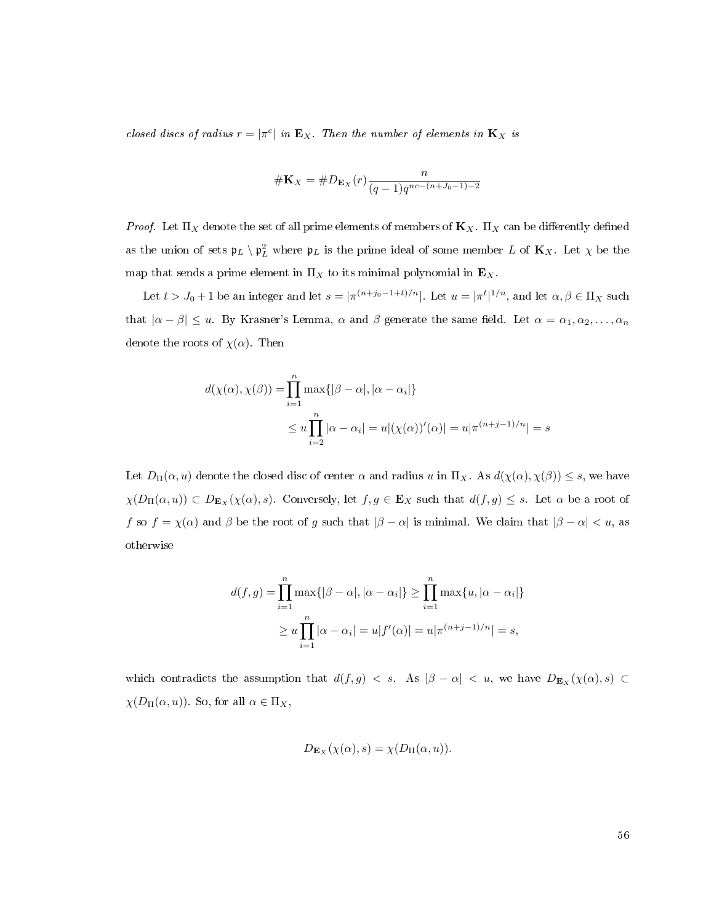closed discs of radius  $r = |\pi^c|$  in  $\mathbf{E}_X$ . Then the number of elements in  $\mathbf{K}_X$  is

$$
\#\mathbf{K}_X = \#D_{\mathbf{E}_X}(r)\frac{n}{(q-1)q^{nc-(n+J_0-1)-2}}
$$

*Proof.* Let  $\Pi_X$  denote the set of all prime elements of members of  $\mathbf{K}_X$ .  $\Pi_X$  can be differently defined as the union of sets  $\mathfrak{p}_L \setminus \mathfrak{p}_L^2$  where  $\mathfrak{p}_L$  is the prime ideal of some member  $L$  of  $\mathbf{K}_X$ . Let  $\chi$  be the map that sends a prime element in  $\Pi_X$  to its minimal polynomial in  $\mathbf{E}_X$ .

Let  $t > J_0 + 1$  be an integer and let  $s = |\pi^{(n+j_0-1+t)/n}|$ . Let  $u = |\pi^t|^{1/n}$ , and let  $\alpha, \beta \in \Pi_X$  such that  $|\alpha - \beta| \leq u$ . By Krasner's Lemma,  $\alpha$  and  $\beta$  generate the same field. Let  $\alpha = \alpha_1, \alpha_2, \ldots, \alpha_n$ denote the roots of  $\chi(\alpha)$ . Then

$$
d(\chi(\alpha), \chi(\beta)) = \prod_{i=1}^{n} \max\{|\beta - \alpha|, |\alpha - \alpha_i|\}
$$
  

$$
\leq u \prod_{i=2}^{n} |\alpha - \alpha_i| = u|(\chi(\alpha))'(\alpha)| = u|\pi^{(n+j-1)/n}| = s
$$

Let  $D_{\Pi}(\alpha, u)$  denote the closed disc of center  $\alpha$  and radius u in  $\Pi_X$ . As  $d(\chi(\alpha), \chi(\beta)) \leq s$ , we have  $\chi(D_{\Pi}(\alpha, u)) \subset D_{\mathbf{E}_X}(\chi(\alpha), s)$ . Conversely, let  $f, g \in \mathbf{E}_X$  such that  $d(f, g) \leq s$ . Let  $\alpha$  be a root of f so  $f = \chi(\alpha)$  and  $\beta$  be the root of g such that  $|\beta - \alpha|$  is minimal. We claim that  $|\beta - \alpha| < u$ , as otherwise

$$
d(f,g) = \prod_{i=1}^{n} \max\{ |\beta - \alpha|, |\alpha - \alpha_i| \} \ge \prod_{i=1}^{n} \max\{u, |\alpha - \alpha_i| \}
$$
  
 
$$
\ge u \prod_{i=1}^{n} |\alpha - \alpha_i| = u |f'(\alpha)| = u |\pi^{(n+j-1)/n}| = s,
$$

which contradicts the assumption that  $d(f,g) < s$ . As  $|\beta - \alpha| < u$ , we have  $D_{\mathbf{E}_X}(\chi(\alpha),s) \subset$  $\chi(D_{\Pi}(\alpha, u))$ . So, for all  $\alpha \in \Pi_X$ ,

$$
D_{\mathbf{E}_X}(\chi(\alpha),s) = \chi(D_{\Pi}(\alpha,u)).
$$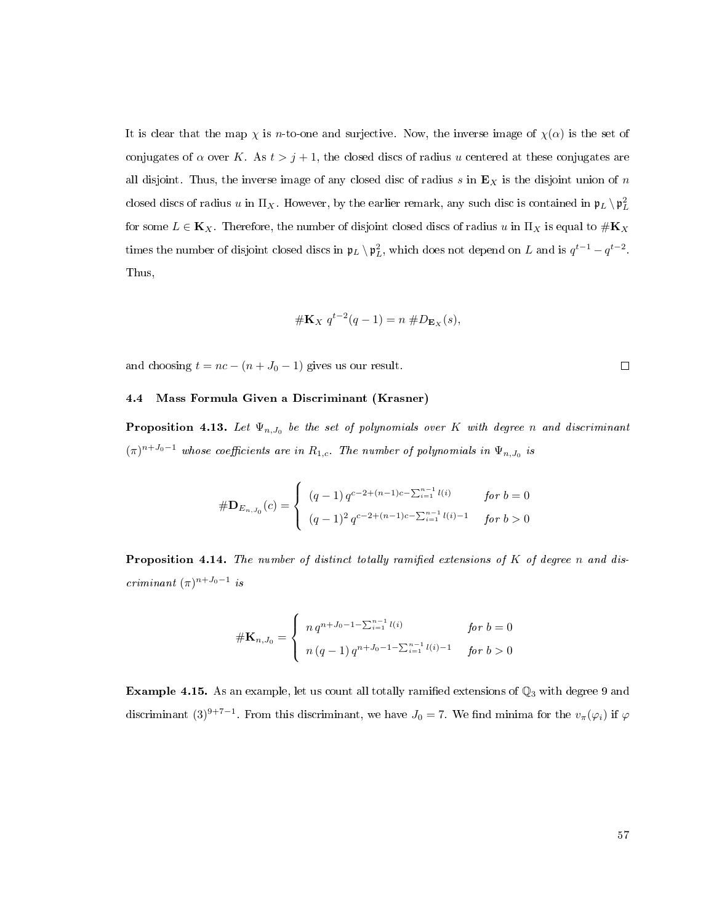It is clear that the map  $\chi$  is *n*-to-one and surjective. Now, the inverse image of  $\chi(\alpha)$  is the set of conjugates of  $\alpha$  over K. As  $t > j + 1$ , the closed discs of radius u centered at these conjugates are all disjoint. Thus, the inverse image of any closed disc of radius  $s$  in  $\mathbf{E}_X$  is the disjoint union of  $n$ closed discs of radius  $u$  in  $\Pi_X$ . However, by the earlier remark, any such disc is contained in  $\mathfrak{p}_L \setminus \mathfrak{p}_L^2$ for some  $L \in \mathbf{K}_X$ . Therefore, the number of disjoint closed discs of radius u in  $\Pi_X$  is equal to  $\#\mathbf{K}_X$ times the number of disjoint closed discs in  $\mathfrak{p}_L \setminus \mathfrak{p}_L^2$ , which does not depend on L and is  $q^{t-1} - q^{t-2}$ . Thus,

$$
\# \mathbf{K}_X q^{t-2}(q-1) = n \# D_{\mathbf{E}_X}(s),
$$

and choosing  $t = nc - (n + J_0 - 1)$  gives us our result.

# 4.4 Mass Formula Given a Discriminant (Krasner)

**Proposition 4.13.** Let  $\Psi_{n,J_0}$  be the set of polynomials over K with degree n and discriminant  $(\pi)^{n+J_0-1}$  whose coefficients are in  $R_{1,c}$ . The number of polynomials in  $\Psi_{n,J_0}$  is

$$
\# \mathbf{D}_{E_{n,J_0}}(c) = \begin{cases} (q-1) q^{c-2+(n-1)c-\sum_{i=1}^{n-1} l(i)} & \text{for } b=0\\ (q-1)^2 q^{c-2+(n-1)c-\sum_{i=1}^{n-1} l(i)-1} & \text{for } b>0 \end{cases}
$$

**Proposition 4.14.** The number of distinct totally ramified extensions of  $K$  of degree n and discriminant  $(\pi)^{n+J_0-1}$  is

$$
\# \mathbf{K}_{n,J_0} = \begin{cases} n q^{n+J_0 - 1 - \sum_{i=1}^{n-1} l(i)} & \text{for } b = 0 \\ n (q-1) q^{n+J_0 - 1 - \sum_{i=1}^{n-1} l(i) - 1} & \text{for } b > 0 \end{cases}
$$

<span id="page-65-0"></span>Example 4.15. As an example, let us count all totally ramified extensions of  $\mathbb{Q}_3$  with degree 9 and discriminant  $(3)^{9+7-1}$ . From this discriminant, we have  $J_0 = 7$ . We find minima for the  $v_\pi(\varphi_i)$  if  $\varphi$ 

$$
\qquad \qquad \Box
$$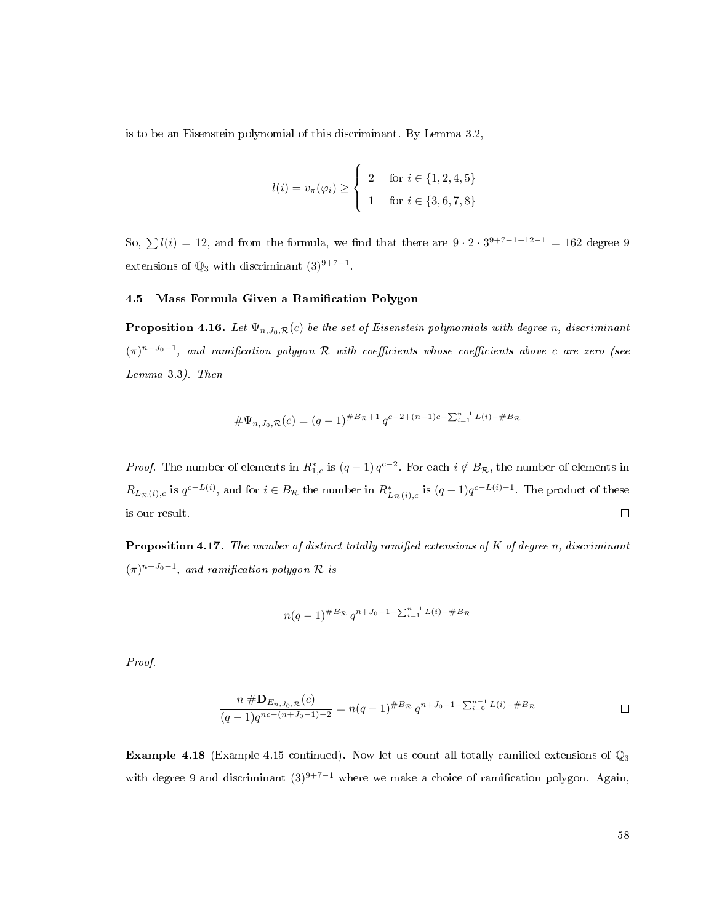is to be an Eisenstein polynomial of this discriminant. By Lemma [3.2,](#page-29-0)

$$
l(i) = v_{\pi}(\varphi_i) \ge \begin{cases} 2 & \text{for } i \in \{1, 2, 4, 5\} \\ 1 & \text{for } i \in \{3, 6, 7, 8\} \end{cases}
$$

So,  $\sum l(i) = 12$ , and from the formula, we find that there are  $9 \cdot 2 \cdot 3^{9+7-1-12-1} = 162$  degree 9 extensions of  $\mathbb{Q}_3$  with discriminant  $(3)^{9+7-1}$ .

## 4.5 Mass Formula Given a Ramification Polygon

**Proposition 4.16.** Let  $\Psi_{n,J_0,\mathcal{R}}(c)$  be the set of Eisenstein polynomials with degree n, discriminant  $(\pi)^{n+J_0-1}$ , and ramification polygon R with coefficients whose coefficients above c are zero (see Lemma [3.3\)](#page-30-1). Then

$$
\#\Psi_{n,J_0,\mathcal{R}}(c) = (q-1)^{\#B_{\mathcal{R}}+1} q^{c-2+(n-1)c-\sum_{i=1}^{n-1} L(i)-\#B_{\mathcal{R}}}
$$

*Proof.* The number of elements in  $R_{1,c}^*$  is  $(q-1)q^{c-2}$ . For each  $i \notin B_{\mathcal{R}}$ , the number of elements in  $R_{L_{\mathcal{R}}(i),c}$  is  $q^{c-L(i)}$ , and for  $i \in B_{\mathcal{R}}$  the number in  $R^*_{L_{\mathcal{R}}(i),c}$  is  $(q-1)q^{c-L(i)-1}$ . The product of these  $\hfill \square$ is our result.

**Proposition 4.17.** The number of distinct totally ramified extensions of  $K$  of degree n, discriminant  $(\pi)^{n+J_0-1}$ , and ramification polygon  $\mathcal R$  is

$$
n(q-1)^{\#B_{\mathcal{R}}} q^{n+J_0-1-\sum_{i=1}^{n-1} L(i)-\#B_{\mathcal{R}}}
$$

Proof.

$$
\frac{n \# \mathbf{D}_{E_n, J_0, \mathcal{R}}(c)}{(q-1)q^{nc-(n+J_0-1)-2}} = n(q-1)^{\#B_{\mathcal{R}}} q^{n+J_0-1-\sum_{i=0}^{n-1} L(i)-\#B_{\mathcal{R}}}
$$

<span id="page-66-0"></span>**Example 4.18** (Example [4.15](#page-65-0) continued). Now let us count all totally ramified extensions of  $\mathbb{Q}_3$ with degree 9 and discriminant  $(3)^{9+7-1}$  where we make a choice of ramification polygon. Again,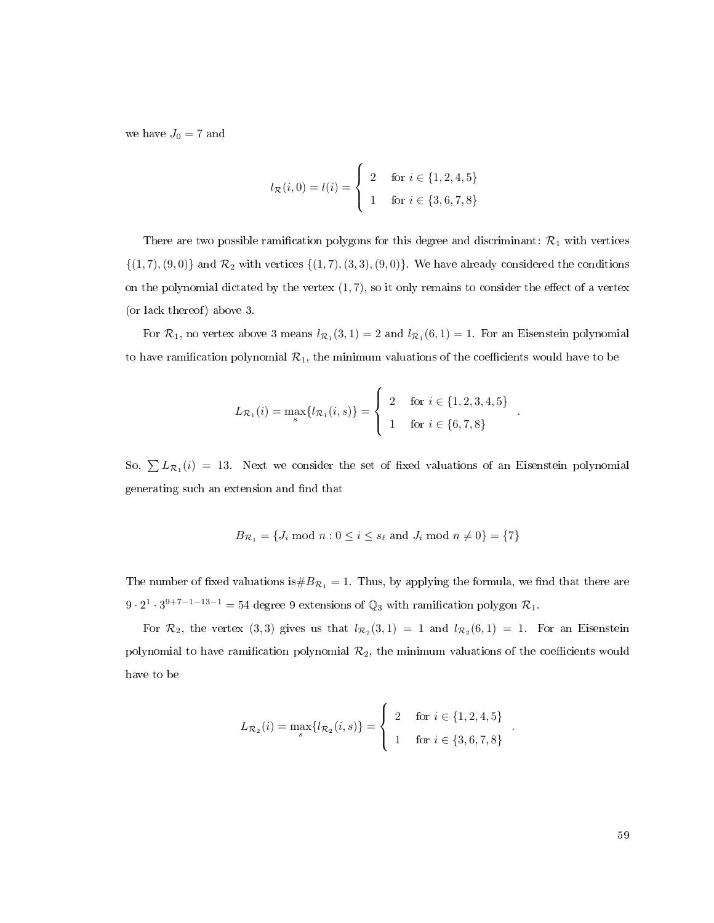we have  $J_0 = 7$  and

$$
l_{\mathcal{R}}(i,0) = l(i) = \begin{cases} 2 & \text{for } i \in \{1,2,4,5\} \\ 1 & \text{for } i \in \{3,6,7,8\} \end{cases}
$$

There are two possible ramification polygons for this degree and discriminant:  $\mathcal{R}_1$  with vertices  $\{(1, 7), (9, 0)\}\$ and  $\mathcal{R}_2$  with vertices  $\{(1, 7), (3, 3), (9, 0)\}\$ . We have already considered the conditions on the polynomial dictated by the vertex  $(1, 7)$ , so it only remains to consider the effect of a vertex (or lack thereof) above 3.

For  $\mathcal{R}_1$ , no vertex above 3 means  $l_{\mathcal{R}_1}(3,1) = 2$  and  $l_{\mathcal{R}_1}(6,1) = 1$ . For an Eisenstein polynomial to have ramification polynomial  $\mathcal{R}_1$ , the minimum valuations of the coefficients would have to be

$$
L_{\mathcal{R}_1}(i) = \max_{s} \{ l_{\mathcal{R}_1}(i, s) \} = \begin{cases} 2 & \text{for } i \in \{1, 2, 3, 4, 5\} \\ 1 & \text{for } i \in \{6, 7, 8\} \end{cases}
$$

.

.

So,  $\sum L_{\mathcal{R}_1}(i) = 13$ . Next we consider the set of fixed valuations of an Eisenstein polynomial generating such an extension and find that

$$
B_{\mathcal{R}_1} = \{ J_i \text{ mod } n : 0 \le i \le s_\ell \text{ and } J_i \text{ mod } n \neq 0 \} = \{7\}
$$

The number of fixed valuations is  $\#B_{\mathcal{R}_1} = 1$ . Thus, by applying the formula, we find that there are  $9 \cdot 2^1 \cdot 3^{9+7-1-13-1} = 54$  degree 9 extensions of  $\mathbb{Q}_3$  with ramification polygon  $\mathcal{R}_1$ .

For  $\mathcal{R}_2$ , the vertex (3,3) gives us that  $l_{\mathcal{R}_2}(3,1) = 1$  and  $l_{\mathcal{R}_2}(6,1) = 1$ . For an Eisenstein polynomial to have ramification polynomial  $\mathcal{R}_2$ , the minimum valuations of the coefficients would have to be

$$
L_{\mathcal{R}_2}(i) = \max_s \{ l_{\mathcal{R}_2}(i, s) \} = \begin{cases} 2 & \text{for } i \in \{1, 2, 4, 5\} \\ 1 & \text{for } i \in \{3, 6, 7, 8\} \end{cases}
$$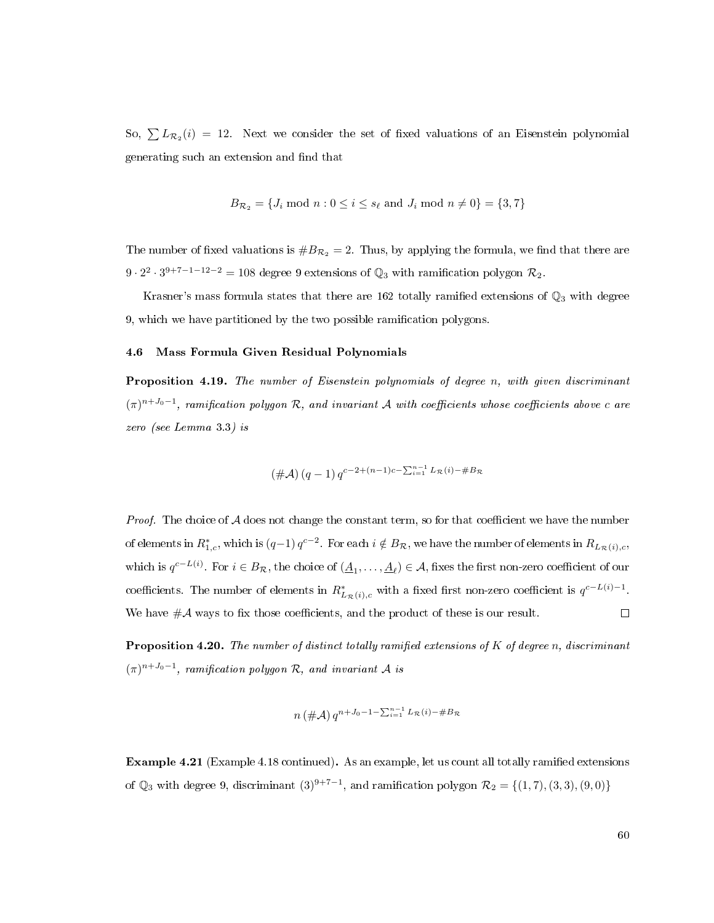So,  $\sum L_{\mathcal{R}_2}(i) = 12$ . Next we consider the set of fixed valuations of an Eisenstein polynomial generating such an extension and find that

$$
B_{\mathcal{R}_2} = \{J_i \text{ mod } n : 0 \le i \le s_\ell \text{ and } J_i \text{ mod } n \neq 0\} = \{3, 7\}
$$

The number of fixed valuations is  $\#B_{\mathcal{R}_2} = 2$ . Thus, by applying the formula, we find that there are  $9 \cdot 2^2 \cdot 3^{9+7-1-12-2} = 108$  degree 9 extensions of  $\mathbb{Q}_3$  with ramification polygon  $\mathcal{R}_2$ .

Krasner's mass formula states that there are 162 totally ramified extensions of  $\mathbb{Q}_3$  with degree 9, which we have partitioned by the two possible ramication polygons.

## 4.6 Mass Formula Given Residual Polynomials

Proposition 4.19. The number of Eisenstein polynomials of degree n, with given discriminant  $(\pi)^{n+J_0-1}$ , ramification polygon R, and invariant A with coefficients whose coefficients above c are zero (see Lemma [3.3\)](#page-30-1) is

$$
(\#\mathcal{A}) (q-1) q^{c-2+(n-1)c-\sum_{i=1}^{n-1} L_{\mathcal{R}}(i)-\#B_{\mathcal{R}}}
$$

*Proof.* The choice of  $A$  does not change the constant term, so for that coefficient we have the number of elements in  $R_{1,c}^*$ , which is  $(q-1) q^{c-2}$ . For each  $i \notin B_{\mathcal{R}}$ , we have the number of elements in  $R_{L_{\mathcal{R}}(i),c}$ , which is  $q^{c-L(i)}$ . For  $i \in B_{\mathcal{R}}$ , the choice of  $(\underline{A}_1,\ldots,\underline{A}_\ell) \in \mathcal{A}$ , fixes the first non-zero coefficient of our coefficients. The number of elements in  $R^*_{L_{\mathcal{R}}(i),c}$  with a fixed first non-zero coefficient is  $q^{c-L(i)-1}$ . We have  $\#\mathcal{A}$  ways to fix those coefficients, and the product of these is our result.  $\Box$ 

**Proposition 4.20.** The number of distinct totally ramified extensions of  $K$  of degree n, discriminant  $(\pi)^{n+J_0-1}$ , ramification polygon R, and invariant A is

$$
n(\#\mathcal{A}) q^{n+J_0-1-\sum_{i=1}^{n-1} L_{\mathcal{R}}(i)-\#B_{\mathcal{R}}}
$$

Example 4.21 (Example [4.18](#page-66-0) continued). As an example, let us count all totally ramied extensions of  $\mathbb{Q}_3$  with degree 9, discriminant  $(3)^{9+7-1}$ , and ramification polygon  $\mathcal{R}_2 = \{(1,7), (3,3), (9,0)\}\$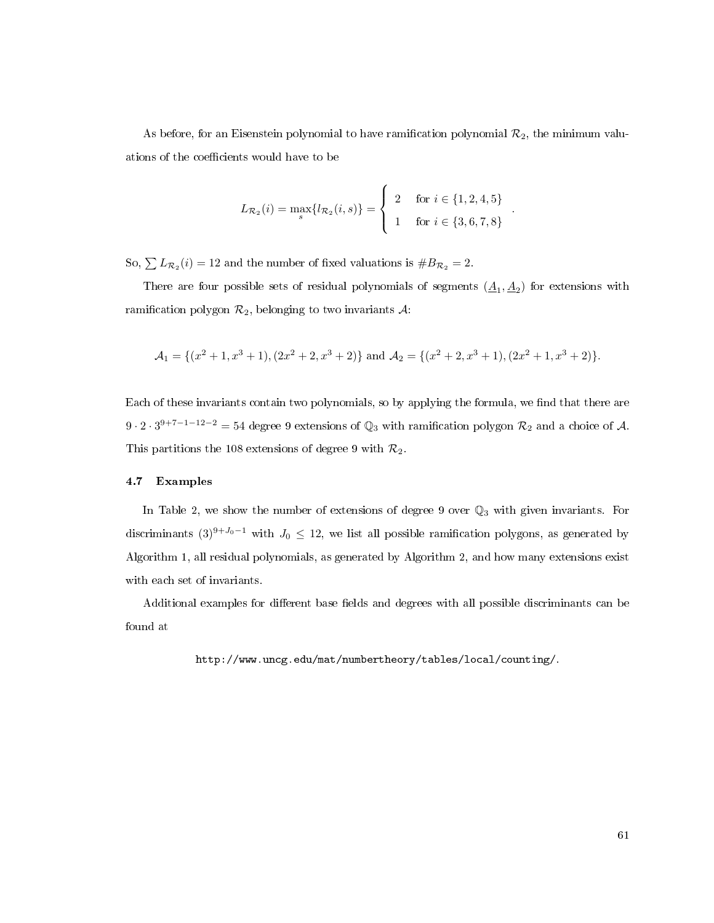As before, for an Eisenstein polynomial to have ramification polynomial  $\mathcal{R}_2$ , the minimum valuations of the coefficients would have to be

$$
L_{\mathcal{R}_2}(i) = \max_s \{ l_{\mathcal{R}_2}(i, s) \} = \begin{cases} 2 & \text{for } i \in \{1, 2, 4, 5\} \\ 1 & \text{for } i \in \{3, 6, 7, 8\} \end{cases}.
$$

So,  $\sum L_{\mathcal{R}_2}(i) = 12$  and the number of fixed valuations is  $\#B_{\mathcal{R}_2} = 2$ .

There are four possible sets of residual polynomials of segments  $(\underline{A}_1, \underline{A}_2)$  for extensions with ramification polygon  $\mathcal{R}_2$ , belonging to two invariants  $\mathcal{A}$ :

$$
\mathcal{A}_1 = \{ (x^2 + 1, x^3 + 1), (2x^2 + 2, x^3 + 2) \} \text{ and } \mathcal{A}_2 = \{ (x^2 + 2, x^3 + 1), (2x^2 + 1, x^3 + 2) \}.
$$

Each of these invariants contain two polynomials, so by applying the formula, we find that there are  $9 \cdot 2 \cdot 3^{9+7-1-12-2} = 54$  degree 9 extensions of  $\mathbb{Q}_3$  with ramification polygon  $\mathcal{R}_2$  and a choice of A. This partitions the 108 extensions of degree 9 with  $\mathcal{R}_2$ .

## 4.7 Examples

In Table [2,](#page-70-0) we show the number of extensions of degree 9 over  $\mathbb{Q}_3$  with given invariants. For discriminants  $(3)^{9+J_0-1}$  with  $J_0 \leq 12$ , we list all possible ramification polygons, as generated by Algorithm [1,](#page-44-0) all residual polynomials, as generated by Algorithm [2,](#page-56-0) and how many extensions exist with each set of invariants.

Additional examples for different base fields and degrees with all possible discriminants can be found at

[http://www.uncg.edu/mat/numbertheory/tables/local/counting/.](http://www.uncg.edu/mat/numbertheory/tables/local/counting/)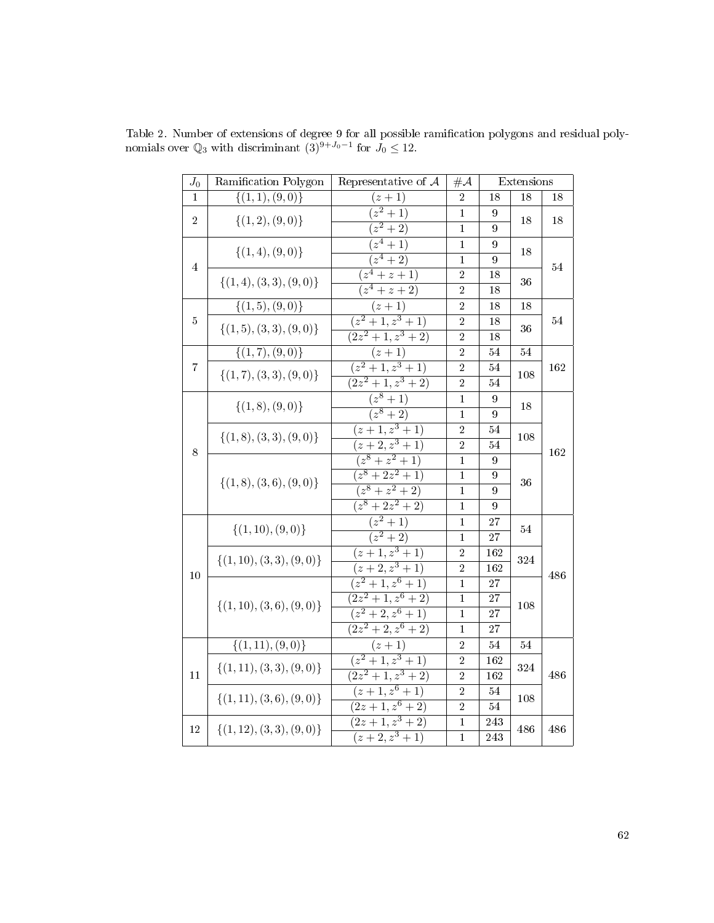| $J_0$          | Ramification Polygon           | Representative of $A$    |                |                  | Extensions |     |  |
|----------------|--------------------------------|--------------------------|----------------|------------------|------------|-----|--|
| 1              | $\{(1,1),(9,0)\}\$             | $(z + 1)$                | $\overline{2}$ | 18               | 18         | 18  |  |
| $\overline{2}$ | $\{(1,2),(9,0)\}\$             | $\sqrt{(z^2+1)}$         | $\mathbf{1}$   | 9                | 18         |     |  |
|                |                                | $(z^2+2)$                | $\overline{1}$ | $\overline{9}$   |            | 18  |  |
|                |                                | $(z^4+1)$                | $\mathbf{1}$   | $\overline{9}$   | 18         | 54  |  |
| $\overline{4}$ | $\{(1,4), (9,0)\}\$            | $\overline{(z^4+2)}$     | $\mathbf{1}$   | 9                |            |     |  |
|                |                                | $(z^4 + z + 1)$          | $\overline{2}$ | 18               | 36         |     |  |
|                | $\{(1,4), (3,3), (9,0)\}\$     | $(z^4 + z + 2)$          | $\overline{2}$ | 18               |            |     |  |
|                | $\{ (1,5), (9,0) \}$           | $(z + 1)$                | $\overline{2}$ | 18               | 18         |     |  |
| $\overline{5}$ |                                | $(z^2+1,z^3+1)$          | $\overline{2}$ | 18               |            | 54  |  |
|                | $\{(1,5), (3,3), (9,0)\}\$     | $\sqrt{(2z^2+1,z^3+2)}$  | $\overline{2}$ | 18               | 36         |     |  |
|                | $\{(1,7),(9,0)\}\$             | $(z + 1)$                | $\overline{2}$ | 54               | 54         |     |  |
| $\overline{7}$ |                                | $(z^2+1,z^3+1)$          | $\overline{2}$ | 54               |            | 162 |  |
|                | $\{(1,7), (3,3), (9,0)\}\$     | $\sqrt{(2z^2+1,z^3+2)}$  | $\overline{2}$ | 54               | 108        |     |  |
|                |                                | $\sqrt{(z^8+1)}$         | 1              | $\boldsymbol{9}$ |            | 162 |  |
|                | $\{(1,8), (9,0)\}\$            | $\sqrt{(z^8+2)}$         | $\mathbf{1}$   | $\overline{9}$   | 18         |     |  |
|                | $\{(1, 8), (3, 3), (9, 0)\}\$  | $(z+1, z^3 + 1)$         | $\overline{2}$ | 54               | 108        |     |  |
| 8              |                                | $(z+2, z^3+1)$           | $\overline{2}$ | 54               |            |     |  |
|                | $\{(1, 8), (3, 6), (9, 0)\}\$  | $(z^8+z^2+1)$            | $\mathbf{1}$   | $\overline{9}$   | 36         |     |  |
|                |                                | $(z^8+2z^2+1)$           | 1              | 9                |            |     |  |
|                |                                | $(z^8+z^2+2)$            | 1              | $\overline{9}$   |            |     |  |
|                |                                | $(z^8+2z^2+2)$           | 1              | 9                |            |     |  |
|                |                                | $(z^2+1)$                | $\mathbf{1}$   | 27               | 54         | 486 |  |
|                | $\{(1, 10), (9, 0)\}\$         | $(z^2+2)$                | $\mathbf{1}$   | 27               |            |     |  |
|                |                                | $\overline{(z+1,z^3+1)}$ | $\sqrt{2}$     | 162              | 324        |     |  |
| 10             | $\{(1, 10), (3, 3), (9, 0)\}\$ | $\sqrt{(z+2,z^3+1)}$     | $\overline{2}$ | $\overline{162}$ |            |     |  |
|                |                                | $(z^2+1,z^6+1)$          | $\overline{1}$ | $\overline{27}$  | 108        |     |  |
|                |                                | $\sqrt{(2z^2+1,z^6+2)}$  | $\mathbf{1}$   | 27               |            |     |  |
|                | $\{(1, 10), (3, 6), (9, 0)\}\$ | $(z^2+2,z^6+1)$          | $\mathbf{1}$   | 27               |            |     |  |
|                |                                | $(2z^2+2, z^6+2)$        | $\mathbf{1}$   | 27               |            |     |  |
|                | $\{(1,11), (9,0)\}\$           | $(z + 1)$                | $\overline{2}$ | 54               | 54         |     |  |
|                |                                | $(z^2+1,z^3+1)$          | $\overline{2}$ | 162              | 324        | 486 |  |
| 11             | $\{(1,11), (3,3), (9,0)\}\$    | $\sqrt{(2z^2+1,z^3+2)}$  | $\overline{2}$ | 162              |            |     |  |
|                |                                | $\sqrt{(z+1,z^6+1)}$     | $\overline{2}$ | 54               |            |     |  |
|                | $\{(1,11), (3,6), (9,0)\}\$    | $\sqrt{(2z+1,z^6+2)}$    | $\overline{2}$ | 54               | 108        |     |  |
| 12             |                                | $\sqrt{(2z+1,z^3+2)}$    | $\mathbf{1}$   | 243              |            | 486 |  |
|                | $\{(1, 12), (3, 3), (9, 0)\}\$ | $(z+2, z^3+1)$           | $\overline{1}$ | 243              | 486        |     |  |

<span id="page-70-0"></span>Table 2. Number of extensions of degree 9 for all possible ramification polygons and residual polynomials over  $\mathbb{Q}_3$  with discriminant  $(3)^{9+J_0-1}$  for  $J_0 \leq 12$ .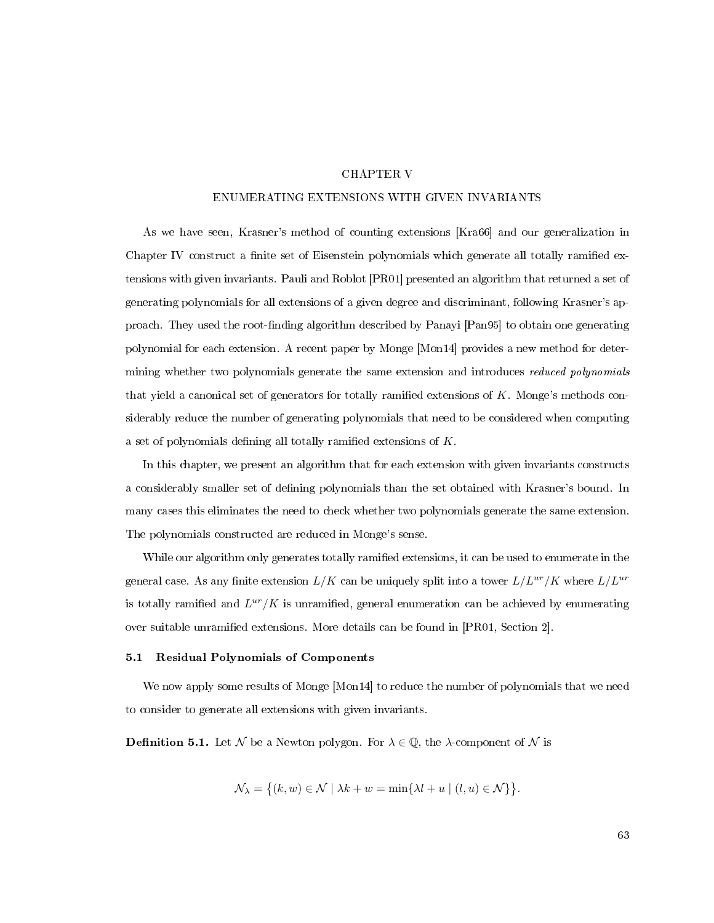## CHAPTER V

### ENUMERATING EXTENSIONS WITH GIVEN INVARIANTS

As we have seen, Krasner's method of counting extensions [\[Kra66\]](#page-113-6) and our generalization in Chapter [IV](#page-57-1) construct a finite set of Eisenstein polynomials which generate all totally ramified extensions with given invariants. Pauli and Roblot [\[PR01\]](#page-114-2) presented an algorithm that returned a set of generating polynomials for all extensions of a given degree and discriminant, following Krasner's ap-proach. They used the root-finding algorithm described by Panayi [\[Pan95\]](#page-114-3) to obtain one generating polynomial for each extension. A recent paper by Monge [\[Mon14\]](#page-113-5) provides a new method for determining whether two polynomials generate the same extension and introduces reduced polynomials that yield a canonical set of generators for totally ramified extensions of  $K$ . Monge's methods considerably reduce the number of generating polynomials that need to be considered when computing a set of polynomials defining all totally ramified extensions of  $K$ .

In this chapter, we present an algorithm that for each extension with given invariants constructs a considerably smaller set of defining polynomials than the set obtained with Krasner's bound. In many cases this eliminates the need to check whether two polynomials generate the same extension. The polynomials constructed are reduced in Monge's sense.

While our algorithm only generates totally ramified extensions, it can be used to enumerate in the general case. As any finite extension  $L/K$  can be uniquely split into a tower  $L/L^{ur}/K$  where  $L/L^{ur}$ is totally ramified and  $L^{ur}/K$  is unramified, general enumeration can be achieved by enumerating over suitable unramified extensions. More details can be found in [\[PR01,](#page-114-2) Section 2].

## 5.1 Residual Polynomials of Components

We now apply some results of Monge [\[Mon14\]](#page-113-5) to reduce the number of polynomials that we need to consider to generate all extensions with given invariants.

**Definition 5.1.** Let N be a Newton polygon. For  $\lambda \in \mathbb{Q}$ , the  $\lambda$ -component of N is

$$
\mathcal{N}_{\lambda} = \{(k, w) \in \mathcal{N} \mid \lambda k + w = \min\{\lambda l + u \mid (l, u) \in \mathcal{N}\}\}.
$$

63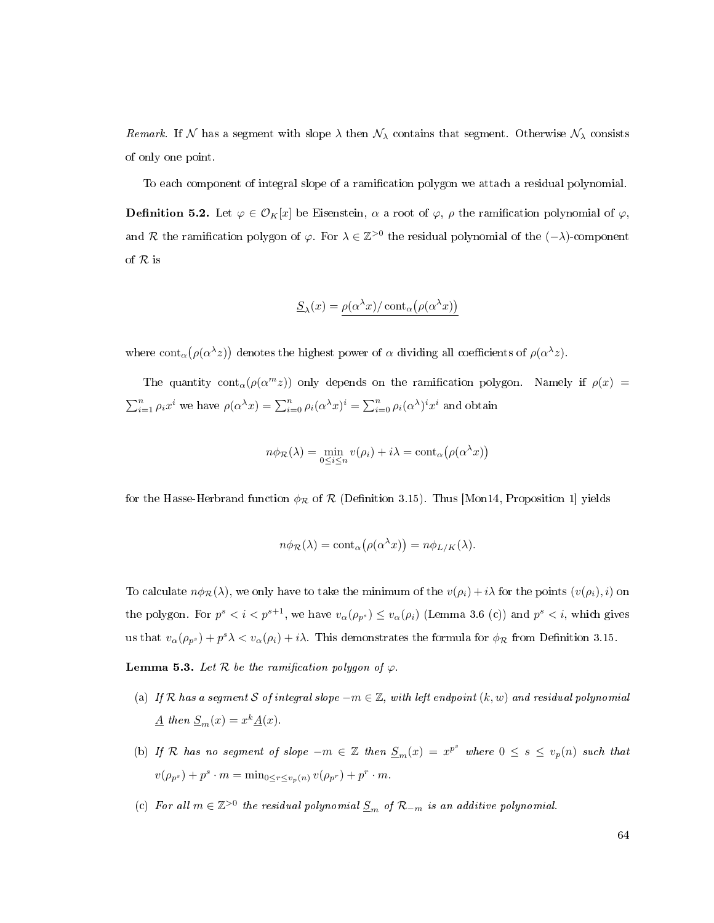Remark. If N has a segment with slope  $\lambda$  then  $\mathcal{N}_{\lambda}$  contains that segment. Otherwise  $\mathcal{N}_{\lambda}$  consists of only one point.

To each component of integral slope of a ramication polygon we attach a residual polynomial.

**Definition 5.2.** Let  $\varphi \in \mathcal{O}_K[x]$  be Eisenstein,  $\alpha$  a root of  $\varphi$ ,  $\rho$  the ramification polynomial of  $\varphi$ , and R the ramification polygon of  $\varphi$ . For  $\lambda \in \mathbb{Z}^{>0}$  the residual polynomial of the  $(-\lambda)$ -component of R is

$$
\underline{S}_{\lambda}(x) = \rho(\alpha^{\lambda} x) / \text{cont}_{\alpha}(\rho(\alpha^{\lambda} x))
$$

where  $\text{cont}_{\alpha}(\rho(\alpha^{\lambda}z))$  denotes the highest power of  $\alpha$  dividing all coefficients of  $\rho(\alpha^{\lambda}z)$ .

The quantity cont<sub>α</sub>( $\rho(\alpha^m z)$ ) only depends on the ramification polygon. Namely if  $\rho(x)$  =  $\sum_{i=1}^n \rho_i x^i$  we have  $\rho(\alpha^{\lambda} x) = \sum_{i=0}^n \rho_i(\alpha^{\lambda} x)^i = \sum_{i=0}^n \rho_i(\alpha^{\lambda})^i x^i$  and obtain

$$
n\phi_{\mathcal{R}}(\lambda) = \min_{0 \le i \le n} v(\rho_i) + i\lambda = \text{cont}_{\alpha}(\rho(\alpha^{\lambda} x))
$$

for the Hasse-Herbrand function  $\phi_{\mathcal{R}}$  of  $\mathcal{R}$  (Definition [3.15\)](#page-41-0). Thus [\[Mon14,](#page-113-0) Proposition 1] yields

$$
n\phi_{\mathcal{R}}(\lambda) = \text{cont}_{\alpha}(\rho(\alpha^{\lambda}x)) = n\phi_{L/K}(\lambda).
$$

To calculate  $n\phi_{\mathcal{R}}(\lambda)$ , we only have to take the minimum of the  $v(\rho_i) + i\lambda$  for the points  $(v(\rho_i), i)$  on the polygon. For  $p^s < i < p^{s+1}$ , we have  $v_\alpha(\rho_{p^s}) \le v_\alpha(\rho_i)$  (Lemma [3.6](#page-31-0) (c)) and  $p^s < i$ , which gives us that  $v_{\alpha}(\rho_{p^s}) + p^s \lambda < v_{\alpha}(\rho_i) + i\lambda$ . This demonstrates the formula for  $\phi_{\mathcal{R}}$  from Definition [3.15.](#page-41-0)

<span id="page-72-1"></span>**Lemma 5.3.** Let  $\mathcal R$  be the ramification polygon of  $\varphi$ .

- (a) If R has a segment S of integral slope  $-m \in \mathbb{Z}$ , with left endpoint  $(k, w)$  and residual polynomial  $\underline{A}$  then  $\underline{S}_m(x) = x^k \underline{A}(x)$ .
- (b) If R has no segment of slope  $-m \in \mathbb{Z}$  then  $S_m(x) = x^{p^s}$  where  $0 \leq s \leq v_p(n)$  such that  $v(\rho_{p^s}) + p^s \cdot m = \min_{0 \le r \le v_p(n)} v(\rho_{p^r}) + p^r \cdot m.$
- <span id="page-72-0"></span>(c) For all  $m \in \mathbb{Z}^{>0}$  the residual polynomial  $\underline{S}_m$  of  $\mathcal{R}_{-m}$  is an additive polynomial.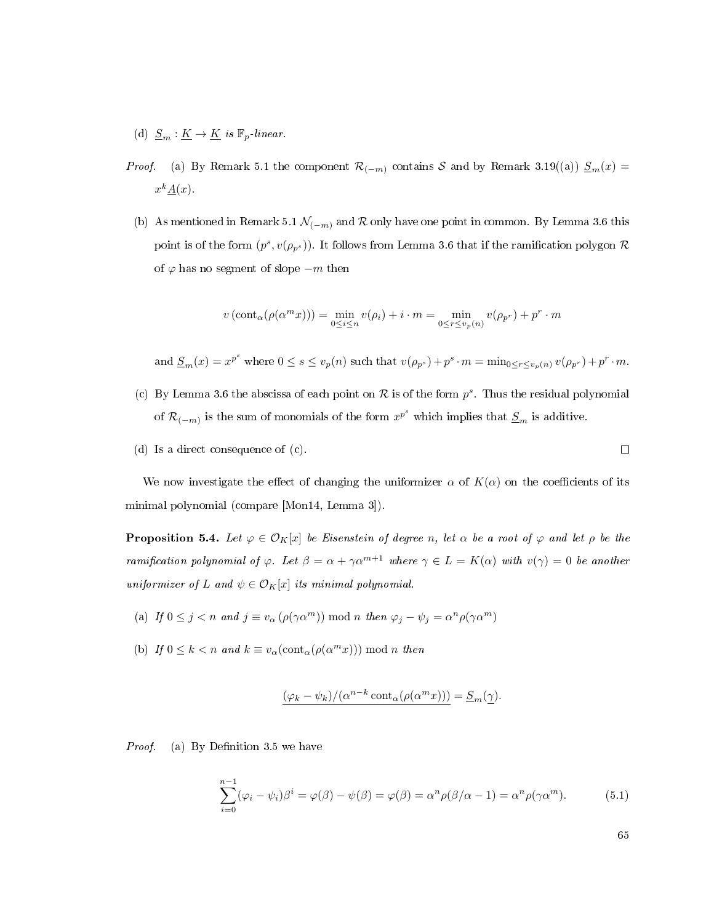- (d)  $\underline{S}_m : \underline{K} \to \underline{K}$  is  $\mathbb{F}_p$ -linear.
- *Proof.* (a) By Remark [5.1](#page-71-0) the component  $\mathcal{R}_{(-m)}$  contains S and by Remark [3.19](#page-46-0)[\(\(a\)\)](#page-46-1)  $\underline{S}_m(x)$  =  $x^k \underline{A}(x)$ .
- (b) As mentioned in Remark [5.1](#page-71-0)  $\mathcal{N}_{(-m)}$  and  $\mathcal{R}$  only have one point in common. By Lemma [3.6](#page-31-0) this point is of the form  $(p^s, v(\rho_{p^s}))$ . It follows from Lemma [3.6](#page-31-0) that if the ramification polygon  $\mathcal R$ of  $\varphi$  has no segment of slope  $-m$  then

$$
v\left(\operatorname{cont}_{\alpha}(\rho(\alpha^m x))\right) = \min_{0 \le i \le n} v(\rho_i) + i \cdot m = \min_{0 \le r \le v_p(n)} v(\rho_{p^r}) + p^r \cdot m
$$

and  $\underline{S}_m(x) = x^{p^s}$  where  $0 \le s \le v_p(n)$  such that  $v(\rho_{p^s}) + p^s \cdot m = \min_{0 \le r \le v_p(n)} v(\rho_{p^r}) + p^r \cdot m$ .

- (c) By Lemma [3.6](#page-31-0) the abscissa of each point on  $R$  is of the form  $p^s$ . Thus the residual polynomial of  $\mathcal{R}_{(-m)}$  is the sum of monomials of the form  $x^{p^s}$  which implies that  $\underline{S}_m$  is additive.
- (d) Is a direct consequence of [\(c\).](#page-72-0)

We now investigate the effect of changing the uniformizer  $\alpha$  of  $K(\alpha)$  on the coefficients of its minimal polynomial (compare [\[Mon14,](#page-113-0) Lemma 3]).

<span id="page-73-1"></span>**Proposition 5.4.** Let  $\varphi \in \mathcal{O}_K[x]$  be Eisenstein of degree n, let  $\alpha$  be a root of  $\varphi$  and let  $\rho$  be the ramification polynomial of  $\varphi$ . Let  $\beta = \alpha + \gamma \alpha^{m+1}$  where  $\gamma \in L = K(\alpha)$  with  $v(\gamma) = 0$  be another uniformizer of L and  $\psi \in \mathcal{O}_K[x]$  its minimal polynomial.

- (a) If  $0 \leq j < n$  and  $j \equiv v_{\alpha} (\rho(\gamma \alpha^m)) \text{ mod } n$  then  $\varphi_j \psi_j = \alpha^n \rho(\gamma \alpha^m)$
- (b) If  $0 \leq k < n$  and  $k \equiv v_{\alpha}(\text{cont}_{\alpha}(\rho(\alpha^m x))) \text{ mod } n$  then

$$
(\varphi_k - \psi_k) / (\alpha^{n-k} \cot(\alpha(\rho(\alpha^m x))) = \underline{S}_m(\underline{\gamma}).
$$

*Proof.* (a) By Definition [3.5](#page-30-0) we have

<span id="page-73-0"></span>
$$
\sum_{i=0}^{n-1} (\varphi_i - \psi_i)\beta^i = \varphi(\beta) - \psi(\beta) = \varphi(\beta) = \alpha^n \rho(\beta/\alpha - 1) = \alpha^n \rho(\gamma \alpha^m). \tag{5.1}
$$

65

 $\Box$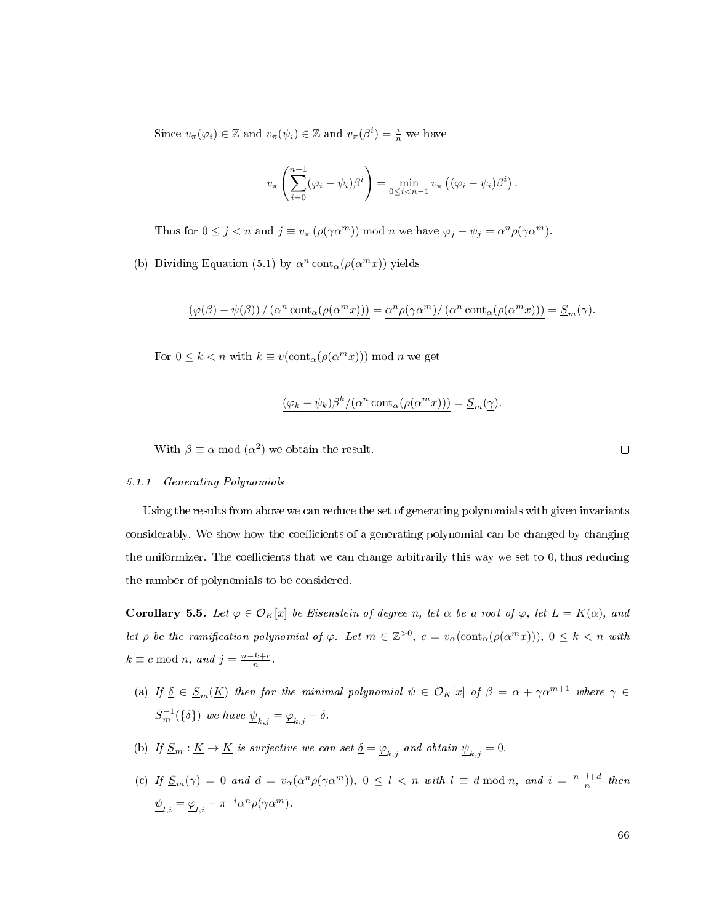Since  $v_{\pi}(\varphi_i) \in \mathbb{Z}$  and  $v_{\pi}(\psi_i) \in \mathbb{Z}$  and  $v_{\pi}(\beta^i) = \frac{i}{n}$  we have

$$
v_{\pi}\left(\sum_{i=0}^{n-1}(\varphi_i-\psi_i)\beta^i\right)=\min_{0\leq i
$$

Thus for  $0 \leq j < n$  and  $j \equiv v_{\pi} (\rho(\gamma \alpha^m)) \mod n$  we have  $\varphi_j - \psi_j = \alpha^n \rho(\gamma \alpha^m)$ .

(b) Dividing Equation [\(5.1\)](#page-73-0) by  $\alpha^n \text{cont}_{\alpha}(\rho(\alpha^m x))$  yields

$$
(\varphi(\beta) - \psi(\beta)) / (\alpha^n \text{cont}_{\alpha}(\rho(\alpha^m x))) = \alpha^n \rho(\gamma \alpha^m) / (\alpha^n \text{cont}_{\alpha}(\rho(\alpha^m x))) = \underline{S}_m(\underline{\gamma}).
$$

For  $0 \leq k < n$  with  $k \equiv v(\text{cont}_{\alpha}(\rho(\alpha^m x))) \bmod n$  we get

$$
(\varphi_k - \psi_k)\beta^k/(\alpha^n \operatorname{cont}_{\alpha}(\rho(\alpha^m x))) = \underline{S}_m(\underline{\gamma}).
$$

With  $\beta \equiv \alpha \mod(\alpha^2)$  we obtain the result.

 $\Box$ 

### 5.1.1 Generating Polynomials

Using the results from above we can reduce the set of generating polynomials with given invariants considerably. We show how the coefficients of a generating polynomial can be changed by changing the uniformizer. The coefficients that we can change arbitrarily this way we set to  $0$ , thus reducing the number of polynomials to be considered.

<span id="page-74-0"></span>**Corollary 5.5.** Let  $\varphi \in \mathcal{O}_K[x]$  be Eisenstein of degree n, let  $\alpha$  be a root of  $\varphi$ , let  $L = K(\alpha)$ , and let  $\rho$  be the ramification polynomial of  $\varphi$ . Let  $m \in \mathbb{Z}^{>0}$ ,  $c = v_\alpha(\text{cont}_\alpha(\rho(\alpha^m x)))$ ,  $0 \leq k < n$  with  $k \equiv c \bmod n$ , and  $j = \frac{n-k+c}{n}$ .

- (a) If  $\underline{\delta} \in \underline{S}_m(\underline{K})$  then for the minimal polynomial  $\psi \in \mathcal{O}_K[x]$  of  $\beta = \alpha + \gamma \alpha^{m+1}$  where  $\underline{\gamma} \in$  $\underline{S}_{m}^{-1}(\{\underline{\delta}\})$  we have  $\underline{\psi}_{k,j} = \underline{\varphi}_{k,j} - \underline{\delta}$ .
- (b) If  $\underline{S}_m : \underline{K} \to \underline{K}$  is surjective we can set  $\underline{\delta} = \underline{\varphi}_{k,j}$  and obtain  $\underline{\psi}_{k,j} = 0$ .
- (c) If  $S_m(\gamma) = 0$  and  $d = v_\alpha(\alpha^n \rho(\gamma \alpha^m))$ ,  $0 \le l < n$  with  $l \equiv d \mod n$ , and  $i = \frac{n-l+d}{n}$  then  $\underline{\psi}_{l,i} = \underline{\varphi}_{l,i} - \pi^{-i} \alpha^n \rho(\gamma \alpha^m).$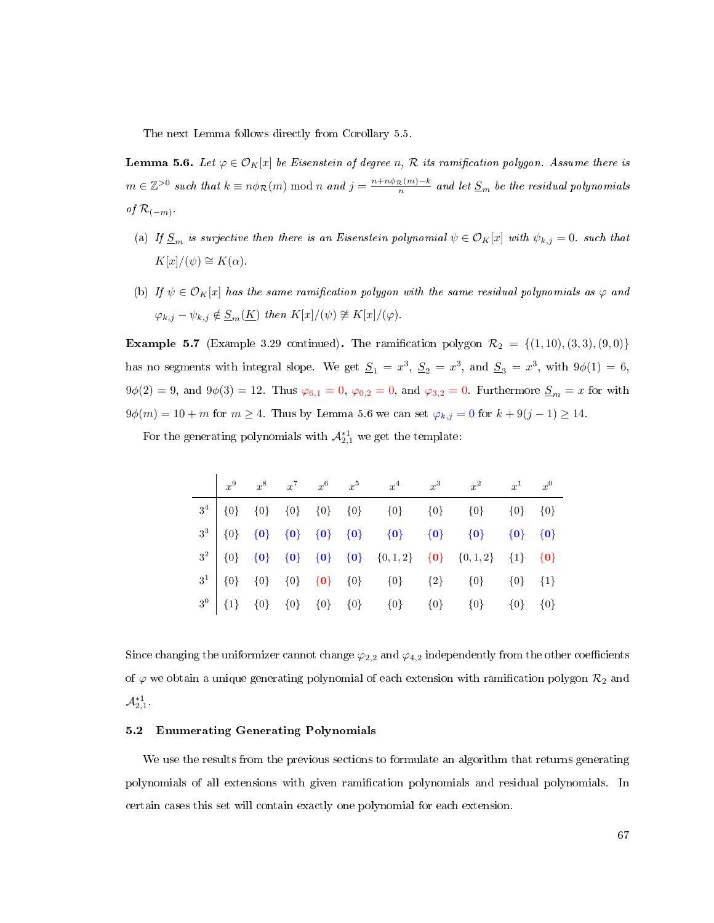The next Lemma follows directly from Corollary [5.5.](#page-74-0)

<span id="page-75-0"></span>**Lemma 5.6.** Let  $\varphi \in \mathcal{O}_K[x]$  be Eisenstein of degree n, R its ramification polygon. Assume there is  $m \in \mathbb{Z}^{>0}$  such that  $k \equiv n\phi_{\mathcal{R}}(m) \bmod n$  and  $j = \frac{n+n\phi_{\mathcal{R}}(m)-k}{n}$  and let  $\underline{S}_m$  be the residual polynomials of  $\mathcal{R}_{(-m)}$ .

- (a) If  $\underline{S}_m$  is surjective then there is an Eisenstein polynomial  $\psi \in \mathcal{O}_K[x]$  with  $\psi_{k,j} = 0$ . such that  $K[x]/(\psi) \cong K(\alpha)$ .
- (b) If  $\psi \in \mathcal{O}_K[x]$  has the same ramification polygon with the same residual polynomials as  $\varphi$  and  $\varphi_{k,j} - \psi_{k,j} \notin \underline{S}_m(\underline{K})$  then  $K[x]/(\psi) \not\cong K[x]/(\varphi)$ .

<span id="page-75-1"></span>**Example 5.7** (Example [3.29](#page-54-0) continued). The ramification polygon  $\mathcal{R}_2 = \{(1, 10), (3, 3), (9, 0)\}\$ has no segments with integral slope. We get  $\underline{S}_1 = x^3$ ,  $\underline{S}_2 = x^3$ , and  $\underline{S}_3 = x^3$ , with  $9\phi(1) = 6$ ,  $9\phi(2) = 9$ , and  $9\phi(3) = 12$ . Thus  $\varphi_{6,1} = 0$ ,  $\varphi_{0,2} = 0$ , and  $\varphi_{3,2} = 0$ . Furthermore  $S_m = x$  for with  $9\phi(m) = 10 + m$  for  $m \ge 4$ . Thus by Lemma [5.6](#page-75-0) we can set  $\varphi_{k,j} = 0$  for  $k + 9(j - 1) \ge 14$ .

For the generating polynomials with  $\mathcal{A}_{2,1}^{*1}$  we get the template:

|  |  |  |  | $x^9 \qquad x^8 \qquad x^7 \qquad x^6 \qquad x^5 \qquad \quad x^4 \qquad \quad x^3 \qquad \quad x^2 \qquad \quad x^1 \qquad x^0$           |  |
|--|--|--|--|--------------------------------------------------------------------------------------------------------------------------------------------|--|
|  |  |  |  |                                                                                                                                            |  |
|  |  |  |  |                                                                                                                                            |  |
|  |  |  |  | $3^2 \left[ \begin{array}{cccc} \{0\} & \{0\} & \{0\} & \{0\} & \{0\} & \{0,1,2\} & \{0\} & \{0,1,2\} & \{1\} & \{0\} \end{array} \right]$ |  |
|  |  |  |  | $3^1$ {0} {0} {0} {0} {0} {0} {0} {2} {0} {0} {1}                                                                                          |  |
|  |  |  |  |                                                                                                                                            |  |

Since changing the uniformizer cannot change  $\varphi_{2,2}$  and  $\varphi_{4,2}$  independently from the other coefficients of  $\varphi$  we obtain a unique generating polynomial of each extension with ramification polygon  $\mathcal{R}_2$  and  $\mathcal{A}^{*1}_{2,1}$  .

## 5.2 Enumerating Generating Polynomials

We use the results from the previous sections to formulate an algorithm that returns generating polynomials of all extensions with given ramication polynomials and residual polynomials. In certain cases this set will contain exactly one polynomial for each extension.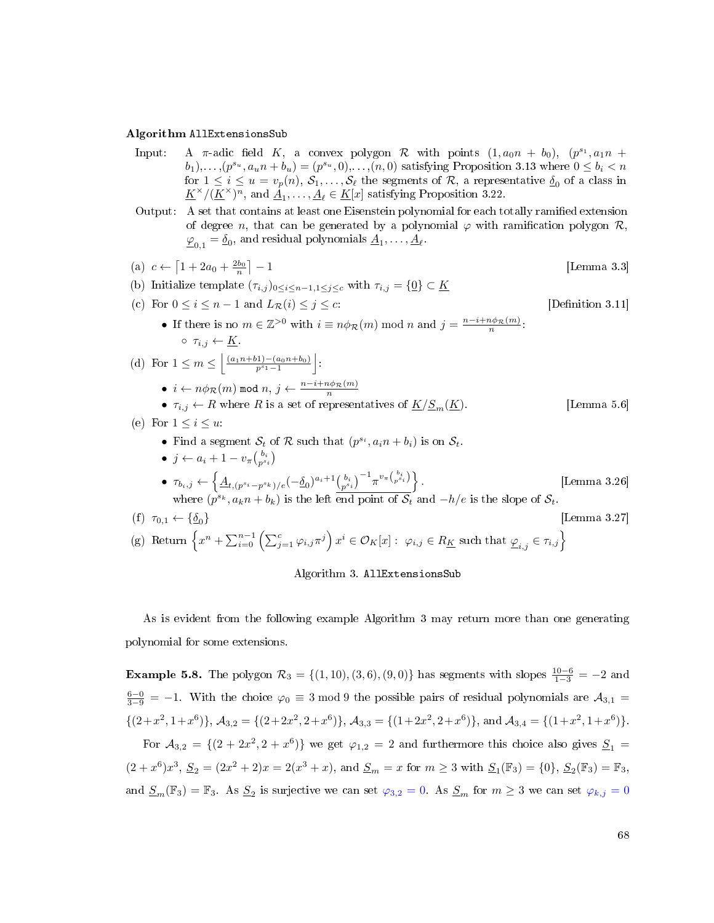### <span id="page-76-0"></span>Algorithm AllExtensionsSub

- Input: A  $\pi$ -adic field K, a convex polygon R with points  $(1, a_0n + b_0), (p^{s_1}, a_1n + b_1)$  $(b_1), \ldots, (p^{s_u}, a_u n + b_u) = (p^{s_u}, 0), \ldots, (n, 0)$  satisfying Proposition [3.13](#page-36-0) where  $0 \leq b_i < n$ for  $1 \leq i \leq u = v_p(n), S_1, \ldots, S_\ell$  the segments of  $\mathcal{R}$ , a representative  $\underline{\delta}_0$  of a class in  $\underline{K}^{\times}/(\underline{K}^{\times})^n$ , and  $\underline{\dot{A}_1}, \dots, \underline{A}_{\ell} \in \underline{K}[x]$  satisfying Proposition [3.22.](#page-47-0)
- Output: A set that contains at least one Eisenstein polynomial for each totally ramified extension of degree n, that can be generated by a polynomial  $\varphi$  with ramification polygon  $\mathcal{R}$ ,  $\underline{\varphi}_{0,1} = \underline{\delta}_0$ , and residual polynomials  $\underline{A}_1, \ldots, \underline{A}_\ell$ .

\n- \n (a) 
$$
c \leftarrow [1 + 2a_0 + \frac{2b_0}{n}] - 1
$$
 [Lemma 3.3]\n
\n- \n (b) Initialize template  $(\tau_{i,j})_{0 \leq i \leq n-1, 1 \leq j \leq c}$  with  $\tau_{i,j} = \{0\} \subset K$  [Definition 3.11]\n
\n- \n If there is no  $m \in \mathbb{Z}^{>0}$  with  $i \equiv n\phi_R(m)$  mod  $n$  and  $j = \frac{n-i+n\phi_R(m)}{n}$ :\n
	\n- $\tau_{i,j} \leftarrow K$ .
	\n\n
\n- \n (d) For  $1 \leq m \leq \left\lfloor \frac{(a_1n+b1)-(a_0n+b_0)}{p^{s_1}-1} \right\rfloor$ :\n
	\n- $i \leftarrow n\phi_R(m)$  mod  $n, j \leftarrow \frac{n-i+n\phi_R(m)}{n}$
	\n- $\tau_{i,j} \leftarrow R$  where  $R$  is a set of representatives of  $\underline{K}/\underline{S}_m(\underline{K})$ . [Lemma 5.6]\n
	\n- \n (e) For  $1 \leq i \leq u$ :\n
		\n- Find a segment  $S_t$  of  $R$  such that  $(p^{s_i}, a_i n + b_i)$  is on  $S_t$ .
		\n- $j \leftarrow a_i + 1 - v_\pi \begin{pmatrix} b_i \\ b_i \end{pmatrix}$
		\n- $\tau_{b_i,j} \leftarrow \left\{ \underline{A}_{t, (p^{s_i} - p^{s_k})/e}(-\underline{\delta}_0)^{a_i+1} \frac{b_i}{p^{s_i}} \right\} - \frac{1}{n} v_\pi \begin{pmatrix} b_i \\ p^{s_i} \end{pmatrix} \right\}$ .\n
		\n- \n [Lemma 3.26] where  $(p^{s_k}, a_k n + b_k)$  is the left end point of  $S_t$  and

As is evident from the following example Algorithm [3](#page-76-0) may return more than one generating polynomial for some extensions.

**Example 5.8.** The polygon  $\mathcal{R}_3 = \{(1, 10), (3, 6), (9, 0)\}\)$  has segments with slopes  $\frac{10-6}{1-3} = -2$  and  $\frac{6-0}{3-9}$  = -1. With the choice  $\varphi_0 \equiv 3 \mod 9$  the possible pairs of residual polynomials are  $\mathcal{A}_{3,1}$  =  $\{(2+x^2, 1+x^6)\}, \mathcal{A}_{3,2} = \{(2+2x^2, 2+x^6)\}, \mathcal{A}_{3,3} = \{(1+2x^2, 2+x^6)\}, \text{ and } \mathcal{A}_{3,4} = \{(1+x^2, 1+x^6)\}.$ 

For  $A_{3,2} = \{(2 + 2x^2, 2 + x^6)\}\$  we get  $\varphi_{1,2} = 2$  and furthermore this choice also gives  $S_1 =$  $(2+x^6)x^3$ ,  $\underline{S}_2 = (2x^2+2)x = 2(x^3+x)$ , and  $\underline{S}_m = x$  for  $m \ge 3$  with  $\underline{S}_1(\mathbb{F}_3) = \{0\}$ ,  $\underline{S}_2(\mathbb{F}_3) = \mathbb{F}_3$ , and  $S_m(\mathbb{F}_3) = \mathbb{F}_3$ . As  $S_2$  is surjective we can set  $\varphi_{3,2} = 0$ . As  $S_m$  for  $m \geq 3$  we can set  $\varphi_{k,j} = 0$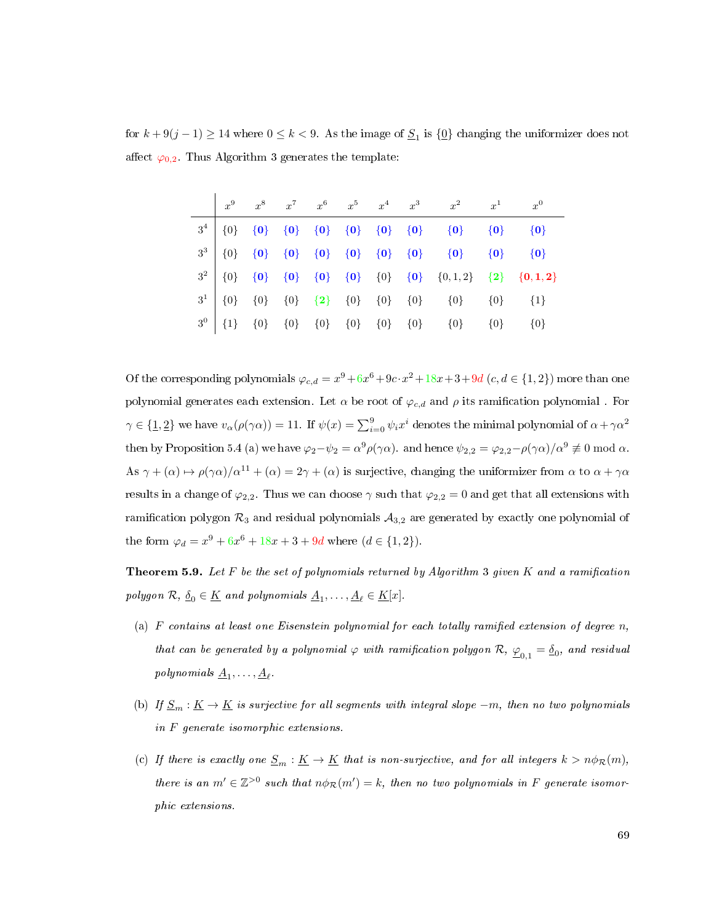for  $k + 9(j - 1) \ge 14$  where  $0 \le k < 9$ . As the image of  $S_1$  is  $\{0\}$  changing the uniformizer does not affect  $\varphi_{0,2}$ . Thus Algorithm [3](#page-76-0) generates the template:

|  |  |  |  | $x^9 \qquad x^8 \qquad x^7 \qquad x^6 \qquad x^5 \qquad x^4 \qquad x^3 \qquad x^2 \qquad x^1 \qquad x^0$ |                                                                                                                                                                                                                                                                                                                                                                                      |
|--|--|--|--|----------------------------------------------------------------------------------------------------------|--------------------------------------------------------------------------------------------------------------------------------------------------------------------------------------------------------------------------------------------------------------------------------------------------------------------------------------------------------------------------------------|
|  |  |  |  |                                                                                                          | $\begin{tabular}{c cccc cccc} $3^4$ & $\{0\}$ & $\{0\}$ & $\{0\}$ & $\{0\}$ & $\{0\}$ & $\{0\}$ & $\{0\}$ & $\{0\}$ & $\{0\}$ & $\{0\}$ & $\{0\}$ & $\{0\}$ \\ $3^3$ & $\{0\}$ & $\{0\}$ & $\{0\}$ & $\{0\}$ & $\{0\}$ & $\{0\}$ & $\{0\}$ & $\{0\}$ & $\{0\}$ \\ $3^2$ & $\{0\}$ & $\{0\}$ & $\{0\}$ & $\{0\}$ & $\{0\}$ & $\{0\}$ & $\{0\}$ & $\{0\}$ & $\{0\}$ & $\{0\}$ & $\{0\$ |
|  |  |  |  |                                                                                                          |                                                                                                                                                                                                                                                                                                                                                                                      |
|  |  |  |  |                                                                                                          |                                                                                                                                                                                                                                                                                                                                                                                      |
|  |  |  |  |                                                                                                          |                                                                                                                                                                                                                                                                                                                                                                                      |
|  |  |  |  |                                                                                                          |                                                                                                                                                                                                                                                                                                                                                                                      |

Of the corresponding polynomials  $\varphi_{c,d} = x^9 + 6x^6 + 9c \cdot x^2 + 18x + 3 + 9d$   $(c, d \in \{1, 2\})$  more than one polynomial generates each extension. Let  $\alpha$  be root of  $\varphi_{c,d}$  and  $\rho$  its ramification polynomial. For  $\gamma \in \{ \underline{1}, \underline{2} \}$  we have  $v_\alpha(\rho(\gamma \alpha)) = 11$ . If  $\psi(x) = \sum_{i=0}^9 \psi_i x^i$  denotes the minimal polynomial of  $\alpha + \gamma \alpha^2$ then by Proposition [5.4](#page-73-1) (a) we have  $\varphi_2 - \psi_2 = \alpha^9 \rho(\gamma \alpha)$ . and hence  $\psi_{2,2} = \varphi_{2,2} - \rho(\gamma \alpha)/\alpha^9 \not\equiv 0 \bmod \alpha$ . As  $\gamma + (\alpha) \mapsto \rho(\gamma \alpha)/\alpha^{11} + (\alpha) = 2\gamma + (\alpha)$  is surjective, changing the uniformizer from  $\alpha$  to  $\alpha + \gamma \alpha$ results in a change of  $\varphi_{2,2}$ . Thus we can choose  $\gamma$  such that  $\varphi_{2,2} = 0$  and get that all extensions with ramification polygon  $\mathcal{R}_3$  and residual polynomials  $\mathcal{A}_{3,2}$  are generated by exactly one polynomial of the form  $\varphi_d = x^9 + 6x^6 + 18x + 3 + 9d$  where  $(d \in \{1, 2\})$ .

<span id="page-77-0"></span>**Theorem 5.9.** Let F be the set of polynomials returned by Algorithm [3](#page-76-0) given K and a ramification polygon  $\mathcal{R}, \underline{\delta}_0 \in \underline{K}$  and polynomials  $\underline{A}_1, \ldots, \underline{A}_\ell \in \underline{K}[x].$ 

- (a)  $F$  contains at least one Eisenstein polynomial for each totally ramified extension of degree  $n$ , that can be generated by a polynomial  $\varphi$  with ramification polygon  $\mathcal{R},\ \underline{\varphi}_{0,1}=\underline{\delta}_0,$  and residual polynomials  $\underline{A}_1, \ldots, \underline{A}_\ell$ .
- (b) If  $\underline{S}_m : \underline{K} \to \underline{K}$  is surjective for all segments with integral slope  $-m$ , then no two polynomials in F generate isomorphic extensions.
- (c) If there is exactly one  $\underline{S}_m : \underline{K} \to \underline{K}$  that is non-surjective, and for all integers  $k > n\phi_{\mathcal{R}}(m)$ , there is an  $m' \in \mathbb{Z}^{>0}$  such that  $n\phi_{\mathcal{R}}(m') = k$ , then no two polynomials in F generate isomorphic extensions.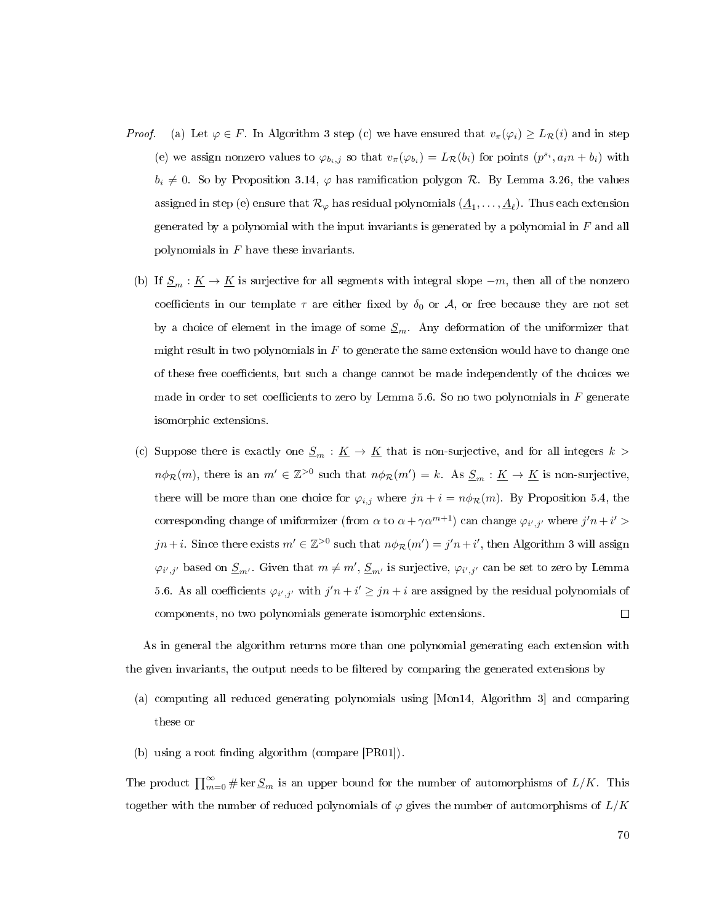- *Proof.* (a) Let  $\varphi \in F$ . In Algorithm [3](#page-76-0) step (c) we have ensured that  $v_\pi(\varphi_i) \geq L_{\mathcal{R}}(i)$  and in step (e) we assign nonzero values to  $\varphi_{b_i,j}$  so that  $v_\pi(\varphi_{b_i}) = L_\mathcal{R}(b_i)$  for points  $(p^{s_i}, a_i n + b_i)$  with  $b_i \neq 0$ . So by Proposition [3.14,](#page-40-0)  $\varphi$  has ramification polygon R. By Lemma [3.26,](#page-51-0) the values assigned in step (e) ensure that  $\mathcal{R}_{\varphi}$  has residual polynomials  $(\underline{A}_1,\ldots,\underline{A}_{\ell}).$  Thus each extension generated by a polynomial with the input invariants is generated by a polynomial in  $F$  and all polynomials in  $F$  have these invariants.
- (b) If  $\underline{S}_m : \underline{K} \to \underline{K}$  is surjective for all segments with integral slope  $-m$ , then all of the nonzero coefficients in our template  $\tau$  are either fixed by  $\delta_0$  or  $\mathcal{A}$ , or free because they are not set by a choice of element in the image of some  $S_m$ . Any deformation of the uniformizer that might result in two polynomials in  $F$  to generate the same extension would have to change one of these free coefficients, but such a change cannot be made independently of the choices we made in order to set coefficients to zero by Lemma [5.6.](#page-75-0) So no two polynomials in  $F$  generate isomorphic extensions.
- (c) Suppose there is exactly one  $\underline{S}_m : \underline{K} \to \underline{K}$  that is non-surjective, and for all integers  $k >$  $n\phi_{\mathcal{R}}(m)$ , there is an  $m' \in \mathbb{Z}^{>0}$  such that  $n\phi_{\mathcal{R}}(m') = k$ . As  $\underline{S}_m : \underline{K} \to \underline{K}$  is non-surjective, there will be more than one choice for  $\varphi_{i,j}$  where  $jn + i = n\phi_{\mathcal{R}}(m)$ . By Proposition [5.4,](#page-73-1) the corresponding change of uniformizer (from  $\alpha$  to  $\alpha + \gamma \alpha^{m+1}$ ) can change  $\varphi_{i',j'}$  where  $j' n + i' >$  $jn+i$ . Since there exists  $m' \in \mathbb{Z}^{>0}$  such that  $n\phi_{\mathcal{R}}(m') = j'n + i'$ , then Algorithm [3](#page-76-0) will assign  $\varphi_{i',j'}$  based on  $\underline{S}_{m'}$ . Given that  $m \neq m'$ ,  $\underline{S}_{m'}$  is surjective,  $\varphi_{i',j'}$  can be set to zero by Lemma [5.6.](#page-75-0) As all coefficients  $\varphi_{i',j'}$  with  $j'n + i' \geq jn + i$  are assigned by the residual polynomials of  $\Box$ components, no two polynomials generate isomorphic extensions.

As in general the algorithm returns more than one polynomial generating each extension with the given invariants, the output needs to be filtered by comparing the generated extensions by

- (a) computing all reduced generating polynomials using [\[Mon14,](#page-113-0) Algorithm 3] and comparing these or
- (b) using a root finding algorithm (compare  $[PR01]$ ).

The product  $\prod_{m=0}^{\infty}\#\ker \underline{S}_m$  is an upper bound for the number of automorphisms of  $L/K$ . This together with the number of reduced polynomials of  $\varphi$  gives the number of automorphisms of  $L/K$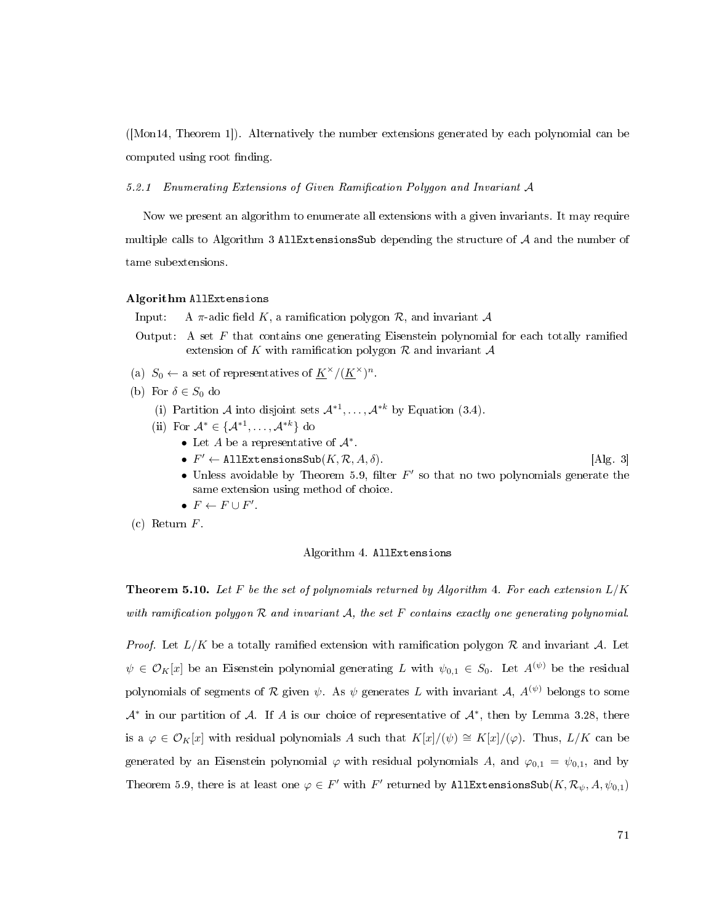([\[Mon14,](#page-113-0) Theorem 1]). Alternatively the number extensions generated by each polynomial can be computed using root finding.

5.2.1 Enumerating Extensions of Given Ramification Polygon and Invariant A

Now we present an algorithm to enumerate all extensions with a given invariants. It may require multiple calls to Algorithm [3](#page-76-0) AllExtensionsSub depending the structure of  $A$  and the number of tame subextensions.

#### <span id="page-79-0"></span>Algorithm AllExtensions

Input: A  $\pi$ -adic field K, a ramification polygon R, and invariant A

- Output: A set  $F$  that contains one generating Eisenstein polynomial for each totally ramified extension of K with ramification polygon  $\mathcal R$  and invariant  $\mathcal A$
- (a)  $S_0 \leftarrow$  a set of representatives of  $\underline{K}^{\times}/(\underline{K}^{\times})^n$ .
- (b) For  $\delta \in S_0$  do
	- (i) Partition A into disjoint sets  $\mathcal{A}^{*1}, \ldots, \mathcal{A}^{*k}$  by Equation [\(3.4\)](#page-52-1).
	- (ii) For  $\mathcal{A}^* \in \{ \mathcal{A}^{*1}, \ldots, \mathcal{A}^{*k} \}$  do
		- Let A be a representative of  $\mathcal{A}^*$ .
		- $F' \leftarrow \text{AllExtensionsSub}(K, \mathcal{R}, A, \delta).$  [Alg. [3\]](#page-76-0)
		- Unless avoidable by Theorem [5.9,](#page-77-0) filter  $F'$  so that no two polynomials generate the same extension using method of choice.
		- $F \leftarrow F \cup F'$ .
- (c) Return F.

#### Algorithm 4. AllExtensions

**Theorem 5.10.** Let F be the set of polynomials returned by Algorithm [4.](#page-79-0) For each extension  $L/K$ with ramification polygon  $R$  and invariant  $A$ , the set F contains exactly one generating polynomial.

*Proof.* Let  $L/K$  be a totally ramified extension with ramification polygon R and invariant A. Let  $\psi \in \mathcal{O}_K[x]$  be an Eisenstein polynomial generating L with  $\psi_{0,1} \in S_0$ . Let  $A^{(\psi)}$  be the residual polynomials of segments of R given  $\psi$ . As  $\psi$  generates L with invariant A,  $A^{(\psi)}$  belongs to some  $\mathcal{A}^*$  in our partition of  $\mathcal{A}$ . If  $A$  is our choice of representative of  $\mathcal{A}^*$ , then by Lemma [3.28,](#page-53-0) there is a  $\varphi \in \mathcal{O}_K[x]$  with residual polynomials A such that  $K[x]/(\psi) \cong K[x]/(\varphi)$ . Thus,  $L/K$  can be generated by an Eisenstein polynomial  $\varphi$  with residual polynomials A, and  $\varphi_{0,1} = \psi_{0,1}$ , and by Theorem [5.9,](#page-77-0) there is at least one  $\varphi \in F'$  with  $F'$  returned by AllExtensionsSub $(K, \mathcal{R}_{\psi}, A, \psi_{0,1})$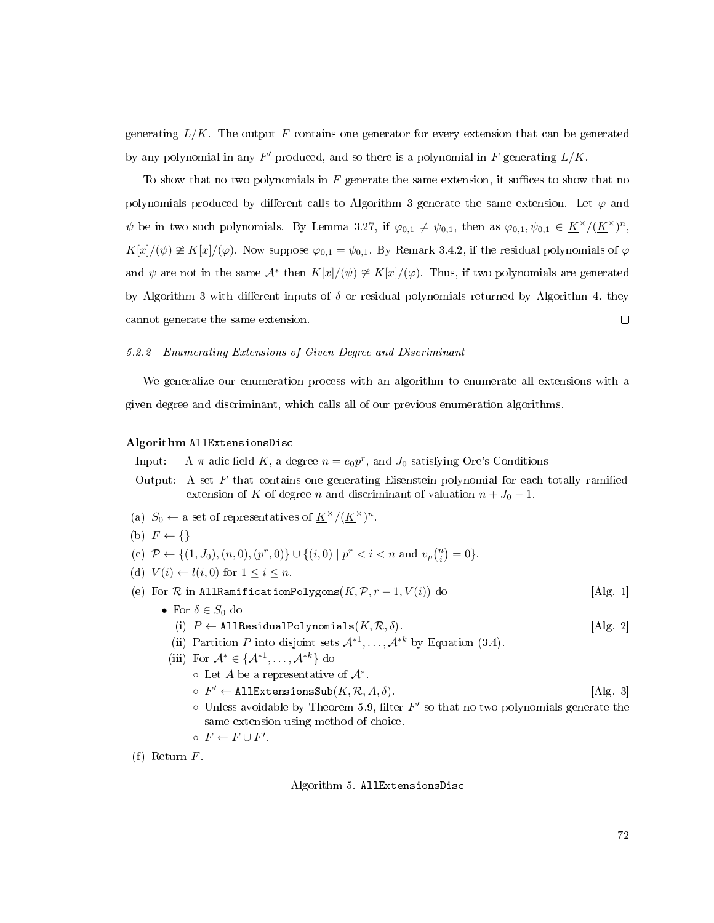generating  $L/K$ . The output F contains one generator for every extension that can be generated by any polynomial in any  $F'$  produced, and so there is a polynomial in F generating  $L/K$ .

To show that no two polynomials in  $F$  generate the same extension, it suffices to show that no polynomials produced by different calls to Algorithm [3](#page-76-0) generate the same extension. Let  $\varphi$  and  $\psi$  be in two such polynomials. By Lemma [3.27,](#page-52-0) if  $\varphi_{0,1} \neq \psi_{0,1}$ , then as  $\varphi_{0,1}, \psi_{0,1} \in \underline{K}^{\times}/(\underline{K}^{\times})^n$ ,  $K[x]/(\psi) \ncong K[x]/(\varphi)$ . Now suppose  $\varphi_{0,1} = \psi_{0,1}$ . By Remark [3.4.2,](#page-52-1) if the residual polynomials of  $\varphi$ and  $\psi$  are not in the same  $\mathcal{A}^*$  then  $K[x]/(\psi) \ncong K[x]/(\varphi)$ . Thus, if two polynomials are generated by Algorithm [3](#page-76-0) with different inputs of  $\delta$  or residual polynomials returned by Algorithm [4,](#page-79-0) they cannot generate the same extension.  $\Box$ 

### 5.2.2 Enumerating Extensions of Given Degree and Discriminant

We generalize our enumeration process with an algorithm to enumerate all extensions with a given degree and discriminant, which calls all of our previous enumeration algorithms.

### <span id="page-80-0"></span>Algorithm AllExtensionsDisc

Input: A  $\pi$ -adic field K, a degree  $n = e_0 p^r$ , and  $J_0$  satisfying Ore's Conditions

- Output: A set  $F$  that contains one generating Eisenstein polynomial for each totally ramified extension of K of degree n and discriminant of valuation  $n + J_0 - 1$ .
- (a)  $S_0 \leftarrow$  a set of representatives of  $\underline{K}^{\times}/(\underline{K}^{\times})^n$ .
- (b)  $F \leftarrow \{\}$
- (c)  $\mathcal{P} \leftarrow \{(1, J_0), (n, 0), (p^r, 0)\} \cup \{(i, 0) \mid p^r < i < n \text{ and } v_p {n \choose i} = 0\}.$
- (d)  $V(i) \leftarrow l(i, 0)$  for  $1 \leq i \leq n$ .
- (e) For  $\mathcal R$  in AllRamificationPolygons( $K, \mathcal P, r 1, V(i)$ ) do [Alg. [1\]](#page-44-0)
	- For  $\delta \in S_0$  do
		- (i)  $P \leftarrow$  AllResidualPolynomials $(K, \mathcal{R}, \delta)$ . [Alg. [2\]](#page-56-0)
		- (ii) Partition P into disjoint sets  $\mathcal{A}^{*1}, \ldots, \mathcal{A}^{*k}$  by Equation [\(3.4\)](#page-52-1).
		- (iii) For  $\mathcal{A}^* \in \{ \mathcal{A}^{*1}, \ldots, \mathcal{A}^{*k} \}$  do
			- $\circ$  Let A be a representative of  $\mathcal{A}^*$ .
			- $\circ$   $F' \leftarrow$  AllExtensionsSub $(K, \mathcal{R}, A, \delta)$ . [Alg. [3\]](#page-76-0)
			- $\circ$  Unless avoidable by Theorem [5.9,](#page-77-0) filter  $F'$  so that no two polynomials generate the same extension using method of choice.

$$
\circ \ F \leftarrow F \cup F'.
$$

(f) Return F.

Algorithm 5. AllExtensionsDisc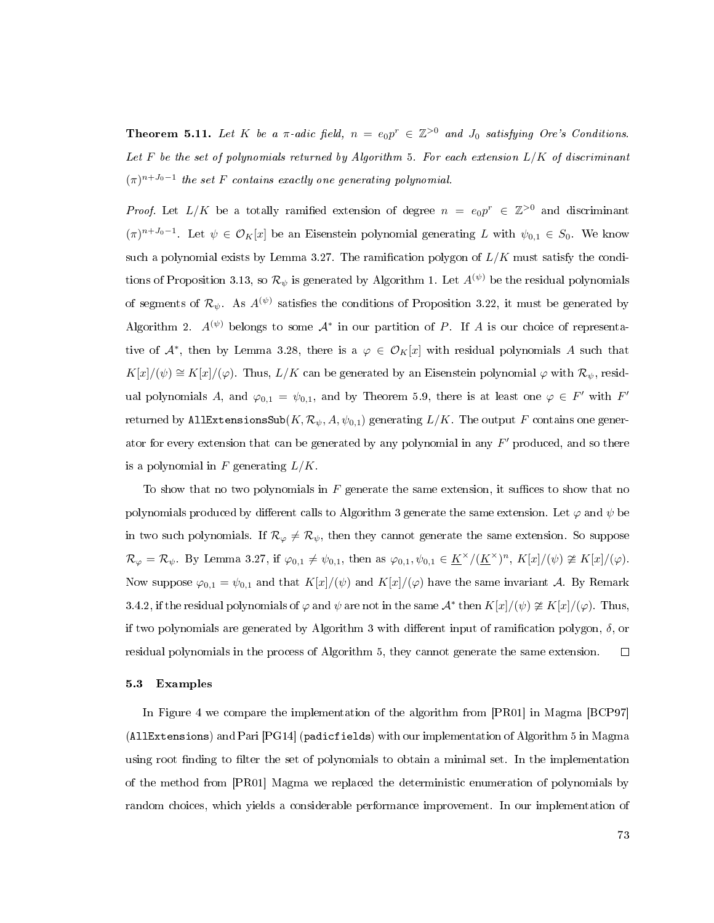**Theorem 5.11.** Let K be a  $\pi$ -adic field,  $n = e_0p^r \in \mathbb{Z}^{>0}$  and  $J_0$  satisfying Ore's Conditions. Let  $F$  be the set of polynomials returned by Algorithm [5.](#page-80-0) For each extension  $L/K$  of discriminant  $(\pi)^{n+J_0-1}$  the set F contains exactly one generating polynomial.

*Proof.* Let  $L/K$  be a totally ramified extension of degree  $n = e_0p^r \in \mathbb{Z}^{>0}$  and discriminant  $(\pi)^{n+J_0-1}$ . Let  $\psi \in \mathcal{O}_K[x]$  be an Eisenstein polynomial generating L with  $\psi_{0,1} \in S_0$ . We know such a polynomial exists by Lemma [3.27.](#page-52-0) The ramification polygon of  $L/K$  must satisfy the condi-tions of Proposition [3.13,](#page-36-0) so  $\mathcal{R}_{\psi}$  is generated by Algorithm [1.](#page-44-0) Let  $A^{(\psi)}$  be the residual polynomials of segments of  $\mathcal{R}_{\psi}$ . As  $A^{(\psi)}$  satisfies the conditions of Proposition [3.22,](#page-47-0) it must be generated by Algorithm [2.](#page-56-0)  $A^{(\psi)}$  belongs to some  $A^*$  in our partition of P. If A is our choice of representative of  $\mathcal{A}^*$ , then by Lemma [3.28,](#page-53-0) there is a  $\varphi \in \mathcal{O}_K[x]$  with residual polynomials A such that  $K[x]/(\psi) \cong K[x]/(\varphi)$ . Thus,  $L/K$  can be generated by an Eisenstein polynomial  $\varphi$  with  $\mathcal{R}_{\psi}$ , residual polynomials A, and  $\varphi_{0,1} = \psi_{0,1}$ , and by Theorem [5.9,](#page-77-0) there is at least one  $\varphi \in F'$  with  $F'$ returned by AllExtensionsSub $(K, \mathcal{R}_{\psi}, A, \psi_{0,1})$  generating  $L/K$ . The output F contains one generator for every extension that can be generated by any polynomial in any  $F'$  produced, and so there is a polynomial in F generating  $L/K$ .

To show that no two polynomials in  $F$  generate the same extension, it suffices to show that no polynomials produced by different calls to Algorithm [3](#page-76-0) generate the same extension. Let  $\varphi$  and  $\psi$  be in two such polynomials. If  $\mathcal{R}_{\varphi} \neq \mathcal{R}_{\psi}$ , then they cannot generate the same extension. So suppose  $\mathcal{R}_{\varphi} = \mathcal{R}_{\psi}$ . By Lemma [3.27,](#page-52-0) if  $\varphi_{0,1} \neq \psi_{0,1}$ , then as  $\varphi_{0,1}, \psi_{0,1} \in \underline{K}^{\times}/(\underline{K}^{\times})^n$ ,  $K[x]/(\psi) \ncong K[x]/(\varphi)$ . Now suppose  $\varphi_{0,1} = \psi_{0,1}$  and that  $K[x]/(\psi)$  and  $K[x]/(\varphi)$  have the same invariant A. By Remark [3.4.2,](#page-52-1) if the residual polynomials of  $\varphi$  and  $\psi$  are not in the same  $\mathcal{A}^*$  then  $K[x]/(\psi) \ncong K[x]/(\varphi)$ . Thus, if two polynomials are generated by Algorithm [3](#page-76-0) with different input of ramification polygon,  $\delta$ , or residual polynomials in the process of Algorithm [5,](#page-80-0) they cannot generate the same extension.  $\Box$ 

### 5.3 Examples

In Figure [4](#page-82-0) we compare the implementation of the algorithm from [\[PR01\]](#page-114-0) in Magma [\[BCP97\]](#page-111-0) (AllExtensions) and Pari [\[PG14\]](#page-114-1) (padicfields) with our implementation of Algorithm [5](#page-80-0) in Magma using root finding to filter the set of polynomials to obtain a minimal set. In the implementation of the method from [\[PR01\]](#page-114-0) Magma we replaced the deterministic enumeration of polynomials by random choices, which yields a considerable performance improvement. In our implementation of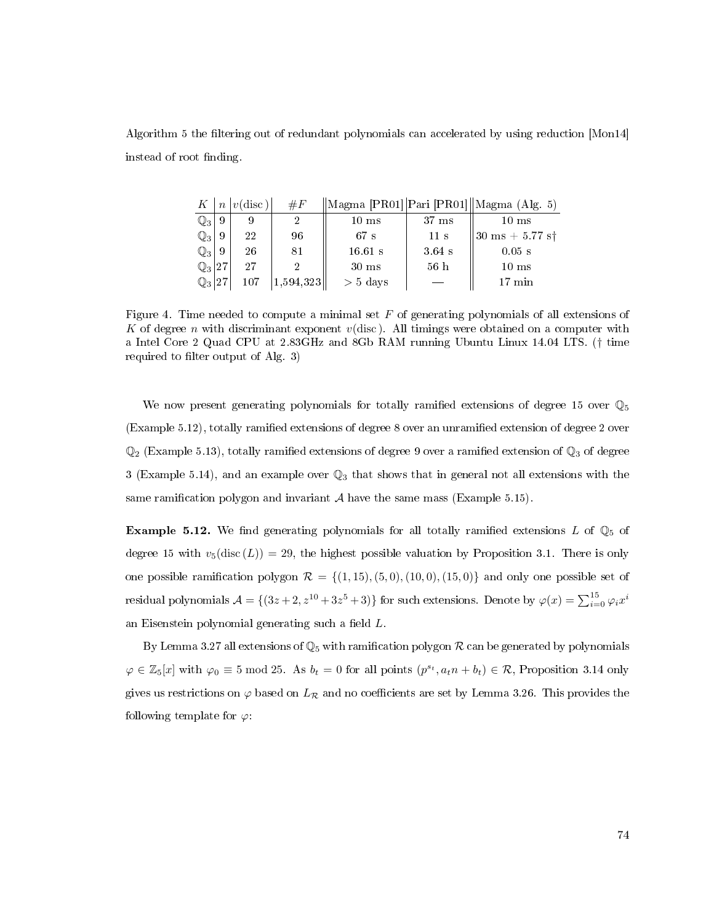<span id="page-82-0"></span>Algorithm [5](#page-80-0) the filtering out of redundant polynomials can accelerated by using reduction [\[Mon14\]](#page-113-0) instead of root finding.

| K              | $\boldsymbol{n}$ | $ v(\text{disc}) $ | $\#F$     |                 |                 | $\ \text{Magma [PR01]} \text{Pari [PR01]} \text{Magma (Alg. 5)}\$ |
|----------------|------------------|--------------------|-----------|-----------------|-----------------|-------------------------------------------------------------------|
| $\mathbb{Q}_3$ | 9                |                    |           | $10 \text{ ms}$ | $37 \text{ ms}$ | $10 \text{ ms}$                                                   |
| $\mathbb{Q}_3$ | 9                | 22                 | 96        | 67 s            | 11 s            | $ 30 \text{ ms } + 5.77 \text{ s}$                                |
| $\mathbb{Q}_3$ | 9                | 26                 | 81        | $16.61$ s       | $3.64$ s        | $0.05$ s                                                          |
| $\mathbb{Q}_3$ | .127             | 97                 |           | $30 \text{ ms}$ | 56h             | $10 \text{ ms}$                                                   |
| $\mathbb{Q}_3$ | 127              | 107                | 1,594,323 | $> 5$ days      |                 | 17 min                                                            |

Figure 4. Time needed to compute a minimal set  $F$  of generating polynomials of all extensions of K of degree n with discriminant exponent  $v$ (disc). All timings were obtained on a computer with a Intel Core 2 Quad CPU at 2.83GHz and 8Gb RAM running Ubuntu Linux 14.04 LTS. († time required to filter output of Alg. [3\)](#page-76-0)

We now present generating polynomials for totally ramified extensions of degree 15 over  $\mathbb{Q}_5$ (Example [5.12\)](#page-82-1), totally ramified extensions of degree 8 over an unramified extension of degree 2 over  $\mathbb{Q}_2$  (Example [5.13\)](#page-83-0), totally ramified extensions of degree 9 over a ramified extension of  $\mathbb{Q}_3$  of degree 3 (Example [5.14\)](#page-84-0), and an example over  $\mathbb{Q}_3$  that shows that in general not all extensions with the same ramification polygon and invariant  $A$  have the same mass (Example [5.15\)](#page-85-0).

<span id="page-82-1"></span>**Example 5.12.** We find generating polynomials for all totally ramified extensions L of  $\mathbb{Q}_5$  of degree 15 with  $v_5(\text{disc}(L)) = 29$ , the highest possible valuation by Proposition [3.1.](#page-29-0) There is only one possible ramification polygon  $\mathcal{R} = \{(1,15), (5,0), (10,0), (15,0)\}\$  and only one possible set of residual polynomials  $\mathcal{A} = \{(3z+2, z^{10}+3z^5+3)\}$  for such extensions. Denote by  $\varphi(x) = \sum_{i=0}^{15} \varphi_i x^i$ an Eisenstein polynomial generating such a field  $L$ .

By Lemma [3.27](#page-52-0) all extensions of  $\mathbb{Q}_5$  with ramification polygon  $\mathcal R$  can be generated by polynomials  $\varphi \in \mathbb{Z}_5[x]$  with  $\varphi_0 \equiv 5 \mod 25$ . As  $b_t = 0$  for all points  $(p^{s_t}, a_t n + b_t) \in \mathcal{R}$ , Proposition [3.14](#page-40-0) only gives us restrictions on  $\varphi$  based on  $L_{\mathcal{R}}$  and no coefficients are set by Lemma [3.26.](#page-51-0) This provides the following template for  $\varphi$ :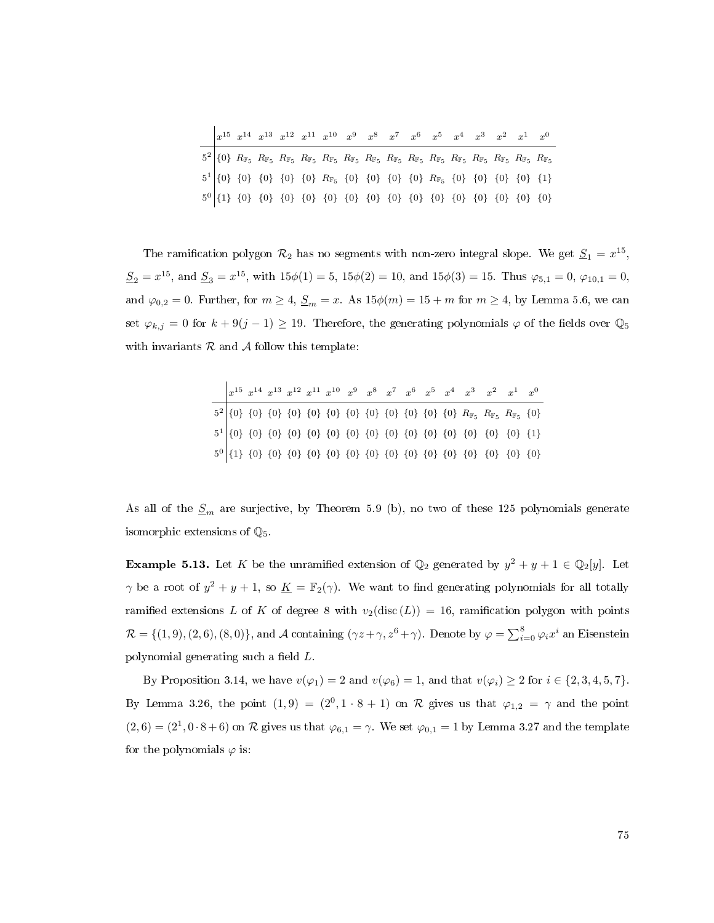|  |  |  |  | $\begin{array}{ccccccccccccc} x^{15} & x^{14} & x^{13} & x^{12} & x^{11} & x^{10} & x^{9} & x^{8} & x^{7} & x^{6} & x^{5} & x^{4} & x^{3} & x^{2} & x^{1} & x^{0} \end{array}$ |  |  |  |  |
|--|--|--|--|--------------------------------------------------------------------------------------------------------------------------------------------------------------------------------|--|--|--|--|
|  |  |  |  |                                                                                                                                                                                |  |  |  |  |
|  |  |  |  |                                                                                                                                                                                |  |  |  |  |
|  |  |  |  |                                                                                                                                                                                |  |  |  |  |

The ramification polygon  $\mathcal{R}_2$  has no segments with non-zero integral slope. We get  $\underline{S}_1 = x^{15}$ ,  $S_2 = x^{15}$ , and  $S_3 = x^{15}$ , with  $15\phi(1) = 5$ ,  $15\phi(2) = 10$ , and  $15\phi(3) = 15$ . Thus  $\varphi_{5,1} = 0$ ,  $\varphi_{10,1} = 0$ , and  $\varphi_{0,2} = 0$ . Further, for  $m \geq 4$ ,  $\underline{S}_m = x$ . As  $15\phi(m) = 15 + m$  for  $m \geq 4$ , by Lemma [5.6,](#page-75-0) we can set  $\varphi_{k,j} = 0$  for  $k + 9(j - 1) \ge 19$ . Therefore, the generating polynomials  $\varphi$  of the fields over  $\mathbb{Q}_5$ with invariants  $R$  and  $A$  follow this template:

|  |  |  |  |  |  |  | $x^{15} \ x^{14} \ x^{13} \ x^{12} \ x^{11} \ x^{10} \ x^9 \ x^8 \ x^7 \ x^6 \ x^5 \ x^4 \ x^3 \ x^2 \ x^1 \ x^0$ |  |
|--|--|--|--|--|--|--|-------------------------------------------------------------------------------------------------------------------|--|
|  |  |  |  |  |  |  |                                                                                                                   |  |
|  |  |  |  |  |  |  |                                                                                                                   |  |
|  |  |  |  |  |  |  |                                                                                                                   |  |

As all of the  $S_m$  are surjective, by Theorem [5.9](#page-77-0) (b), no two of these 125 polynomials generate isomorphic extensions of  $\mathbb{Q}_5$ .

<span id="page-83-0"></span>**Example 5.13.** Let K be the unramified extension of  $\mathbb{Q}_2$  generated by  $y^2 + y + 1 \in \mathbb{Q}_2[y]$ . Let  $\gamma$  be a root of  $y^2 + y + 1$ , so  $\underline{K} = \mathbb{F}_2(\gamma)$ . We want to find generating polynomials for all totally ramified extensions L of K of degree 8 with  $v_2$ (disc (L)) = 16, ramification polygon with points  $\mathcal{R} = \{(1,9), (2,6), (8,0)\}\text{, and } \mathcal{A} \text{ containing } (\gamma z + \gamma, z^6 + \gamma)\text{. Denote by } \varphi = \sum_{i=0}^{8} \varphi_i x^i \text{ an Eisenstein }$ polynomial generating such a field  $L$ .

By Proposition [3.14,](#page-40-0) we have  $v(\varphi_1) = 2$  and  $v(\varphi_6) = 1$ , and that  $v(\varphi_i) \ge 2$  for  $i \in \{2, 3, 4, 5, 7\}$ . By Lemma [3.26,](#page-51-0) the point  $(1,9) = (2^0, 1 \cdot 8 + 1)$  on R gives us that  $\varphi_{1,2} = \gamma$  and the point  $(2,6) = (2^1, 0 \cdot 8 + 6)$  on R gives us that  $\varphi_{6,1} = \gamma$ . We set  $\varphi_{0,1} = 1$  by Lemma [3.27](#page-52-0) and the template for the polynomials  $\varphi$  is: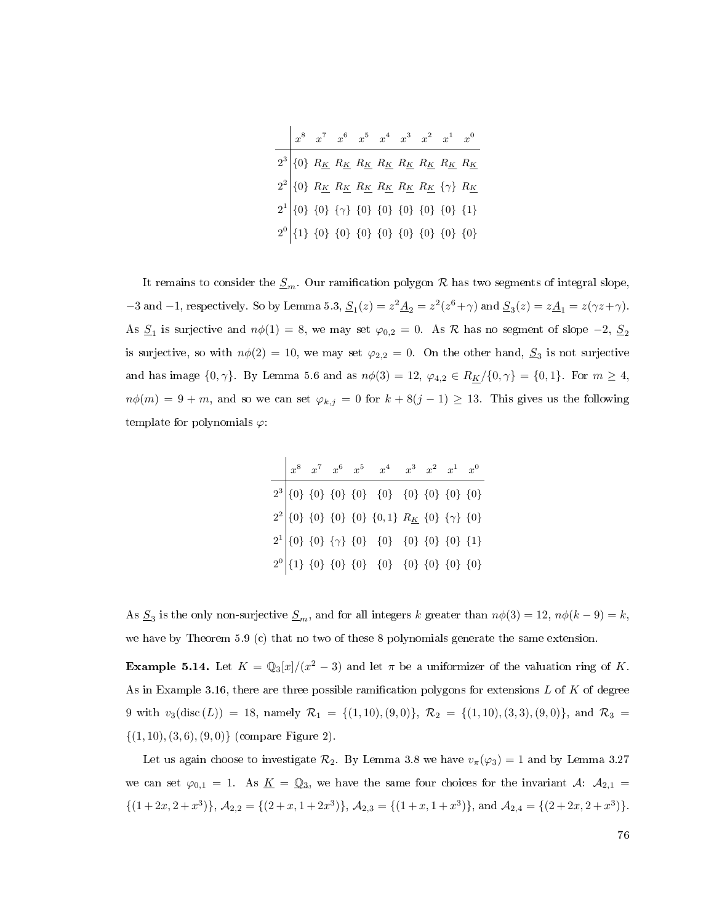x <sup>8</sup> x <sup>7</sup> x <sup>6</sup> x <sup>5</sup> x <sup>4</sup> x <sup>3</sup> x <sup>2</sup> x <sup>1</sup> x 0 2 3 {0} R<sup>K</sup> R<sup>K</sup> R<sup>K</sup> R<sup>K</sup> R<sup>K</sup> R<sup>K</sup> R<sup>K</sup> R<sup>K</sup> 2 2 {0} R<sup>K</sup> R<sup>K</sup> R<sup>K</sup> R<sup>K</sup> R<sup>K</sup> R<sup>K</sup> {γ} R<sup>K</sup> 2 1 {0} {0} {γ} {0} {0} {0} {0} {0} {1} 2 0 {1} {0} {0} {0} {0} {0} {0} {0} {0}

It remains to consider the  $S_m$ . Our ramification polygon R has two segments of integral slope, -3 and -1, respectively. So by Lemma [5.3,](#page-72-1)  $\underline{S}_1(z) = z^2 \underline{A}_2 = z^2(z^6 + \gamma)$  and  $\underline{S}_3(z) = z \underline{A}_1 = z(\gamma z + \gamma)$ . As  $\underline{S}_1$  is surjective and  $n\phi(1) = 8$ , we may set  $\varphi_{0,2} = 0$ . As  $R$  has no segment of slope  $-2$ ,  $\underline{S}_2$ is surjective, so with  $n\phi(2) = 10$ , we may set  $\varphi_{2,2} = 0$ . On the other hand,  $S_3$  is not surjective and has image  $\{0, \gamma\}$ . By Lemma [5.6](#page-75-0) and as  $n\phi(3) = 12$ ,  $\varphi_{4,2} \in R_{K}/\{0, \gamma\} = \{0, 1\}$ . For  $m \geq 4$ ,  $n\phi(m) = 9 + m$ , and so we can set  $\varphi_{k,j} = 0$  for  $k + 8(j - 1) \ge 13$ . This gives us the following template for polynomials  $\varphi$ :

|  |  | $x^8 \quad x^7 \quad x^6 \quad x^5 \quad \  x^4 \quad \  x^3 \quad x^2 \quad x^1 \quad x^0$                                                                                                                                                                                                                                                                                                             |  |  |
|--|--|---------------------------------------------------------------------------------------------------------------------------------------------------------------------------------------------------------------------------------------------------------------------------------------------------------------------------------------------------------------------------------------------------------|--|--|
|  |  | $\begin{tabular}{c c c c c} \hline $\begin{array}{c} \multicolumn{3}{c}{\textbf{2}^3} & $\{0\}$ & $\{0\}$ & $\{0\}$ & $\{0\}$ & $\{0\}$ & $\{0\}$ & $\{0\}$ & $\{0\}$ & $\{0\}$ \\ \multicolumn{2}{c}{\textbf{2}^2} & $\{0\}$ & $\{0\}$ & $\{0\}$ & $\{0\}$ & $\{0,1\}$ & $R_K$ & $\{0\}$ & $\{\gamma\}$ & $\{0\}$ \\ \multicolumn{2}{c}{\textbf{2}^1} & $\{0\}$ & $\{0\}$ & $\{0\}$ & $\{0\}$ & $\{0\$ |  |  |
|  |  |                                                                                                                                                                                                                                                                                                                                                                                                         |  |  |
|  |  |                                                                                                                                                                                                                                                                                                                                                                                                         |  |  |
|  |  |                                                                                                                                                                                                                                                                                                                                                                                                         |  |  |

As  $S_3$  is the only non-surjective  $S_m$ , and for all integers k greater than  $n\phi(3) = 12$ ,  $n\phi(k-9) = k$ , we have by Theorem [5.9](#page-77-0) (c) that no two of these 8 polynomials generate the same extension.

<span id="page-84-0"></span>**Example 5.14.** Let  $K = \mathbb{Q}_3[x]/(x^2 - 3)$  and let  $\pi$  be a uniformizer of the valuation ring of K. As in Example [3.16,](#page-41-1) there are three possible ramification polygons for extensions  $L$  of  $K$  of degree 9 with  $v_3(disc (L)) = 18$ , namely  $\mathcal{R}_1 = \{(1, 10), (9, 0)\}, \ \mathcal{R}_2 = \{(1, 10), (3, 3), (9, 0)\},$  and  $\mathcal{R}_3 =$  $\{(1, 10), (3, 6), (9, 0)\}$  (compare Figure [2\)](#page-42-0).

Let us again choose to investigate  $\mathcal{R}_2$ . By Lemma [3.8](#page-33-0) we have  $v_\pi(\varphi_3) = 1$  and by Lemma [3.27](#page-52-0) we can set  $\varphi_{0,1} = 1$ . As  $\underline{K} = \mathbb{Q}_3$ , we have the same four choices for the invariant  $\mathcal{A}$ :  $\mathcal{A}_{2,1} =$  $\{(1+2x, 2+x^3)\}, \mathcal{A}_{2,2} = \{(2+x, 1+2x^3)\}, \mathcal{A}_{2,3} = \{(1+x, 1+x^3)\}, \text{ and } \mathcal{A}_{2,4} = \{(2+2x, 2+x^3)\}.$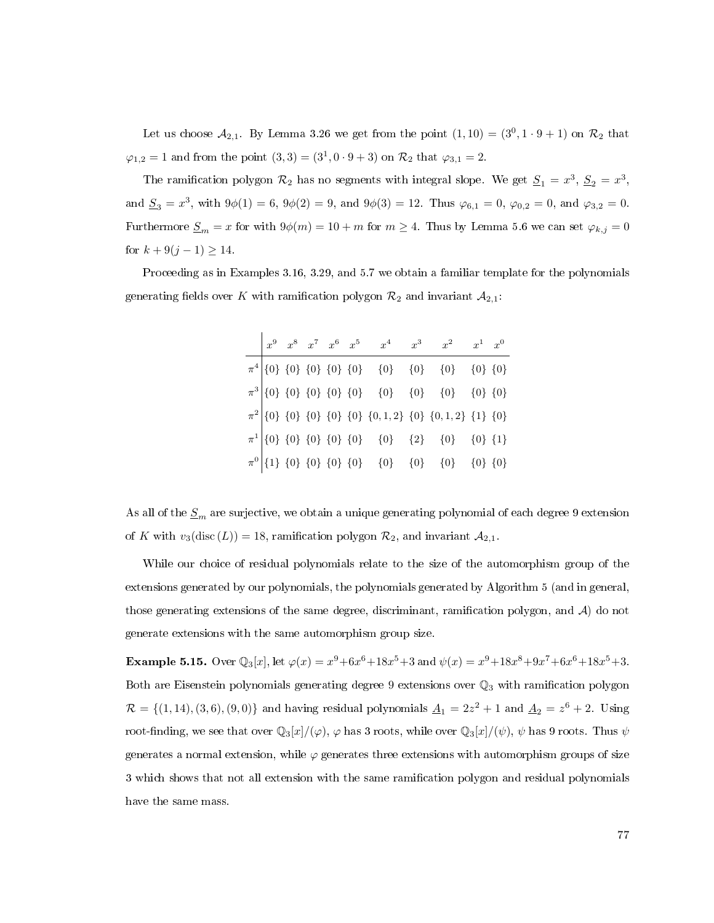Let us choose  $\mathcal{A}_{2,1}$ . By Lemma [3.26](#page-51-0) we get from the point  $(1,10) = (3^0,1\cdot 9 + 1)$  on  $\mathcal{R}_2$  that  $\varphi_{1,2} = 1$  and from the point  $(3,3) = (3^1, 0 \cdot 9 + 3)$  on  $\mathcal{R}_2$  that  $\varphi_{3,1} = 2$ .

The ramification polygon  $\mathcal{R}_2$  has no segments with integral slope. We get  $\underline{S}_1 = x^3$ ,  $\underline{S}_2 = x^3$ , and  $S_3 = x^3$ , with  $9\phi(1) = 6$ ,  $9\phi(2) = 9$ , and  $9\phi(3) = 12$ . Thus  $\varphi_{6,1} = 0$ ,  $\varphi_{0,2} = 0$ , and  $\varphi_{3,2} = 0$ . Furthermore  $\underline{S}_m = x$  for with  $9\phi(m) = 10 + m$  for  $m \ge 4$ . Thus by Lemma [5.6](#page-75-0) we can set  $\varphi_{k,j} = 0$ for  $k + 9(j - 1) \ge 14$ .

Proceeding as in Examples [3.16,](#page-41-1) [3.29,](#page-54-0) and [5.7](#page-75-1) we obtain a familiar template for the polynomials generating fields over K with ramification polygon  $\mathcal{R}_2$  and invariant  $\mathcal{A}_{2,1}$ :

|  |  |  | $\begin{array}{ l cccc } \hline x^9 & x^8 & x^7 & x^6 & x^5 & x^4 & x^3 & x^2 & x^1 & x^0 \ \hline \end{array}$ |  |  |
|--|--|--|-----------------------------------------------------------------------------------------------------------------|--|--|
|  |  |  |                                                                                                                 |  |  |
|  |  |  |                                                                                                                 |  |  |
|  |  |  |                                                                                                                 |  |  |
|  |  |  |                                                                                                                 |  |  |
|  |  |  |                                                                                                                 |  |  |

As all of the  $S_m$  are surjective, we obtain a unique generating polynomial of each degree 9 extension of K with  $v_3(\text{disc}(L)) = 18$ , ramification polygon  $\mathcal{R}_2$ , and invariant  $\mathcal{A}_{2,1}$ .

While our choice of residual polynomials relate to the size of the automorphism group of the extensions generated by our polynomials, the polynomials generated by Algorithm [5](#page-80-0) (and in general, those generating extensions of the same degree, discriminant, ramification polygon, and  $A$ ) do not generate extensions with the same automorphism group size.

<span id="page-85-0"></span>**Example 5.15.** Over  $\mathbb{Q}_3[x]$ , let  $\varphi(x) = x^9 + 6x^6 + 18x^5 + 3$  and  $\psi(x) = x^9 + 18x^8 + 9x^7 + 6x^6 + 18x^5 + 3$ . Both are Eisenstein polynomials generating degree 9 extensions over  $\mathbb{Q}_3$  with ramification polygon  $\mathcal{R} = \{(1, 14), (3, 6), (9, 0)\}\$ and having residual polynomials  $\underline{A}_1 = 2z^2 + 1$  and  $\underline{A}_2 = z^6 + 2$ . Using root-finding, we see that over  $\mathbb{Q}_3[x]/(\varphi)$ ,  $\varphi$  has 3 roots, while over  $\mathbb{Q}_3[x]/(\psi)$ ,  $\psi$  has 9 roots. Thus  $\psi$ generates a normal extension, while  $\varphi$  generates three extensions with automorphism groups of size 3 which shows that not all extension with the same ramication polygon and residual polynomials have the same mass.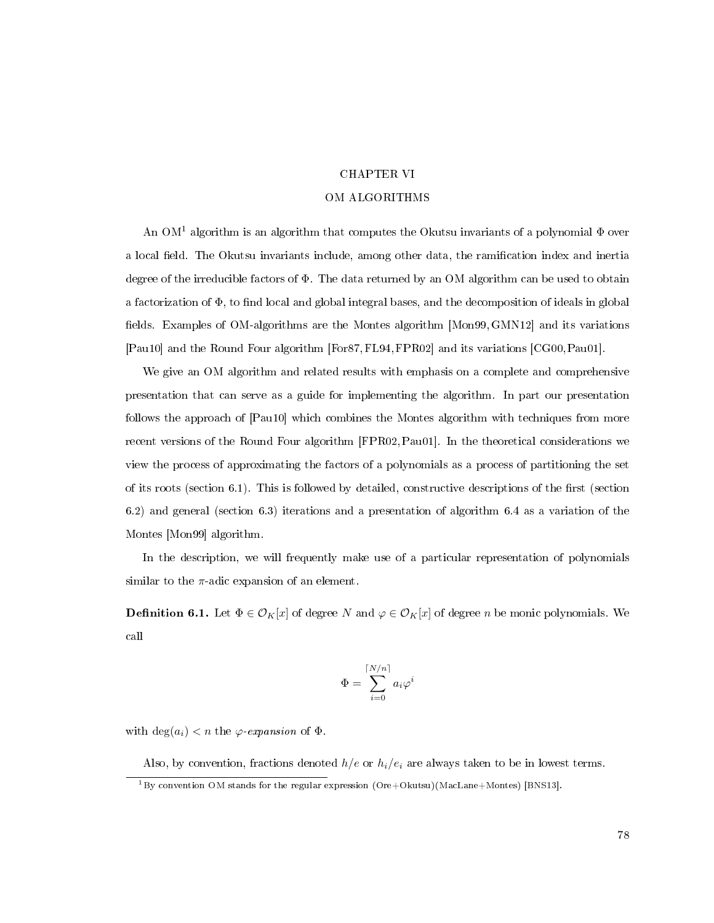## CHAPTER VI

## OM ALGORITHMS

An  $OM<sup>1</sup>$  $OM<sup>1</sup>$  $OM<sup>1</sup>$  algorithm is an algorithm that computes the Okutsu invariants of a polynomial  $\Phi$  over a local field. The Okutsu invariants include, among other data, the ramification index and inertia degree of the irreducible factors of Φ. The data returned by an OM algorithm can be used to obtain a factorization of  $\Phi$ , to find local and global integral bases, and the decomposition of ideals in global fields. Examples of OM-algorithms are the Montes algorithm [\[Mon99,](#page-113-1) [GMN12\]](#page-112-0) and its variations [\[Pau10\]](#page-114-2) and the Round Four algorithm [\[For87,](#page-111-1)[FL94,](#page-111-2)[FPR02\]](#page-111-3) and its variations [\[CG00,](#page-111-4)[Pau01\]](#page-114-3).

We give an OM algorithm and related results with emphasis on a complete and comprehensive presentation that can serve as a guide for implementing the algorithm. In part our presentation follows the approach of [\[Pau10\]](#page-114-2) which combines the Montes algorithm with techniques from more recent versions of the Round Four algorithm [\[FPR02,](#page-111-3)[Pau01\]](#page-114-3). In the theoretical considerations we view the process of approximating the factors of a polynomials as a process of partitioning the set of its roots (section [6.1\)](#page-87-0). This is followed by detailed, constructive descriptions of the first (section [6.2\)](#page-91-0) and general (section [6.3\)](#page-95-0) iterations and a presentation of algorithm [6.4](#page-100-0) as a variation of the Montes [\[Mon99\]](#page-113-1) algorithm.

In the description, we will frequently make use of a particular representation of polynomials similar to the  $\pi$ -adic expansion of an element.

<span id="page-86-1"></span>**Definition 6.1.** Let  $\Phi \in \mathcal{O}_K[x]$  of degree N and  $\varphi \in \mathcal{O}_K[x]$  of degree n be monic polynomials. We call

$$
\Phi = \sum_{i=0}^{\lceil N/n \rceil} a_i \varphi^i
$$

with  $\deg(a_i) < n$  the  $\varphi$ -expansion of  $\Phi$ .

Also, by convention, fractions denoted  $h/e$  or  $h_i/e_i$  are always taken to be in lowest terms.

<span id="page-86-0"></span> $^{1}$ By convention OM stands for the regular expression (Ore+Okutsu)(MacLane+Montes) [\[BNS13\]](#page-111-5).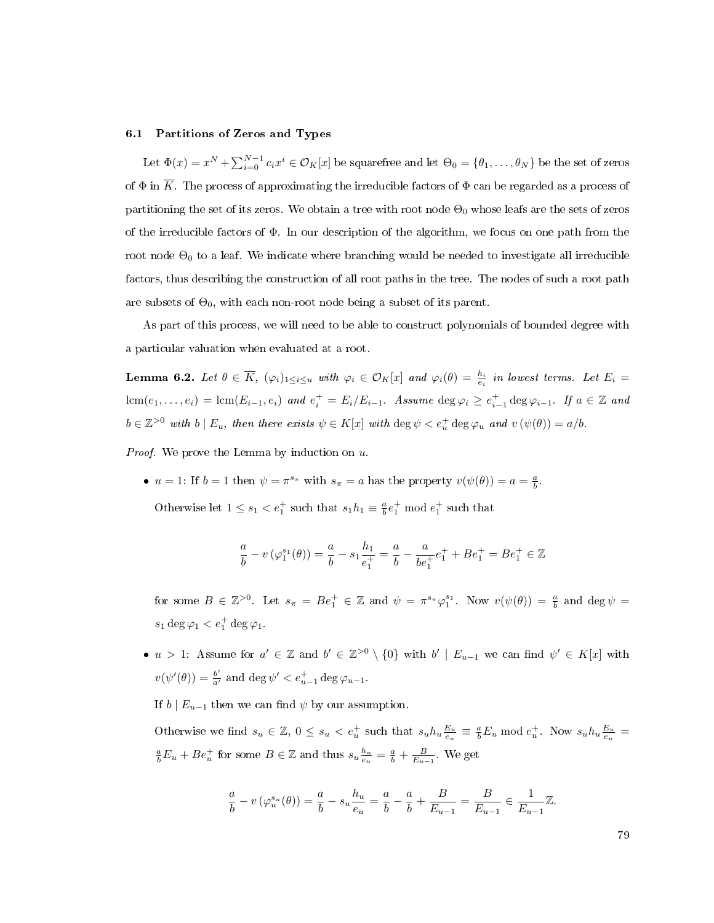## <span id="page-87-0"></span>6.1 Partitions of Zeros and Types

Let  $\Phi(x) = x^N + \sum_{i=0}^{N-1} c_i x^i \in \mathcal{O}_K[x]$  be squarefree and let  $\Theta_0 = \{\theta_1, \ldots, \theta_N\}$  be the set of zeros of  $\Phi$  in  $\overline{K}$ . The process of approximating the irreducible factors of  $\Phi$  can be regarded as a process of partitioning the set of its zeros. We obtain a tree with root node  $\Theta_0$  whose leafs are the sets of zeros of the irreducible factors of Φ. In our description of the algorithm, we focus on one path from the root node  $\Theta_0$  to a leaf. We indicate where branching would be needed to investigate all irreducible factors, thus describing the construction of all root paths in the tree. The nodes of such a root path are subsets of  $\Theta_0$ , with each non-root node being a subset of its parent.

As part of this process, we will need to be able to construct polynomials of bounded degree with a particular valuation when evaluated at a root.

<span id="page-87-1"></span>**Lemma 6.2.** Let  $\theta \in \overline{K}$ ,  $(\varphi_i)_{1 \leq i \leq u}$  with  $\varphi_i \in \mathcal{O}_K[x]$  and  $\varphi_i(\theta) = \frac{h_i}{e_i}$  in lowest terms. Let  $E_i =$  $lcm(e_1,\ldots,e_i) = lcm(E_{i-1},e_i)$  and  $e_i^+ = E_i/E_{i-1}$ . Assume  $\deg \varphi_i \geq e_{i-1}^+ \deg \varphi_{i-1}$ . If  $a \in \mathbb{Z}$  and  $b \in \mathbb{Z}^{>0}$  with  $b \mid E_u$ , then there exists  $\psi \in K[x]$  with  $\deg \psi < e_u^+ \deg \varphi_u$  and  $v(\psi(\theta)) = a/b$ .

Proof. We prove the Lemma by induction on u.

•  $u = 1$ : If  $b = 1$  then  $\psi = \pi^{s_{\pi}}$  with  $s_{\pi} = a$  has the property  $v(\psi(\theta)) = a = \frac{a}{b}$ .

Otherwise let  $1 \leq s_1 < e_1^+$  such that  $s_1 h_1 \equiv \frac{a}{b} e_1^+ \mod e_1^+$  such that

$$
\frac{a}{b} - v(\varphi_1^{s_1}(\theta)) = \frac{a}{b} - s_1 \frac{h_1}{e_1^+} = \frac{a}{b} - \frac{a}{be_1^+} e_1^+ + Be_1^+ = Be_1^+ \in \mathbb{Z}
$$

for some  $B \in \mathbb{Z}^{>0}$ . Let  $s_{\pi} = Be_1^+ \in \mathbb{Z}$  and  $\psi = \pi^{s_{\pi}} \varphi_1^{s_1}$ . Now  $v(\psi(\theta)) = \frac{a}{b}$  and  $\deg \psi =$  $s_1 \deg \varphi_1 < e_1^+ \deg \varphi_1.$ 

•  $u > 1$ : Assume for  $a' \in \mathbb{Z}$  and  $b' \in \mathbb{Z}^{>0} \setminus \{0\}$  with  $b' \mid E_{u-1}$  we can find  $\psi' \in K[x]$  with  $v(\psi'(\theta)) = \frac{b'}{a'}$  and  $\deg \psi' < e_{u-1}^+ \deg \varphi_{u-1}$ .

If  $b \mid E_{u-1}$  then we can find  $\psi$  by our assumption.

Otherwise we find  $s_u \in \mathbb{Z}$ ,  $0 \le s_u < e_u^+$  such that  $s_u h_u \frac{E_u}{e_u} \equiv \frac{a}{b} E_u \mod e_u^+$ . Now  $s_u h_u \frac{E_u}{e_u}$  $\frac{a}{b}E_u + Be_u^+$  for some  $B \in \mathbb{Z}$  and thus  $s_u \frac{h_u}{e_u} = \frac{a}{b} + \frac{B}{E_{u-1}}$ . We get

$$
\frac{a}{b} - v(\varphi_u^{s_u}(\theta)) = \frac{a}{b} - s_u \frac{h_u}{e_u} = \frac{a}{b} - \frac{a}{b} + \frac{B}{E_{u-1}} = \frac{B}{E_{u-1}} \in \frac{1}{E_{u-1}} \mathbb{Z}.
$$

79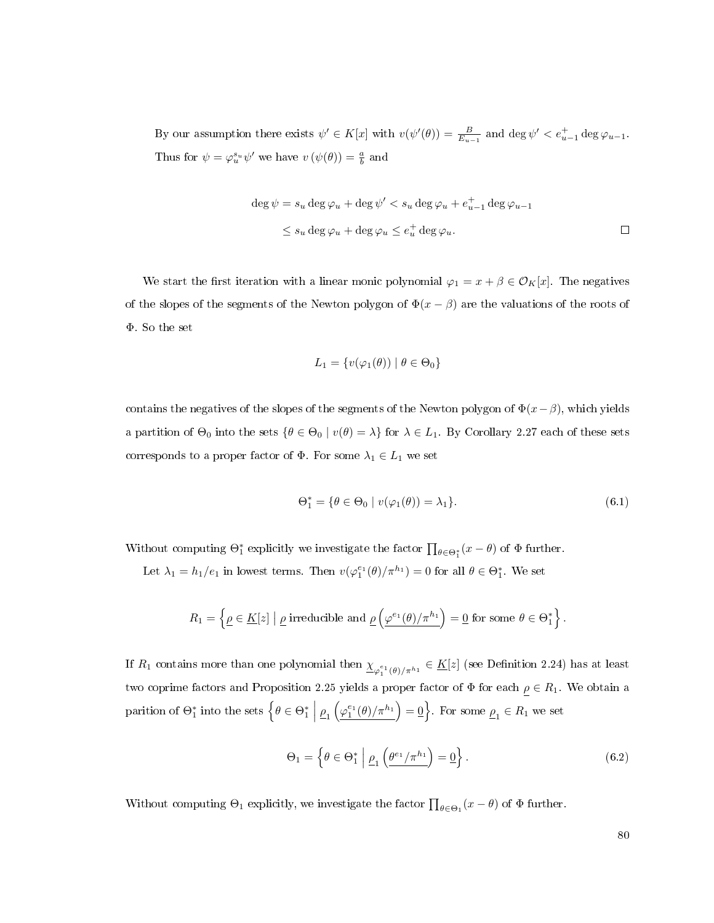By our assumption there exists  $\psi' \in K[x]$  with  $v(\psi'(\theta)) = \frac{B}{E_{u-1}}$  and  $\deg \psi' < e_{u-1}^+ \deg \varphi_{u-1}$ . Thus for  $\psi = \varphi_u^{s_u} \psi'$  we have  $v(\psi(\theta)) = \frac{a}{b}$  and

$$
\deg \psi = s_u \deg \varphi_u + \deg \psi' < s_u \deg \varphi_u + e_{u-1}^+ \deg \varphi_{u-1}
$$
\n
$$
\leq s_u \deg \varphi_u + \deg \varphi_u \leq e_u^+ \deg \varphi_u. \qquad \Box
$$

We start the first iteration with a linear monic polynomial  $\varphi_1 = x + \beta \in \mathcal{O}_K[x]$ . The negatives of the slopes of the segments of the Newton polygon of  $\Phi(x - \beta)$  are the valuations of the roots of Φ. So the set

$$
L_1 = \{ v(\varphi_1(\theta)) \mid \theta \in \Theta_0 \}
$$

contains the negatives of the slopes of the segments of the Newton polygon of  $\Phi(x-\beta)$ , which yields a partition of  $\Theta_0$  into the sets  $\{\theta \in \Theta_0 \mid v(\theta) = \lambda\}$  for  $\lambda \in L_1$ . By Corollary [2.27](#page-24-0) each of these sets corresponds to a proper factor of  $\Phi$ . For some  $\lambda_1 \in L_1$  we set

<span id="page-88-0"></span>
$$
\Theta_1^* = \{ \theta \in \Theta_0 \mid v(\varphi_1(\theta)) = \lambda_1 \}. \tag{6.1}
$$

Without computing  $\Theta_1^*$  explicitly we investigate the factor  $\prod_{\theta \in \Theta_1^*} (x - \theta)$  of  $\Phi$  further.

Let  $\lambda_1 = h_1/e_1$  in lowest terms. Then  $v(\varphi_1^{e_1}(\theta)/\pi^{h_1}) = 0$  for all  $\theta \in \Theta_1^*$ . We set

$$
R_1 = \left\{ \underline{\rho} \in \underline{K}[z] \mid \underline{\rho} \text{ irreducible and } \underline{\rho} \left( \underline{\varphi}^{e_1}(\theta)/\pi^{h_1} \right) = \underline{0} \text{ for some } \theta \in \Theta_1^* \right\}.
$$

If  $R_1$  contains more than one polynomial then  $\underline{\chi}_{\varphi_1^{e_1}(\theta)/\pi^{h_1}}\in \underline{K}[z]$  (see Definition [2.24\)](#page-24-1) has at least two coprime factors and Proposition [2.25](#page-24-2) yields a proper factor of  $\Phi$  for each  $\rho \in R_1$ . We obtain a parition of  $\Theta_1^*$  into the sets  $\left\{\theta \in \Theta_1^* \; \Big|\; \underline{\rho}_1\left(\underline{\varphi_1^{e_1}(\theta)/\pi^{h_1}}\right) = \underline{0}\right\}$ . For some  $\underline{\rho}_1 \in R_1$  we set

<span id="page-88-1"></span>
$$
\Theta_1 = \left\{ \theta \in \Theta_1^* \; \middle| \; \underline{\rho}_1 \left( \underline{\theta^{e_1} / \pi^{h_1}} \right) = \underline{0} \right\}.
$$
\n(6.2)

Without computing  $\Theta_1$  explicitly, we investigate the factor  $\prod_{\theta \in \Theta_1} (x - \theta)$  of  $\Phi$  further.

80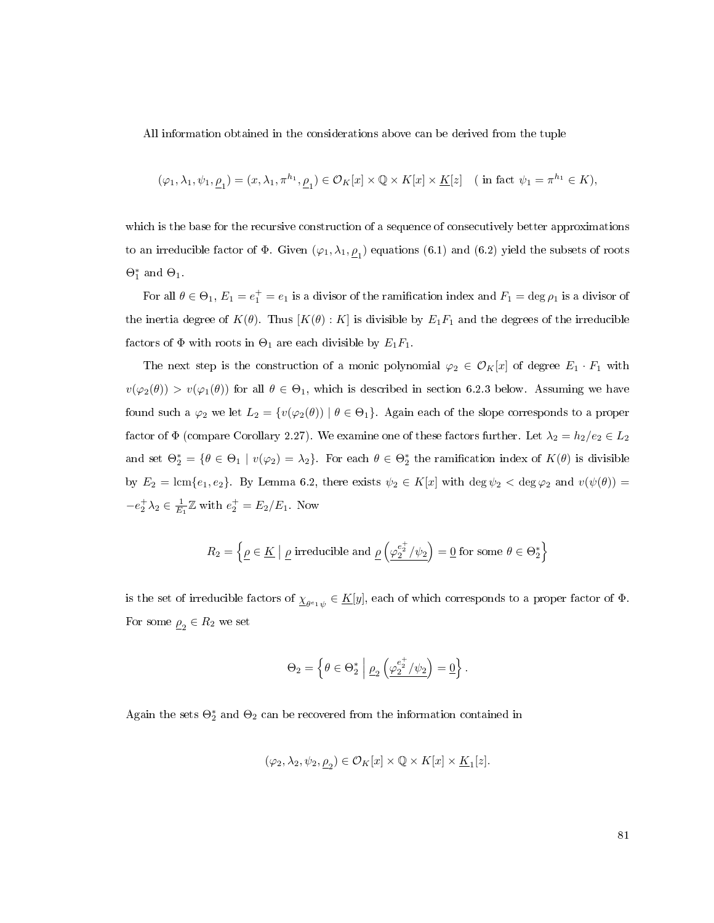All information obtained in the considerations above can be derived from the tuple

$$
(\varphi_1,\lambda_1,\psi_1,\underline{\rho}_1)=(x,\lambda_1,\pi^{h_1},\underline{\rho}_1)\in\mathcal{O}_K[x]\times\mathbb{Q}\times K[x]\times\underline{K}[z]\quad\text{($ in fact $\psi_1=\pi^{h_1}\in K$)},
$$

which is the base for the recursive construction of a sequence of consecutively better approximations to an irreducible factor of  $\Phi$ . Given  $(\varphi_1, \lambda_1, \underline{\rho}_1)$  equations  $(6.1)$  and  $(6.2)$  yield the subsets of roots  $\Theta_1^*$  and  $\Theta_1$ .

For all  $\theta \in \Theta_1$ ,  $E_1 = e_1^+ = e_1$  is a divisor of the ramification index and  $F_1 = \deg \rho_1$  is a divisor of the inertia degree of  $K(\theta)$ . Thus  $[K(\theta):K]$  is divisible by  $E_1F_1$  and the degrees of the irreducible factors of  $\Phi$  with roots in  $\Theta_1$  are each divisible by  $E_1F_1$ .

The next step is the construction of a monic polynomial  $\varphi_2 \in \mathcal{O}_K[x]$  of degree  $E_1 \cdot F_1$  with  $v(\varphi_2(\theta)) > v(\varphi_1(\theta))$  for all  $\theta \in \Theta_1$ , which is described in section [6.2.3](#page-93-0) below. Assuming we have found such a  $\varphi_2$  we let  $L_2 = \{v(\varphi_2(\theta)) \mid \theta \in \Theta_1\}$ . Again each of the slope corresponds to a proper factor of  $\Phi$  (compare Corollary [2.27\)](#page-24-0). We examine one of these factors further. Let  $\lambda_2 = h_2/e_2 \in L_2$ and set  $\Theta_2^* = \{\theta \in \Theta_1 \mid v(\varphi_2) = \lambda_2\}$ . For each  $\theta \in \Theta_2^*$  the ramification index of  $K(\theta)$  is divisible by  $E_2 = \text{lcm}\{e_1, e_2\}$ . By Lemma [6.2,](#page-87-1) there exists  $\psi_2 \in K[x]$  with  $\deg \psi_2 < \deg \varphi_2$  and  $v(\psi(\theta)) =$  $-e_2^+ \lambda_2 \in \frac{1}{E_1} \mathbb{Z}$  with  $e_2^+ = E_2/E_1$ . Now

$$
R_2 = \left\{ \underline{\rho} \in \underline{K} \mid \underline{\rho} \text{ irreducible and } \underline{\rho} \left( \underline{\varphi_2^{e_2^+}/\psi_2} \right) = \underline{0} \text{ for some } \theta \in \Theta_2^* \right\}
$$

is the set of irreducible factors of  $\underline{\chi}_{\theta^e \cdot \psi} \in \underline{K}[y],$  each of which corresponds to a proper factor of  $\Phi.$ For some  $\underline{\rho}_2 \in R_2$  we set

$$
\Theta_2 = \left\{ \theta \in \Theta_2^* \; \middle| \; \underline{\rho}_2 \left( \underline{\varphi_2^{e_2^+}/\psi_2} \right) = \underline{0} \right\}.
$$

Again the sets  $\Theta_2^*$  and  $\Theta_2$  can be recovered from the information contained in

$$
(\varphi_2,\lambda_2,\psi_2,\underline{\rho}_2)\in\mathcal{O}_K[x]\times\mathbb{Q}\times K[x]\times\underline{K}_1[z].
$$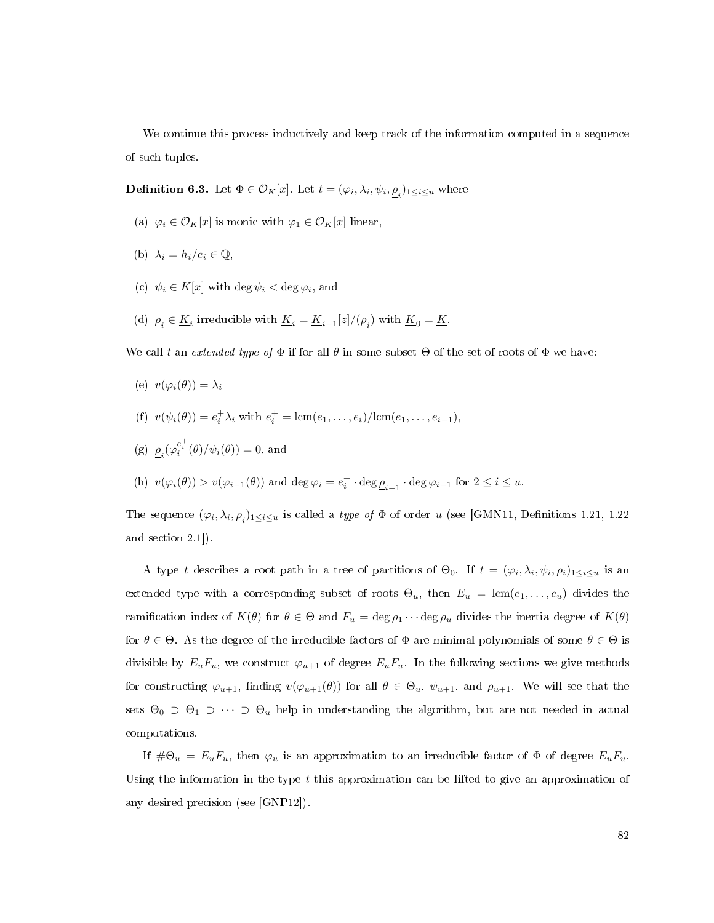We continue this process inductively and keep track of the information computed in a sequence of such tuples.

**Definition 6.3.** Let  $\Phi \in \mathcal{O}_K[x]$ . Let  $t = (\varphi_i, \lambda_i, \psi_i, \underline{\rho}_i)_{1 \leq i \leq u}$  where

- (a)  $\varphi_i \in \mathcal{O}_K[x]$  is monic with  $\varphi_1 \in \mathcal{O}_K[x]$  linear,
- (b)  $\lambda_i = h_i/e_i \in \mathbb{Q}$ .
- (c)  $\psi_i \in K[x]$  with  $\deg \psi_i < \deg \varphi_i$ , and
- (d)  $\underline{\rho}_i \in \underline{K}_i$  irreducible with  $\underline{K}_i = \underline{K}_{i-1}[z]/(\underline{\rho}_i)$  with  $\underline{K}_0 = \underline{K}$ .

We call t an extended type of  $\Phi$  if for all  $\theta$  in some subset  $\Theta$  of the set of roots of  $\Phi$  we have:

- (e)  $v(\varphi_i(\theta)) = \lambda_i$
- (f)  $v(\psi_i(\theta)) = e_i^+ \lambda_i$  with  $e_i^+ = \text{lcm}(e_1, \ldots, e_i)/\text{lcm}(e_1, \ldots, e_{i-1}),$

(g) 
$$
\underline{\rho}_i(\underline{\varphi_i^{e_i^+}(\theta)/\psi_i(\theta)}) = \underline{0}
$$
, and

(h)  $v(\varphi_i(\theta)) > v(\varphi_{i-1}(\theta))$  and  $\deg \varphi_i = e_i^+ \cdot \deg \underline{\rho}_{i-1} \cdot \deg \varphi_{i-1}$  for  $2 \leq i \leq u$ .

The sequence  $(\varphi_i, \lambda_i, \underline{\rho}_i)_{1 \leq i \leq u}$  is called a *type of*  $\Phi$  of order  $u$  (see [\[GMN11,](#page-112-1) Definitions 1.21, 1.22 and section 2.1]).

A type t describes a root path in a tree of partitions of  $\Theta_0$ . If  $t = (\varphi_i, \lambda_i, \psi_i, \rho_i)_{1 \leq i \leq u}$  is an extended type with a corresponding subset of roots  $\Theta_u$ , then  $E_u = \text{lcm}(e_1, \ldots, e_u)$  divides the ramification index of  $K(\theta)$  for  $\theta \in \Theta$  and  $F_u = \deg \rho_1 \cdots \deg \rho_u$  divides the inertia degree of  $K(\theta)$ for  $\theta \in \Theta$ . As the degree of the irreducible factors of  $\Phi$  are minimal polynomials of some  $\theta \in \Theta$  is divisible by  $E_uF_u$ , we construct  $\varphi_{u+1}$  of degree  $E_uF_u$ . In the following sections we give methods for constructing  $\varphi_{u+1}$ , finding  $v(\varphi_{u+1}(\theta))$  for all  $\theta \in \Theta_u$ ,  $\psi_{u+1}$ , and  $\rho_{u+1}$ . We will see that the sets  $\Theta_0 \supset \Theta_1 \supset \cdots \supset \Theta_u$  help in understanding the algorithm, but are not needed in actual computations.

If  $\#\Theta_u = E_u F_u$ , then  $\varphi_u$  is an approximation to an irreducible factor of  $\Phi$  of degree  $E_u F_u$ . Using the information in the type  $t$  this approximation can be lifted to give an approximation of any desired precision (see [\[GNP12\]](#page-112-2)).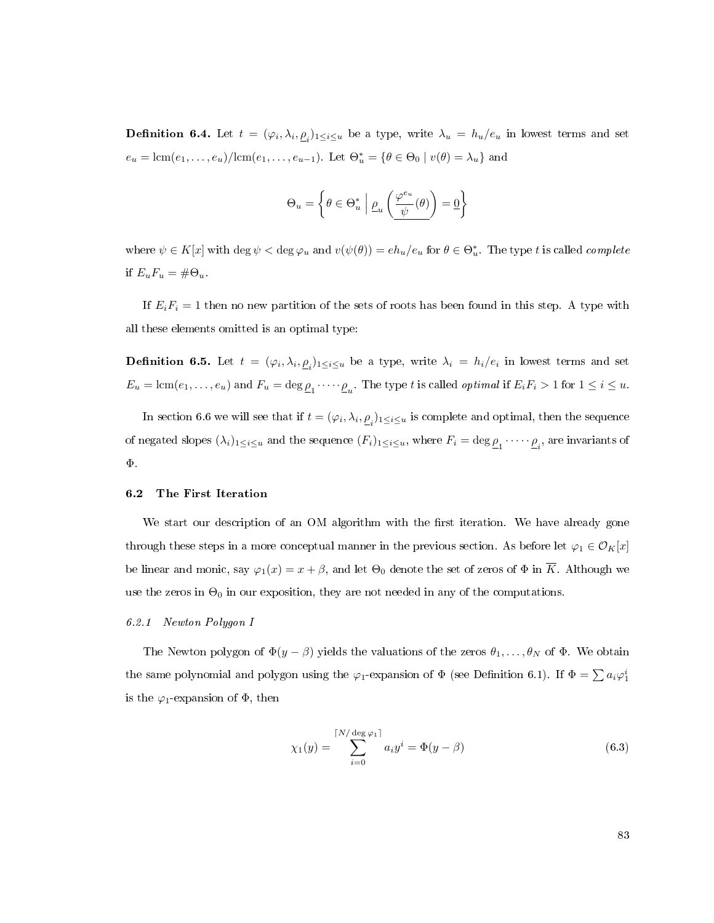**Definition 6.4.** Let  $t = (\varphi_i, \lambda_i, \underline{\rho}_i)_{1 \leq i \leq u}$  be a type, write  $\lambda_u = h_u/e_u$  in lowest terms and set  $e_u = \text{lcm}(e_1, \ldots, e_u)/\text{lcm}(e_1, \ldots, e_{u-1})$ . Let  $\Theta_u^* = \{ \theta \in \Theta_0 \mid v(\theta) = \lambda_u \}$  and

$$
\Theta_u = \left\{\theta \in \Theta_u^* \ \middle| \ \underline{\rho}_u \left( \frac{\varphi^{e_u}}{\psi}(\theta) \right) = \underline{0} \right\}
$$

where  $\psi \in K[x]$  with  $\deg \psi < \deg \varphi_u$  and  $v(\psi(\theta)) = eh_u/e_u$  for  $\theta \in \Theta_u^*$ . The type t is called *complete* if  $E_uF_u = \#\Theta_u$ .

If  $E_iF_i = 1$  then no new partition of the sets of roots has been found in this step. A type with all these elements omitted is an optimal type:

**Definition 6.5.** Let  $t = (\varphi_i, \lambda_i, \underline{\rho}_i)_{1 \leq i \leq u}$  be a type, write  $\lambda_i = h_i/e_i$  in lowest terms and set  $E_u = \text{lcm}(e_1, \ldots, e_u)$  and  $F_u = \text{deg}_{\mathcal{L}_1} \cdots \cdots \mathcal{L}_u$ . The type t is called *optimal* if  $E_i F_i > 1$  for  $1 \leq i \leq u$ .

In section [6.6](#page-107-0) we will see that if  $t = (\varphi_i, \lambda_i, \underline{\rho}_i)_{1 \leq i \leq u}$  is complete and optimal, then the sequence of negated slopes  $(\lambda_i)_{1\leq i\leq u}$  and the sequence  $(F_i)_{1\leq i\leq u}$ , where  $F_i=\deg \rho_1\cdots\rho_i$ , are invariants of Φ.

### <span id="page-91-0"></span>6.2 The First Iteration

We start our description of an OM algorithm with the first iteration. We have already gone through these steps in a more conceptual manner in the previous section. As before let  $\varphi_1 \in \mathcal{O}_K[x]$ be linear and monic, say  $\varphi_1(x) = x + \beta$ , and let  $\Theta_0$  denote the set of zeros of  $\Phi$  in  $\overline{K}$ . Although we use the zeros in  $\Theta_0$  in our exposition, they are not needed in any of the computations.

## <span id="page-91-2"></span>6.2.1 Newton Polygon I

The Newton polygon of  $\Phi(y - \beta)$  yields the valuations of the zeros  $\theta_1, \ldots, \theta_N$  of  $\Phi$ . We obtain the same polynomial and polygon using the  $\varphi_1$ -expansion of  $\Phi$  (see Definition [6.1\)](#page-86-1). If  $\Phi = \sum a_i \varphi_1^i$ is the  $\varphi_1$ -expansion of  $\Phi$ , then

<span id="page-91-1"></span>
$$
\chi_1(y) = \sum_{i=0}^{\lceil N/\deg \varphi_1 \rceil} a_i y^i = \Phi(y - \beta)
$$
\n(6.3)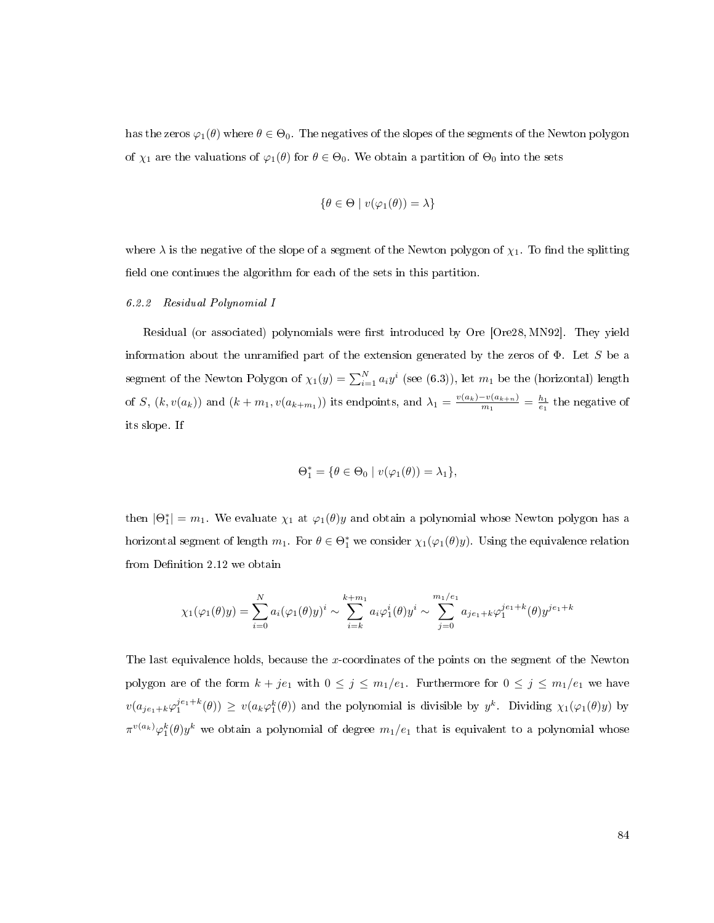has the zeros  $\varphi_1(\theta)$  where  $\theta \in \Theta_0$ . The negatives of the slopes of the segments of the Newton polygon of  $\chi_1$  are the valuations of  $\varphi_1(\theta)$  for  $\theta \in \Theta_0$ . We obtain a partition of  $\Theta_0$  into the sets

$$
\{\theta \in \Theta \mid v(\varphi_1(\theta)) = \lambda\}
$$

where  $\lambda$  is the negative of the slope of a segment of the Newton polygon of  $\chi_1$ . To find the splitting field one continues the algorithm for each of the sets in this partition.

## <span id="page-92-0"></span>6.2.2 Residual Polynomial I

Residual (or associated) polynomials were first introduced by Ore [\[Ore28,](#page-113-2) [MN92\]](#page-113-3). They yield information about the unramified part of the extension generated by the zeros of  $\Phi$ . Let S be a segment of the Newton Polygon of  $\chi_1(y) = \sum_{i=1}^{N} a_i y^i$  (see [\(6.3\)](#page-91-1)), let  $m_1$  be the (horizontal) length of S,  $(k, v(a_k))$  and  $(k+m_1, v(a_{k+m_1}))$  its endpoints, and  $\lambda_1 = \frac{v(a_k)-v(a_{k+n})}{m_1}$  $\frac{-v(a_{k+n})}{m_1} = \frac{h_1}{e_1}$  the negative of its slope. If

$$
\Theta_1^* = \{ \theta \in \Theta_0 \mid v(\varphi_1(\theta)) = \lambda_1 \},
$$

then  $|\Theta_1^*| = m_1$ . We evaluate  $\chi_1$  at  $\varphi_1(\theta)y$  and obtain a polynomial whose Newton polygon has a horizontal segment of length  $m_1$ . For  $\theta \in \Theta_1^*$  we consider  $\chi_1(\varphi_1(\theta)y)$ . Using the equivalence relation from Definition [2.12](#page-21-0) we obtain

$$
\chi_1(\varphi_1(\theta)y) = \sum_{i=0}^N a_i (\varphi_1(\theta)y)^i \sim \sum_{i=k}^{k+m_1} a_i \varphi_1^i(\theta)y^i \sim \sum_{j=0}^{m_1/e_1} a_{je_1+k} \varphi_1^{je_1+k}(\theta)y^{je_1+k}
$$

The last equivalence holds, because the x-coordinates of the points on the segment of the Newton polygon are of the form  $k + je_1$  with  $0 \le j \le m_1/e_1$ . Furthermore for  $0 \le j \le m_1/e_1$  we have  $v(a_{j_{e_1}+k}\varphi_1^{j_{e_1}+k}(\theta)) \geq v(a_k\varphi_1^k(\theta))$  and the polynomial is divisible by  $y^k$ . Dividing  $\chi_1(\varphi_1(\theta)y)$  by  $\pi^{v(a_k)}\varphi_1^k(\theta)y^k$  we obtain a polynomial of degree  $m_1/e_1$  that is equivalent to a polynomial whose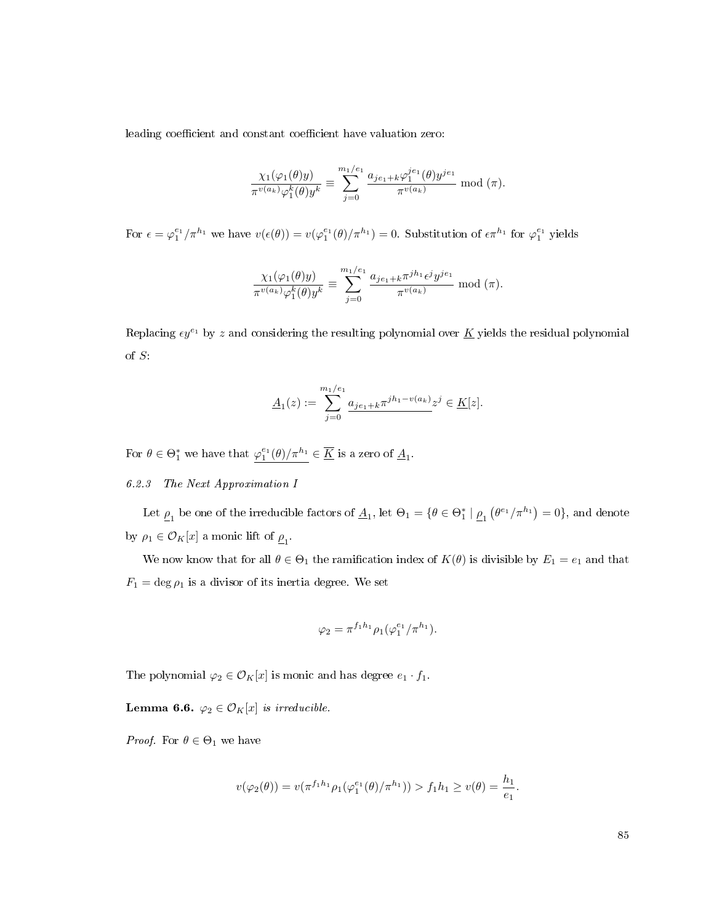leading coefficient and constant coefficient have valuation zero:

$$
\frac{\chi_1(\varphi_1(\theta)y)}{\pi^{v(a_k)}\varphi_1^k(\theta)y^k} \equiv \sum_{j=0}^{m_1/e_1} \frac{a_{je_1+k}\varphi_1^{je_1}(\theta)y^{je_1}}{\pi^{v(a_k)}} \mod (\pi).
$$

For  $\epsilon = \varphi_1^{e_1}/\pi^{h_1}$  we have  $v(\epsilon(\theta)) = v(\varphi_1^{e_1}(\theta)/\pi^{h_1}) = 0$ . Substitution of  $\epsilon \pi^{h_1}$  for  $\varphi_1^{e_1}$  yields

$$
\frac{\chi_1(\varphi_1(\theta)y)}{\pi^{v(a_k)}\varphi_1^k(\theta)y^k} \equiv \sum_{j=0}^{m_1/e_1} \frac{a_{je_1+k}\pi^{jh_1} \epsilon^j y^{je_1}}{\pi^{v(a_k)}} \bmod(\pi).
$$

Replacing  $\epsilon y^{e_1}$  by z and considering the resulting polynomial over K yields the residual polynomial of S:

$$
\underline{A}_1(z) := \sum_{j=0}^{m_1/e_1} \underline{a_{je_1+k}\pi^{jh_1-v(a_k)}} z^j \in \underline{K}[z].
$$

For  $\theta \in \Theta_1^*$  we have that  $\varphi_1^{e_1}(\theta)/\pi^{h_1} \in \overline{\underline{K}}$  is a zero of  $\underline{A}_1$ .

## <span id="page-93-0"></span>6.2.3 The Next Approximation I

Let  $\underline{\rho}_1$  be one of the irreducible factors of  $\underline{A}_1$ , let  $\Theta_1 = \{\theta \in \Theta^*_1 \mid \underline{\rho}_1 (\theta^{e_1}/\pi^{h_1}) = 0\}$ , and denote by  $\rho_1 \in \mathcal{O}_K[x]$  a monic lift of  $\underline{\rho}_1$ .

We now know that for all  $\theta \in \Theta_1$  the ramification index of  $K(\theta)$  is divisible by  $E_1 = e_1$  and that  $F_1 = \deg \rho_1$  is a divisor of its inertia degree. We set

$$
\varphi_2 = \pi^{f_1 h_1} \rho_1(\varphi_1^{e_1}/\pi^{h_1}).
$$

The polynomial  $\varphi_2\in\mathcal{O}_K[x]$  is monic and has degree  $e_1\cdot f_1.$ 

Lemma 6.6.  $\varphi_2 \in \mathcal{O}_K[x]$  is irreducible.

*Proof.* For  $\theta \in \Theta_1$  we have

$$
v(\varphi_2(\theta)) = v(\pi^{f_1 h_1} \rho_1(\varphi_1^{e_1}(\theta)/\pi^{h_1})) > f_1 h_1 \ge v(\theta) = \frac{h_1}{e_1}.
$$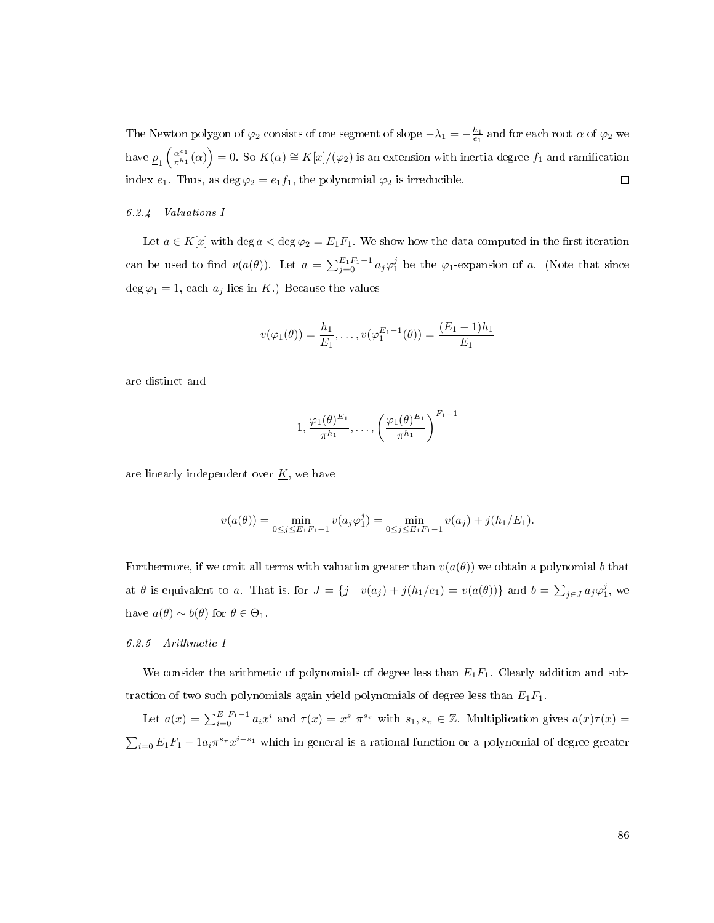The Newton polygon of  $\varphi_2$  consists of one segment of slope  $-\lambda_1=-\frac{h_1}{e_1}$  and for each root  $\alpha$  of  $\varphi_2$  we have  $\frac{\rho_1}{\pi^{h_1}}$  $\frac{\alpha^{e_1}}{\pi^{h_1}}(\alpha)\Big) = 0$ . So  $K(\alpha) \cong K[x]/(\varphi_2)$  is an extension with inertia degree  $f_1$  and ramification index  $e_1$ . Thus, as deg  $\varphi_2 = e_1 f_1$ , the polynomial  $\varphi_2$  is irreducible.  $\Box$ 

## <span id="page-94-0"></span>6.2.4 Valuations I

Let  $a \in K[x]$  with deg  $a < \deg \varphi_2 = E_1F_1$ . We show how the data computed in the first iteration can be used to find  $v(a(\theta))$ . Let  $a = \sum_{j=0}^{E_1 F_1 - 1} a_j \varphi_1^j$  be the  $\varphi_1$ -expansion of a. (Note that since deg  $\varphi_1 = 1$ , each  $a_j$  lies in K.) Because the values

$$
v(\varphi_1(\theta)) = \frac{h_1}{E_1}, \dots, v(\varphi_1^{E_1-1}(\theta)) = \frac{(E_1-1)h_1}{E_1}
$$

are distinct and

1, 
$$
\frac{\varphi_1(\theta)^{E_1}}{\pi^{h_1}}, \ldots, \left(\frac{\varphi_1(\theta)^{E_1}}{\pi^{h_1}}\right)^{F_1-1}
$$

are linearly independent over  $\underline{K}$ , we have

$$
v(a(\theta)) = \min_{0 \le j \le E_1 F_1 - 1} v(a_j \varphi_1^j) = \min_{0 \le j \le E_1 F_1 - 1} v(a_j) + j(h_1/E_1).
$$

Furthermore, if we omit all terms with valuation greater than  $v(a(\theta))$  we obtain a polynomial b that at  $\theta$  is equivalent to a. That is, for  $J = \{j \mid v(a_j) + j(h_1/e_1) = v(a(\theta))\}$  and  $b = \sum_{j \in J} a_j \varphi_1^j$ , we have  $a(\theta) \sim b(\theta)$  for  $\theta \in \Theta_1$ .

#### <span id="page-94-1"></span>6.2.5 Arithmetic I

We consider the arithmetic of polynomials of degree less than  $E_1F_1$ . Clearly addition and subtraction of two such polynomials again yield polynomials of degree less than  $E_1F_1$ .

Let  $a(x) = \sum_{i=0}^{E_1 F_1 - 1} a_i x^i$  and  $\tau(x) = x^{s_1} \pi^{s_\pi}$  with  $s_1, s_\pi \in \mathbb{Z}$ . Multiplication gives  $a(x)\tau(x) =$  $\sum_{i=0} E_1 F_1 - 1 a_i \pi^{s_\pi} x^{i-s_1}$  which in general is a rational function or a polynomial of degree greater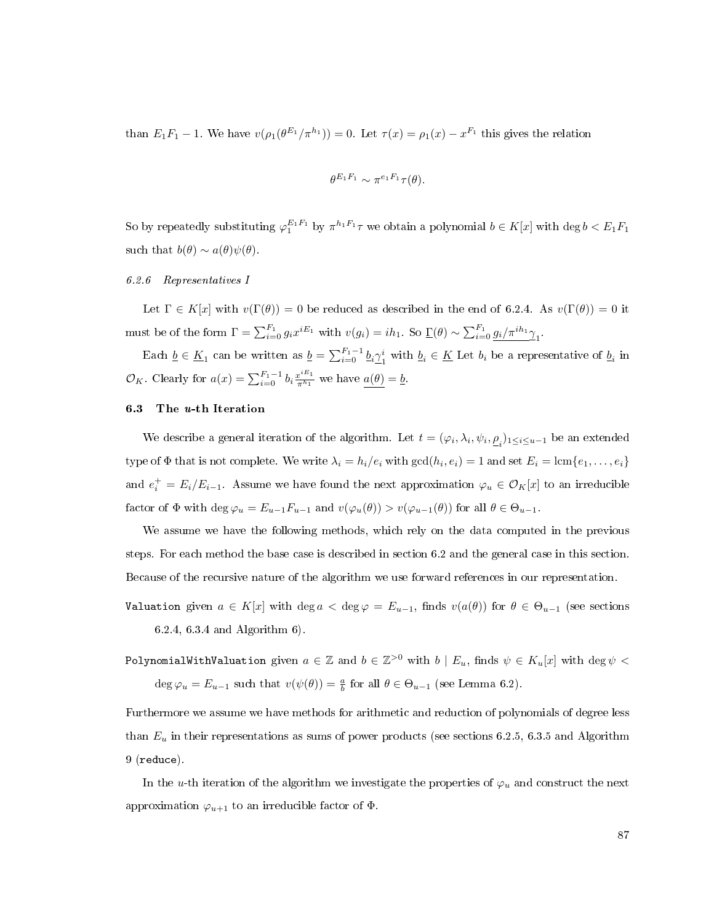than  $E_1F_1 - 1$ . We have  $v(\rho_1(\theta^{E_1}/\pi^{h_1})) = 0$ . Let  $\tau(x) = \rho_1(x) - x^{F_1}$  this gives the relation

$$
\theta^{E_1F_1} \sim \pi^{e_1F_1}\tau(\theta).
$$

So by repeatedly substituting  $\varphi_1^{E_1F_1}$  by  $\pi^{h_1F_1}\tau$  we obtain a polynomial  $b\in K[x]$  with  $\deg b < E_1F_1$ such that  $b(\theta) \sim a(\theta)\psi(\theta)$ .

### <span id="page-95-1"></span>6.2.6 Representatives I

Let  $\Gamma \in K[x]$  with  $v(\Gamma(\theta)) = 0$  be reduced as described in the end of [6.2.4.](#page-94-0) As  $v(\Gamma(\theta)) = 0$  it must be of the form  $\Gamma = \sum_{i=0}^{F_1} g_i x^{iE_1}$  with  $v(g_i) = ih_1$ . So  $\underline{\Gamma}(\theta) \sim \sum_{i=0}^{F_1} \frac{g_i}{\pi^{ih_1} \gamma_1}$ .

Each  $\underline{b} \in \underline{K}_1$  can be written as  $\underline{b} = \sum_{i=0}^{F_1-1} \underline{b}_i \underline{\gamma}_1^i$  $\frac{i}{1}$  with  $\underline{b}_i \in \underline{K}$  Let  $b_i$  be a representative of  $\underline{b}_i$  in  $\mathcal{O}_K$ . Clearly for  $a(x) = \sum_{i=0}^{F_1-1} b_i \frac{x^{iE_1}}{\pi^{h_1}}$  we have  $a(\theta) = b$ .

## <span id="page-95-0"></span>6.3 The u-th Iteration

We describe a general iteration of the algorithm. Let  $t = (\varphi_i, \lambda_i, \psi_i, \underline{\rho}_i)_{1 \leq i \leq u-1}$  be an extended type of  $\Phi$  that is not complete. We write  $\lambda_i = h_i/e_i$  with  $\gcd(h_i, e_i) = 1$  and set  $E_i = \text{lcm}\{e_1, \ldots, e_i\}$ and  $e_i^+ = E_i/E_{i-1}$ . Assume we have found the next approximation  $\varphi_u \in \mathcal{O}_K[x]$  to an irreducible factor of  $\Phi$  with  $\deg \varphi_u = E_{u-1}F_{u-1}$  and  $v(\varphi_u(\theta)) > v(\varphi_{u-1}(\theta))$  for all  $\theta \in \Theta_{u-1}$ .

We assume we have the following methods, which rely on the data computed in the previous steps. For each method the base case is described in section [6.2](#page-91-0) and the general case in this section. Because of the recursive nature of the algorithm we use forward references in our representation.

Valuation given  $a \in K[x]$  with  $\deg a < \deg \varphi = E_{u-1}$ , finds  $v(a(\theta))$  for  $\theta \in \Theta_{u-1}$  (see sections [6.2.4,](#page-94-0) [6.3.4](#page-99-0) and Algorithm [6\)](#page-102-0).

PolynomialWithValuation given  $a\in\mathbb{Z}$  and  $b\in\mathbb{Z}^{>0}$  with  $b\mid E_u,$  finds  $\psi\in K_u[x]$  with  $\deg\psi<\pi$ deg  $\varphi_u = E_{u-1}$  such that  $v(\psi(\theta)) = \frac{a}{b}$  for all  $\theta \in \Theta_{u-1}$  (see Lemma [6.2\)](#page-87-1).

Furthermore we assume we have methods for arithmetic and reduction of polynomials of degree less than  $E_u$  in their representations as sums of power products (see sections [6.2.5,](#page-94-1) [6.3.5](#page-99-1) and Algorithm [9](#page-103-0) (reduce).

In the u-th iteration of the algorithm we investigate the properties of  $\varphi_u$  and construct the next approximation  $\varphi_{u+1}$  to an irreducible factor of  $\Phi$ .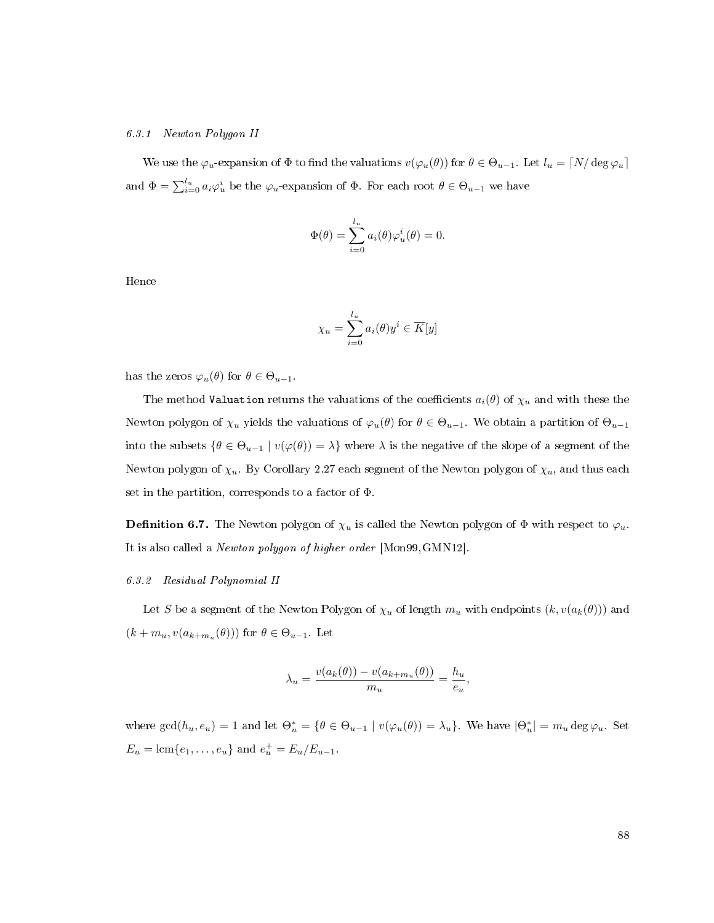#### <span id="page-96-0"></span>6.3.1 Newton Polygon II

We use the  $\varphi_u$ -expansion of  $\Phi$  to find the valuations  $v(\varphi_u(\theta))$  for  $\theta \in \Theta_{u-1}$ . Let  $l_u = \lceil N/\deg \varphi_u \rceil$ and  $\Phi = \sum_{i=0}^{l_u} a_i \varphi_u^i$  be the  $\varphi_u$ -expansion of  $\Phi$ . For each root  $\theta \in \Theta_{u-1}$  we have

$$
\Phi(\theta) = \sum_{i=0}^{l_u} a_i(\theta) \varphi_u^i(\theta) = 0.
$$

Hence

$$
\chi_u = \sum_{i=0}^{l_u} a_i(\theta) y^i \in \overline{K}[y]
$$

has the zeros  $\varphi_u(\theta)$  for  $\theta \in \Theta_{u-1}$ .

The method Valuation returns the valuations of the coefficients  $a_i(\theta)$  of  $\chi_u$  and with these the Newton polygon of  $\chi_u$  yields the valuations of  $\varphi_u(\theta)$  for  $\theta \in \Theta_{u-1}$ . We obtain a partition of  $\Theta_{u-1}$ into the subsets  $\{\theta \in \Theta_{u-1} \mid v(\varphi(\theta)) = \lambda\}$  where  $\lambda$  is the negative of the slope of a segment of the Newton polygon of  $\chi_u$ . By Corollary [2.27](#page-24-0) each segment of the Newton polygon of  $\chi_u$ , and thus each set in the partition, corresponds to a factor of Φ.

**Definition 6.7.** The Newton polygon of  $\chi_u$  is called the Newton polygon of  $\Phi$  with respect to  $\varphi_u$ . It is also called a Newton polygon of higher order [\[Mon99,](#page-113-1)[GMN12\]](#page-112-0).

#### <span id="page-96-1"></span>6.3.2 Residual Polynomial II

Let S be a segment of the Newton Polygon of  $\chi_u$  of length  $m_u$  with endpoints  $(k, v(a_k(\theta)))$  and  $(k + m_u, v(a_{k+m_u}(\theta)))$  for  $\theta \in \Theta_{u-1}$ . Let

$$
\lambda_u = \frac{v(a_k(\theta)) - v(a_{k+m_u}(\theta))}{m_u} = \frac{h_u}{e_u},
$$

where  $gcd(h_u, e_u) = 1$  and let  $\Theta_u^* = \{ \theta \in \Theta_{u-1} \mid v(\varphi_u(\theta)) = \lambda_u \}$ . We have  $|\Theta_u^*| = m_u \deg \varphi_u$ . Set  $E_u = \text{lcm}\{e_1, \ldots, e_u\}$  and  $e_u^+ = E_u/E_{u-1}$ .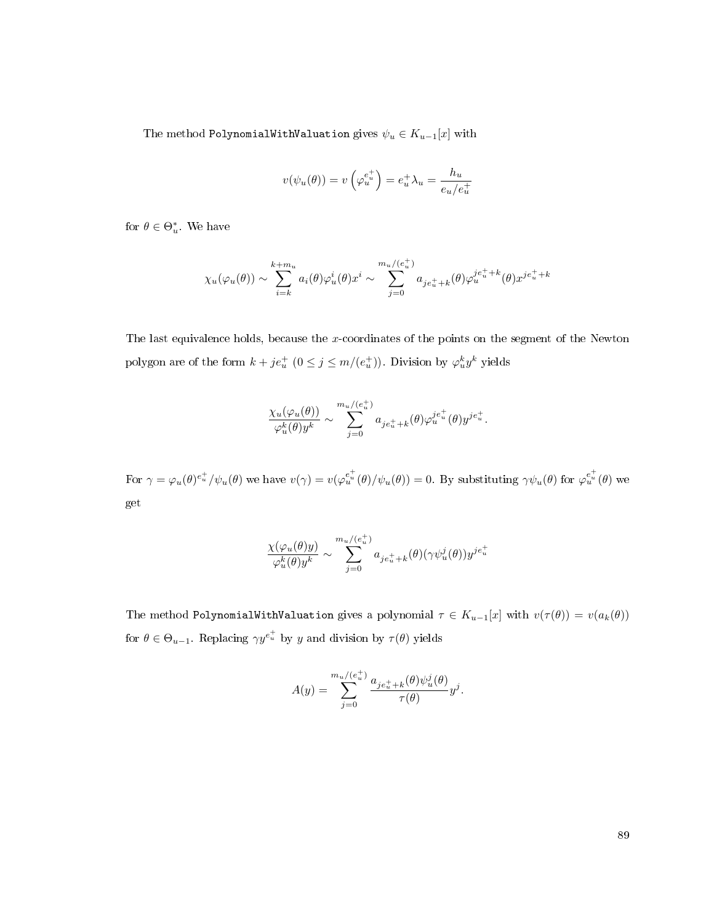The method PolynomialWithValuation gives  $\psi_u \in K_{u-1}[x]$  with

$$
v(\psi_u(\theta)) = v\left(\varphi_u^{e_u^+}\right) = e_u^+ \lambda_u = \frac{h_u}{e_u/e_u^+}
$$

for  $\theta \in \Theta_u^*$ . We have

$$
\chi_u(\varphi_u(\theta)) \sim \sum_{i=k}^{k+m_u} a_i(\theta) \varphi_u^i(\theta) x^i \sim \sum_{j=0}^{m_u/(e_u^+)} a_{je_u^+ + k}(\theta) \varphi_u^{je_u^+ + k}(\theta) x^{je_u^+ + k}
$$

The last equivalence holds, because the x-coordinates of the points on the segment of the Newton polygon are of the form  $k + je_u^+$   $(0 \le j \le m/(e_u^+))$ . Division by  $\varphi_u^k y^k$  yields

$$
\frac{\chi_u(\varphi_u(\theta))}{\varphi_u^k(\theta)y^k} \sim \sum_{j=0}^{m_u/(e_u^+)} a_{je_u^++k}(\theta) \varphi_u^{je_u^+}(\theta) y^{je_u^+}.
$$

For  $\gamma = \varphi_u(\theta) e_u^{\dagger} / \psi_u(\theta)$  we have  $v(\gamma) = v(\varphi_u^{e_u^{\dagger}}(\theta) / \psi_u(\theta)) = 0$ . By substituting  $\gamma \psi_u(\theta)$  for  $\varphi_u^{e_u^{\dagger}}(\theta)$  we get

$$
\frac{\chi(\varphi_u(\theta)y)}{\varphi_u^k(\theta)y^k} \sim \sum_{j=0}^{m_u/(e_u^+)} a_{je_u^++k}(\theta)(\gamma \psi_u^j(\theta)) y^{je_u^+}
$$

The method PolynomialWithValuation gives a polynomial  $\tau \in K_{u-1}[x]$  with  $v(\tau(\theta)) = v(a_k(\theta))$ for  $\theta \in \Theta_{u-1}$ . Replacing  $\gamma y^{e^+_u}$  by y and division by  $\tau(\theta)$  yields

$$
A(y) = \sum_{j=0}^{m_u/(e_u^+)} \frac{a_{je_u^+ + k}(\theta)\psi_u^j(\theta)}{\tau(\theta)} y^j.
$$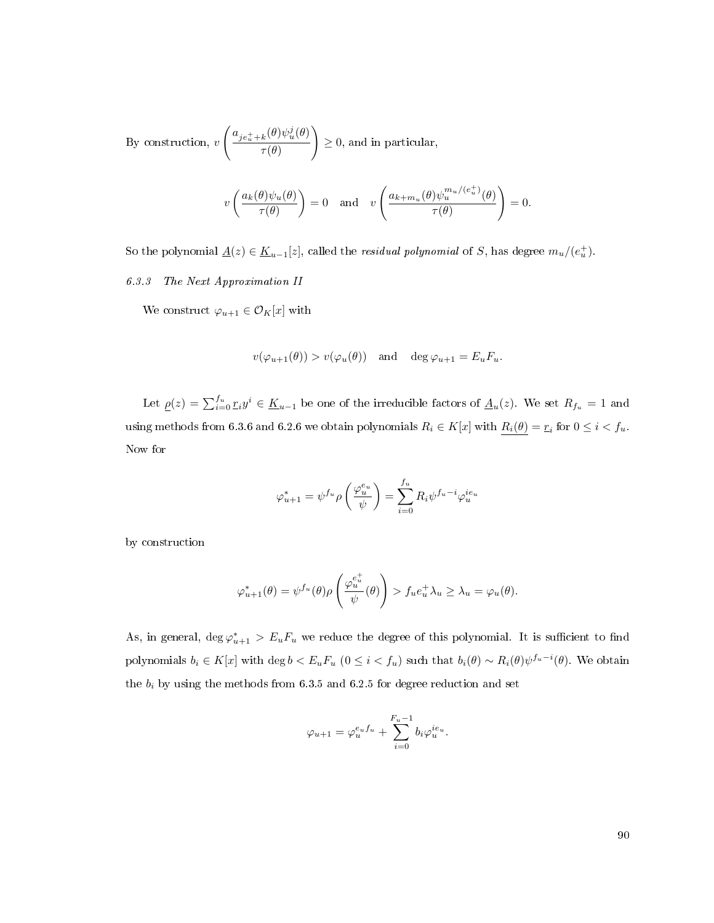By construction,  $v$  $\int a_{j e_u^+ + k}(\theta) \psi_u^j(\theta)$  $\tau(\theta)$  $\setminus$  $\geq 0$ , and in particular,

$$
v\left(\frac{a_k(\theta)\psi_u(\theta)}{\tau(\theta)}\right) = 0 \quad \text{and} \quad v\left(\frac{a_{k+m_u}(\theta)\psi_u^{m_u/(e_u^+)}(\theta)}{\tau(\theta)}\right) = 0.
$$

So the polynomial  $\underline{A}(z) \in \underline{K}_{u-1}[z]$ , called the *residual polynomial* of S, has degree  $m_u/(e_u^+)$ .

<span id="page-98-0"></span>6.3.3 The Next Approximation II

We construct  $\varphi_{u+1}\in\mathcal{O}_K[x]$  with

$$
v(\varphi_{u+1}(\theta)) > v(\varphi_u(\theta))
$$
 and  $\deg \varphi_{u+1} = E_u F_u$ .

Let  $\underline{\rho}(z) = \sum_{i=0}^{f_u} r_i y^i \in \underline{K}_{u-1}$  be one of the irreducible factors of  $\underline{A}_u(z)$ . We set  $R_{f_u} = 1$  and using methods from [6.3.6](#page-100-1) and [6.2.6](#page-95-1) we obtain polynomials  $R_i \in K[x]$  with  $R_i(\theta) = r_i$  for  $0 \leq i < f_u$ . Now for

$$
\varphi_{u+1}^* = \psi^{f_u} \rho \left(\frac{\varphi_u^{e_u}}{\psi}\right) = \sum_{i=0}^{f_u} R_i \psi^{f_u - i} \varphi_u^{ie_u}
$$

by construction

$$
\varphi_{u+1}^*(\theta) = \psi^{f_u}(\theta)\rho\left(\frac{\varphi_u^{e_u^+}}{\psi}(\theta)\right) > f_u e_u^+ \lambda_u \ge \lambda_u = \varphi_u(\theta).
$$

As, in general,  $\deg \varphi_{u+1}^* > E_u F_u$  we reduce the degree of this polynomial. It is sufficient to find polynomials  $b_i \in K[x]$  with  $\deg b < E_uF_u$   $(0 \leq i < f_u)$  such that  $b_i(\theta) \sim R_i(\theta)\psi^{f_u-i}(\theta)$ . We obtain the  $b_i$  by using the methods from [6.3.5](#page-99-1) and [6.2.5](#page-94-1) for degree reduction and set

$$
\varphi_{u+1} = \varphi_u^{e_u f_u} + \sum_{i=0}^{F_u-1} b_i \varphi_u^{ie_u}.
$$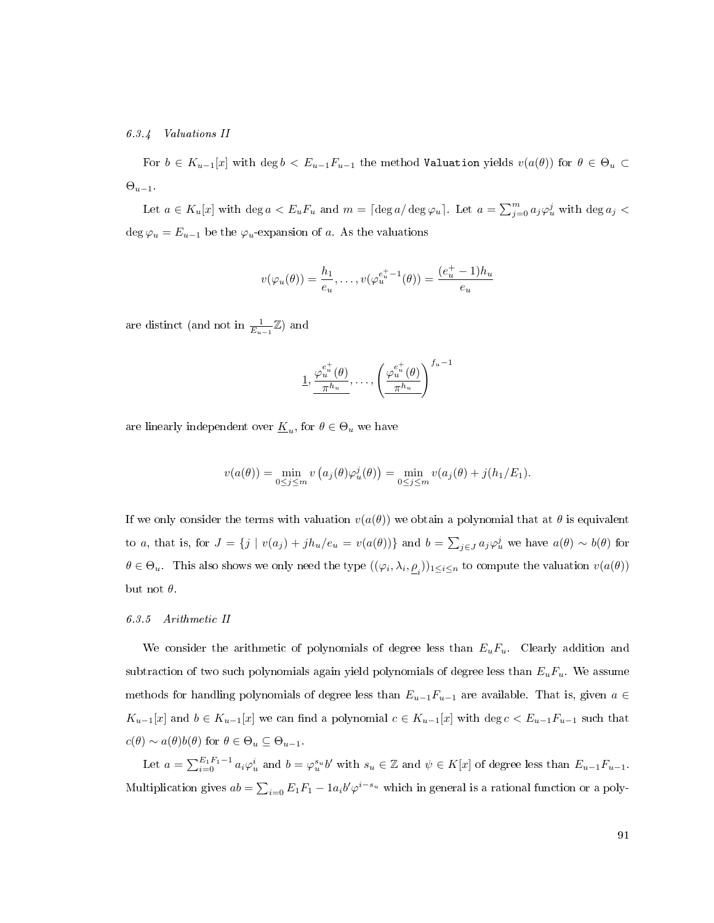## <span id="page-99-0"></span>6.3.4 Valuations II

For  $b \in K_{u-1}[x]$  with  $\deg b < E_{u-1}F_{u-1}$  the method Valuation yields  $v(a(\theta))$  for  $\theta \in \Theta_u \subset$  $\Theta_{u-1}$ .

Let  $a \in K_u[x]$  with  $\deg a < E_uF_u$  and  $m = \lceil \deg a / \deg \varphi_u \rceil$ . Let  $a = \sum_{j=0}^m a_j \varphi_u^j$  with  $\deg a_j <$ deg  $\varphi_u = E_{u-1}$  be the  $\varphi_u$ -expansion of a. As the valuations

$$
v(\varphi_u(\theta)) = \frac{h_1}{e_u}, \dots, v(\varphi_u^{e_u^+ - 1}(\theta)) = \frac{(e_u^+ - 1)h_u}{e_u}
$$

are distinct (and not in  $\frac{1}{E_{u-1}}\mathbb{Z}$ ) and

$$
\underline{1}, \frac{\varphi_u^{e_u^+}(\theta)}{\pi^{h_u}}, \dots, \left(\frac{\varphi_u^{e_u^+}(\theta)}{\pi^{h_u}}\right)^{f_u-1}
$$

are linearly independent over  $\underline{K}_u$ , for  $\theta \in \Theta_u$  we have

$$
v(a(\theta)) = \min_{0 \le j \le m} v(a_j(\theta)\varphi_u^j(\theta)) = \min_{0 \le j \le m} v(a_j(\theta) + j(h_1/E_1).
$$

If we only consider the terms with valuation  $v(a(\theta))$  we obtain a polynomial that at  $\theta$  is equivalent to a, that is, for  $J = \{j \mid v(a_j) + jh_u/e_u = v(a(\theta))\}$  and  $b = \sum_{j \in J} a_j \varphi_u^j$  we have  $a(\theta) \sim b(\theta)$  for  $\theta \in \Theta_u$ . This also shows we only need the type  $((\varphi_i, \lambda_i, \underline{\rho}_i))_{1 \leq i \leq n}$  to compute the valuation  $v(a(\theta))$ but not  $\theta$ .

### <span id="page-99-1"></span>6.3.5 Arithmetic II

We consider the arithmetic of polynomials of degree less than  $E_uF_u$ . Clearly addition and subtraction of two such polynomials again yield polynomials of degree less than  $E_uF_u$ . We assume methods for handling polynomials of degree less than  $E_{u-1}F_{u-1}$  are available. That is, given  $a \in$  $K_{u-1}[x]$  and  $b \in K_{u-1}[x]$  we can find a polynomial  $c \in K_{u-1}[x]$  with  $\deg c < E_{u-1}F_{u-1}$  such that  $c(\theta) \sim a(\theta)b(\theta)$  for  $\theta \in \Theta_u \subseteq \Theta_{u-1}$ .

Let  $a = \sum_{i=0}^{E_1 F_1 - 1} a_i \varphi_u^i$  and  $b = \varphi_u^{s_u} b'$  with  $s_u \in \mathbb{Z}$  and  $\psi \in K[x]$  of degree less than  $E_{u-1} F_{u-1}$ . Multiplication gives  $ab = \sum_{i=0} E_1 F_1 - 1a_i b' \varphi^{i-s_u}$  which in general is a rational function or a poly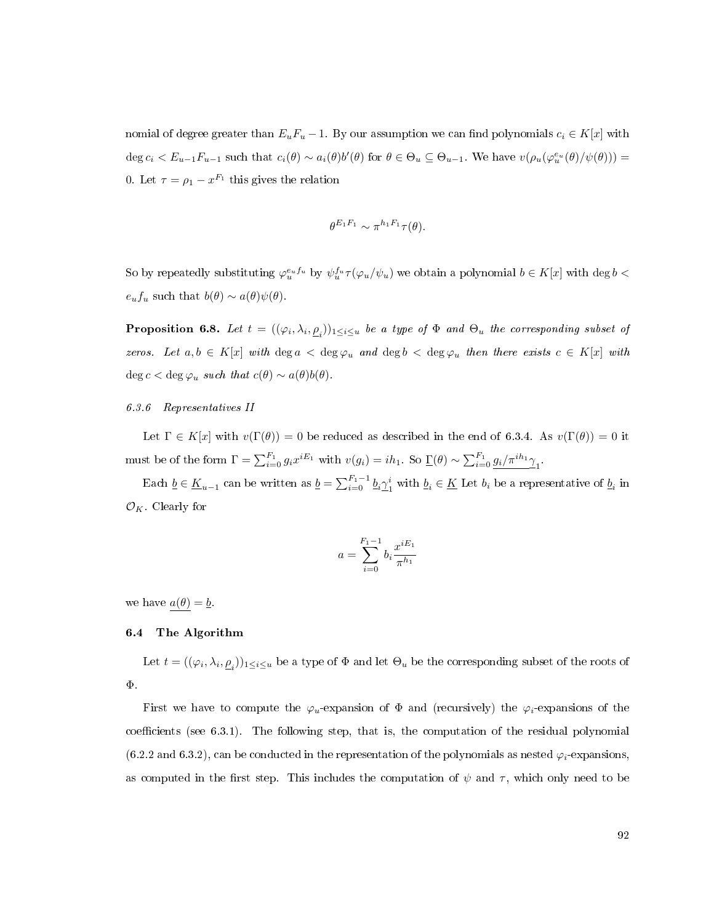nomial of degree greater than  $E_uF_u - 1$ . By our assumption we can find polynomials  $c_i \in K[x]$  with deg  $c_i < E_{u-1}F_{u-1}$  such that  $c_i(\theta) \sim a_i(\theta)b'(\theta)$  for  $\theta \in \Theta_u \subseteq \Theta_{u-1}$ . We have  $v(\rho_u(\varphi_u^{e_u}(\theta)/\psi(\theta)))$ 0. Let  $\tau = \rho_1 - x^{F_1}$  this gives the relation

$$
\theta^{E_1F_1} \sim \pi^{h_1F_1}\tau(\theta).
$$

So by repeatedly substituting  $\varphi_u^{e_u f_u}$  by  $\psi_u^{f_u} \tau(\varphi_u/\psi_u)$  we obtain a polynomial  $b \in K[x]$  with  $\deg b$  $e_u f_u$  such that  $b(\theta) \sim a(\theta) \psi(\theta)$ .

**Proposition 6.8.** Let  $t = ((\varphi_i, \lambda_i, \underline{\rho}_i))_{1 \leq i \leq u}$  be a type of  $\Phi$  and  $\Theta_u$  the corresponding subset of zeros. Let  $a, b \in K[x]$  with  $\deg a < \deg \varphi_u$  and  $\deg b < \deg \varphi_u$  then there exists  $c \in K[x]$  with deg  $c <$  deg  $\varphi_u$  such that  $c(\theta) \sim a(\theta)b(\theta)$ .

## <span id="page-100-1"></span>6.3.6 Representatives II

Let  $\Gamma \in K[x]$  with  $v(\Gamma(\theta)) = 0$  be reduced as described in the end of [6.3.4.](#page-99-0) As  $v(\Gamma(\theta)) = 0$  it must be of the form  $\Gamma = \sum_{i=0}^{F_1} g_i x^{iE_1}$  with  $v(g_i) = ih_1$ . So  $\underline{\Gamma}(\theta) \sim \sum_{i=0}^{F_1} \frac{g_i}{\pi^{ih_1} \gamma_1}$ .

Each  $\underline{b} \in \underline{K}_{u-1}$  can be written as  $\underline{b} = \sum_{i=0}^{F_1-1} \underline{b}_i \gamma_1^i$  $\frac{i}{1}$  with  $\underline{b}_i \in \underline{K}$  Let  $b_i$  be a representative of  $\underline{b}_i$  in  $\mathcal{O}_K$ . Clearly for

$$
a = \sum_{i=0}^{F_1 - 1} b_i \frac{x^{iE_1}}{\pi^{h_1}}
$$

we have  $a(\theta) = \underline{b}$ .

#### <span id="page-100-0"></span>6.4 The Algorithm

Let  $t=((\varphi_i,\lambda_i,\underline{\rho}_i))_{1\leq i\leq u}$  be a type of  $\Phi$  and let  $\Theta_u$  be the corresponding subset of the roots of Φ.

First we have to compute the  $\varphi_u$ -expansion of  $\Phi$  and (recursively) the  $\varphi_i$ -expansions of the  $coefficients$  (see [6.3.1\)](#page-96-0). The following step, that is, the computation of the residual polynomial  $(6.2.2 \text{ and } 6.3.2)$  $(6.2.2 \text{ and } 6.3.2)$  $(6.2.2 \text{ and } 6.3.2)$ , can be conducted in the representation of the polynomials as nested  $\varphi_i$ -expansions, as computed in the first step. This includes the computation of  $\psi$  and  $\tau$ , which only need to be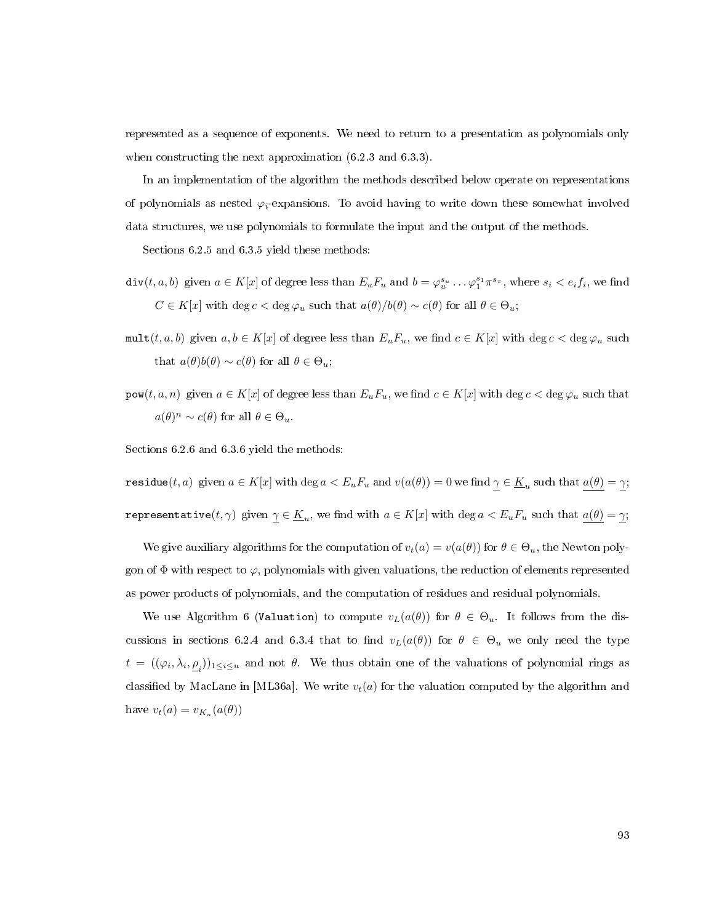represented as a sequence of exponents. We need to return to a presentation as polynomials only when constructing the next approximation [\(6.2.3](#page-93-0) and [6.3.3\)](#page-98-0).

In an implementation of the algorithm the methods described below operate on representations of polynomials as nested  $\varphi_i$ -expansions. To avoid having to write down these somewhat involved data structures, we use polynomials to formulate the input and the output of the methods.

Sections [6.2.5](#page-94-1) and [6.3.5](#page-99-1) yield these methods:

- $\text{div}(t, a, b)$  given  $a \in K[x]$  of degree less than  $E_u F_u$  and  $b = \varphi_u^{s_u} \dots \varphi_1^{s_1} \pi^{s_\pi}$ , where  $s_i < e_i f_i$ , we find  $C \in K[x]$  with  $\deg c < \deg \varphi_u$  such that  $a(\theta)/b(\theta) \sim c(\theta)$  for all  $\theta \in \Theta_u$ ;
- mult $(t, a, b)$  given  $a, b \in K[x]$  of degree less than  $E_u F_u$ , we find  $c \in K[x]$  with  $\deg c < \deg \varphi_u$  such that  $a(\theta)b(\theta) \sim c(\theta)$  for all  $\theta \in \Theta_u$ ;
- $\text{pow}(t, a, n)$  given  $a \in K[x]$  of degree less than  $E_uF_u$ , we find  $c \in K[x]$  with  $\deg c < \deg \varphi_u$  such that  $a(\theta)^n \sim c(\theta)$  for all  $\theta \in \Theta_u$ .

Sections [6.2.6](#page-95-1) and [6.3.6](#page-100-1) yield the methods:

 $\texttt{residue}(t,a) \text{ given } a \in K[x] \text{ with } \deg a < E_uF_u \text{ and } v(a(\theta)) = 0 \text{ we find } \underline{\gamma} \in \underline{K}_u \text{ such that } \underline{a(\theta)} = \underline{\gamma};$  ${\tt representative}(t,\gamma)$  given  $\underline{\gamma}\in \underline{K}_u,$  we find with  $a\in K[x]$  with  $\deg a < E_uF_u$  such that  $a(\theta)=\underline{\gamma};$ 

We give auxiliary algorithms for the computation of  $v_t(a) = v(a(\theta))$  for  $\theta \in \Theta_u$ , the Newton polygon of  $\Phi$  with respect to  $\varphi$ , polynomials with given valuations, the reduction of elements represented as power products of polynomials, and the computation of residues and residual polynomials.

We use Algorithm [6](#page-102-0) (Valuation) to compute  $v<sub>L</sub>(a(\theta))$  for  $\theta \in \Theta_u$ . It follows from the dis-cussions in sections [6.2.4](#page-94-0) and [6.3.4](#page-99-0) that to find  $v_L(a(\theta))$  for  $\theta \in \Theta_u$  we only need the type  $t = ((\varphi_i, \lambda_i, \underline{\rho}_i))_{1 \leq i \leq u}$  and not  $\theta$ . We thus obtain one of the valuations of polynomial rings as classified by MacLane in [\[ML36a\]](#page-113-4). We write  $v_t(a)$  for the valuation computed by the algorithm and have  $v_t(a) = v_{K_u}(a(\theta))$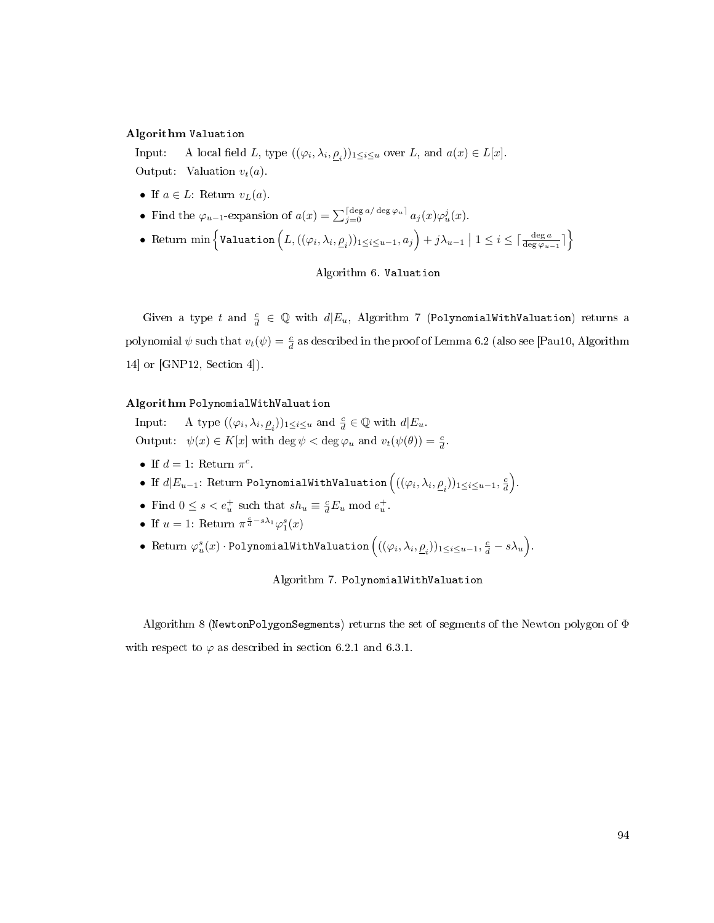# <span id="page-102-0"></span>Algorithm Valuation

Input: A local field L, type  $((\varphi_i, \lambda_i, \underline{\rho}_i))_{1 \leq i \leq u}$  over L, and  $a(x) \in L[x]$ . Output: Valuation  $v_t(a)$ .

- If  $a \in L$ : Return  $v_L(a)$ .
- Find the  $\varphi_{u-1}$ -expansion of  $a(x) = \sum_{j=0}^{\lceil \deg a / \deg \varphi_u \rceil} a_j(x) \varphi_u^j(x)$ .
- Return min  $\left\{\texttt{Valuation}\left(L, ((\varphi_i, \lambda_i, \underline{\rho}_i))_{1\leq i\leq u-1}, a_j\right) + j\lambda_{u-1} \bigm| 1 \leq i \leq \lceil \frac{\deg a}{\deg \varphi_{u-1}} \rceil \right\}$

## Algorithm 6. Valuation

Given a type t and  $\frac{c}{d} \in \mathbb{Q}$  with  $d | E_u$ , Algorithm [7](#page-102-1) (PolynomialWithValuation) returns a polynomial  $\psi$  such that  $v_t(\psi) = \frac{c}{d}$  as described in the proof of Lemma [6.2](#page-87-1) (also see [\[Pau10,](#page-114-2) Algorithm 14] or [\[GNP12,](#page-112-2) Section 4]).

## <span id="page-102-1"></span>Algorithm PolynomialWithValuation

Input: A type  $((\varphi_i, \lambda_i, \underline{\rho}_i))_{1 \leq i \leq u}$  and  $\frac{c}{d} \in \mathbb{Q}$  with  $d|E_u$ . Output:  $\psi(x) \in K[x]$  with  $\deg \psi < \deg \varphi_u$  and  $v_t(\psi(\theta)) = \frac{c}{d}$ .

- If  $d=1$ : Return  $\pi^c$ .
- If  $d|E_{u-1}$ : Return PolynomialWithValuation  $\Big( ((\varphi_i, \lambda_i, \underline{\rho}_i))_{1\leq i\leq u-1}, \frac{c}{d}\Big).$
- Find  $0 \le s < e_u^+$  such that  $sh_u \equiv \frac{c}{d} E_u \mod e_u^+$ .
- If  $u = 1$ : Return  $\pi^{\frac{c}{d} s\lambda_1}\varphi_1^s(x)$
- Return  $\varphi_u^s(x) \cdot \texttt{PolynomialWithoution} \left( ((\varphi_i, \lambda_i, \underline{\rho}_i))_{1 \leq i \leq u-1}, \frac{c}{d} s \lambda_u \right)$ .

Algorithm 7. PolynomialWithValuation

Algorithm [8](#page-103-1) (NewtonPolygonSegments) returns the set of segments of the Newton polygon of Φ with respect to  $\varphi$  as described in section [6.2.1](#page-91-2) and [6.3.1.](#page-96-0)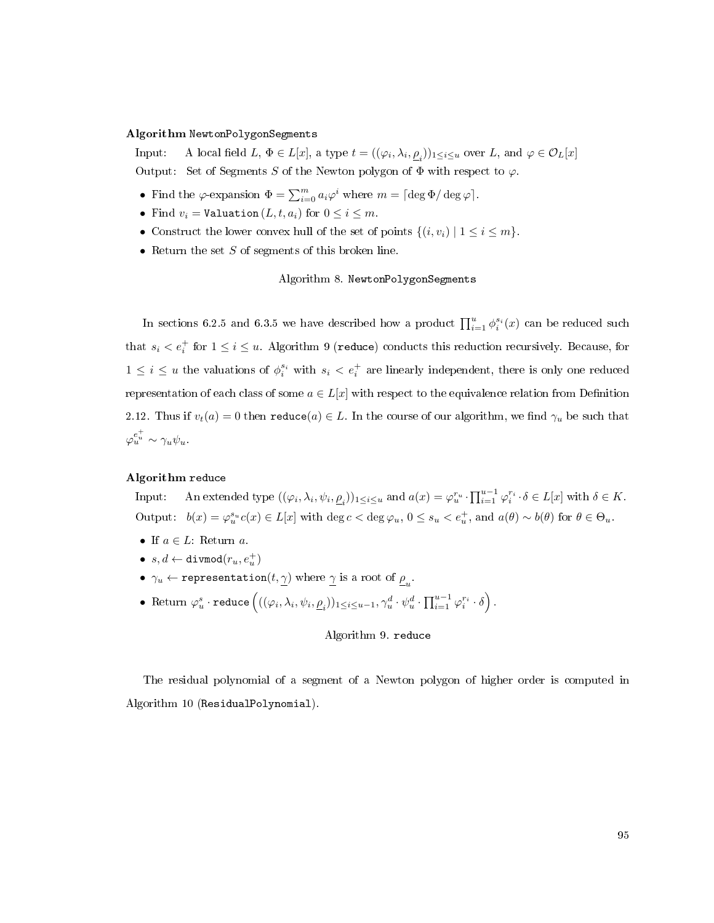## <span id="page-103-1"></span>Algorithm NewtonPolygonSegments

Input: A local field  $L, \Phi \in L[x]$ , a type  $t = ((\varphi_i, \lambda_i, \underline{\rho}_i))_{1 \leq i \leq u}$  over  $L$ , and  $\varphi \in \mathcal{O}_L[x]$ Output: Set of Segments S of the Newton polygon of  $\Phi$  with respect to  $\varphi$ .

- Find the  $\varphi$ -expansion  $\Phi = \sum_{i=0}^{m} a_i \varphi^i$  where  $m = \lceil \deg \Phi / \deg \varphi \rceil$ .
- Find  $v_i =$  Valuation  $(L, t, a_i)$  for  $0 \leq i \leq m$ .
- Construct the lower convex hull of the set of points  $\{(i, v_i) \mid 1 \le i \le m\}$ .
- Return the set  $S$  of segments of this broken line.

# Algorithm 8. NewtonPolygonSegments

In sections [6.2.5](#page-94-1) and [6.3.5](#page-99-1) we have described how a product  $\prod_{i=1}^{u} \phi_i^{s_i}(x)$  can be reduced such that  $s_i < e_i^+$  for  $1 \leq i \leq u$ . Algorithm [9](#page-103-0) (reduce) conducts this reduction recursively. Because, for  $1 \leq i \leq u$  the valuations of  $\phi_i^{s_i}$  with  $s_i < e_i^+$  are linearly independent, there is only one reduced representation of each class of some  $a \in L[x]$  with respect to the equivalence relation from Definition [2.12.](#page-21-0) Thus if  $v_t(a) = 0$  then  $\text{reduce}(a) \in L$ . In the course of our algorithm, we find  $\gamma_u$  be such that  $\varphi_u^{e_u^+} \sim \gamma_u \psi_u.$ 

## <span id="page-103-0"></span>Algorithm reduce

Input: An extended type  $((\varphi_i, \lambda_i, \psi_i, \underline{\rho}_i))_{1 \leq i \leq u}$  and  $a(x) = \varphi_i^{r_u} \cdot \prod_{i=1}^{u-1} \varphi_i^{r_i} \cdot \delta \in L[x]$  with  $\delta \in K$ . Output:  $b(x) = \varphi_u^{s_u} c(x) \in L[x]$  with  $\deg c < \deg \varphi_u, 0 \le s_u < e_u^+$ , and  $a(\theta) \sim b(\theta)$  for  $\theta \in \Theta_u$ .

- If  $a \in L$ : Return a.
- $\bullet \;\; s,d \leftarrow \texttt{divmod}(r_u,e_u^+)$
- $\gamma_u \leftarrow \mathtt{representation}(t, \underline{\gamma})$  where  $\underline{\gamma}$  is a root of  $\underline{\rho}_u$ .
- $\bullet \ \ \text{Return }\varphi_u^s \cdot \texttt{reduce}\left((\varphi_i, \lambda_i, \psi_i, \underline{\rho}_i))_{1 \leq i \leq u-1}, \gamma_u^d \cdot \psi_u^d \cdot \prod_{i=1}^{u-1} \varphi_i^{r_i} \cdot \delta\right).$

# Algorithm 9. reduce

The residual polynomial of a segment of a Newton polygon of higher order is computed in Algorithm [10](#page-104-0) (ResidualPolynomial).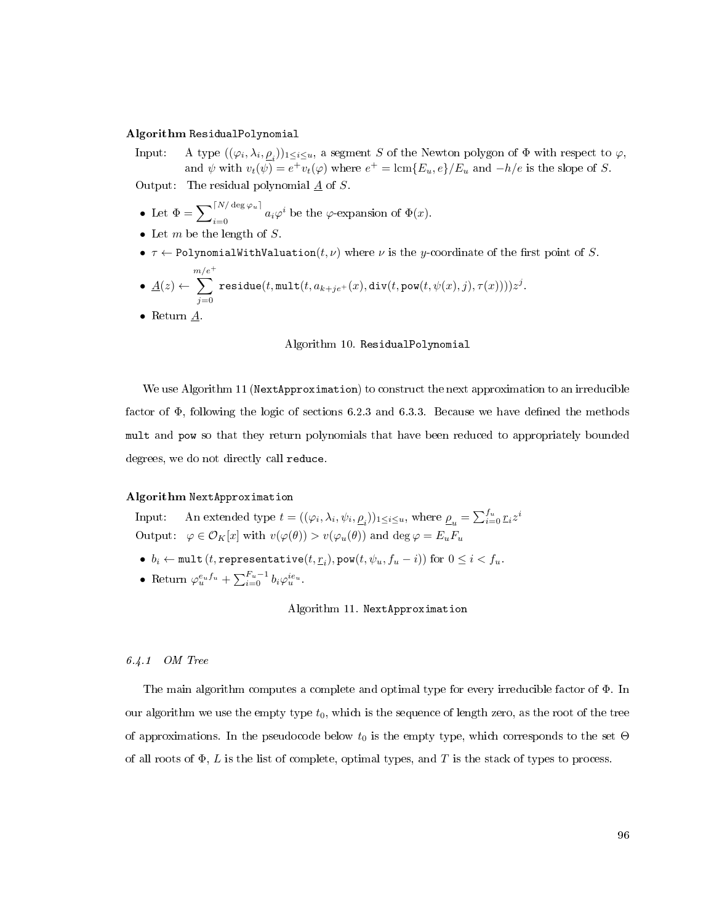## <span id="page-104-0"></span>Algorithm ResidualPolynomial

Input: A type  $((\varphi_i, \lambda_i, \underline{\rho}_i))_{1 \leq i \leq u}$ , a segment S of the Newton polygon of  $\Phi$  with respect to  $\varphi$ , and  $\psi$  with  $v_t(\psi) = e^+ v_t(\varphi)$  where  $e^+ = \text{lcm}\{E_u, e\}/E_u$  and  $-h/e$  is the slope of S. Output: The residual polynomial  $\underline{A}$  of  $S$ .

- Let  $\Phi = \sum_{i=0}^{\lceil N/\deg \varphi_u \rceil} a_i \varphi^i$  be the  $\varphi$ -expansion of  $\Phi(x)$ .
- Let  $m$  be the length of  $S$ .
- $\tau \leftarrow$  PolynomialWithValuation(t, v) where v is the y-coordinate of the first point of S.
- $\bullet$   $\underline{A}(z) \leftarrow$  $\sum_{ }^{\frac{m/e^{+}}{ }}$  $j=0$  $\texttt{residue}(t, \texttt{mult}(t, a_{k+je^+}(x), \texttt{div}(t, \texttt{pow}(t, \psi(x), j), \tau(x))))z^j.$
- Return  $A$ .

#### Algorithm 10. ResidualPolynomial

We use Algorithm [11](#page-104-1) (NextApproximation) to construct the next approximation to an irreducible factor of  $\Phi$ , following the logic of sections [6.2.3](#page-93-0) and [6.3.3.](#page-98-0) Because we have defined the methods mult and pow so that they return polynomials that have been reduced to appropriately bounded degrees, we do not directly call reduce.

#### <span id="page-104-1"></span>Algorithm NextApproximation

Input: An extended type  $t=((\varphi_i,\lambda_i,\psi_i,\underline{\rho}_i))_{1\leq i\leq u}$ , where  $\underline{\rho}_u=\sum_{i=0}^{f_u} \underline{r}_i z^i$ Output:  $\varphi \in \mathcal{O}_K[x]$  with  $v(\varphi(\theta)) > v(\varphi_u(\theta))$  and deg  $\varphi = E_u F_u$ 

- $b_i \leftarrow \texttt{mult} (t, \texttt{representative}(t, \underline{r}_i), \texttt{pow}(t, \psi_u, f_u i)) \text{ for } 0 \leq i < f_u.$
- Return  $\varphi_u^{e_u f_u} + \sum_{i=0}^{F_u-1} b_i \varphi_u^{ie_u}$ .

## Algorithm 11. NextApproximation

## 6.4.1 OM Tree

The main algorithm computes a complete and optimal type for every irreducible factor of Φ. In our algorithm we use the empty type  $t_0$ , which is the sequence of length zero, as the root of the tree of approximations. In the pseudocode below  $t_0$  is the empty type, which corresponds to the set  $\Theta$ of all roots of  $\Phi$ , L is the list of complete, optimal types, and T is the stack of types to process.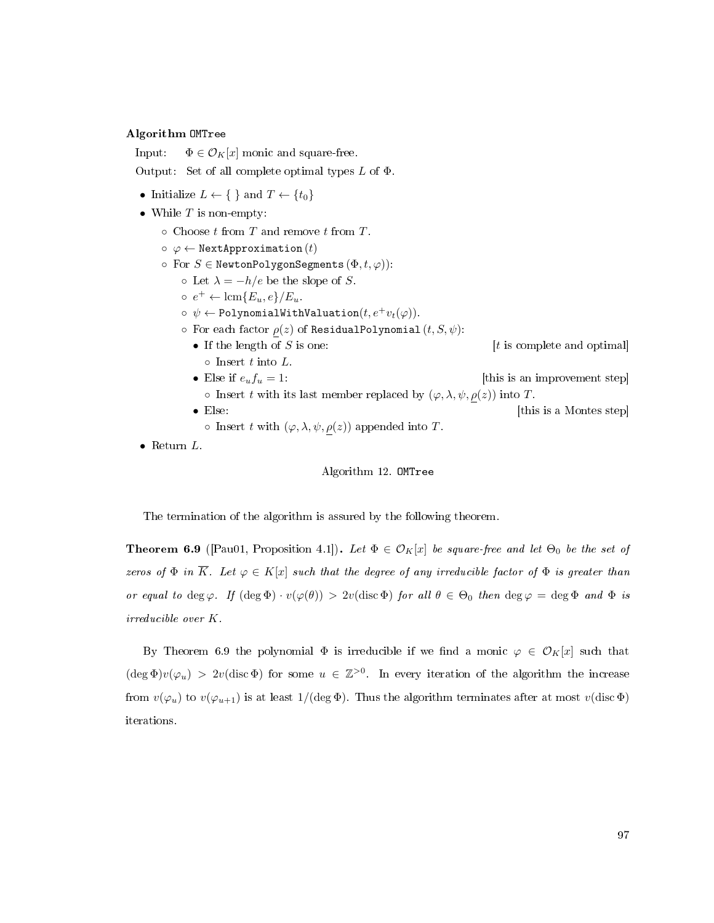# <span id="page-105-1"></span>Algorithm OMTree

Input:  $\Phi \in \mathcal{O}_K[x]$  monic and square-free.

Output: Set of all complete optimal types  $L$  of  $\Phi$ .

- Initialize  $L \leftarrow \{\}$  and  $T \leftarrow \{t_0\}$
- While  $T$  is non-empty:
	- $\circ$  Choose t from T and remove t from T.
	- $\circ \varphi \leftarrow$  NextApproximation  $(t)$
	- $\circ$  For  $S \in \mathbb{N}$ ewtonPolygonSegments  $(\Phi, t, \varphi)$ ):
		- $\circ$  Let  $\lambda = -h/e$  be the slope of S.
		- $\circ e^+ \leftarrow \text{lcm}\{E_u, e\}/E_u.$
		- $\phi \phi \leftarrow$  PolynomialWithValuation $(t, e^+v_t(\varphi))$ .
		- $\circ$  For each factor  $\rho(z)$  of ResidualPolynomial  $(t, S, \psi)$ :
			- If the length of  $S$  is one:  $[t \text{ is complete and optimal}]$  $\circ$  Insert t into L.
			- Else if  $e_u f_u = 1$ : [this is an improvement step]  $\circ$  Insert t with its last member replaced by  $(\varphi, \lambda, \psi, \rho(z))$  into T.
			- Else: [this is a Montes step]
				- $\circ$  Insert t with  $(\varphi, \lambda, \psi, \rho(z))$  appended into T.
- Return  $L$ .

## Algorithm 12. OMTree

The termination of the algorithm is assured by the following theorem.

<span id="page-105-0"></span>**Theorem 6.9** ([\[Pau01,](#page-114-3) Proposition 4.1]). Let  $\Phi \in \mathcal{O}_K[x]$  be square-free and let  $\Theta_0$  be the set of zeros of  $\Phi$  in  $\overline{K}$ . Let  $\varphi \in K[x]$  such that the degree of any irreducible factor of  $\Phi$  is greater than or equal to deg  $\varphi$ . If  $(\deg \Phi) \cdot v(\varphi(\theta)) > 2v(\text{disc }\Phi)$  for all  $\theta \in \Theta_0$  then  $\deg \varphi = \deg \Phi$  and  $\Phi$  is irreducible over K.

By Theorem [6.9](#page-105-0) the polynomial  $\Phi$  is irreducible if we find a monic  $\varphi \in \mathcal{O}_K[x]$  such that  $(\deg \Phi)v(\varphi_u) > 2v(\text{disc }\Phi)$  for some  $u \in \mathbb{Z}^{>0}$ . In every iteration of the algorithm the increase from  $v(\varphi_u)$  to  $v(\varphi_{u+1})$  is at least  $1/(\deg \Phi)$ . Thus the algorithm terminates after at most  $v(\text{disc }\Phi)$ iterations.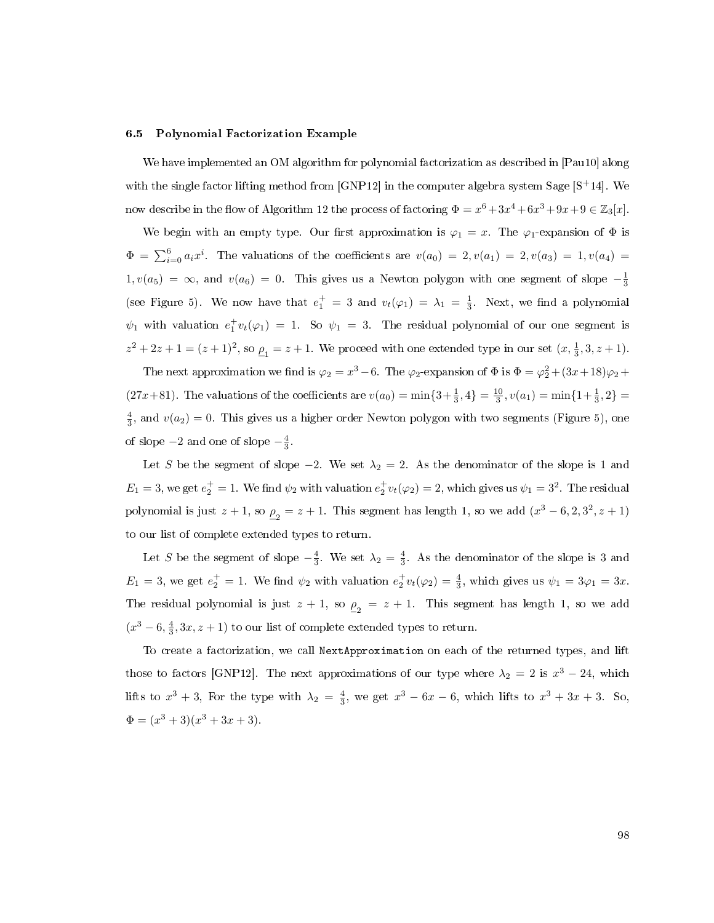#### 6.5 Polynomial Factorization Example

We have implemented an OM algorithm for polynomial factorization as described in [\[Pau10\]](#page-114-2) along with the single factor lifting method from [\[GNP12\]](#page-112-2) in the computer algebra system Sage [S<sup>+</sup>[14\]](#page-114-4). We now describe in the flow of Algorithm [12](#page-105-1) the process of factoring  $\Phi = x^6 + 3x^4 + 6x^3 + 9x + 9 \in \mathbb{Z}_3[x]$ .

We begin with an empty type. Our first approximation is  $\varphi_1 = x$ . The  $\varphi_1$ -expansion of  $\Phi$  is  $\Phi = \sum_{i=0}^{6} a_i x^i$ . The valuations of the coefficients are  $v(a_0) = 2, v(a_1) = 2, v(a_3) = 1, v(a_4) = 1$  $1, v(a_5) = \infty$ , and  $v(a_6) = 0$ . This gives us a Newton polygon with one segment of slope  $-\frac{1}{3}$ (see Figure [5\)](#page-107-1). We now have that  $e_1^+ = 3$  and  $v_t(\varphi_1) = \lambda_1 = \frac{1}{3}$ . Next, we find a polynomial  $\psi_1$  with valuation  $e_1^+ v_t(\varphi_1) = 1$ . So  $\psi_1 = 3$ . The residual polynomial of our one segment is  $z^2 + 2z + 1 = (z + 1)^2$ , so  $\underline{\rho}_1 = z + 1$ . We proceed with one extended type in our set  $(x, \frac{1}{3}, 3, z + 1)$ .

The next approximation we find is  $\varphi_2 = x^3 - 6$ . The  $\varphi_2$ -expansion of  $\Phi$  is  $\Phi = \varphi_2^2 + (3x+18)\varphi_2 +$  $(27x+81)$ . The valuations of the coefficients are  $v(a_0) = \min\{3+\frac{1}{3},4\} = \frac{10}{3}$ ,  $v(a_1) = \min\{1+\frac{1}{3},2\} = \frac{10}{3}$  $\frac{4}{3}$ , and  $v(a_2) = 0$ . This gives us a higher order Newton polygon with two segments (Figure [5\)](#page-107-1), one of slope  $-2$  and one of slope  $-\frac{4}{3}$ .

Let S be the segment of slope  $-2$ . We set  $\lambda_2 = 2$ . As the denominator of the slope is 1 and  $E_1 = 3$ , we get  $e_2^+ = 1$ . We find  $\psi_2$  with valuation  $e_2^+ v_t(\varphi_2) = 2$ , which gives us  $\psi_1 = 3^2$ . The residual polynomial is just  $z + 1$ , so  $\rho_2 = z + 1$ . This segment has length 1, so we add  $(x^3 - 6, 2, 3^2, z + 1)$ to our list of complete extended types to return.

Let S be the segment of slope  $-\frac{4}{3}$ . We set  $\lambda_2 = \frac{4}{3}$ . As the denominator of the slope is 3 and  $E_1 = 3$ , we get  $e_2^+ = 1$ . We find  $\psi_2$  with valuation  $e_2^+ v_t(\varphi_2) = \frac{4}{3}$ , which gives us  $\psi_1 = 3\varphi_1 = 3x$ . The residual polynomial is just  $z + 1$ , so  $\rho_2 = z + 1$ . This segment has length 1, so we add  $(x^3 - 6, \frac{4}{3}, 3x, z + 1)$  to our list of complete extended types to return.

To create a factorization, we call NextApproximation on each of the returned types, and lift those to factors [\[GNP12\]](#page-112-2). The next approximations of our type where  $\lambda_2 = 2$  is  $x^3 - 24$ , which lifts to  $x^3 + 3$ , For the type with  $\lambda_2 = \frac{4}{3}$ , we get  $x^3 - 6x - 6$ , which lifts to  $x^3 + 3x + 3$ . So,  $\Phi = (x^3 + 3)(x^3 + 3x + 3).$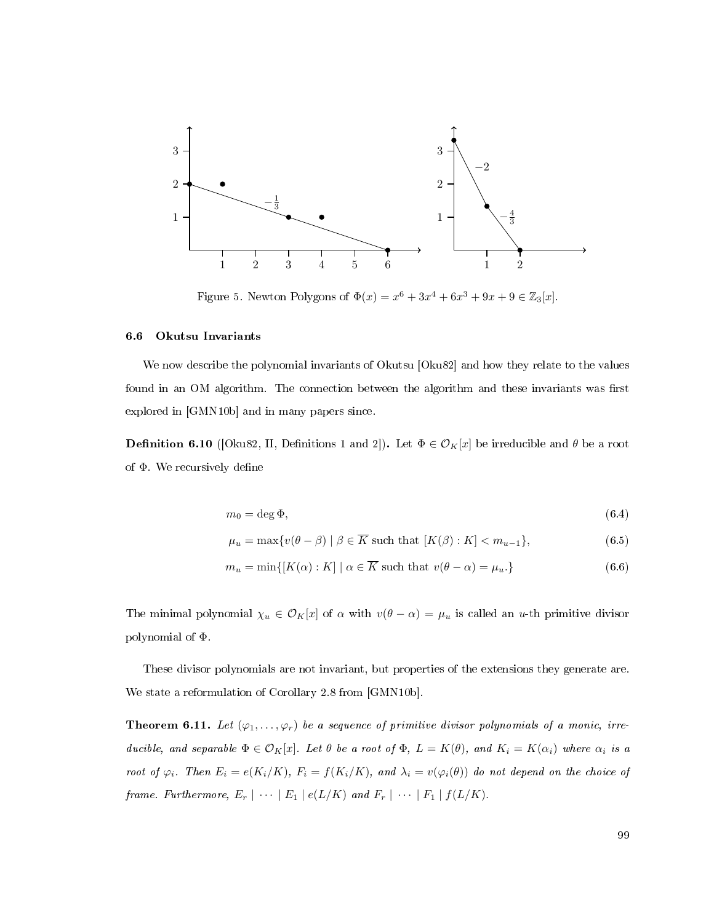<span id="page-107-1"></span>

Figure 5. Newton Polygons of  $\Phi(x) = x^6 + 3x^4 + 6x^3 + 9x + 9 \in \mathbb{Z}_3[x]$ .

#### <span id="page-107-0"></span>6.6 Okutsu Invariants

We now describe the polynomial invariants of Okutsu [\[Oku82\]](#page-113-5) and how they relate to the values found in an OM algorithm. The connection between the algorithm and these invariants was first explored in [\[GMN10b\]](#page-112-3) and in many papers since.

**Definition 6.10** ([\[Oku82,](#page-113-5) II, Definitions 1 and 2]). Let  $\Phi \in \mathcal{O}_K[x]$  be irreducible and  $\theta$  be a root of  $\Phi$  We recursively define

$$
m_0 = \deg \Phi,\tag{6.4}
$$

$$
\mu_u = \max \{ v(\theta - \beta) \mid \beta \in \overline{K} \text{ such that } [K(\beta) : K] < m_{u-1} \},\tag{6.5}
$$

$$
m_u = \min\{ [K(\alpha) : K] \mid \alpha \in \overline{K} \text{ such that } v(\theta - \alpha) = \mu_u. \}
$$
\n
$$
(6.6)
$$

The minimal polynomial  $\chi_u \in \mathcal{O}_K[x]$  of  $\alpha$  with  $v(\theta - \alpha) = \mu_u$  is called an u-th primitive divisor polynomial of Φ.

These divisor polynomials are not invariant, but properties of the extensions they generate are. We state a reformulation of Corollary 2.8 from [\[GMN10b\]](#page-112-3).

**Theorem 6.11.** Let  $(\varphi_1, \ldots, \varphi_r)$  be a sequence of primitive divisor polynomials of a monic, irreducible, and separable  $\Phi \in \mathcal{O}_K[x]$ . Let  $\theta$  be a root of  $\Phi$ ,  $L = K(\theta)$ , and  $K_i = K(\alpha_i)$  where  $\alpha_i$  is a root of  $\varphi_i$ . Then  $E_i = e(K_i/K)$ ,  $F_i = f(K_i/K)$ , and  $\lambda_i = v(\varphi_i(\theta))$  do not depend on the choice of frame. Furthermore,  $E_r \mid \cdots \mid E_1 \mid e(L/K)$  and  $F_r \mid \cdots \mid F_1 \mid f(L/K)$ .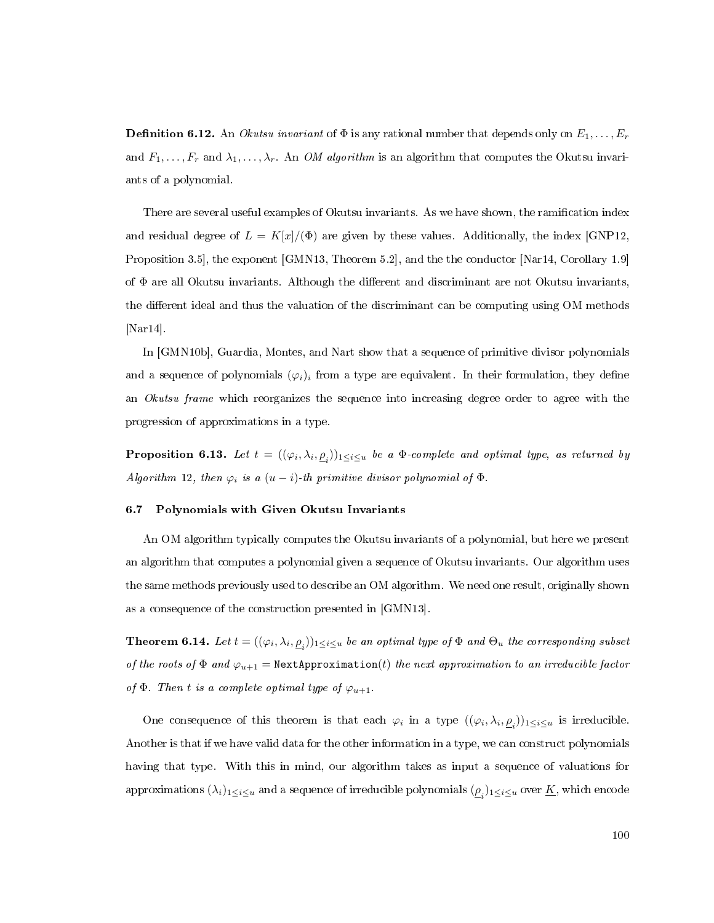**Definition 6.12.** An *Okutsu invariant* of  $\Phi$  is any rational number that depends only on  $E_1, \ldots, E_r$ and  $F_1, \ldots, F_r$  and  $\lambda_1, \ldots, \lambda_r$ . An *OM algorithm* is an algorithm that computes the Okutsu invariants of a polynomial.

There are several useful examples of Okutsu invariants. As we have shown, the ramification index and residual degree of  $L = K[x]/(\Phi)$  are given by these values. Additionally, the index [\[GNP12,](#page-112-0) Proposition 3.5], the exponent [\[GMN13,](#page-112-1) Theorem 5.2], and the the conductor [\[Nar14,](#page-113-0) Corollary 1.9] of  $\Phi$  are all Okutsu invariants. Although the different and discriminant are not Okutsu invariants. the different ideal and thus the valuation of the discriminant can be computing using OM methods [\[Nar14\]](#page-113-0).

In [\[GMN10b\]](#page-112-2), Guardia, Montes, and Nart show that a sequence of primitive divisor polynomials and a sequence of polynomials  $(\varphi_i)_i$  from a type are equivalent. In their formulation, they define an *Okutsu frame* which reorganizes the sequence into increasing degree order to agree with the progression of approximations in a type.

**Proposition 6.13.** Let  $t = ((\varphi_i, \lambda_i, \underline{\rho}_i))_{1 \leq i \leq u}$  be a  $\Phi$ -complete and optimal type, as returned by Algorithm [12,](#page-105-0) then  $\varphi_i$  is a  $(u - i)$ -th primitive divisor polynomial of  $\Phi$ .

## 6.7 Polynomials with Given Okutsu Invariants

An OM algorithm typically computes the Okutsu invariants of a polynomial, but here we present an algorithm that computes a polynomial given a sequence of Okutsu invariants. Our algorithm uses the same methods previously used to describe an OM algorithm. We need one result, originally shown as a consequence of the construction presented in [\[GMN13\]](#page-112-1).

**Theorem 6.14.** Let  $t=((\varphi_i,\lambda_i,\underline{\rho}_i))_{1\leq i\leq u}$  be an optimal type of  $\Phi$  and  $\Theta_u$  the corresponding subset of the roots of  $\Phi$  and  $\varphi_{u+1} = \text{NextApproximation}(t)$  the next approximation to an irreducible factor of  $\Phi$ . Then t is a complete optimal type of  $\varphi_{u+1}$ .

One consequence of this theorem is that each  $\varphi_i$  in a type  $((\varphi_i, \lambda_i, \underline{\rho}_i))_{1 \leq i \leq u}$  is irreducible. Another is that if we have valid data for the other information in a type, we can construct polynomials having that type. With this in mind, our algorithm takes as input a sequence of valuations for approximations  $(\lambda_i)_{1\leq i\leq u}$  and a sequence of irreducible polynomials  $(\underline{\rho}_i)_{1\leq i\leq u}$  over  $\underline{K}$ , which encode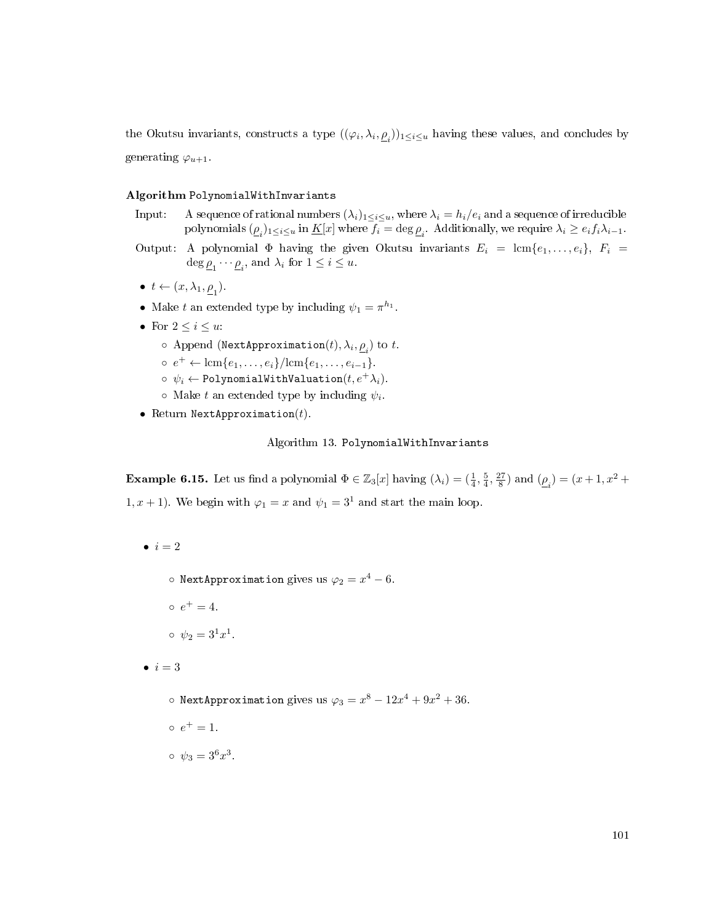the Okutsu invariants, constructs a type  $((\varphi_i, \lambda_i, \underline{\rho}_i))_{1\leq i\leq u}$  having these values, and concludes by generating  $\varphi_{u+1}$ .

## Algorithm PolynomialWithInvariants

- Input: A sequence of rational numbers  $(\lambda_i)_{1\leq i\leq u}$ , where  $\lambda_i = h_i/e_i$  and a sequence of irreducible polynomials  $(\underline{\rho}_i)_{1\leq i\leq u}$  in  $\underline{K}[x]$  where  $f_i=\deg \underline{\rho}_i$ . Additionally, we require  $\lambda_i\geq e_if_i\lambda_{i-1}$ .
- Output: A polynomial  $\Phi$  having the given Okutsu invariants  $E_i = \text{lcm}\{e_1, \ldots, e_i\}, F_i =$  $\deg \underline{\rho}_1 \cdots \underline{\rho}_i$ , and  $\lambda_i$  for  $1 \leq i \leq u$ .
- $t \leftarrow (x, \lambda_1, \underline{\rho}_1)$ .
- Make t an extended type by including  $\psi_1 = \pi^{h_1}$ .
- For  $2 \leq i \leq u$ :
	- $\circ$  Append (NextApproximation $(t), \lambda_i, \underline{\rho}_i$ ) to  $t$ .
	- $e^+ \leftarrow \text{lcm}\{e_1, \ldots, e_i\}/\text{lcm}\{e_1, \ldots, e_{i-1}\}.$
	- $\phi \phi_i \leftarrow$  PolynomialWithValuation $(t, e^+ \lambda_i)$ .
	- $\circ$  Make t an extended type by including  $\psi_i$ .
- Return NextApproximation $(t)$ .

## Algorithm 13. PolynomialWithInvariants

**Example 6.15.** Let us find a polynomial  $\Phi \in \mathbb{Z}_3[x]$  having  $(\lambda_i) = (\frac{1}{4}, \frac{5}{4}, \frac{27}{8})$  and  $(\underline{\rho}_i) = (x+1, x^2 + \frac{5}{4}, \frac{17}{8})$ 1, x + 1). We begin with  $\varphi_1 = x$  and  $\psi_1 = 3^1$  and start the main loop.

- $\bullet i = 2$ 
	- $\circ$  NextApproximation gives us  $\varphi_2 = x^4 6.$
	- $e^+ = 4.$
	- $\circ \psi_2 = 3^1 x^1.$
- $\bullet i = 3$ 
	- $\circ$  NextApproximation gives us  $\varphi_3 = x^8 12x^4 + 9x^2 + 36$ .
	- $e^+ = 1.$
	- $\circ \psi_3 = 3^6 x^3$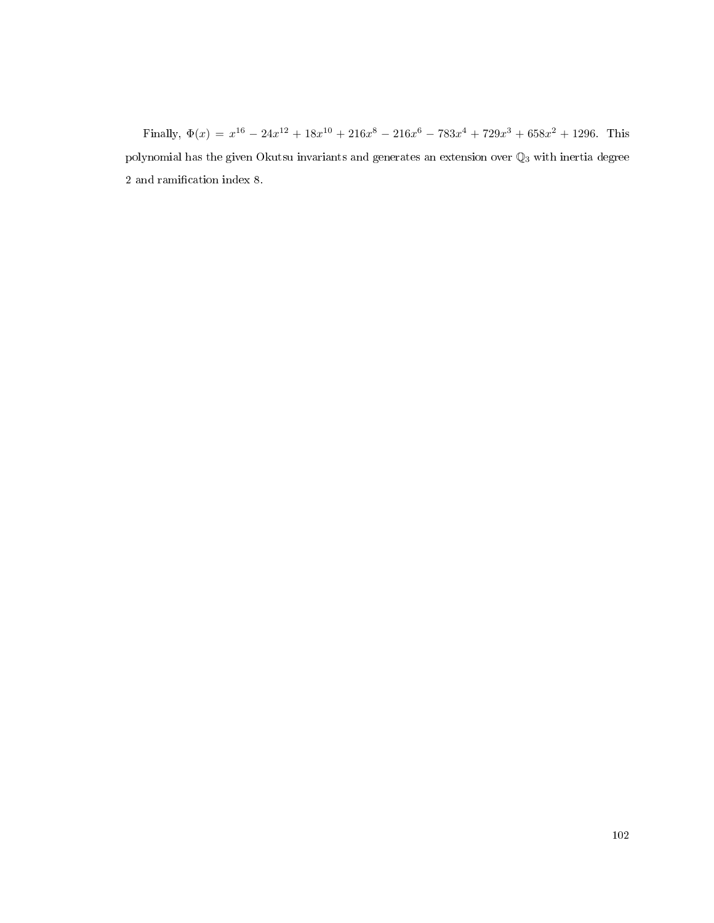Finally,  $\Phi(x) = x^{16} - 24x^{12} + 18x^{10} + 216x^8 - 216x^6 - 783x^4 + 729x^3 + 658x^2 + 1296$ . This polynomial has the given Okutsu invariants and generates an extension over  $\mathbb{Q}_3$  with inertia degree 2 and ramification index 8.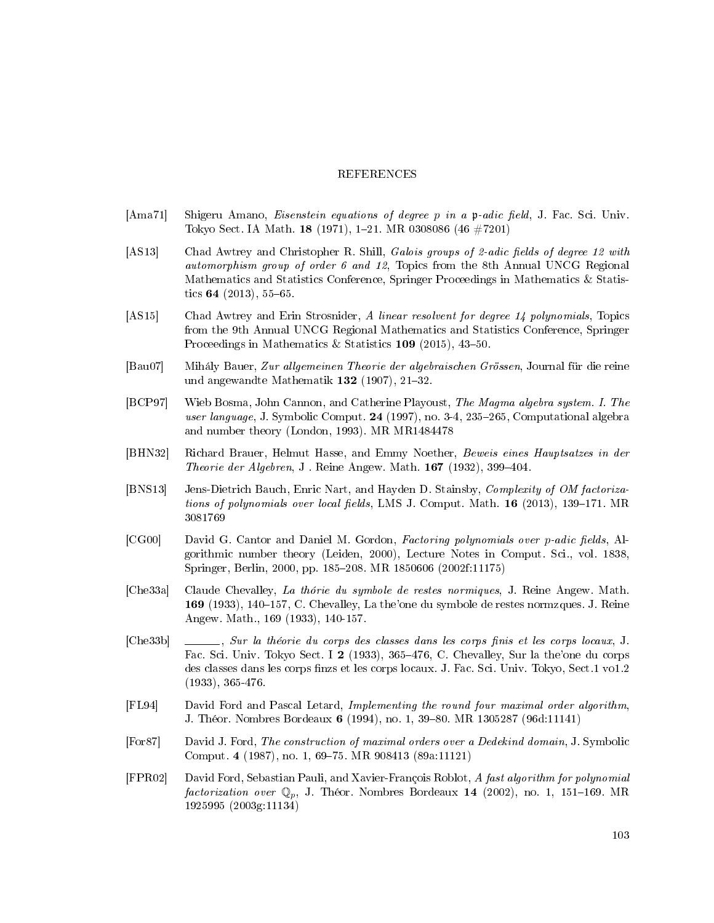## REFERENCES

- [Ama71] Shigeru Amano, *Eisenstein equations of degree p in a* p-adic field, J. Fac. Sci. Univ. Tokyo Sect. IA Math. 18 (1971), 1-21. MR 0308086 (46 #7201)
- [AS13] Chad Awtrey and Christopher R. Shill, Galois groups of 2-adic fields of degree 12 with automorphism group of order 6 and 12, Topics from the 8th Annual UNCG Regional Mathematics and Statistics Conference, Springer Proceedings in Mathematics & Statistics  $64$  (2013), 55-65.
- [AS15] Chad Awtrey and Erin Strosnider, A linear resolvent for degree 14 polynomials, Topics from the 9th Annual UNCG Regional Mathematics and Statistics Conference, Springer Proceedings in Mathematics & Statistics  $109$  (2015), 43-50.
- [Bau07] Mihály Bauer, Zur allgemeinen Theorie der algebraischen Grössen, Journal für die reine und angewandte Mathematik 132 (1907), 21-32.
- [BCP97] Wieb Bosma, John Cannon, and Catherine Playoust, The Magma algebra system. I. The user language, J. Symbolic Comput. 24 (1997), no. 3-4, 235-265, Computational algebra and number theory (London, 1993). MR MR1484478
- [BHN32] Richard Brauer, Helmut Hasse, and Emmy Noether, Beweis eines Hauptsatzes in der Theorie der Algebren, J. Reine Angew. Math.  $167$  (1932), 399-404.
- [BNS13] Jens-Dietrich Bauch, Enric Nart, and Hayden D. Stainsby, Complexity of OM factorizations of polynomials over local fields, LMS J. Comput. Math.  $16$  (2013), 139–171. MR 3081769
- [CG00] David G. Cantor and Daniel M. Gordon, Factoring polynomials over p-adic fields, Algorithmic number theory (Leiden, 2000), Lecture Notes in Comput. Sci., vol. 1838, Springer, Berlin, 2000, pp. 185208. MR 1850606 (2002f:11175)
- [Che33a] Claude Chevalley, La thórie du symbole de restes normiques, J. Reine Angew. Math. 169 (1933), 140–157, C. Chevalley, La the'one du symbole de restes normzques. J. Reine Angew. Math., 169 (1933), 140-157.
- $[Che33b] \quad \_\_\_\_\_$ , Sur la théorie du corps des classes dans les corps finis et les corps locaux, J. Fac. Sci. Univ. Tokyo Sect. I 2 (1933), 365-476, C. Chevalley, Sur la the'one du corps des classes dans les corps finzs et les corps locaux. J. Fac. Sci. Univ. Tokyo, Sect.1 vol.2 (1933), 365-476.
- [FL94] David Ford and Pascal Letard, Implementing the round four maximal order algorithm, J. Théor. Nombres Bordeaux 6 (1994), no. 1, 39–80. MR 1305287 (96d:11141)
- [For87] David J. Ford, The construction of maximal orders over a Dedekind domain, J. Symbolic Comput. 4 (1987), no. 1, 69-75. MR 908413 (89a:11121)
- [FPR02] David Ford, Sebastian Pauli, and Xavier-François Roblot, A fast algorithm for polynomial factorization over  $\mathbb{Q}_p$ , J. Théor. Nombres Bordeaux 14 (2002), no. 1, 151-169. MR 1925995 (2003g:11134)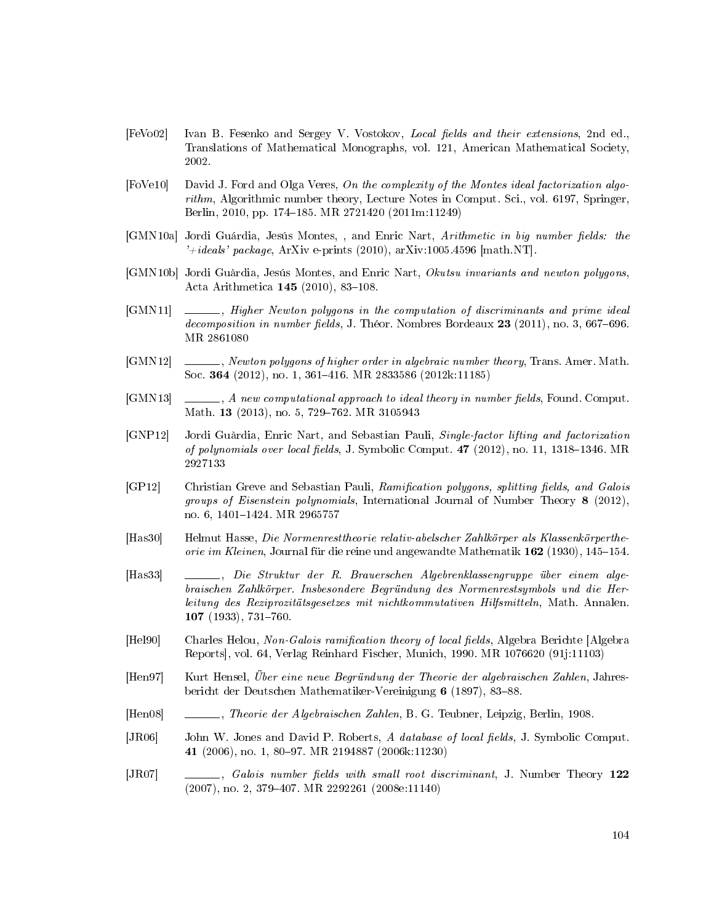- [FeVo02] Ivan B. Fesenko and Sergey V. Vostokov, Local fields and their extensions, 2nd ed., Translations of Mathematical Monographs, vol. 121, American Mathematical Society, 2002.
- [FoVe10] David J. Ford and Olga Veres, On the complexity of the Montes ideal factorization algorithm, Algorithmic number theory, Lecture Notes in Comput. Sci., vol. 6197, Springer, Berlin, 2010, pp. 174–185. MR 2721420 (2011m:11249)
- [GMN10a] Jordi Guárdia, Jesús Montes,, and Enric Nart, Arithmetic in big number fields: the  $i+ideals' package$ , ArXiv e-prints (2010), arXiv:1005.4596 [math.NT].
- <span id="page-112-2"></span>[GMN10b] Jordi Guàrdia, Jesús Montes, and Enric Nart, Okutsu invariants and newton polygons, Acta Arithmetica  $145$  (2010), 83-108.
- [GMN11]  $\qquad \qquad$ , Higher Newton polygons in the computation of discriminants and prime ideal decomposition in number fields, J. Théor. Nombres Bordeaux  $23$  (2011), no. 3, 667–696. MR 2861080
- [GMN12] \_\_\_\_\_, Newton polygons of higher order in algebraic number theory, Trans. Amer. Math. Soc. 364 (2012), no. 1, 361–416. MR 2833586 (2012k:11185)
- <span id="page-112-1"></span> $[\text{GMN13}] \quad \_\_\_\_\_$ , A new computational approach to ideal theory in number fields, Found. Comput. Math. 13 (2013), no. 5, 729-762. MR 3105943
- <span id="page-112-0"></span>[GNP12] Jordi Guàrdia, Enric Nart, and Sebastian Pauli, Single-factor lifting and factorization of polynomials over local fields, J. Symbolic Comput.  $47$  (2012), no. 11, 1318–1346. MR 2927133
- [GP12] Christian Greve and Sebastian Pauli, Ramification polygons, splitting fields, and Galois groups of Eisenstein polynomials, International Journal of Number Theory 8 (2012), no. 6, 1401-1424. MR 2965757
- [Has30] Helmut Hasse, Die Normenresttheorie relativ-abelscher Zahlkörper als Klassenkörpertheorie im Kleinen, Journal für die reine und angewandte Mathematik  $162$  (1930), 145–154.
- [Has33] , Die Struktur der R. Brauerschen Algebrenklassengruppe über einem algebraischen Zahlkörper. Insbesondere Begründung des Normenrestsymbols und die Herleitung des Reziprozitätsgesetzes mit nichtkommutativen Hilfsmitteln, Math. Annalen.  $107$  (1933), 731-760.
- [Hel90] Charles Helou, Non-Galois ramification theory of local fields, Algebra Berichte [Algebra] Reports], vol. 64, Verlag Reinhard Fischer, Munich, 1990. MR 1076620 (91j:11103)
- [Hen97] Kurt Hensel, Über eine neue Begründung der Theorie der algebraischen Zahlen, Jahresbericht der Deutschen Mathematiker-Vereinigung 6 (1897), 83-88.
- [Hen08] , Theorie der Algebraischen Zahlen, B. G. Teubner, Leipzig, Berlin, 1908.
- [JR06] John W. Jones and David P. Roberts, A database of local fields, J. Symbolic Comput. 41 (2006), no. 1, 80–97. MR 2194887 (2006k:11230)
- [JR07]  $\qquad \qquad \qquad \qquad .$  Galois number fields with small root discriminant, J. Number Theory 122 (2007), no. 2, 379407. MR 2292261 (2008e:11140)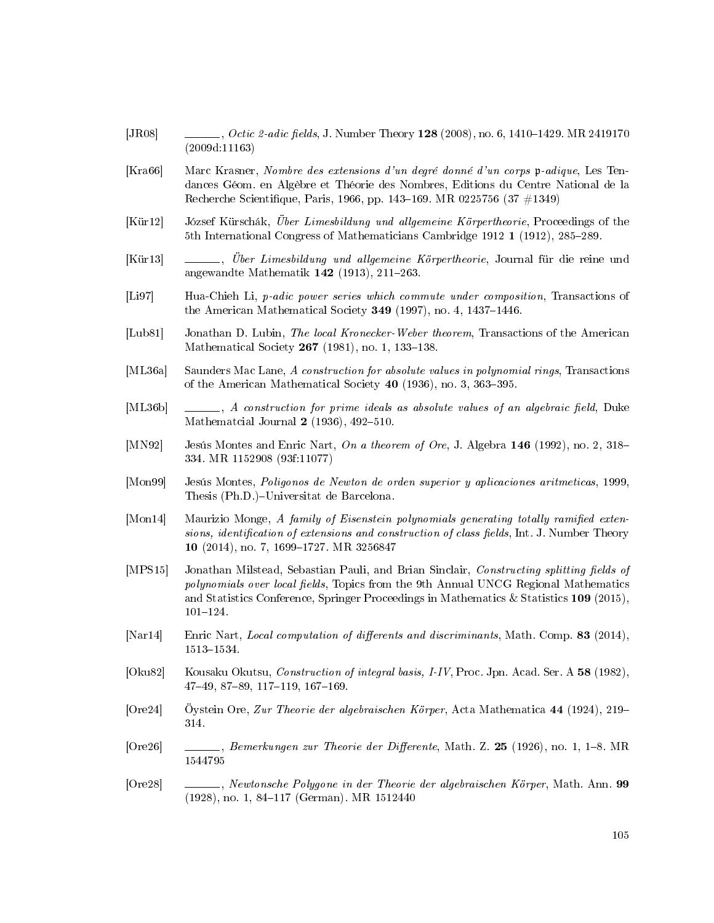- [JR08] , Octic 2-adic fields, J. Number Theory 128 (2008), no. 6, 1410–1429. MR 2419170 (2009d:11163)
- [Kra66] Marc Krasner, Nombre des extensions d'un degré donné d'un corps p-adique, Les Tendances Géom. en Algèbre et Théorie des Nombres, Editions du Centre National de la Recherche Scientifique, Paris, 1966, pp. 143–169. MR 0225756 (37 #1349)
- [Kür12] József Kürschák, Über Limesbildung und allgemeine Körpertheorie, Proceedings of the 5th International Congress of Mathematicians Cambridge 1912 1 (1912), 285–289.
- [Kür13] , Über Limesbildung und allgemeine Körpertheorie, Journal für die reine und angewandte Mathematik  $142$  (1913), 211-263.
- [Li97] Hua-Chieh Li, p-adic power series which commute under composition, Transactions of the American Mathematical Society  $349$  (1997), no. 4, 1437–1446.
- [Lub81] Jonathan D. Lubin, The local Kronecker-Weber theorem, Transactions of the American Mathematical Society  $267$  (1981), no. 1, 133-138.
- [ML36a] Saunders Mac Lane, A construction for absolute values in polynomial rings, Transactions of the American Mathematical Society  $40$  (1936), no. 3, 363-395.
- $[ML36b] \quad \_\_\_\_\_$ , A construction for prime ideals as absolute values of an algebraic field, Duke Mathematcial Journal  $2$  (1936), 492-510.
- [MN92] Jesús Montes and Enric Nart, On a theorem of Ore, J. Algebra 146 (1992), no. 2, 318– 334. MR 1152908 (93f:11077)
- [Mon99] Jesús Montes, Poligonos de Newton de orden superior y aplicaciones aritmeticas, 1999, Thesis (Ph.D.)-Universitat de Barcelona.
- [Mon14] Maurizio Monge, A family of Eisenstein polynomials generating totally ramified extensions, identification of extensions and construction of class fields, Int. J. Number Theory 10 (2014), no. 7, 1699-1727. MR 3256847
- [MPS15] Jonathan Milstead, Sebastian Pauli, and Brian Sinclair, Constructing splitting fields of polynomials over local fields, Topics from the 9th Annual UNCG Regional Mathematics and Statistics Conference, Springer Proceedings in Mathematics & Statistics 109 (2015),  $101 - 124.$
- <span id="page-113-0"></span>[Nar14] Enric Nart, Local computation of differents and discriminants, Math. Comp. 83 (2014), 1513-1534.
- [Oku82] Kousaku Okutsu, Construction of integral basis, I-IV, Proc. Jpn. Acad. Ser. A 58 (1982), 47-49, 87-89, 117-119, 167-169.
- [Ore24] Öystein Ore, Zur Theorie der algebraischen Körper, Acta Mathematica 44 (1924), 219 314.
- $[Ore26]$  , Bemerkungen zur Theorie der Differente, Math. Z. 25 (1926), no. 1, 1–8. MR 1544795
- [Ore28] , Newtonsche Polygone in der Theorie der algebraischen Körper, Math. Ann. 99 (1928), no. 1, 84-117 (German). MR 1512440